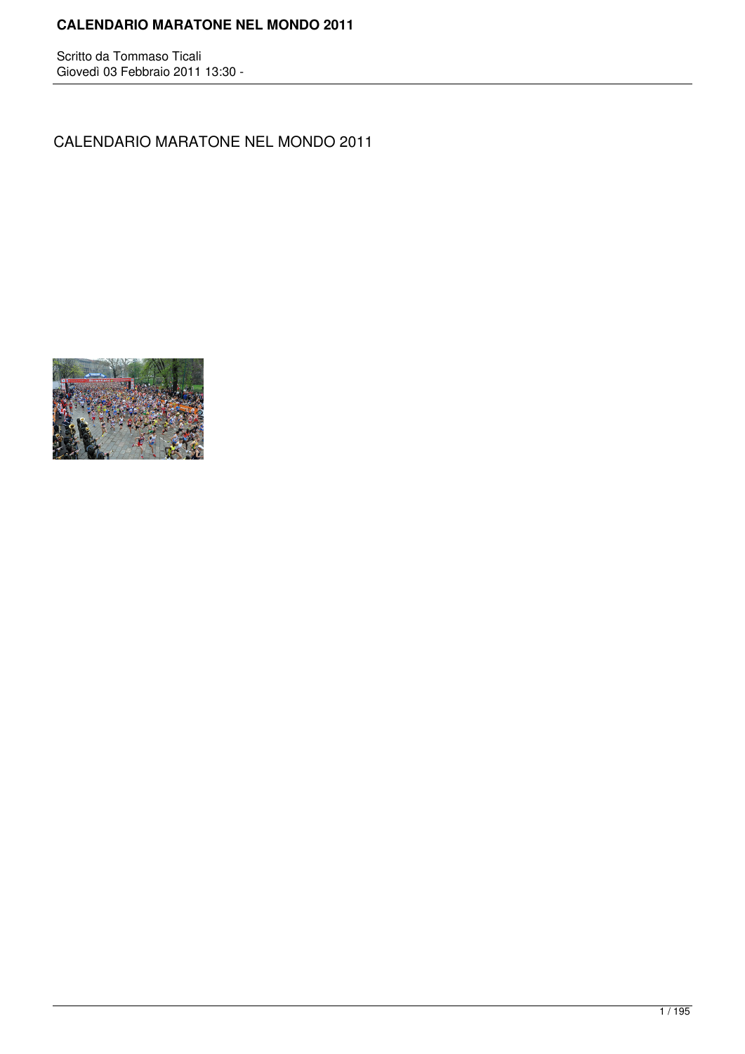## **CALENDARIO MARATONE NEL MONDO 2011**

Scritto da Tommaso Ticali Giovedì 03 Febbraio 2011 13:30 -

CALENDARIO MARATONE NEL MONDO 2011

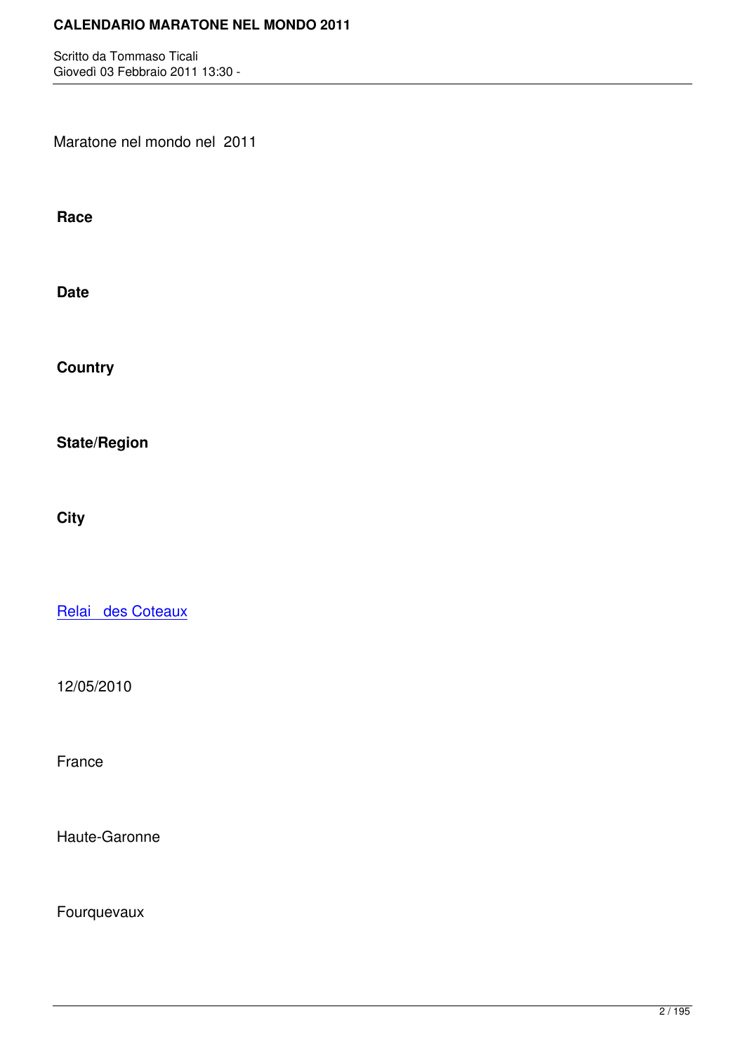Maratone nel mondo nel 2011

**Race**

**Date**

**Country**

**State/Region**

**City**

Relai des Coteaux

[12/05/2010](http://marathons.ahotu.com/race/relai_des_coteaux)

France

Haute-Garonne

Fourquevaux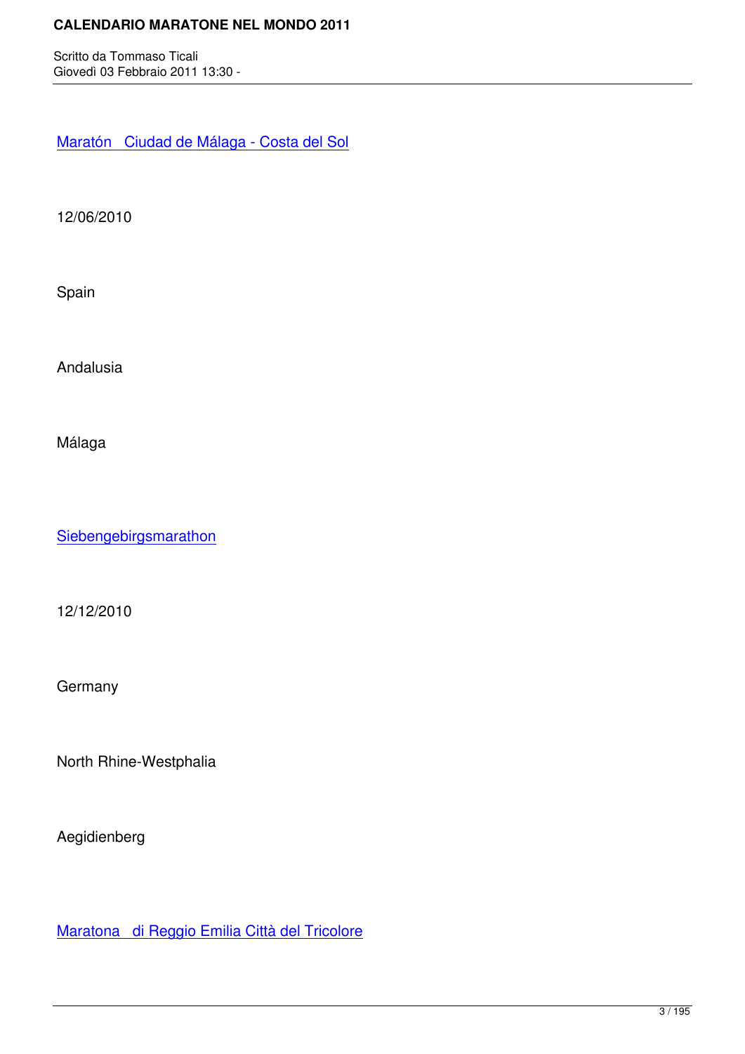Maratón Ciudad de Málaga - Costa del Sol

[12/06/2010](http://marathons.ahotu.com/race/maraton-ciudad-de-malaga-costa-del-sol)

Spain

Andalusia

Málaga

**Siebengebirgsmarathon** 

[12/12/2010](http://marathons.ahotu.com/race/siebengebirgsmarathon)

**Germany** 

North Rhine-Westphalia

Aegidienberg

Maratona di Reggio Emilia Città del Tricolore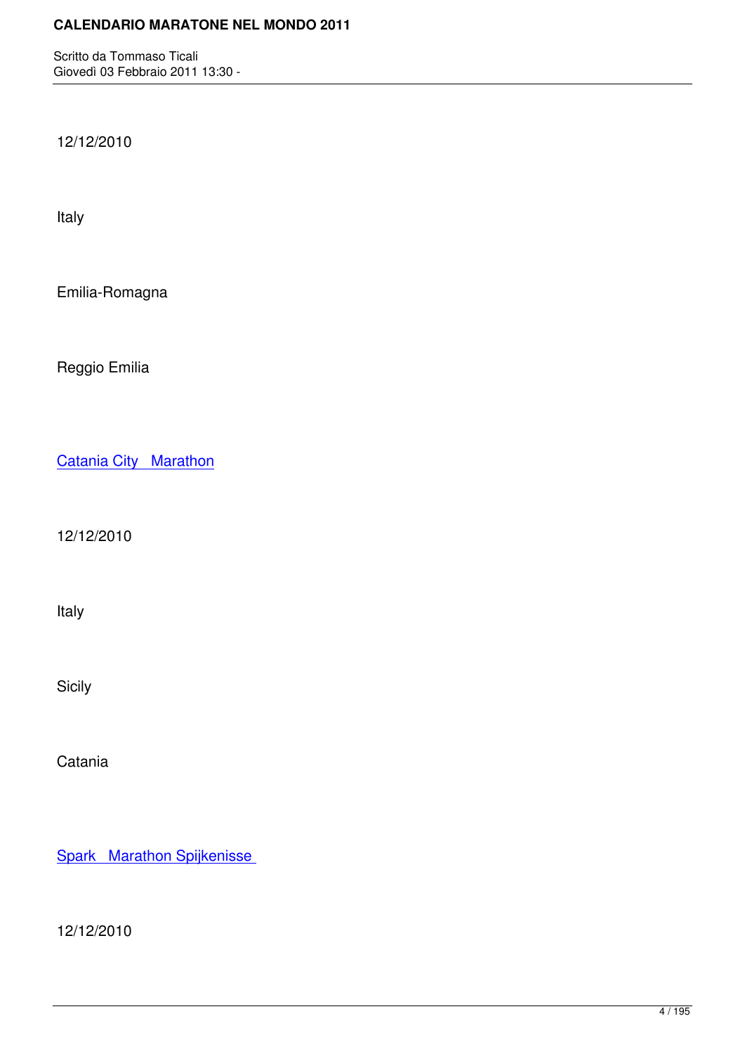12/12/2010

Italy

Emilia-Romagna

Reggio Emilia

Catania City Marathon

[12/12/2010](http://marathons.ahotu.com/race/catania_city_marathon)

Italy

Sicily

Catania

Spark Marathon Spijkenisse

[12/12/2010](http://marathons.ahotu.com/race/spark_marathon_spijkenisse)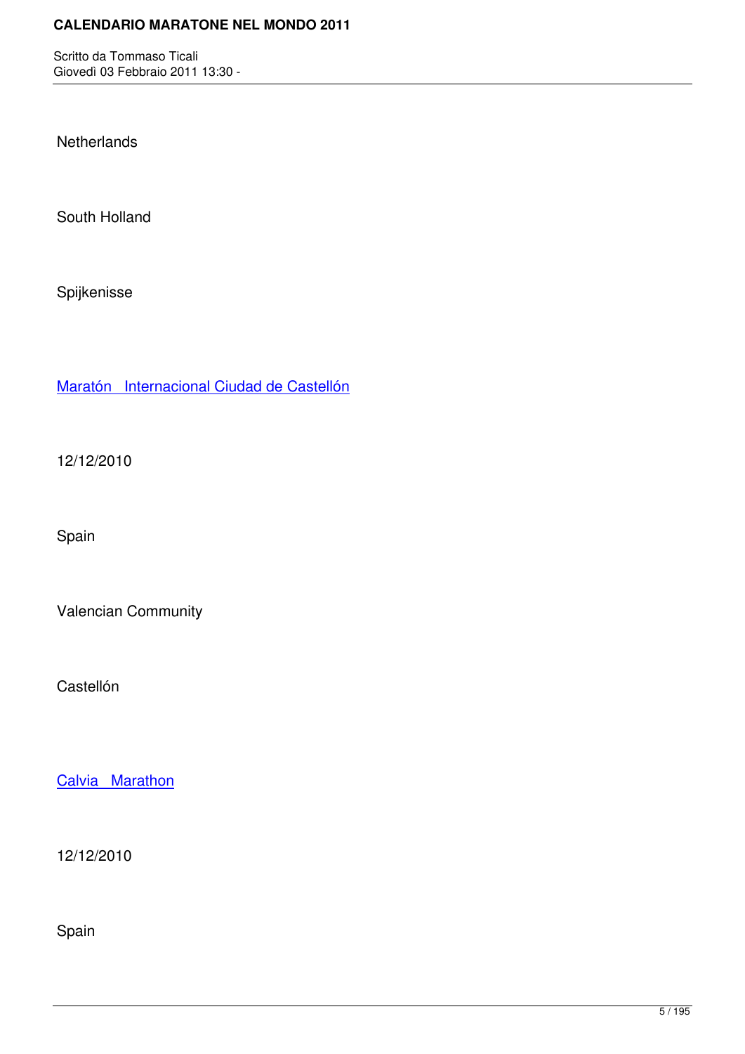**Netherlands** 

South Holland

Spijkenisse

Maratón Internacional Ciudad de Castellón

[12/12/2010](http://marathons.ahotu.com/race/maraton-internacional-ciudad-de-castellon)

Spain

Valencian Community

Castellón

Calvia Marathon

[12/12/2010](http://marathons.ahotu.com/race/calvia_marathon)

Spain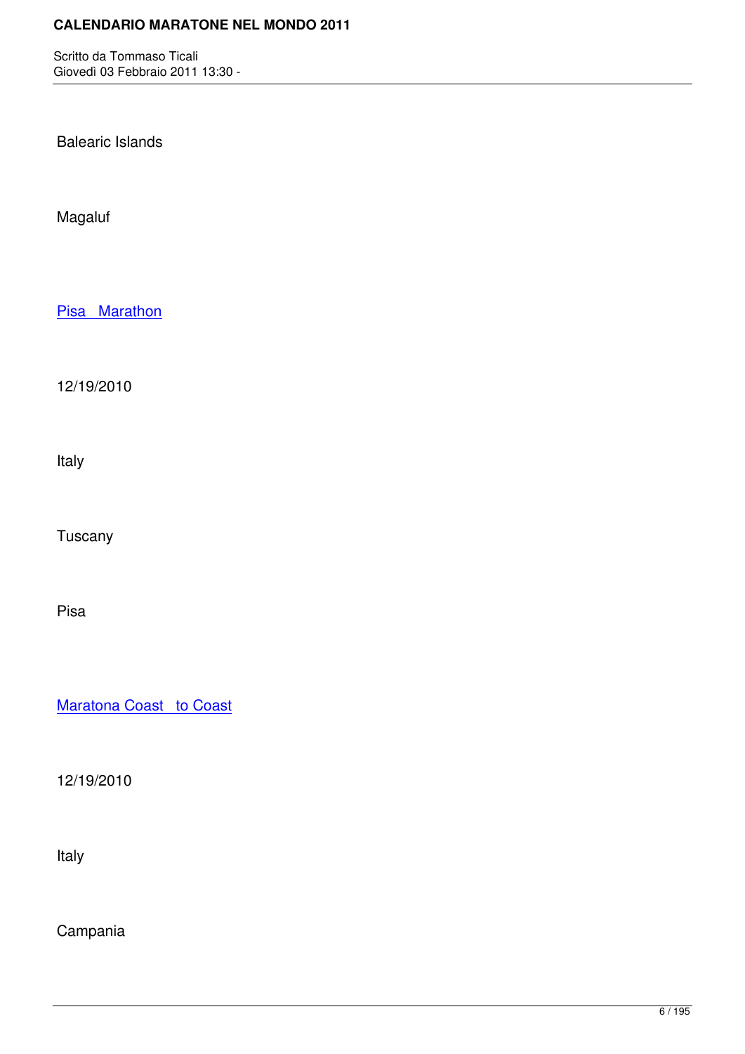Balearic Islands

Magaluf

Pisa Marathon

[12/19/2010](http://marathons.ahotu.com/race/pisa_marathon)

Italy

Tuscany

Pisa

Maratona Coast to Coast

[12/19/2010](http://marathons.ahotu.com/race/maratona_coast_to_coast)

Italy

Campania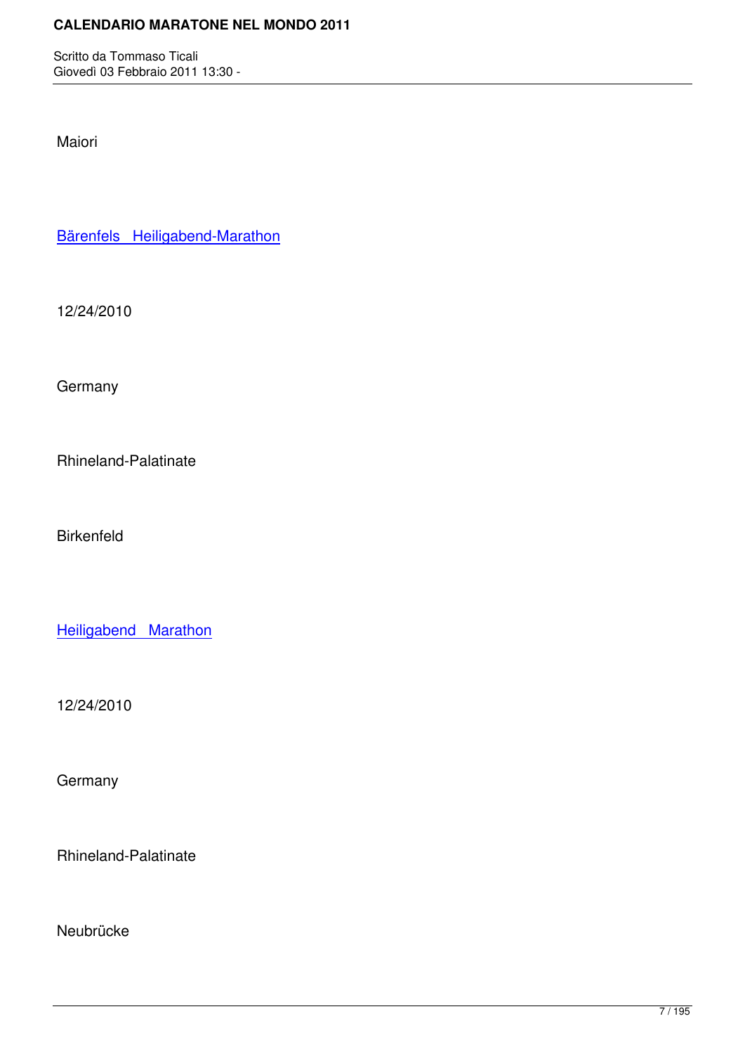Maiori

Bärenfels Heiligabend-Marathon

[12/24/2010](http://marathons.ahotu.com/race/brenfels_heiligabend-marathon)

**Germany** 

Rhineland-Palatinate

Birkenfeld

Heiligabend Marathon

[12/24/2010](http://marathons.ahotu.com/race/heiligabend_marathon)

**Germany** 

Rhineland-Palatinate

Neubrücke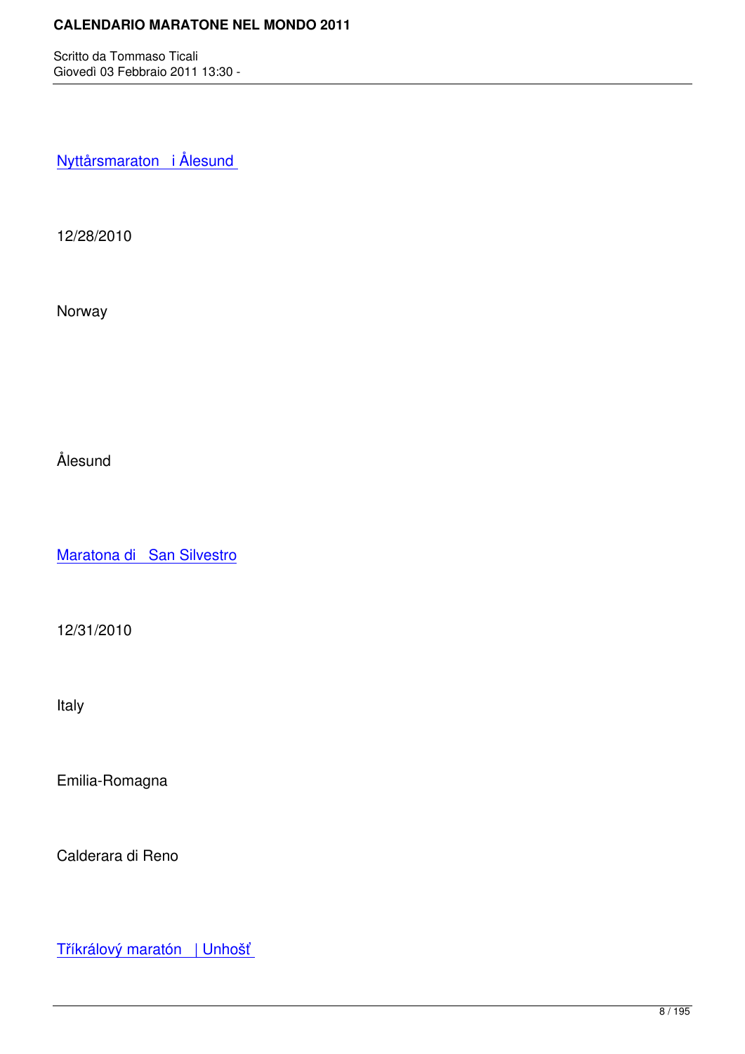Nyttårsmaraton i Ålesund

[12/28/2010](http://marathons.ahotu.com/race/nyttrsmaraton_i_lesund)

Norway

Ålesund

Maratona di San Silvestro

[12/31/2010](http://marathons.ahotu.com/race/maratona-di-san-silvestro)

Italy

Emilia-Romagna

Calderara di Reno

Tříkrálový maratón | Unhošť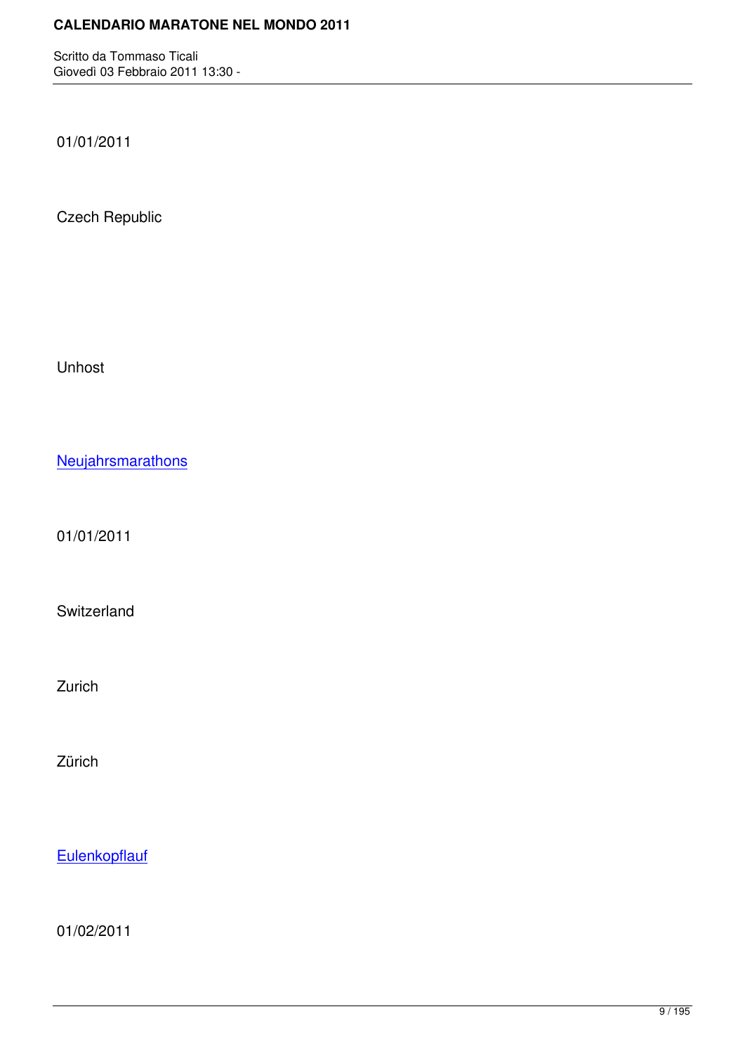01/01/2011

Czech Republic

Unhost

**Neujahrsmarathons** 

[01/01/2011](http://marathons.ahotu.com/race/neujahrsmarathons)

Switzerland

Zurich

Zürich

**Eulenkopflauf** 

[01/02/2011](http://marathons.ahotu.com/race/eulenkopflauf)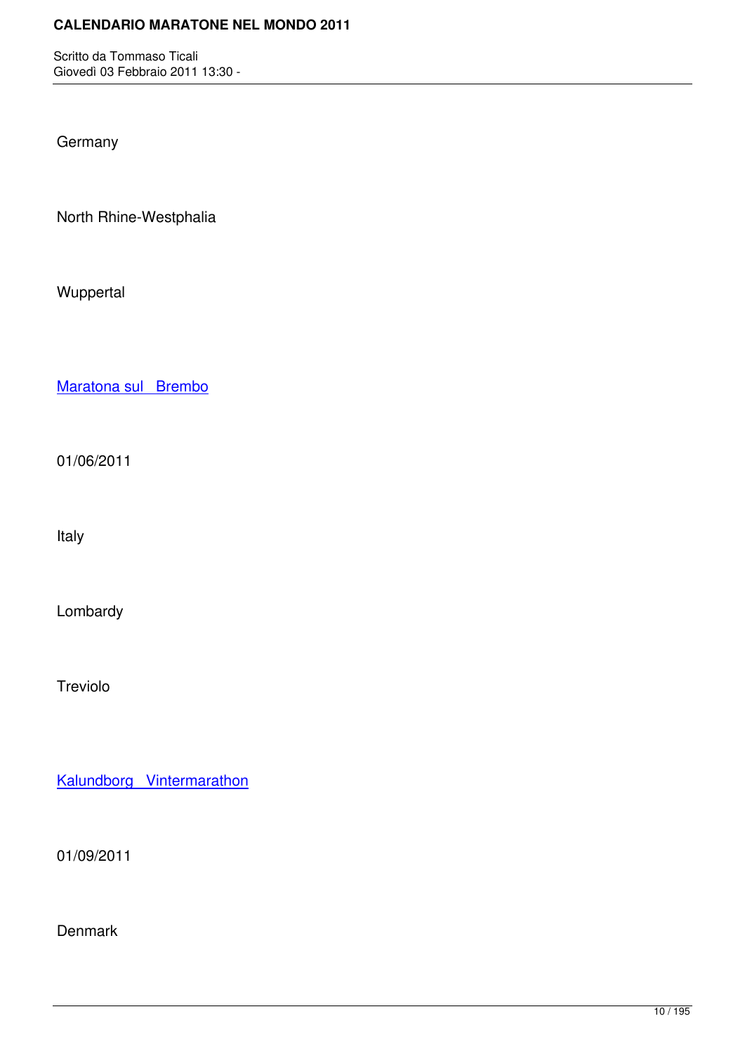**Germany** 

North Rhine-Westphalia

Wuppertal

Maratona sul Brembo

[01/06/2011](http://marathons.ahotu.com/race/maratona_sul_brembo)

Italy

Lombardy

Treviolo

Kalundborg Vintermarathon

[01/09/2011](http://marathons.ahotu.com/race/kalundborg-vintermarathon)

Denmark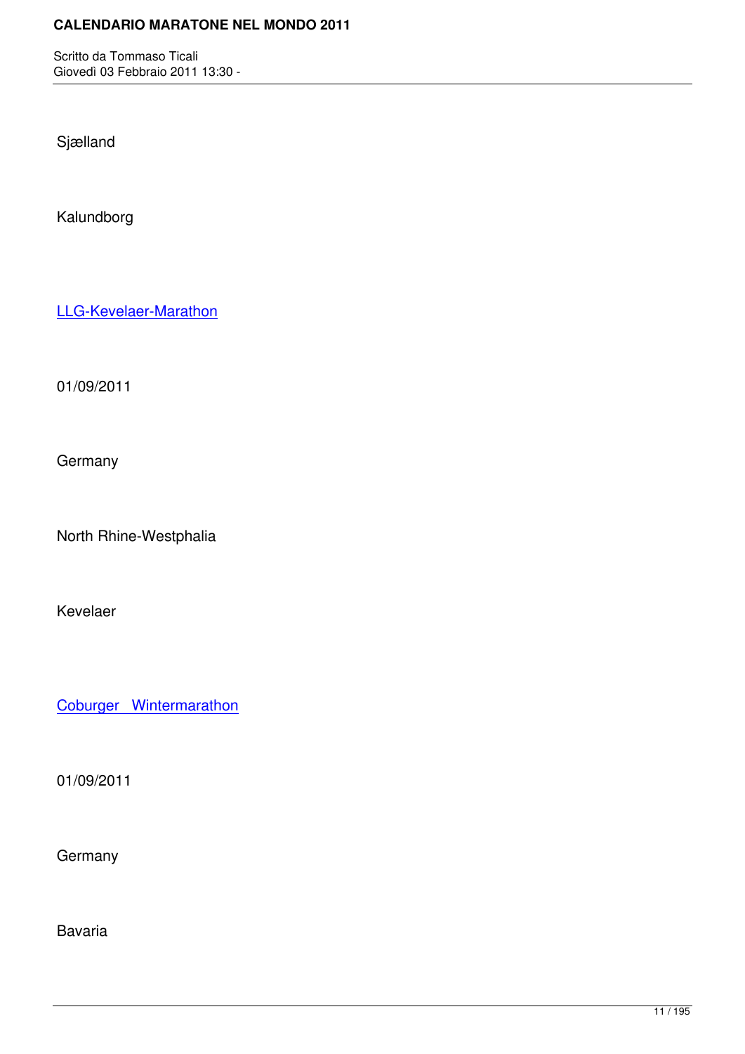Sjælland

Kalundborg

LLG-Kevelaer-Marathon

[01/09/2011](http://marathons.ahotu.com/race/llg-kevelaer-marathon)

**Germany** 

North Rhine-Westphalia

Kevelaer

Coburger Wintermarathon

[01/09/2011](http://marathons.ahotu.com/race/coburger-wintermarathon)

**Germany** 

Bavaria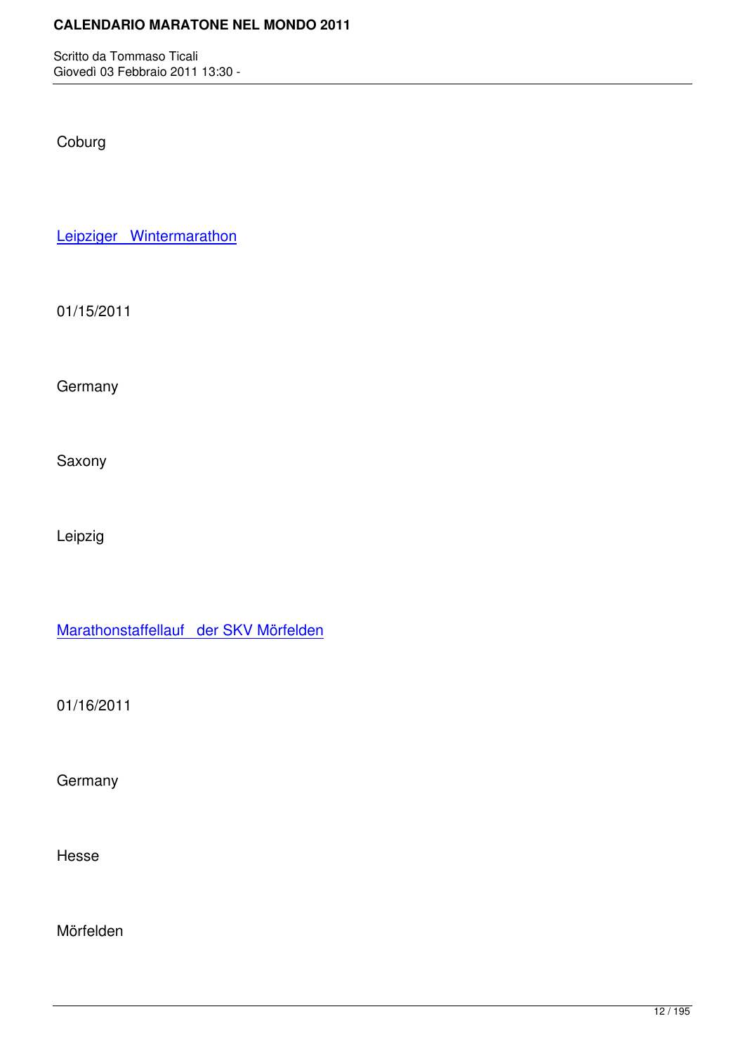Coburg

Leipziger Wintermarathon

[01/15/2011](http://marathons.ahotu.com/race/leipziger-wintermarathon)

**Germany** 

Saxony

Leipzig

Marathonstaffellauf der SKV Mörfelden

[01/16/2011](http://marathons.ahotu.com/race/marathonstaffellauf-der-skv-morfelden)

**Germany** 

Hesse

Mörfelden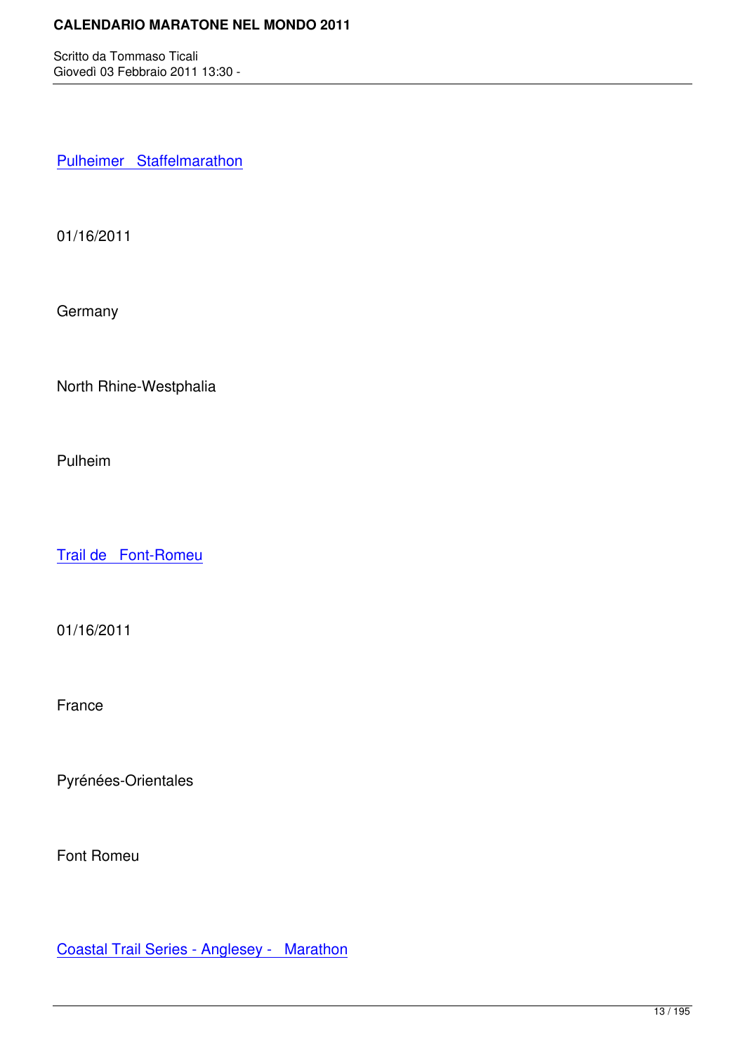Pulheimer Staffelmarathon

[01/16/2011](http://marathons.ahotu.com/race/pulheimer_staffelmarathon)

**Germany** 

North Rhine-Westphalia

Pulheim

Trail de Font-Romeu

[01/16/2011](http://marathons.ahotu.com/race/trail-de-font-romeu)

France

Pyrénées-Orientales

Font Romeu

Coastal Trail Series - Anglesey - Marathon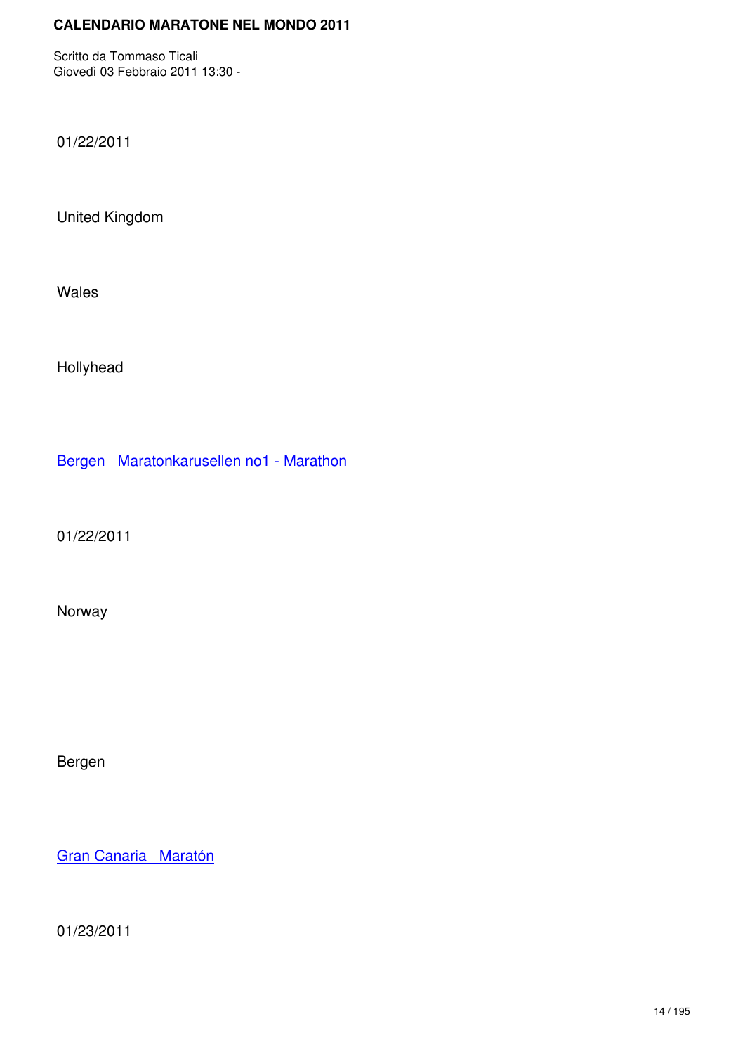01/22/2011

United Kingdom

Wales

Hollyhead

Bergen Maratonkarusellen no1 - Marathon

[01/22/2011](http://marathons.ahotu.com/race/bergen-maratonkarusellen-no1-marathon)

Norway

Bergen

Gran Canaria Maratón

[01/23/2011](http://marathons.ahotu.com/race/gran-canaria-maraton)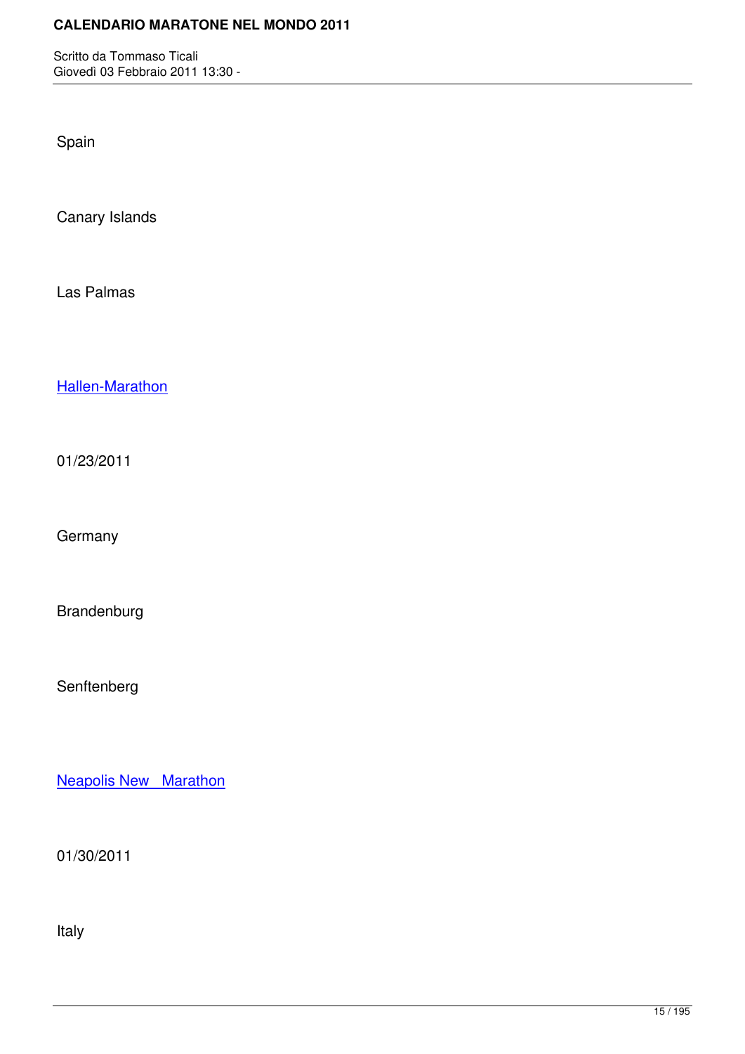Spain

Canary Islands

Las Palmas

Hallen-Marathon

[01/23/2011](http://marathons.ahotu.com/race/hallen-marathon)

**Germany** 

Brandenburg

Senftenberg

Neapolis New Marathon

[01/30/2011](http://marathons.ahotu.com/race/neapolis-new-marathon)

Italy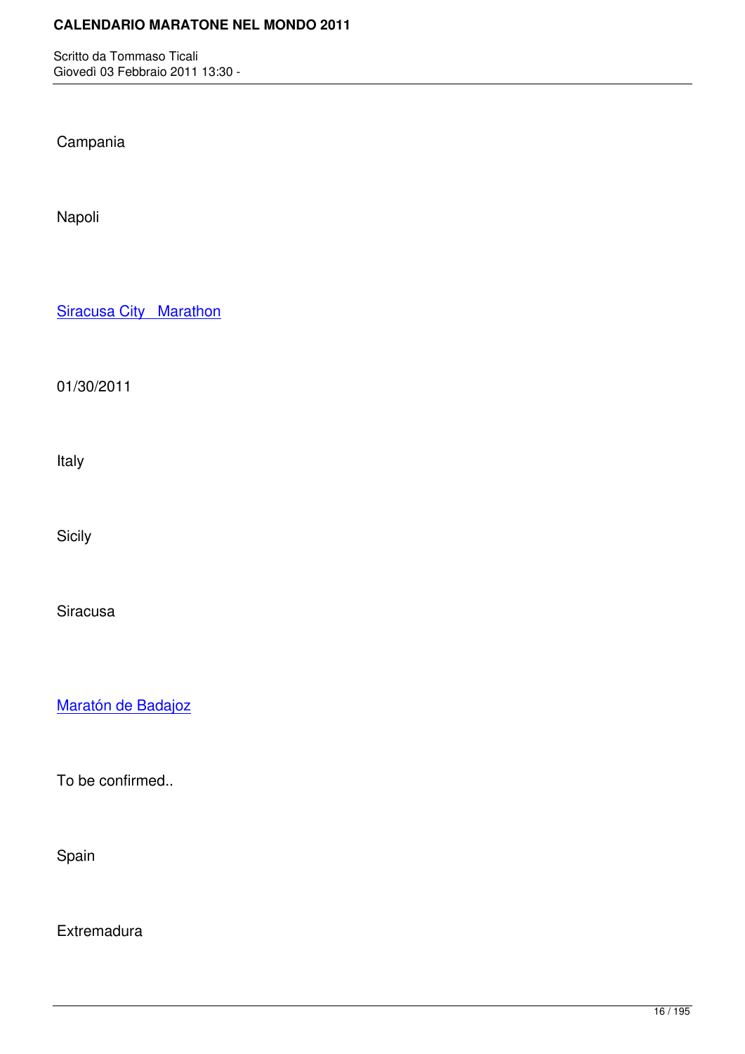Campania

Napoli

**Siracusa City Marathon** 

[01/30/2011](http://marathons.ahotu.com/race/siracusa-city-marathon)

Italy

Sicily

Siracusa

Maratón de Badajoz

[To be confirmed..](http://marathons.ahotu.com/race/maraton-de-badajoz)

Spain

**Extremadura**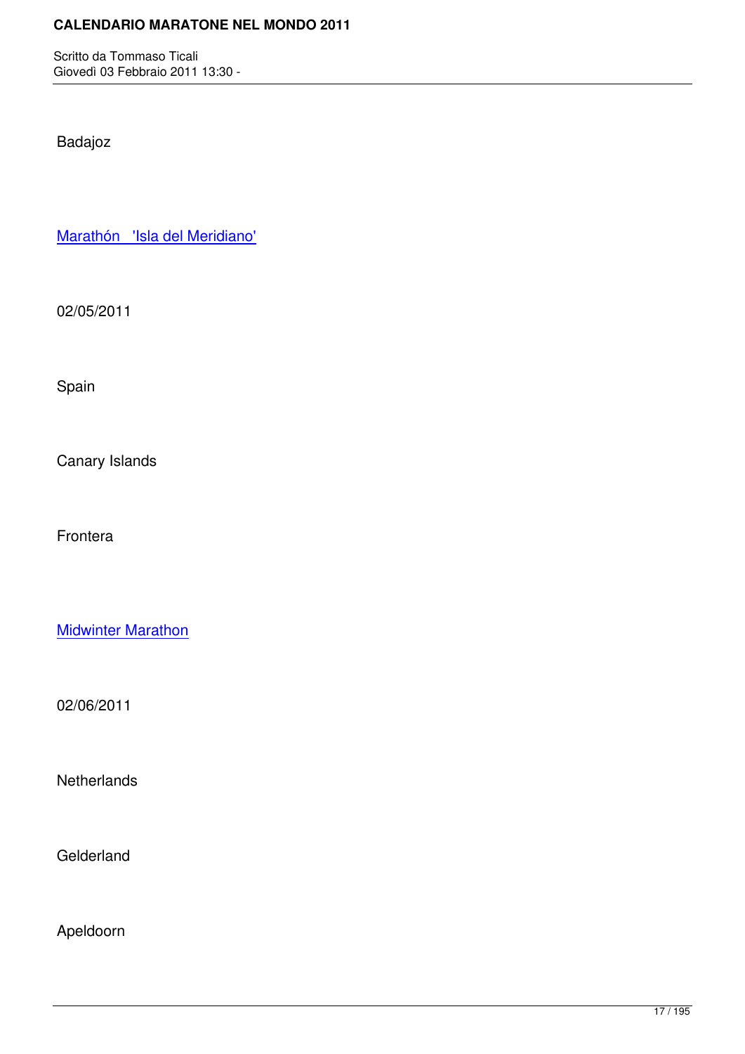Badajoz

Marathón 'Isla del Meridiano'

[02/05/2011](http://marathons.ahotu.com/race/marathon-isla-del-meridiano)

Spain

Canary Islands

Frontera

**Midwinter Marathon** 

[02/06/2011](http://marathons.ahotu.com/race/midwinter-marathon)

**Netherlands** 

**Gelderland** 

Apeldoorn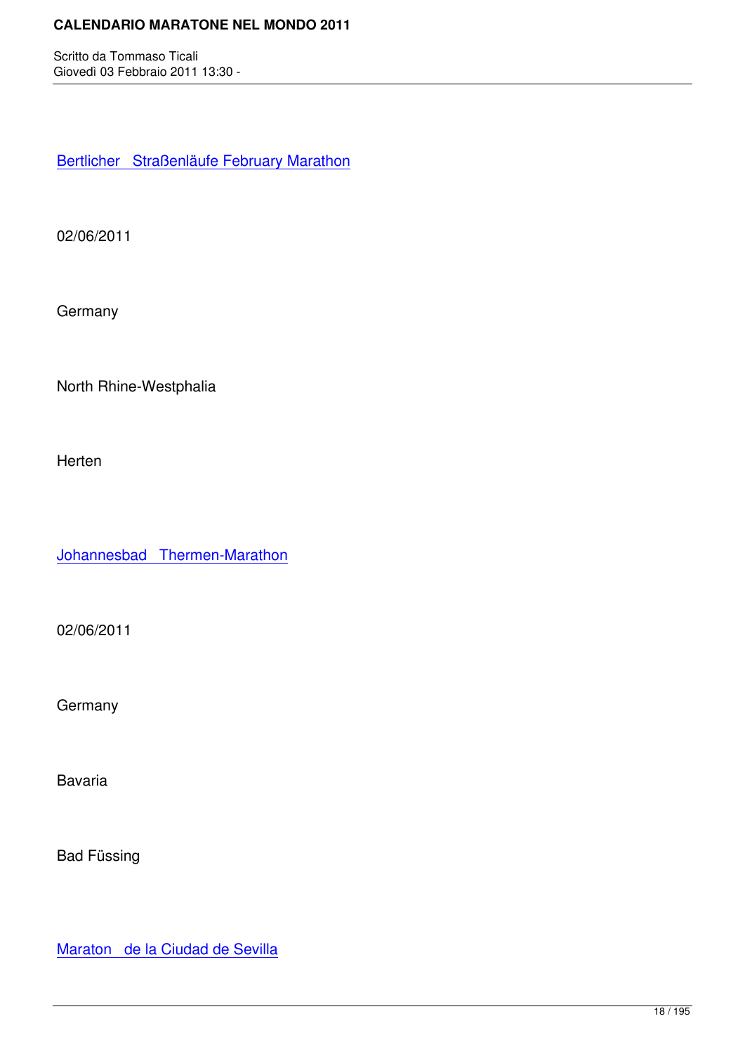Bertlicher Straßenläufe February Marathon

[02/06/2011](http://marathons.ahotu.com/race/bertlicher-straenlaufe-february-marathon)

**Germany** 

North Rhine-Westphalia

Herten

Johannesbad Thermen-Marathon

[02/06/2011](http://marathons.ahotu.com/race/johannesbad-thermen-marathon)

**Germany** 

Bavaria

Bad Füssing

Maraton de la Ciudad de Sevilla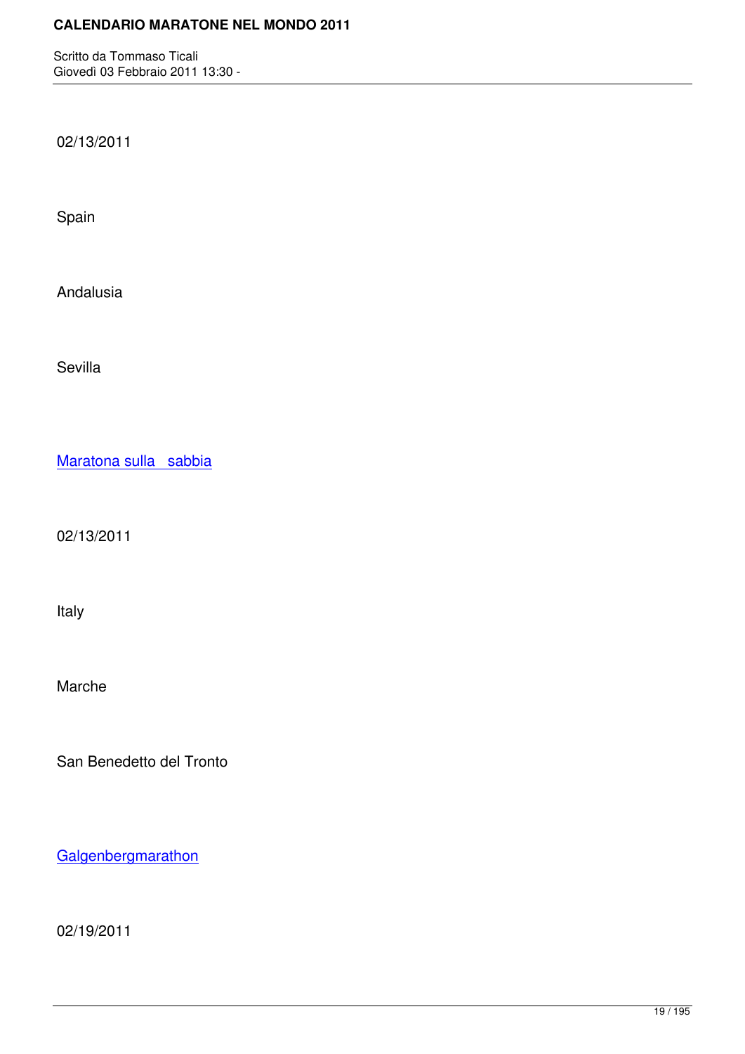02/13/2011

Spain

Andalusia

Sevilla

Maratona sulla sabbia

[02/13/2011](http://marathons.ahotu.com/race/maratona-sulla-sabbia)

Italy

Marche

San Benedetto del Tronto

**Galgenbergmarathon** 

[02/19/2011](http://marathons.ahotu.com/race/galgenbergmarathon)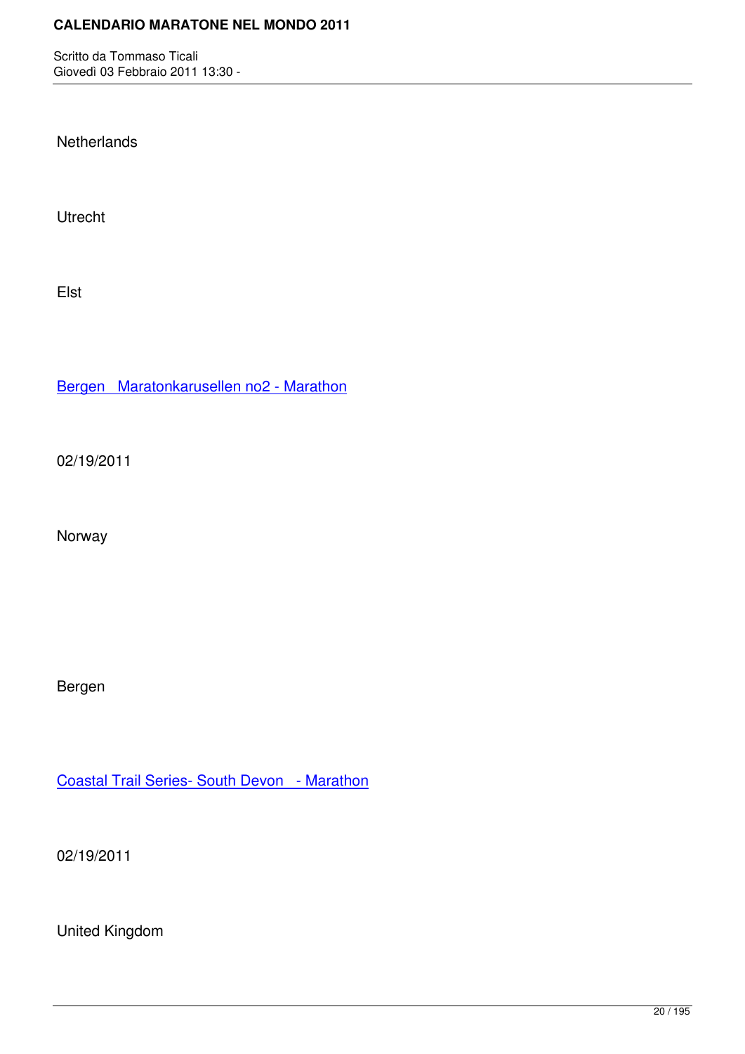**Netherlands** 

Utrecht

Elst

Bergen Maratonkarusellen no2 - Marathon

[02/19/2011](http://marathons.ahotu.com/race/bergen-maratonkarusellen-no2-marathon)

Norway

Bergen

Coastal Trail Series- South Devon - Marathon

[02/19/2011](http://marathons.ahotu.com/race/coastal-trail-series-south-devon-marathon)

United Kingdom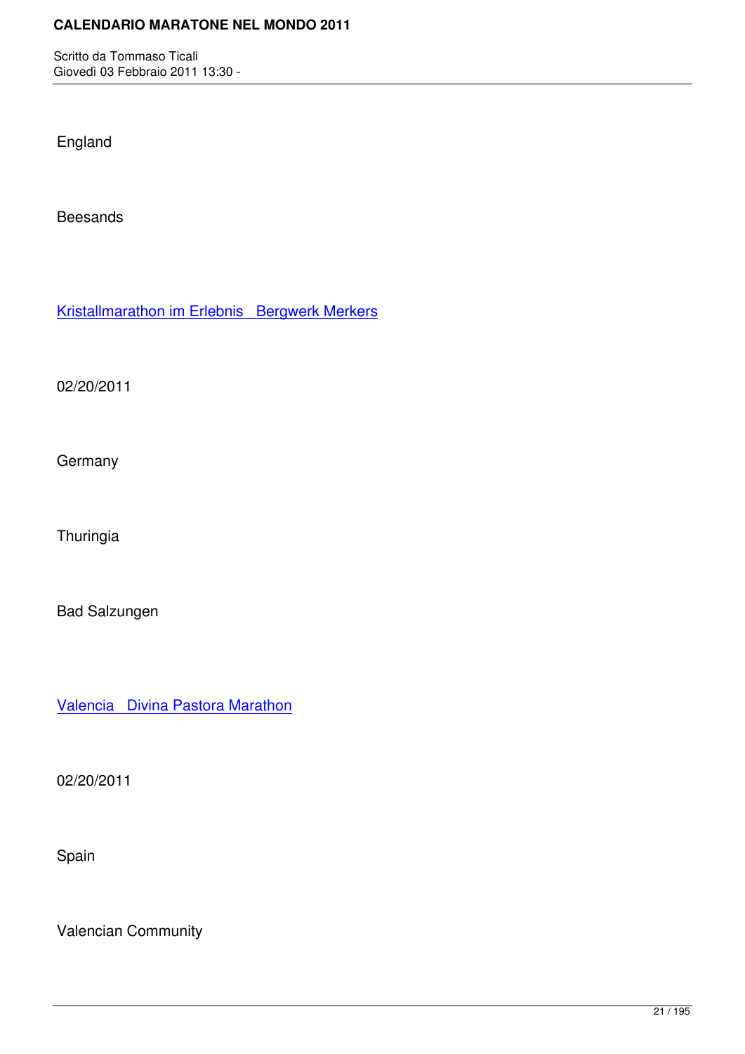England

Beesands

Kristallmarathon im Erlebnis Bergwerk Merkers

[02/20/2011](http://marathons.ahotu.com/race/kristallmarathon-im-erlebnis-bergwerk-merkers)

**Germany** 

**Thuringia** 

Bad Salzungen

Valencia Divina Pastora Marathon

[02/20/2011](http://marathons.ahotu.com/race/valencia-divina-pastora-marathon)

Spain

Valencian Community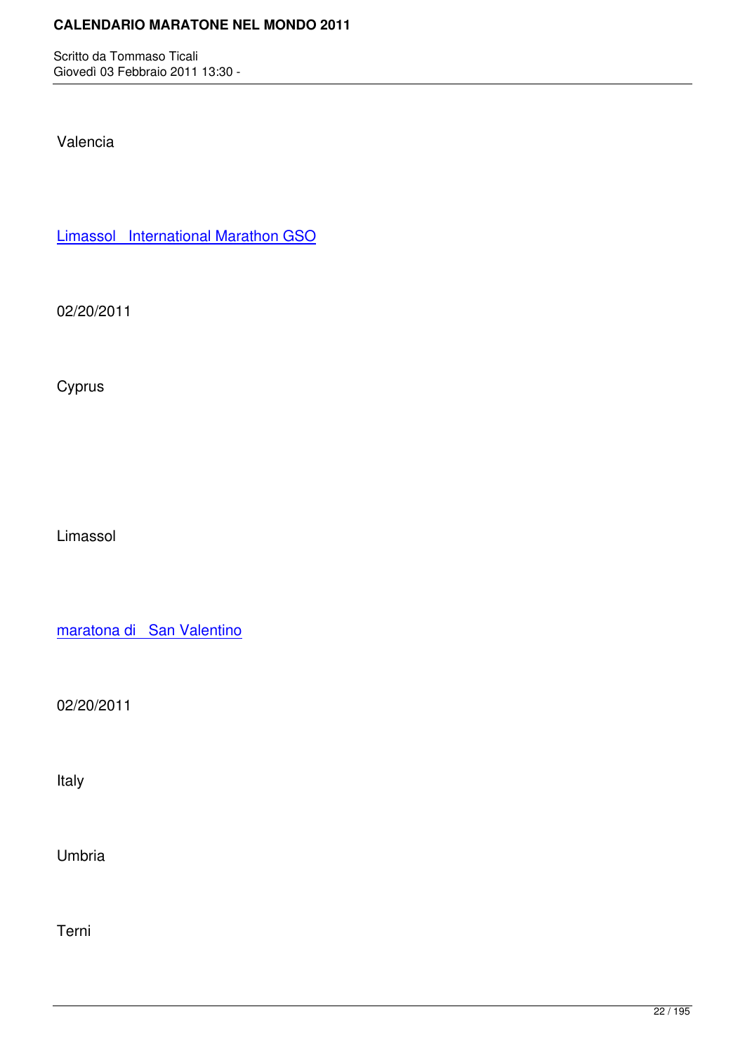Valencia

Limassol International Marathon GSO

[02/20/2011](http://marathons.ahotu.com/race/limassol_international_marathon_gso)

Cyprus

Limassol

maratona di San Valentino

[02/20/2011](http://marathons.ahotu.com/race/maratona_di_san_valentino)

Italy

Umbria

Terni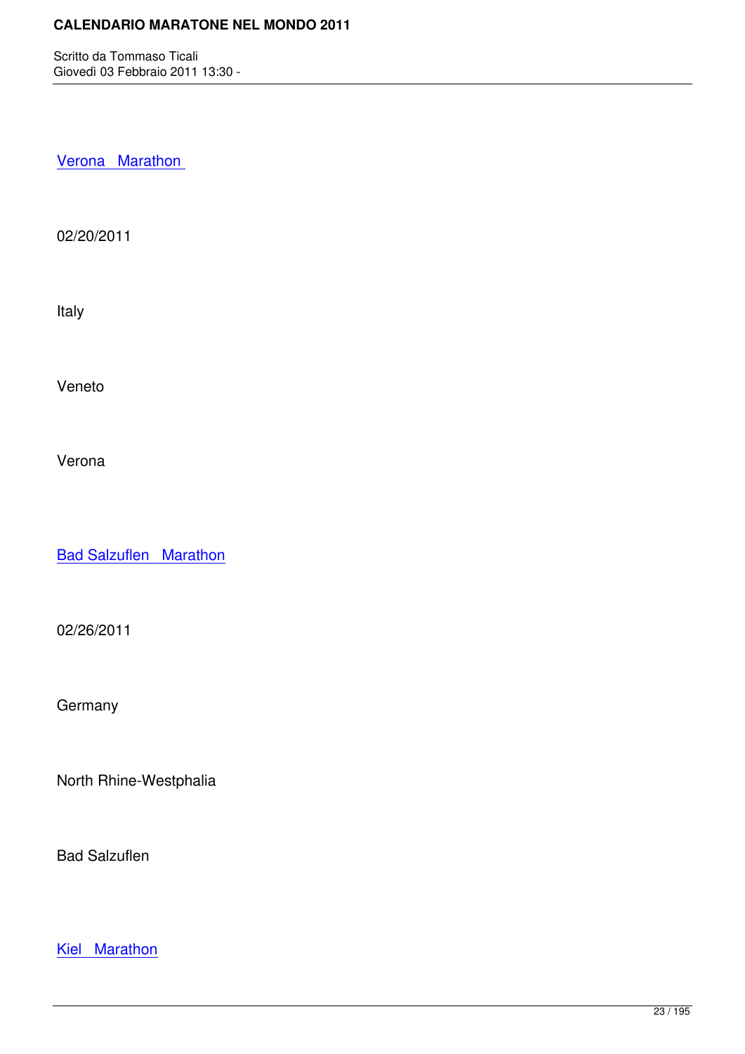Verona Marathon

[02/20/2011](http://marathons.ahotu.com/race/verona-marathon)

Italy

Veneto

Verona

**Bad Salzuflen Marathon** 

[02/26/2011](http://marathons.ahotu.com/race/bad_salzuflen_marathon)

**Germany** 

North Rhine-Westphalia

Bad Salzuflen

Kiel Marathon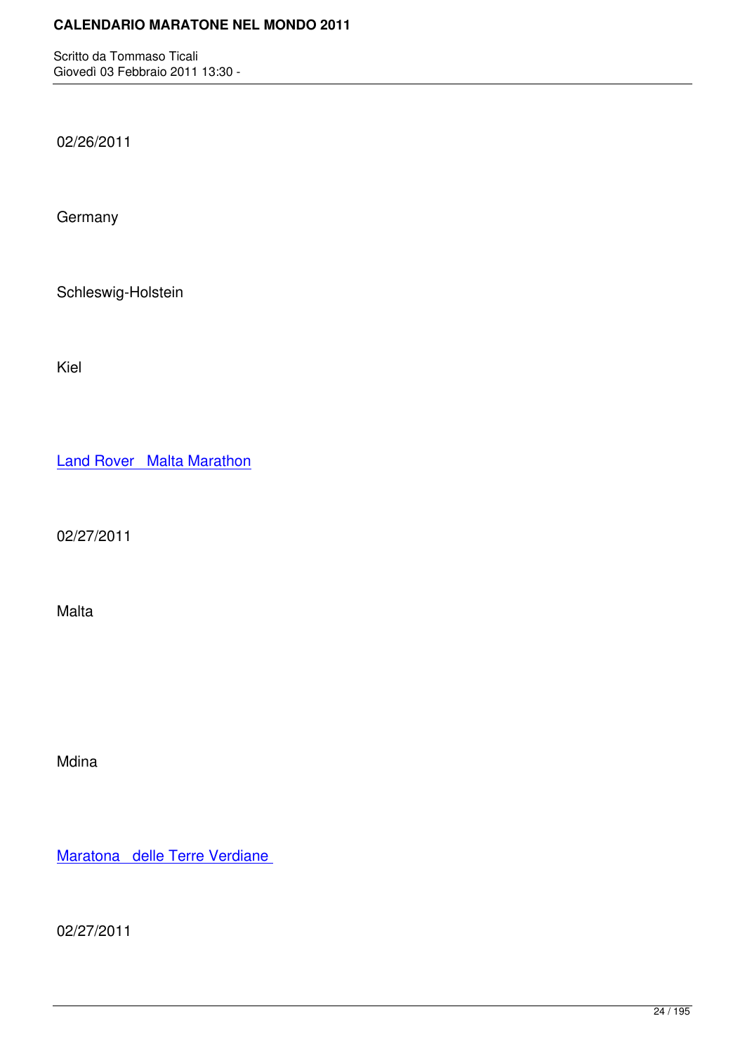02/26/2011

**Germany** 

Schleswig-Holstein

Kiel

Land Rover Malta Marathon

[02/27/2011](http://marathons.ahotu.com/race/land_rover_malta_marathon)

Malta

Mdina

Maratona delle Terre Verdiane

[02/27/2011](http://marathons.ahotu.com/race/maratona_delle_terre_verdiane)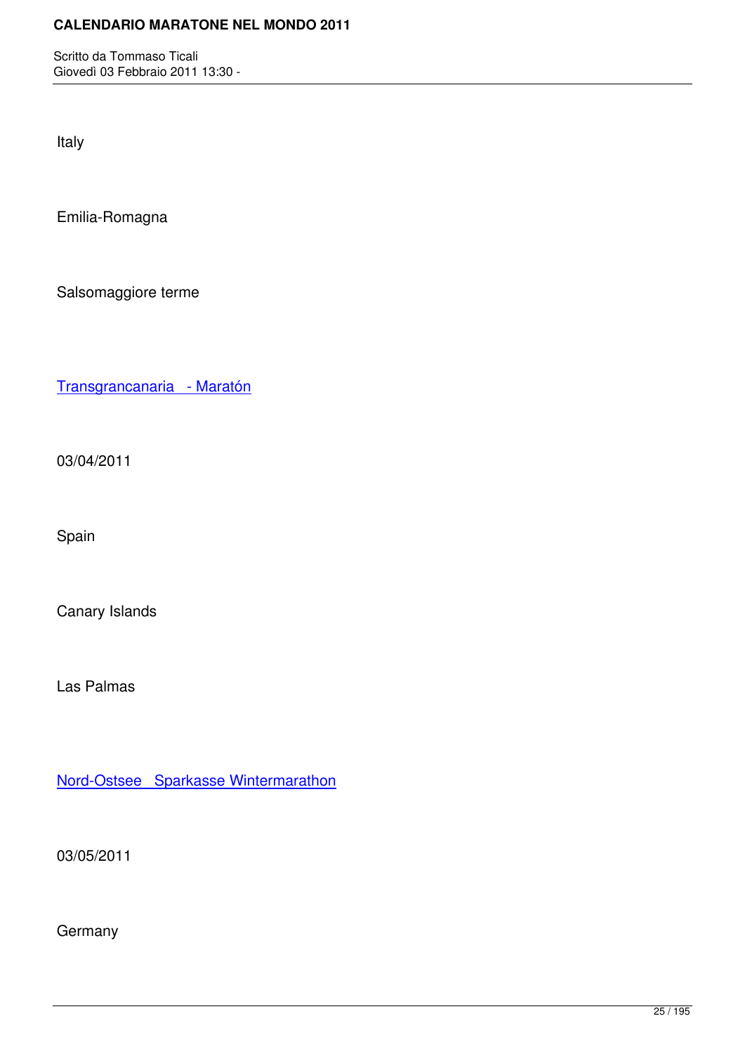Italy

Emilia-Romagna

Salsomaggiore terme

Transgrancanaria - Maratón

[03/04/2011](http://marathons.ahotu.com/race/transgrancanaria-maraton)

Spain

Canary Islands

Las Palmas

Nord-Ostsee Sparkasse Wintermarathon

[03/05/2011](http://marathons.ahotu.com/race/nord-ostsee-sparkasse-wintermarathon)

**Germany**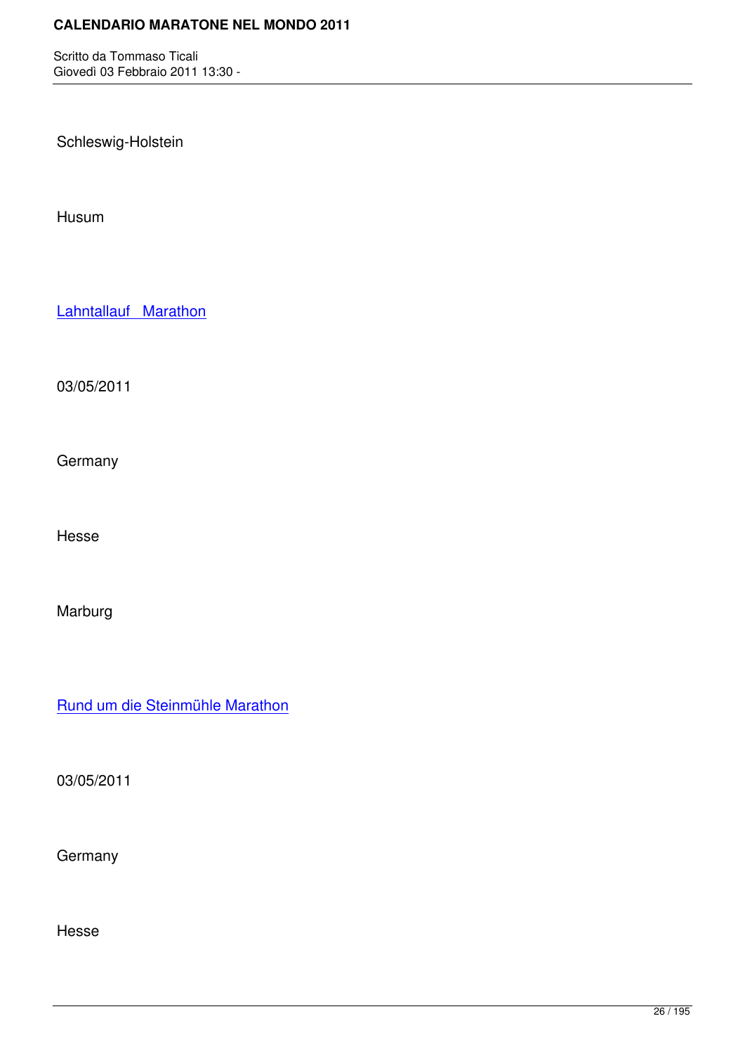Schleswig-Holstein

Husum

Lahntallauf Marathon

[03/05/2011](http://marathons.ahotu.com/race/lahntallauf-marathon)

**Germany** 

Hesse

Marburg

Rund um die Steinmühle Marathon

[03/05/2011](http://marathons.ahotu.com/race/rund-um-die-steinmuhle-marathon)

**Germany** 

Hesse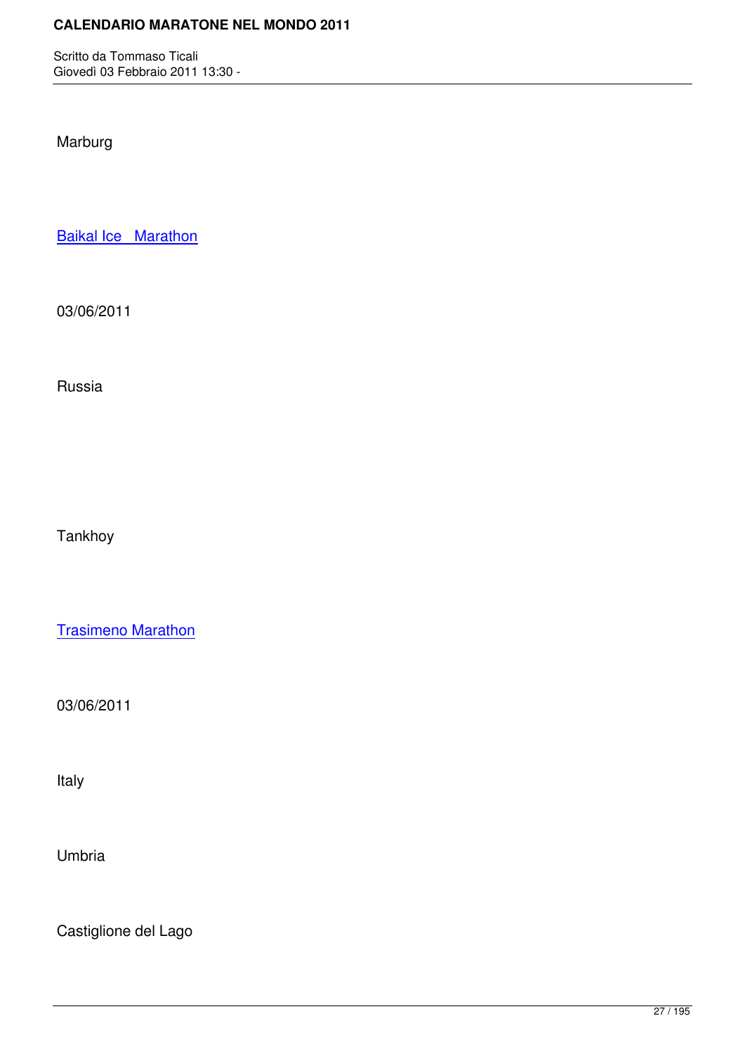Marburg

**Baikal Ice Marathon** 

[03/06/2011](http://marathons.ahotu.com/race/baikal-ice-marathon)

Russia

Tankhoy

Trasimeno Marathon

[03/06/2011](http://marathons.ahotu.com/race/trasimeno-marathon)

Italy

Umbria

Castiglione del Lago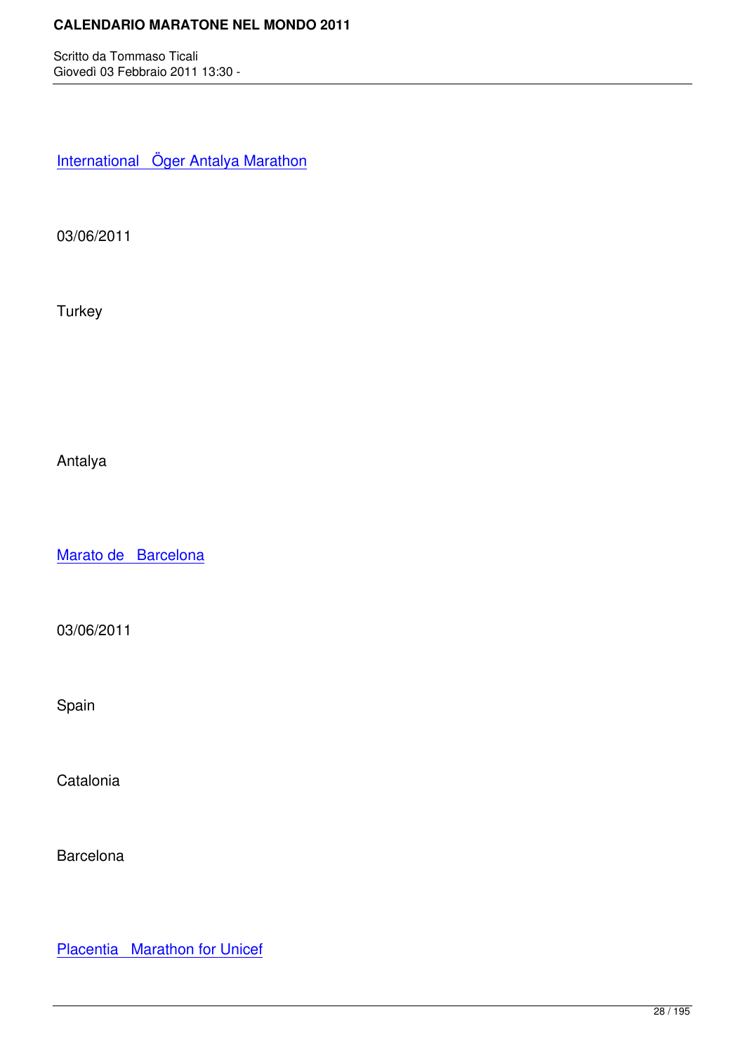International Öger Antalya Marathon

[03/06/2011](http://marathons.ahotu.com/race/international-oger-antalya-marathon)

**Turkey** 

Antalya

Marato de Barcelona

[03/06/2011](http://marathons.ahotu.com/race/marato-de-barcelona)

Spain

**Catalonia** 

**Barcelona** 

Placentia Marathon for Unicef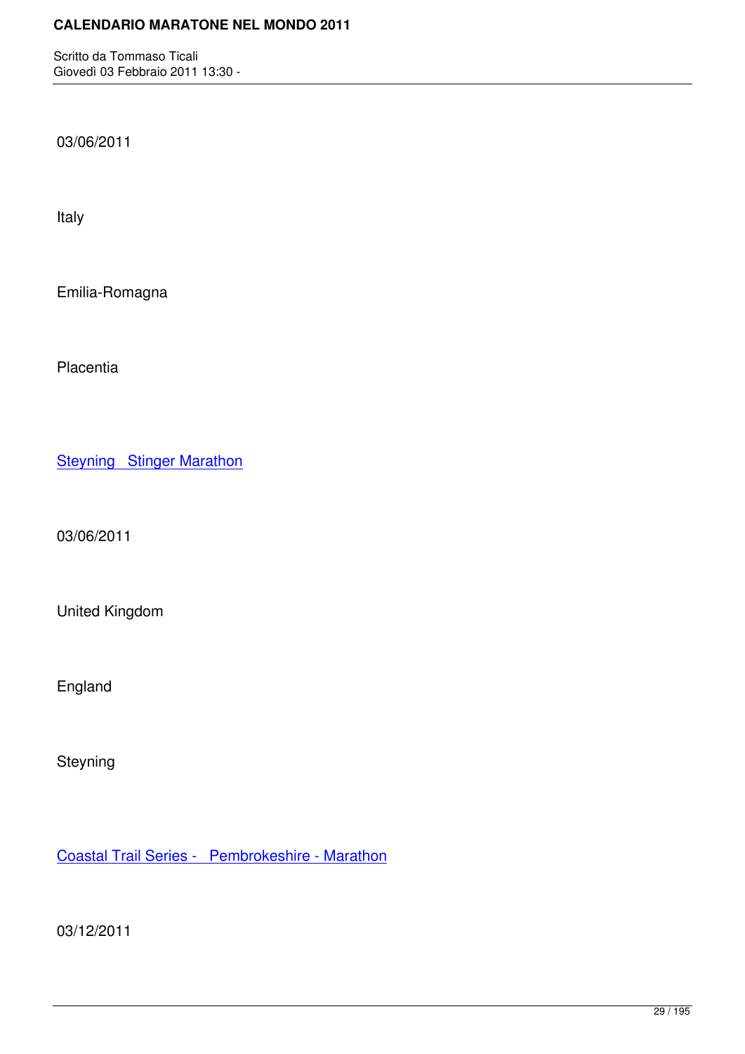03/06/2011

Italy

Emilia-Romagna

**Placentia** 

**Steyning Stinger Marathon** 

[03/06/2011](http://marathons.ahotu.com/race/steyning-stinger-marathon)

United Kingdom

England

Steyning

Coastal Trail Series - Pembrokeshire - Marathon

[03/12/2011](http://marathons.ahotu.com/race/coastal-trail-series-pembrokeshire-marathon)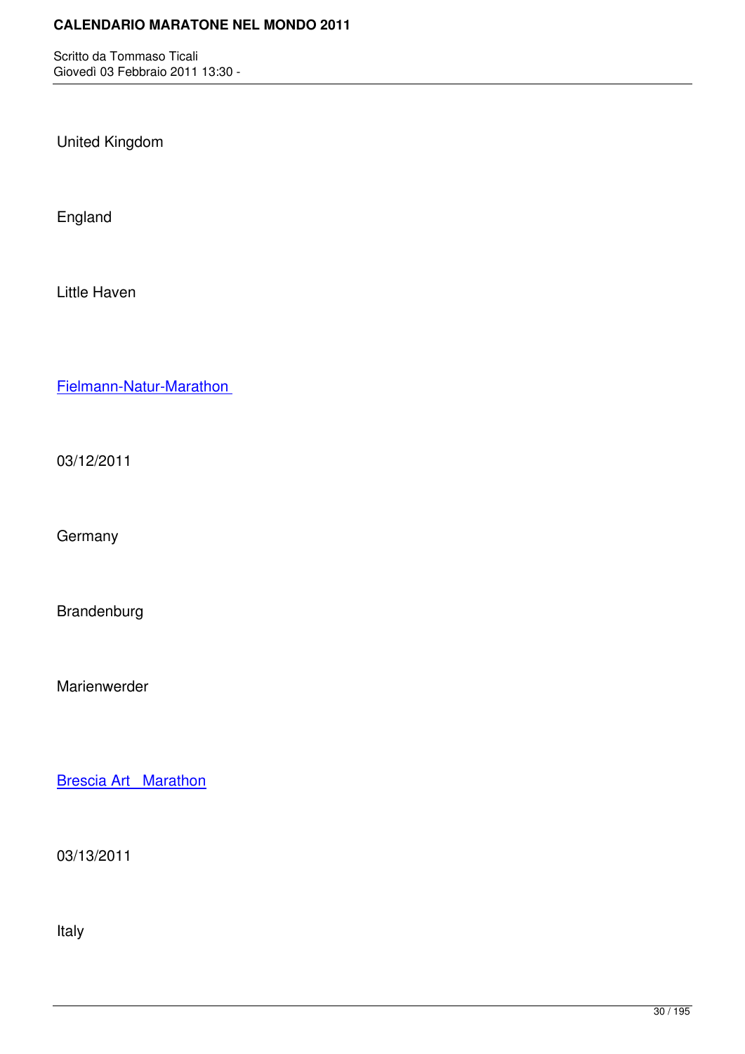United Kingdom

England

Little Haven

Fielmann-Natur-Marathon

[03/12/2011](http://marathons.ahotu.com/race/fielmann-natur-marathon)

**Germany** 

Brandenburg

Marienwerder

Brescia Art Marathon

[03/13/2011](http://marathons.ahotu.com/race/brescia-art-marathon)

Italy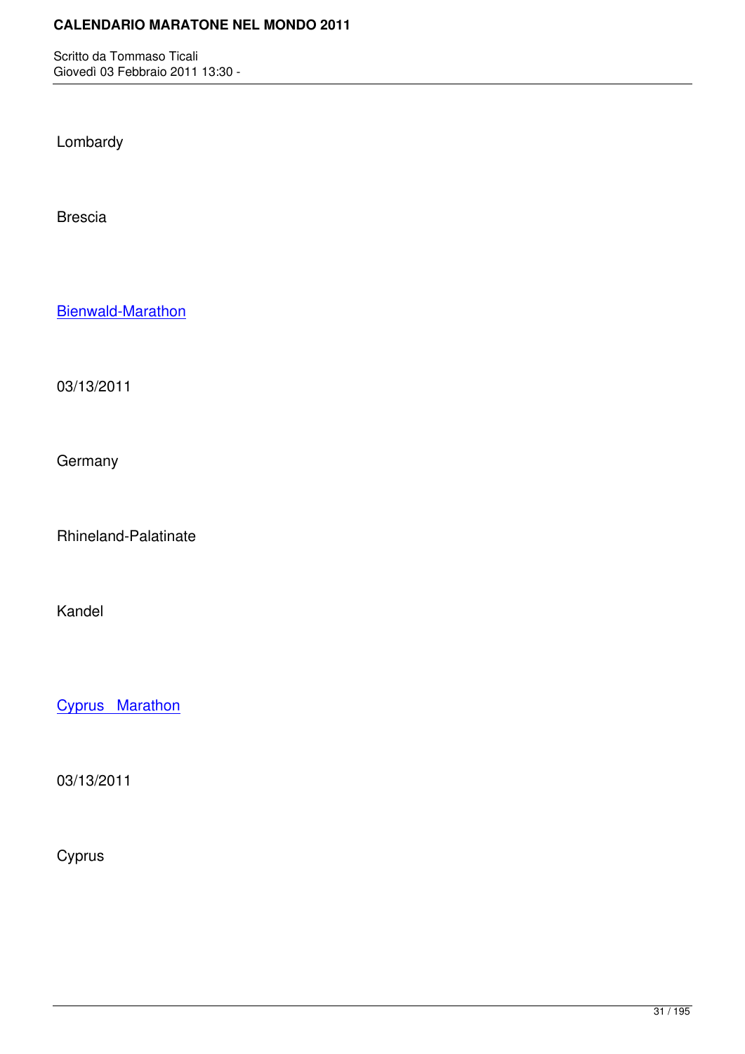Lombardy

Brescia

Bienwald-Marathon

[03/13/2011](http://marathons.ahotu.com/race/bienwald-marathon)

**Germany** 

Rhineland-Palatinate

Kandel

Cyprus Marathon

[03/13/2011](http://marathons.ahotu.com/race/cyprus-marathon)

Cyprus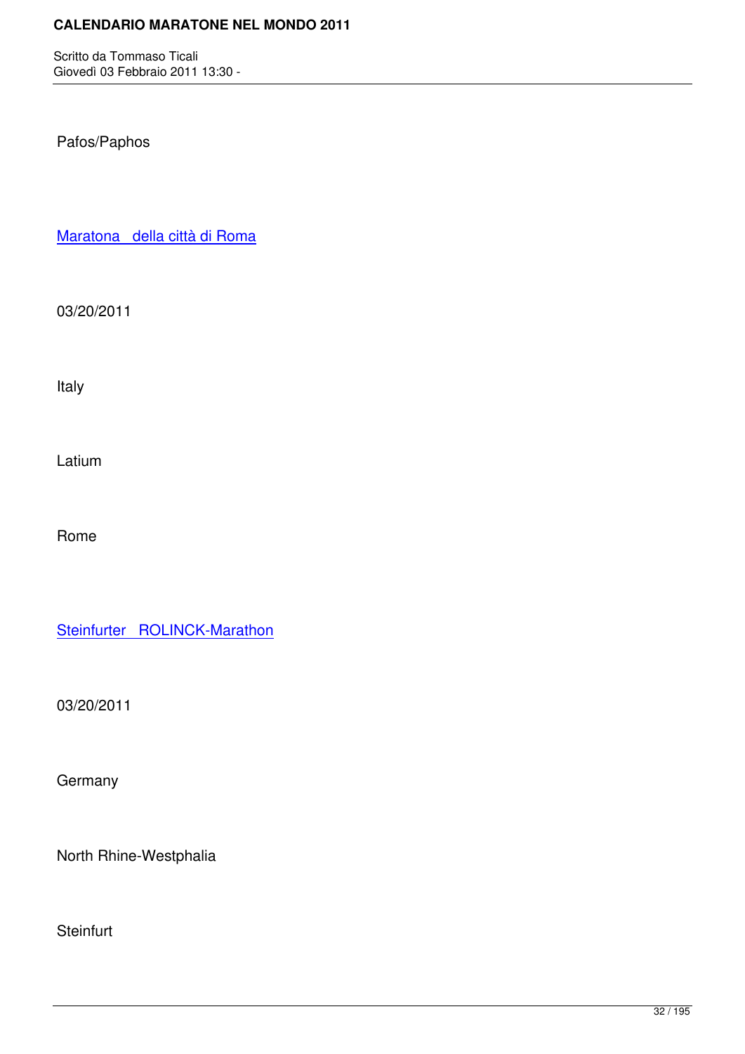## Pafos/Paphos

Maratona della città di Roma

[03/20/2011](http://marathons.ahotu.com/race/maratona_della_citt_di_roma)

Italy

Latium

Rome

Steinfurter ROLINCK-Marathon

[03/20/2011](http://marathons.ahotu.com/race/steinfurter-rolinck-marathon)

**Germany** 

North Rhine-Westphalia

**Steinfurt**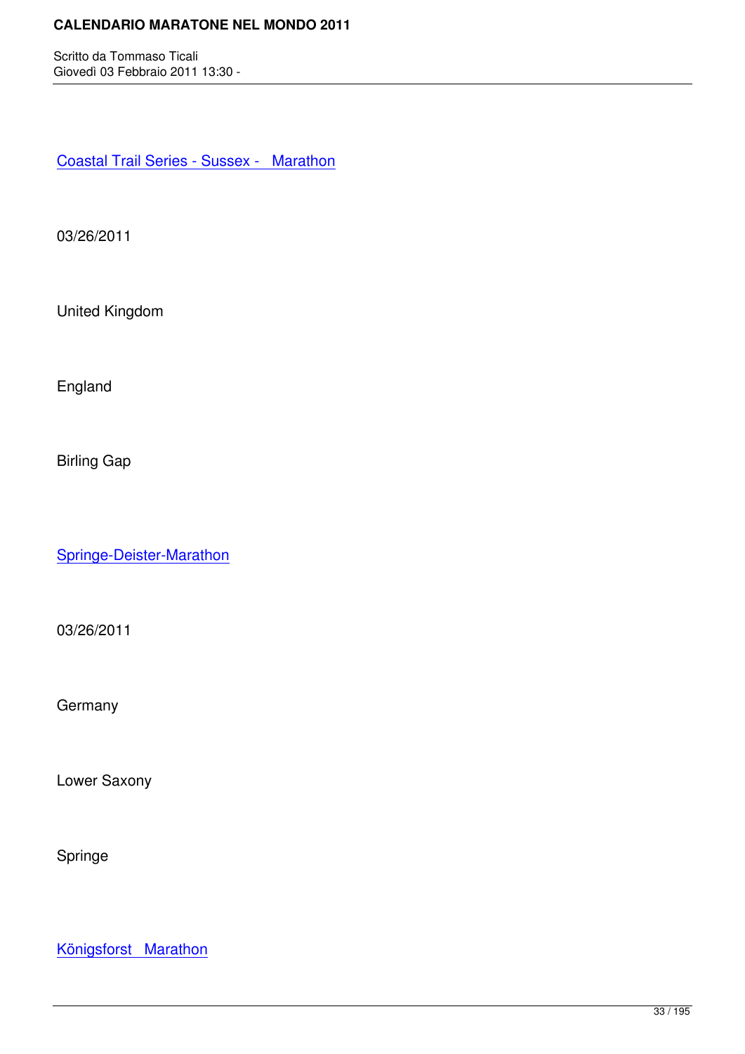Coastal Trail Series - Sussex - Marathon

[03/26/2011](http://marathons.ahotu.com/race/coastal-trail-series-sussex-marathon)

United Kingdom

England

Birling Gap

Springe-Deister-Marathon

[03/26/2011](http://marathons.ahotu.com/race/springe-deister-marathon)

**Germany** 

Lower Saxony

Springe

Königsforst Marathon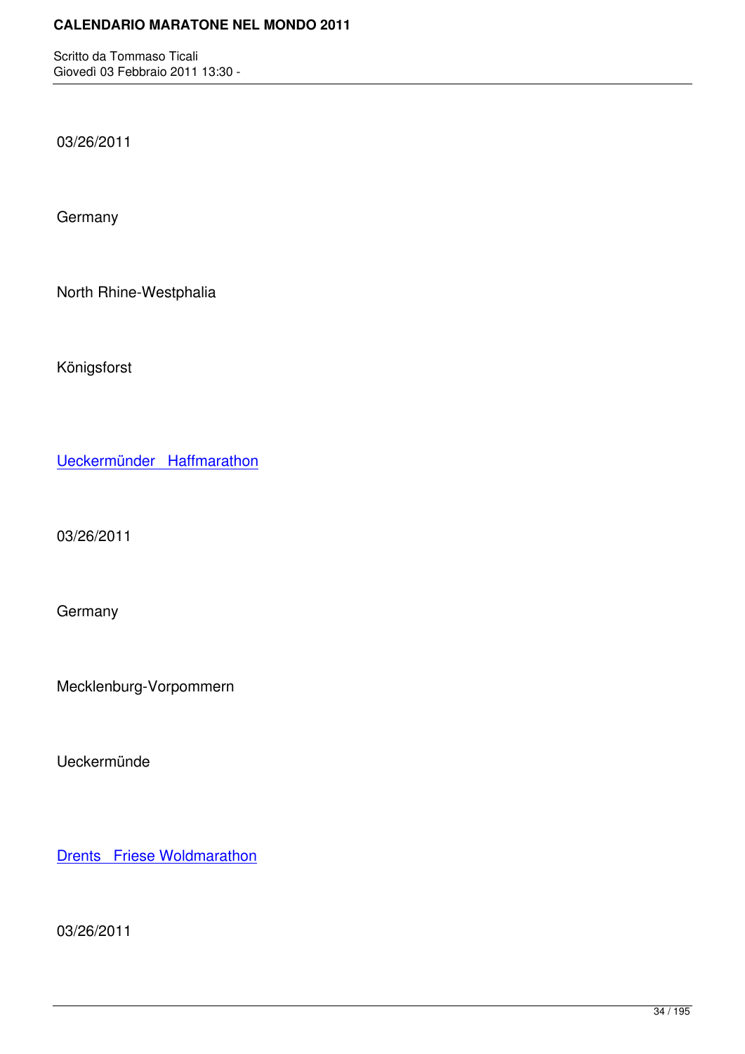03/26/2011

**Germany** 

North Rhine-Westphalia

Königsforst

Ueckermünder Haffmarathon

[03/26/2011](http://marathons.ahotu.com/race/ueckermunder-haffmarathon)

**Germany** 

Mecklenburg-Vorpommern

Ueckermünde

**Drents** Friese Woldmarathon

[03/26/2011](http://marathons.ahotu.com/race/drents-friese-woldmarathon)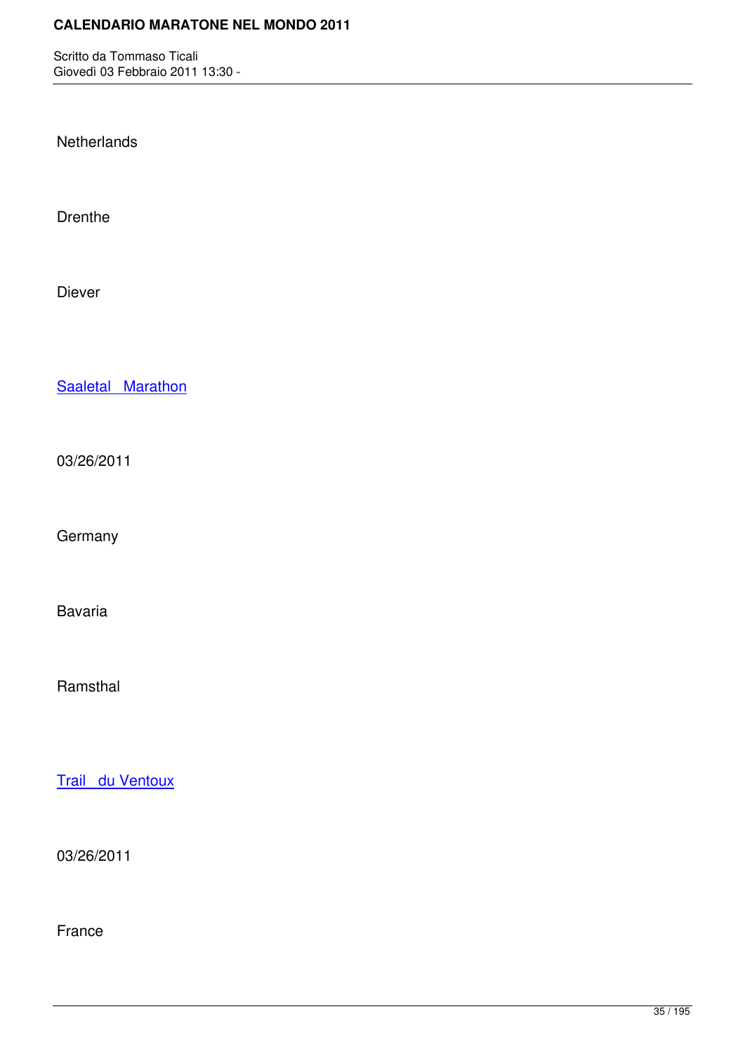**Netherlands** 

Drenthe

Diever

Saaletal Marathon

[03/26/2011](http://marathons.ahotu.com/race/saaletal-marathon)

**Germany** 

Bavaria

Ramsthal

Trail du Ventoux

[03/26/2011](http://marathons.ahotu.com/race/trail-du-ventoux)

France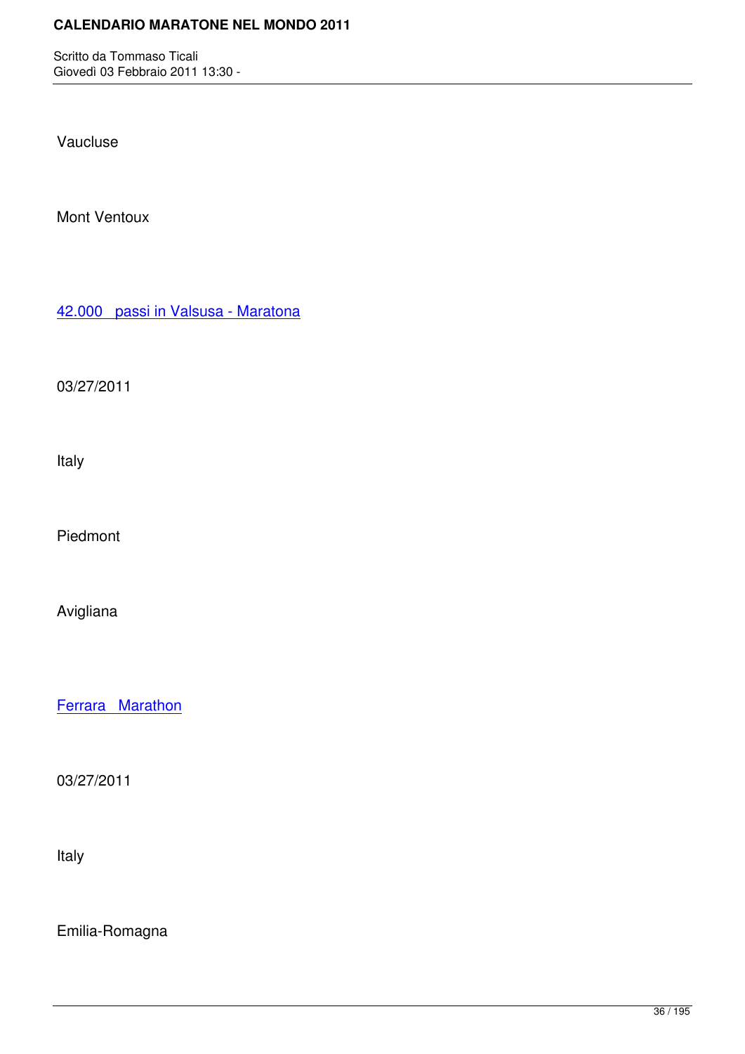Vaucluse

Mont Ventoux

42.000 passi in Valsusa - Maratona

[03/27/2011](http://marathons.ahotu.com/race/42-000-passi-in-valsusa-maratona)

Italy

Piedmont

Avigliana

Ferrara Marathon

[03/27/2011](http://marathons.ahotu.com/race/ferrara-marathon)

Italy

Emilia-Romagna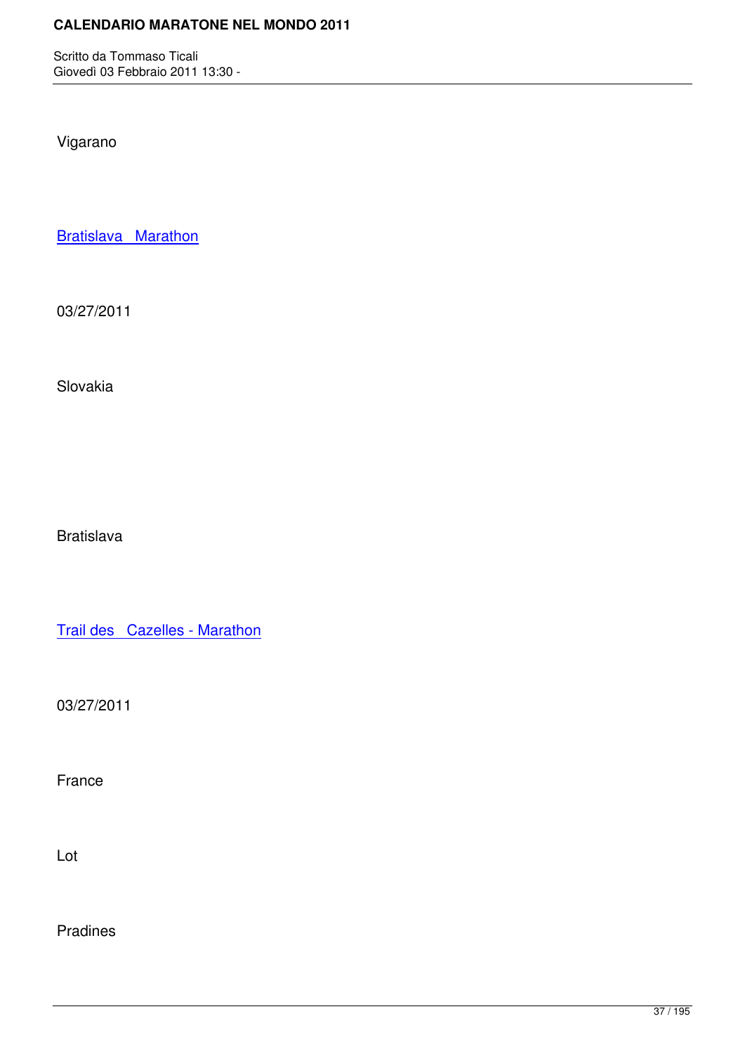Vigarano

Bratislava Marathon

[03/27/2011](http://marathons.ahotu.com/race/bratislava-marathon)

Slovakia

Bratislava

Trail des Cazelles - Marathon

[03/27/2011](http://marathons.ahotu.com/race/trail-des-cazelles-marathon)

France

Lot

Pradines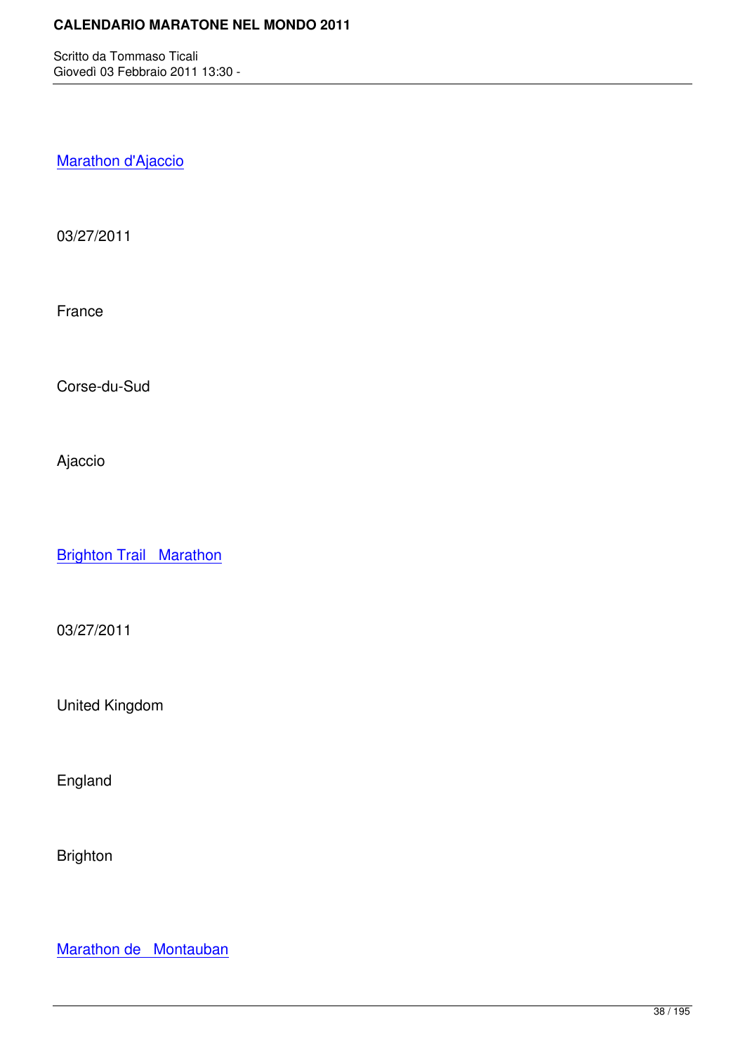Marathon d'Ajaccio

[03/27/2011](http://marathons.ahotu.com/race/marathon-d-ajaccio)

France

Corse-du-Sud

Ajaccio

**Brighton Trail Marathon** 

[03/27/2011](http://marathons.ahotu.com/race/brighton-trail-marathon)

United Kingdom

England

Brighton

Marathon de Montauban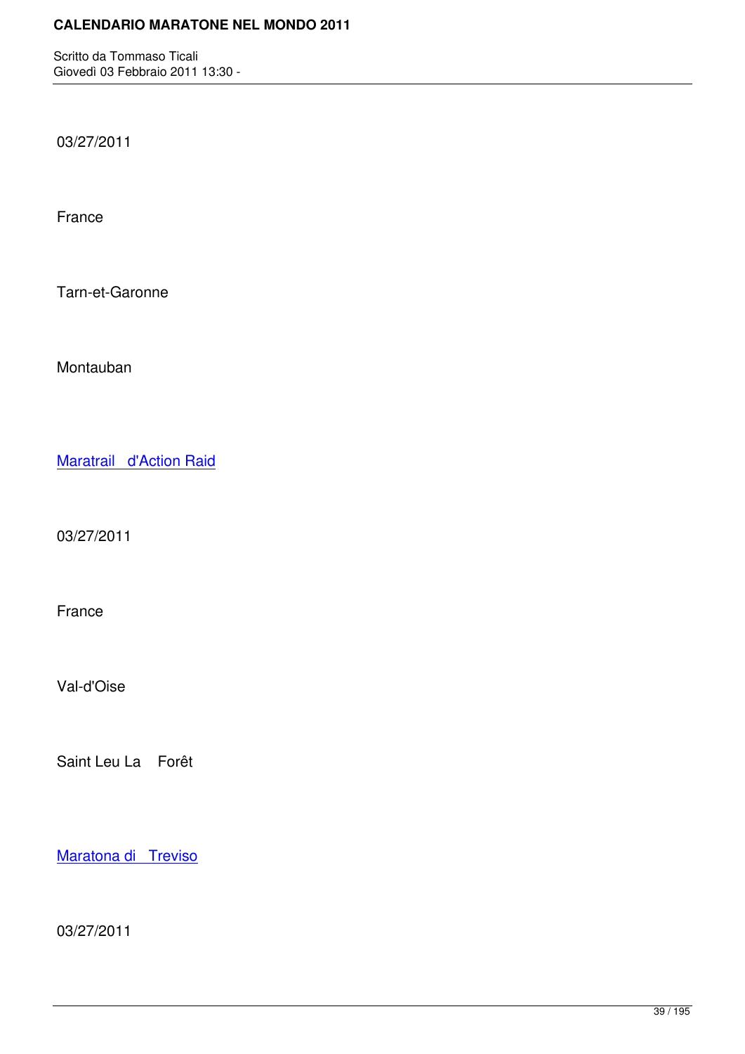03/27/2011

France

Tarn-et-Garonne

Montauban

Maratrail d'Action Raid

[03/27/2011](http://marathons.ahotu.com/race/maratrail-d-action-raid)

France

Val-d'Oise

Saint Leu La Forêt

Maratona di Treviso

[03/27/2011](http://marathons.ahotu.com/race/maratona-di-treviso)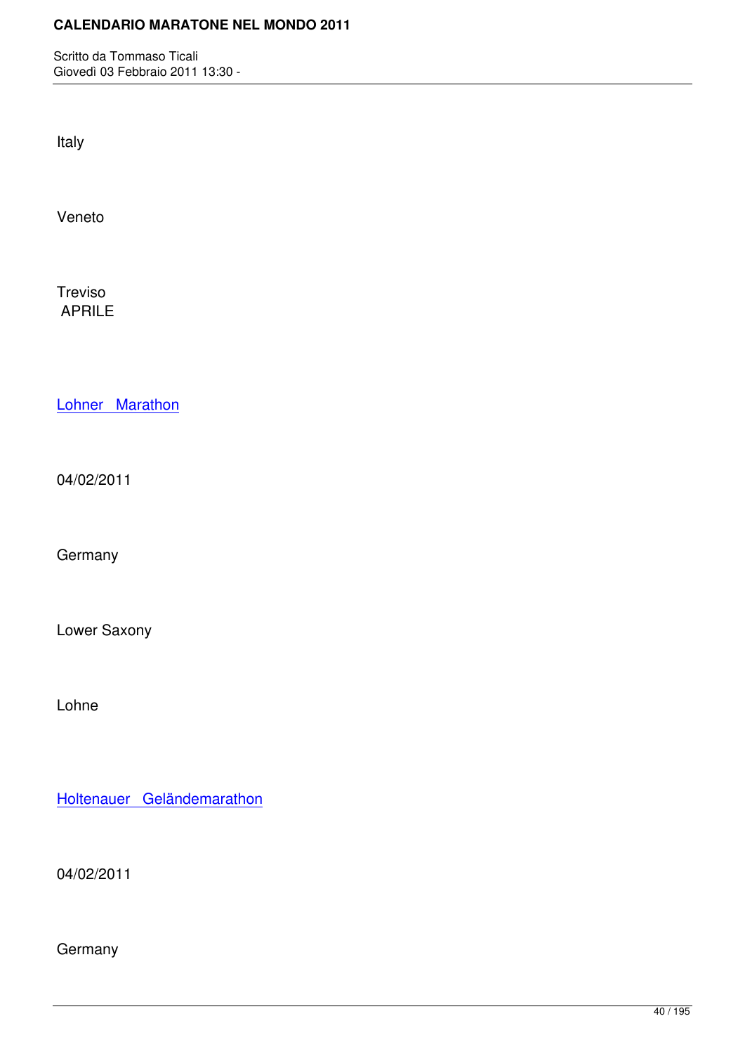Italy

Veneto

Treviso APRILE

Lohner Marathon

[04/02/2011](http://marathons.ahotu.com/race/lohner-marathon)

Germany

Lower Saxony

Lohne

Holtenauer Geländemarathon

[04/02/2011](http://marathons.ahotu.com/race/holtenauer-gelandemarathon)

Germany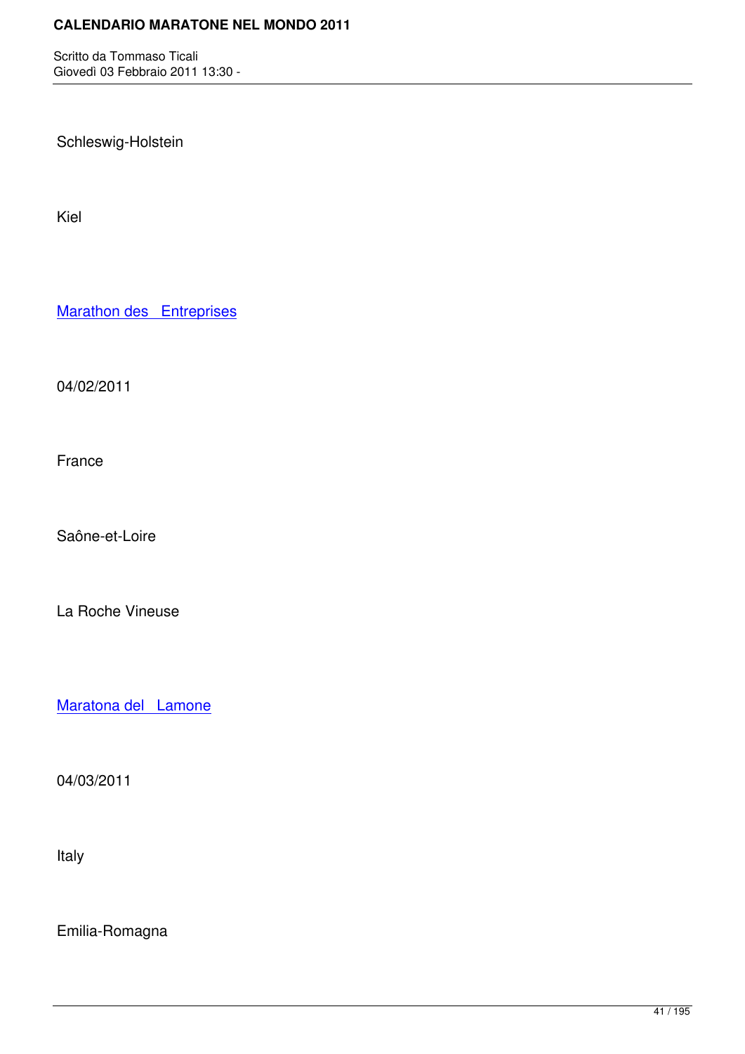Schleswig-Holstein

Kiel

**Marathon des Entreprises** 

[04/02/2011](http://marathons.ahotu.com/race/marathon-des-entreprises)

France

Saône-et-Loire

La Roche Vineuse

Maratona del Lamone

[04/03/2011](http://marathons.ahotu.com/race/maratona-del-lamone)

Italy

Emilia-Romagna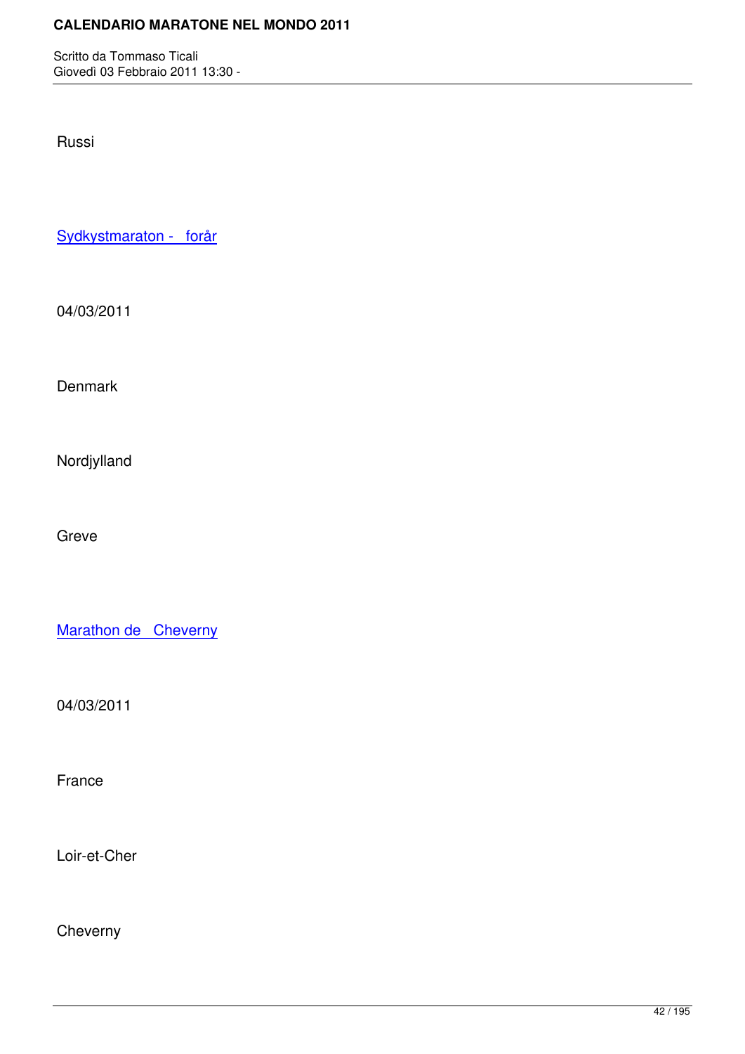Russi

Sydkystmaraton - forår

[04/03/2011](http://marathons.ahotu.com/race/sydkystmaraton-forar)

**Denmark** 

Nordjylland

Greve

Marathon de Cheverny

[04/03/2011](http://marathons.ahotu.com/race/marathon-de-cheverny)

France

Loir-et-Cher

Cheverny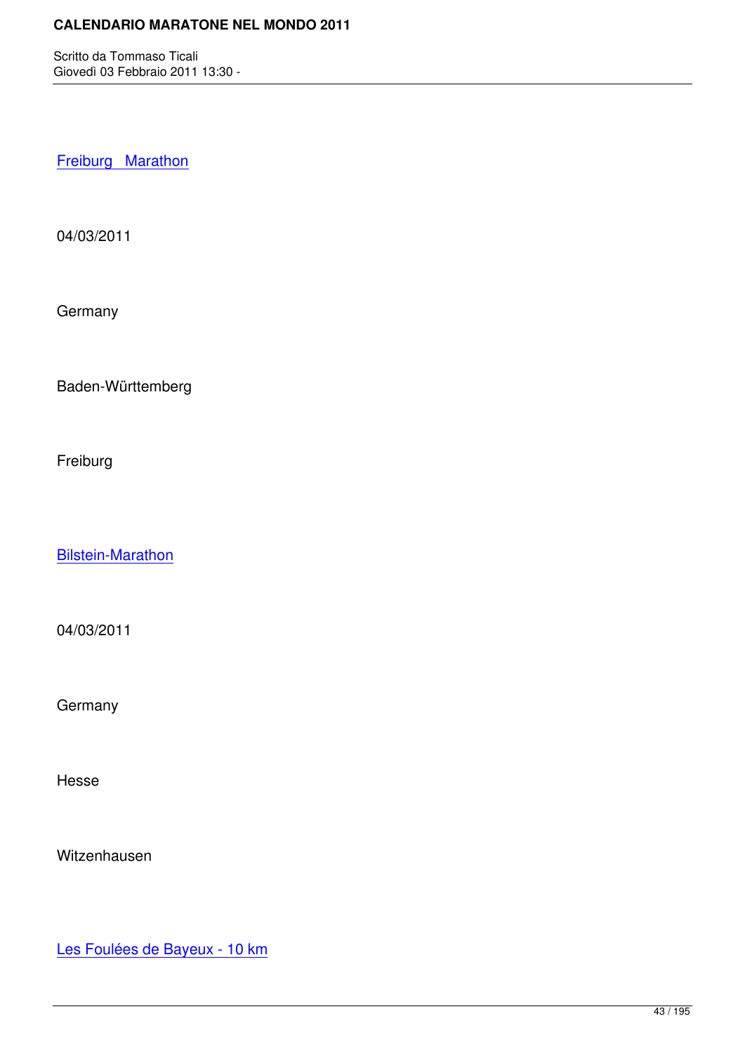Freiburg Marathon

[04/03/2011](http://marathons.ahotu.com/race/freiburg-marathon)

**Germany** 

Baden-Württemberg

Freiburg

Bilstein-Marathon

[04/03/2011](http://marathons.ahotu.com/race/bilstein-marathon)

**Germany** 

Hesse

Witzenhausen

Les Foulées de Bayeux - 10 km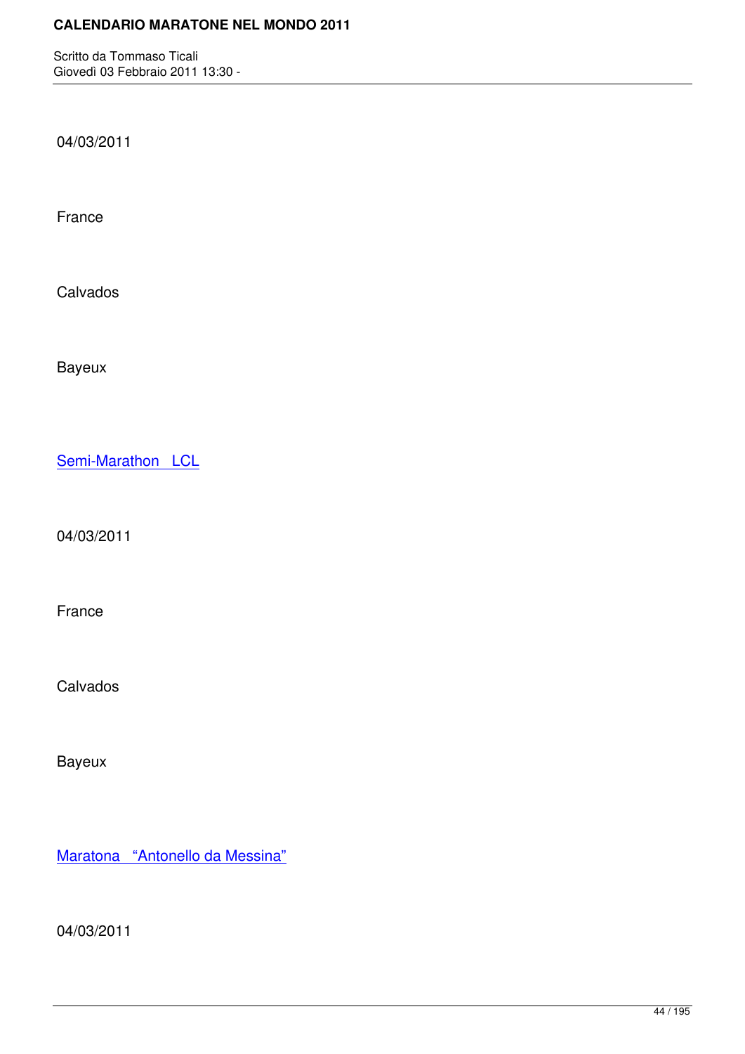04/03/2011

France

Calvados

Bayeux

Semi-Marathon LCL

[04/03/2011](http://marathons.ahotu.com/race/semi-marathon-lcl)

France

Calvados

Bayeux

Maratona "Antonello da Messina"

[04/03/2011](http://marathons.ahotu.com/race/maratona-antonello-da-messina)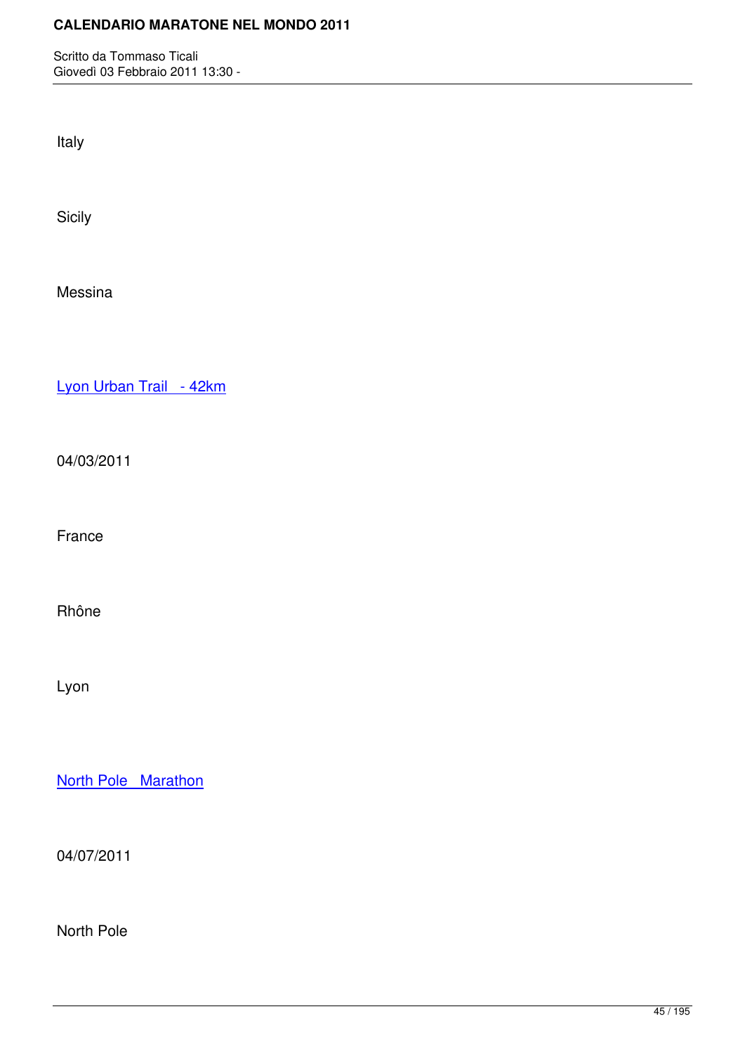Italy

Sicily

Messina

Lyon Urban Trail - 42km

[04/03/2011](http://marathons.ahotu.com/race/lyon-urban-trail-42km)

France

Rhône

Lyon

North Pole Marathon

[04/07/2011](http://marathons.ahotu.com/race/north-pole-marathon)

North Pole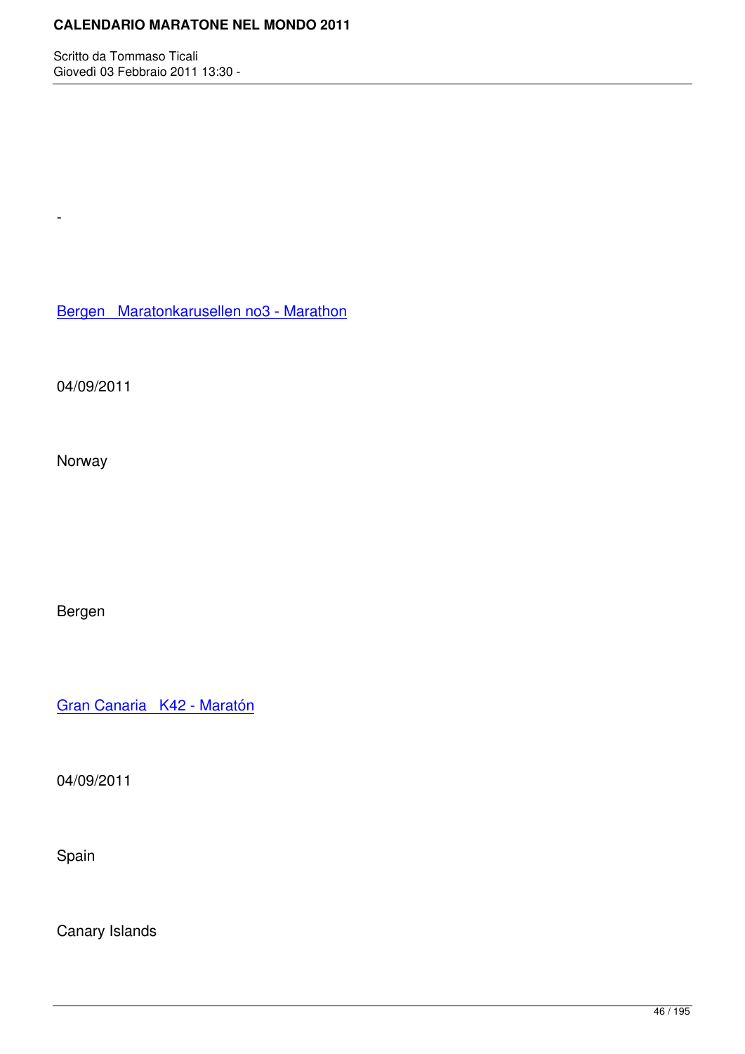Bergen Maratonkarusellen no3 - Marathon

[04/09/2011](http://marathons.ahotu.com/race/bergen-maratonkarusellen-no3-marathon)

-

Norway

Bergen

Gran Canaria K42 - Maratón

[04/09/2011](http://marathons.ahotu.com/race/gran-canaria-k42-maraton)

Spain

Canary Islands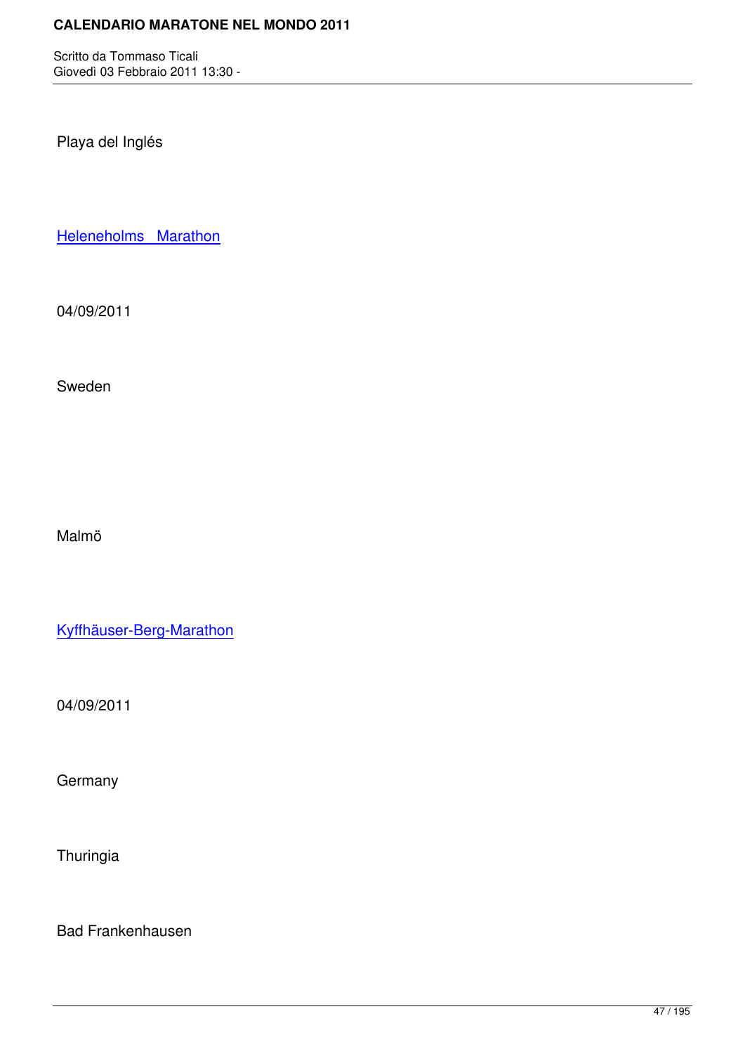Playa del Inglés

Heleneholms Marathon

[04/09/2011](http://marathons.ahotu.com/race/heleneholms-marathon)

Sweden

Malmö

Kyffhäuser-Berg-Marathon

[04/09/2011](http://marathons.ahotu.com/race/kyffhauser-berg-marathon)

**Germany** 

Thuringia

Bad Frankenhausen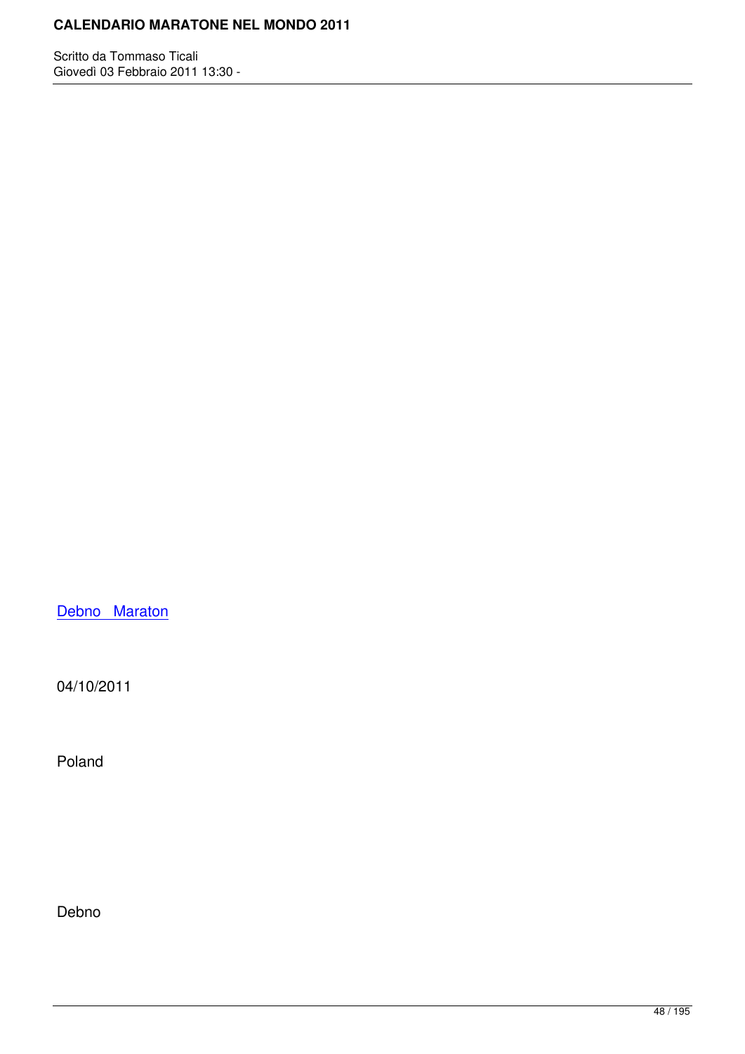Debno Maraton

[04/10/2011](http://marathons.ahotu.com/race/debno-maraton)

Poland

Debno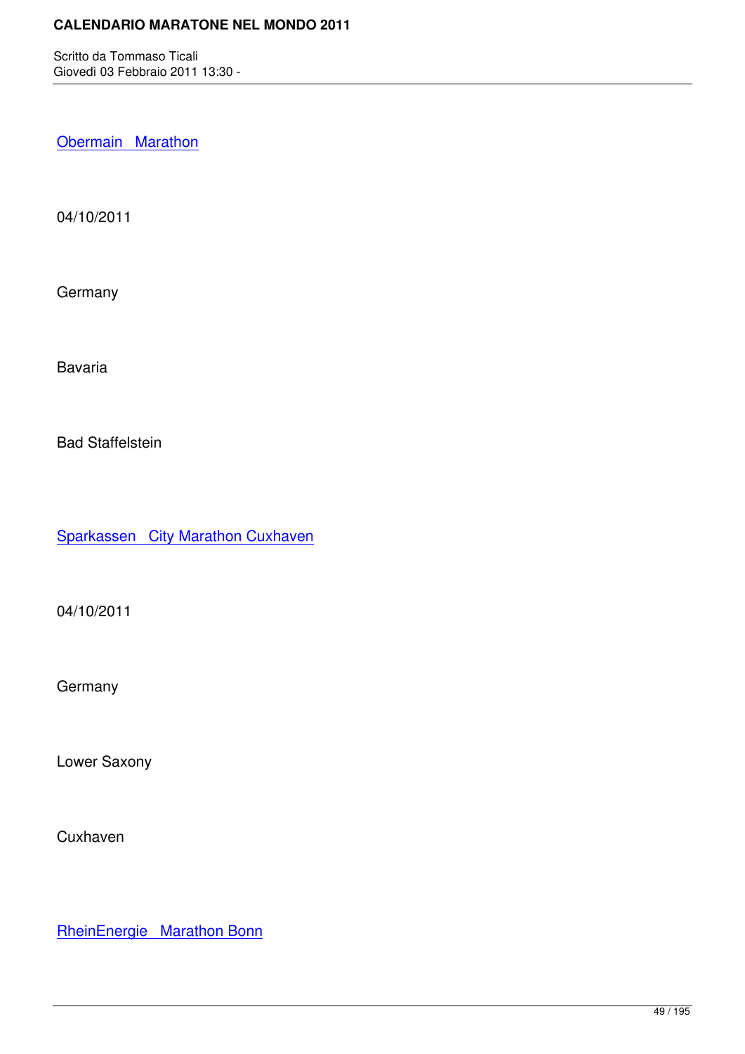**Obermain Marathon** 

[04/10/2011](http://marathons.ahotu.com/race/obermain_marathon)

Germany

Bavaria

Bad Staffelstein

Sparkassen City Marathon Cuxhaven

[04/10/2011](http://marathons.ahotu.com/race/sparkassen_city_marathon_cuxhaven)

**Germany** 

Lower Saxony

**Cuxhaven** 

RheinEnergie Marathon Bonn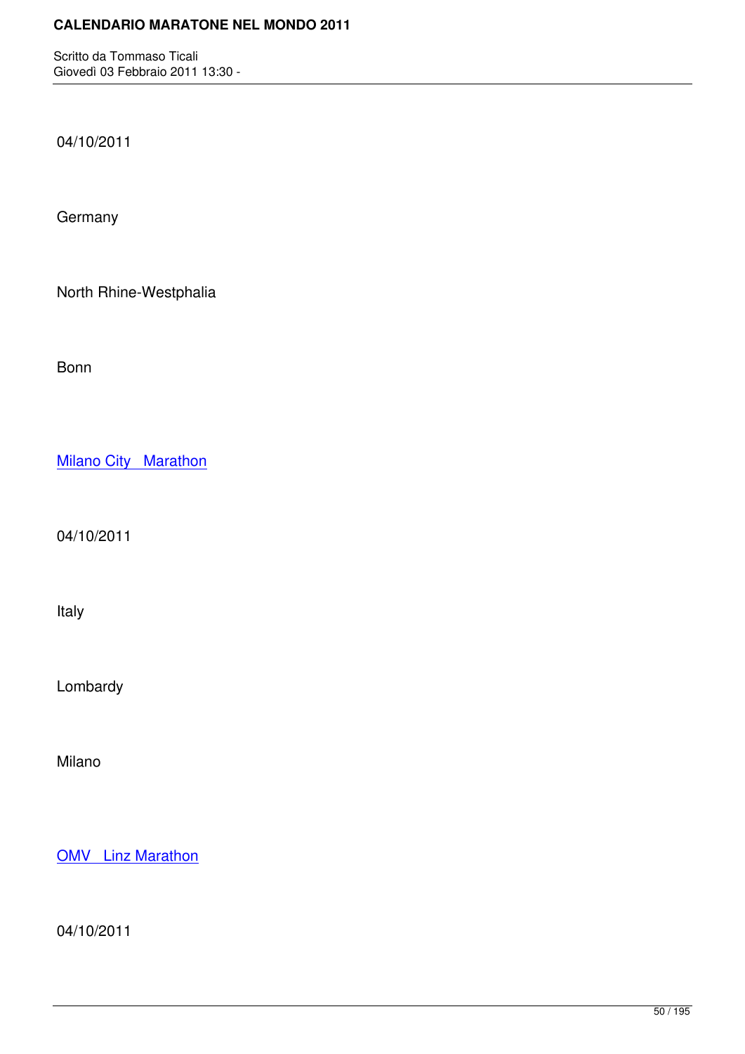04/10/2011

**Germany** 

North Rhine-Westphalia

Bonn

**Milano City Marathon** 

[04/10/2011](http://marathons.ahotu.com/race/milano-city-marathon)

Italy

Lombardy

Milano

**OMV** Linz Marathon

[04/10/2011](http://marathons.ahotu.com/race/omv-linz-marathon)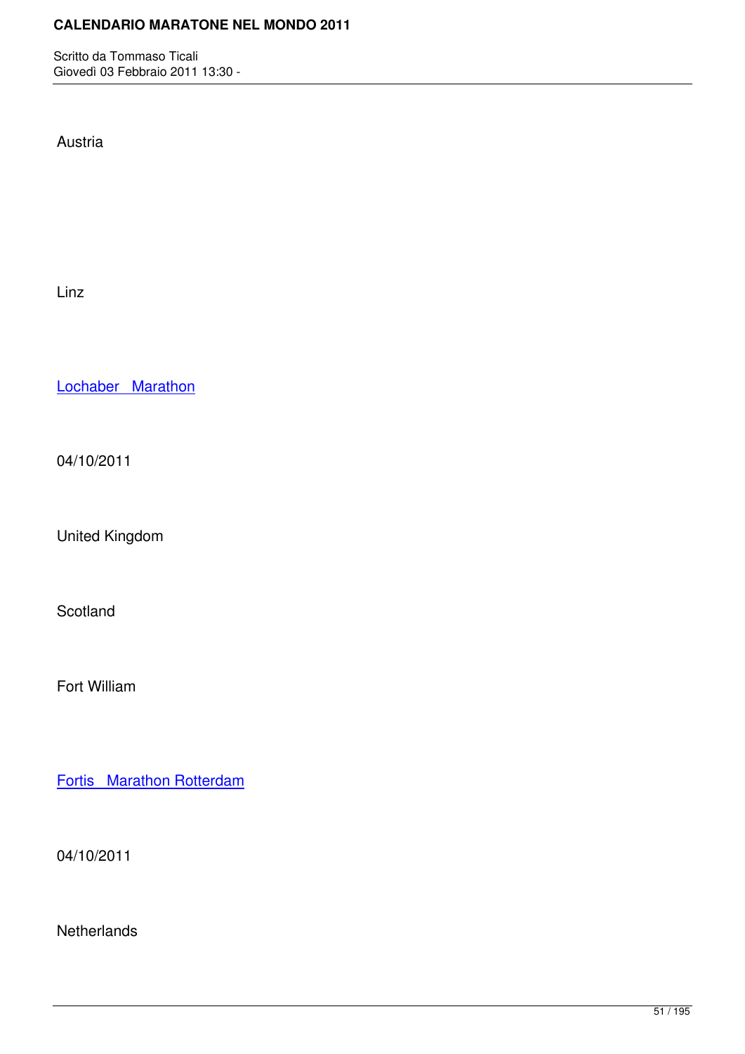Austria

Linz

Lochaber Marathon

[04/10/2011](http://marathons.ahotu.com/race/lochaber-marathon)

United Kingdom

Scotland

Fort William

Fortis Marathon Rotterdam

[04/10/2011](http://marathons.ahotu.com/race/fortis-marathon-rotterdam)

**Netherlands**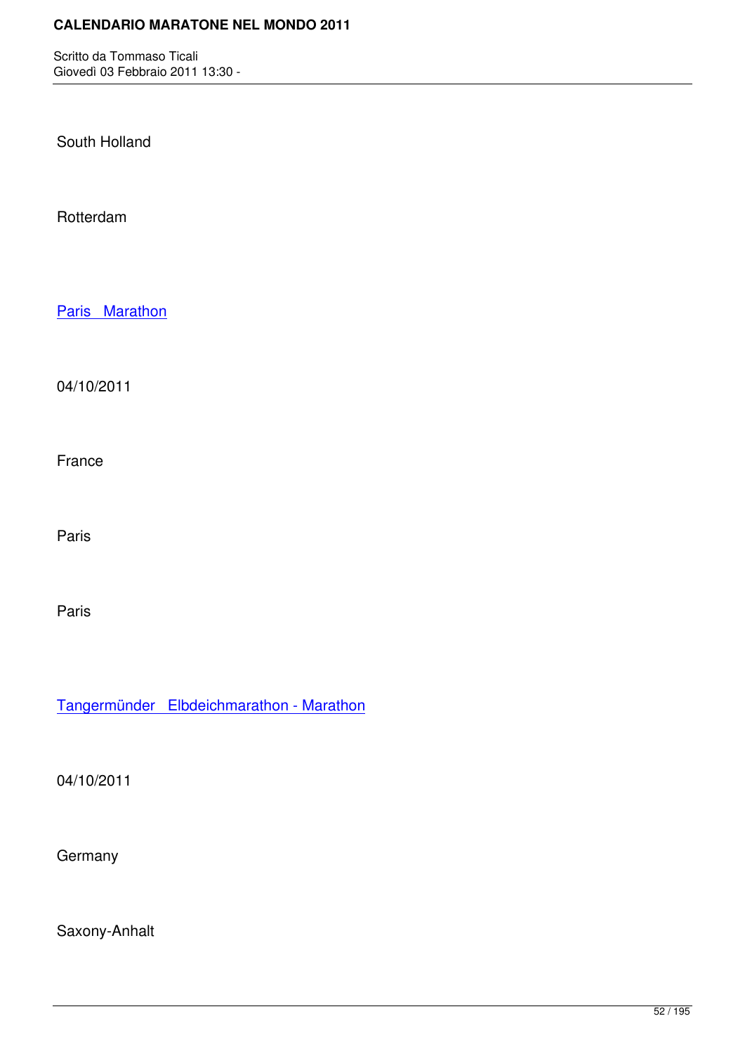South Holland

Rotterdam

Paris Marathon

[04/10/2011](http://marathons.ahotu.com/race/paris_marathon)

France

Paris

Paris

Tangermünder Elbdeichmarathon - Marathon

[04/10/2011](http://marathons.ahotu.com/race/tangermunder-elbdeichmarathon-marathon)

**Germany** 

Saxony-Anhalt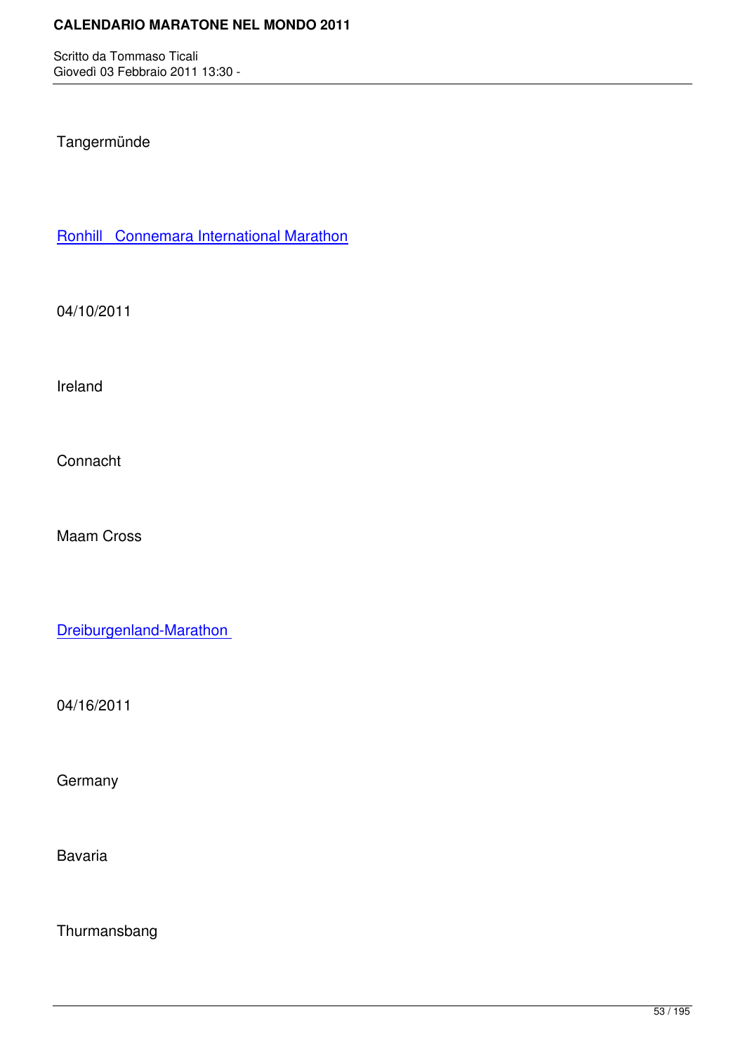## Tangermünde

Ronhill Connemara International Marathon

[04/10/2011](http://marathons.ahotu.com/race/ronhill_connemara_international_marathon)

Ireland

Connacht

Maam Cross

Dreiburgenland-Marathon

[04/16/2011](http://marathons.ahotu.com/race/dreiburgenland-marathon)

**Germany** 

Bavaria

Thurmansbang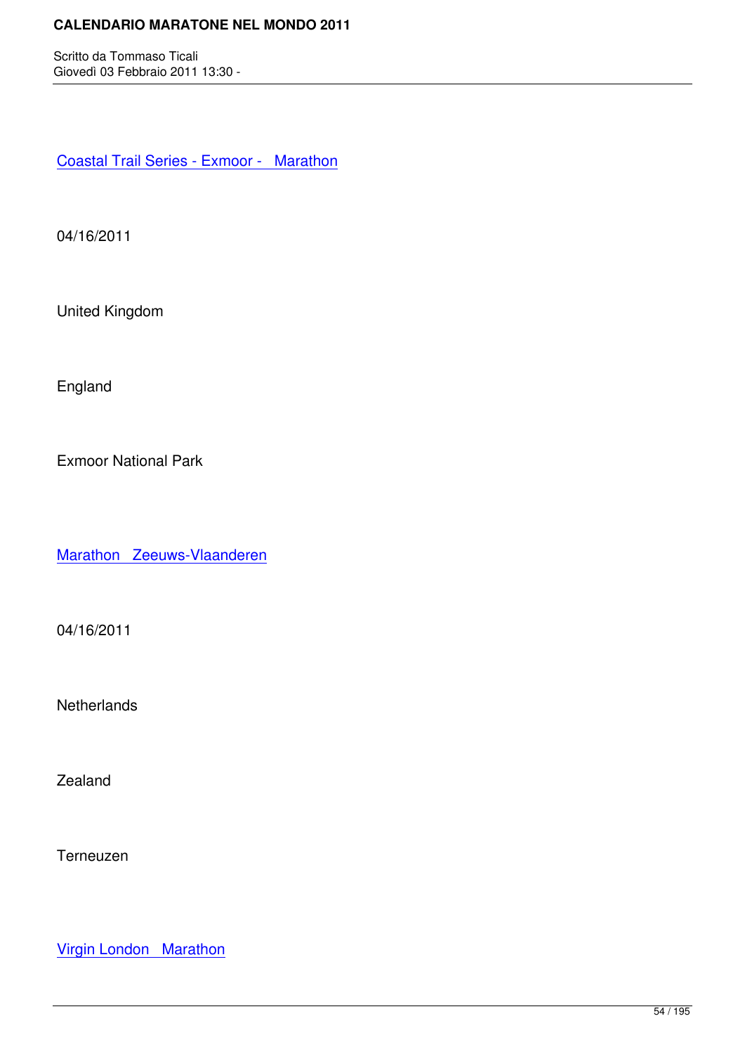Coastal Trail Series - Exmoor - Marathon

[04/16/2011](http://marathons.ahotu.com/race/coastal-trail-series-exmoor-marathon)

United Kingdom

England

Exmoor National Park

Marathon Zeeuws-Vlaanderen

[04/16/2011](http://marathons.ahotu.com/race/marathon-zeeuws-vlaanderen)

**Netherlands** 

Zealand

Terneuzen

Virgin London Marathon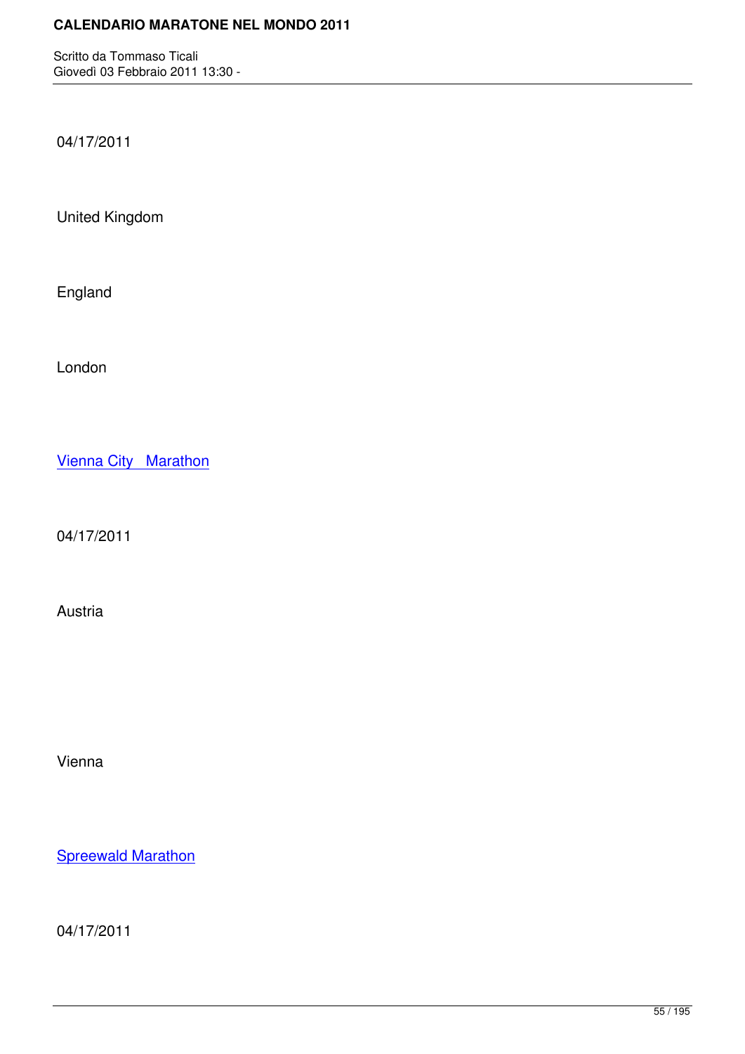04/17/2011

United Kingdom

England

London

Vienna City Marathon

[04/17/2011](http://marathons.ahotu.com/race/vienna_city_marathon)

Austria

Vienna

**Spreewald Marathon** 

[04/17/2011](http://marathons.ahotu.com/race/spreewald_marathon)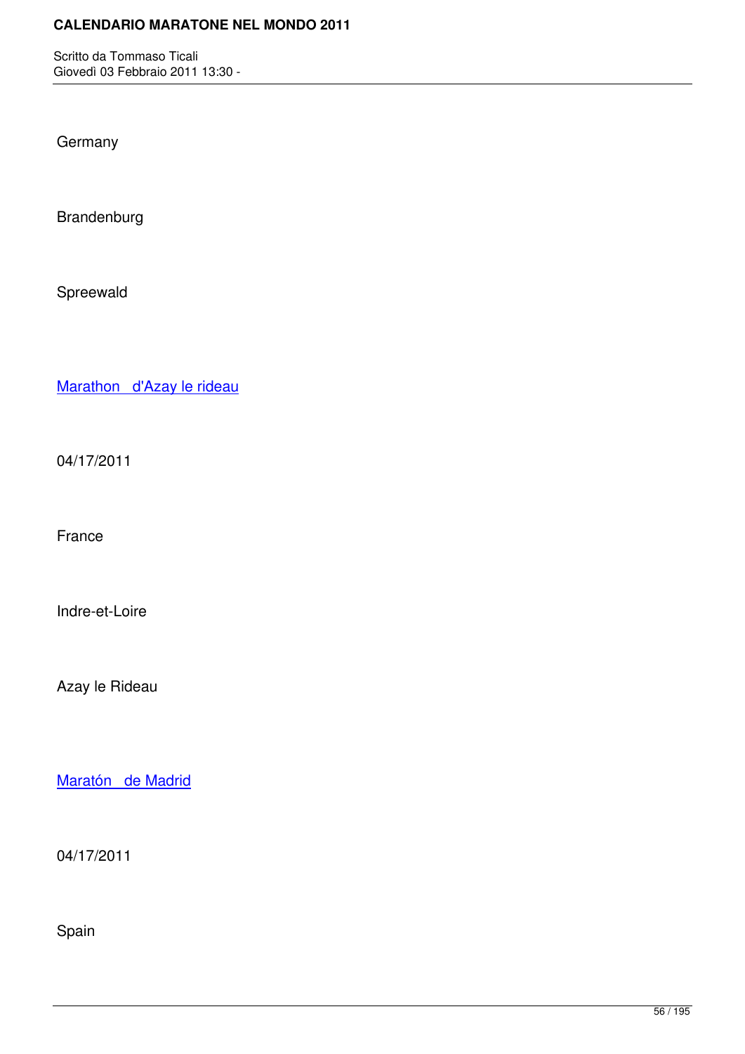**Germany** 

Brandenburg

Spreewald

Marathon d'Azay le rideau

[04/17/2011](http://marathons.ahotu.com/race/marathon-d-azay-le-rideau)

France

Indre-et-Loire

Azay le Rideau

Maratón de Madrid

[04/17/2011](http://marathons.ahotu.com/race/maraton-de-madrid)

Spain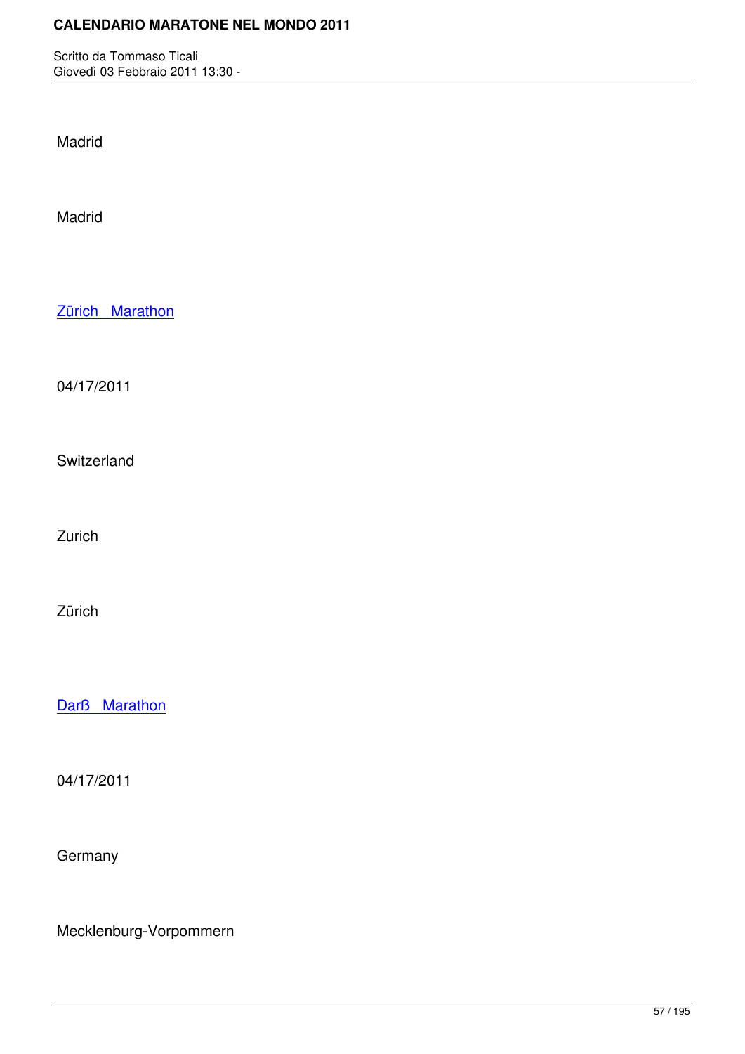Madrid

Madrid

Zürich Marathon

[04/17/2011](http://marathons.ahotu.com/race/zrich_marathon)

Switzerland

Zurich

Zürich

Darß Marathon

[04/17/2011](http://marathons.ahotu.com/race/dar-marathon)

**Germany** 

Mecklenburg-Vorpommern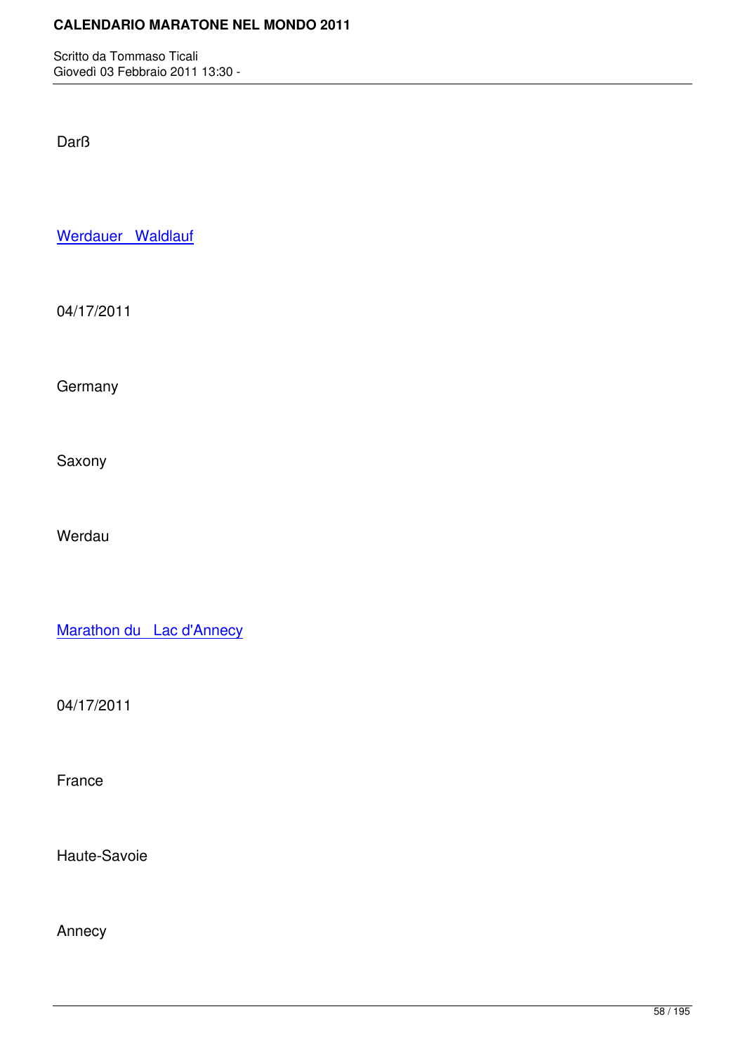Darß

Werdauer Waldlauf

[04/17/2011](http://marathons.ahotu.com/race/werdauer-waldlauf)

**Germany** 

Saxony

Werdau

Marathon du Lac d'Annecy

[04/17/2011](http://marathons.ahotu.com/race/marathon_du_lac_dannecy)

France

Haute-Savoie

Annecy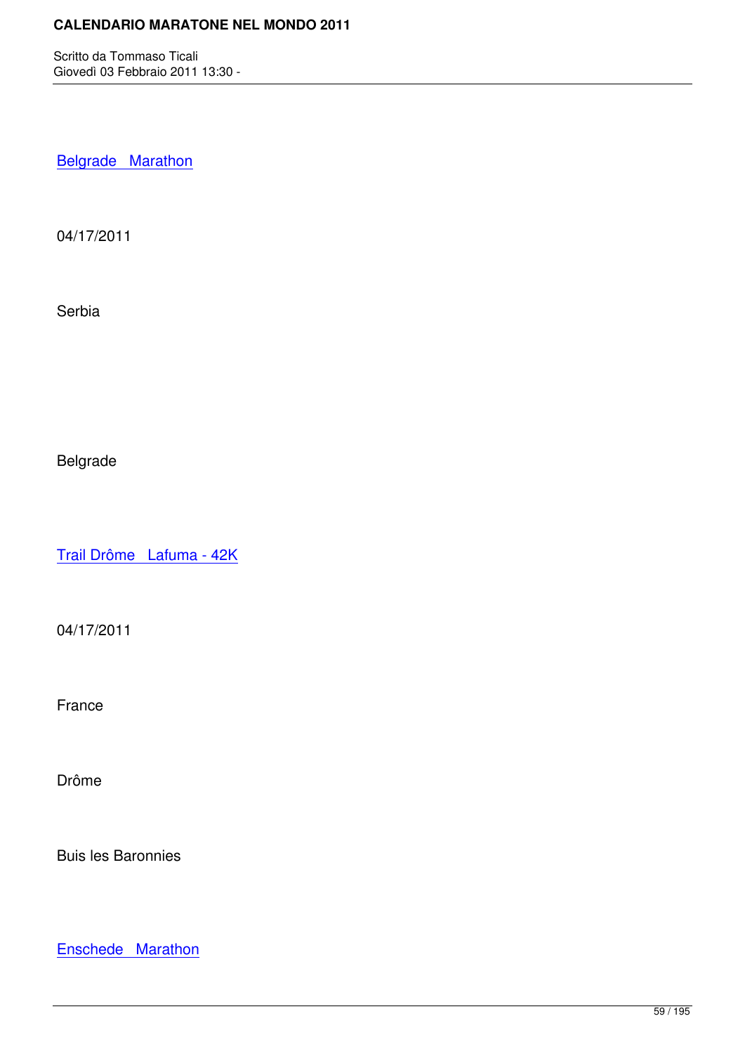**Belgrade Marathon** 

[04/17/2011](http://marathons.ahotu.com/race/belgrade-marathon)

Serbia

Belgrade

Trail Drôme Lafuma - 42K

[04/17/2011](http://marathons.ahotu.com/race/trail-drome-lafuma-42k)

France

Drôme

Buis les Baronnies

Enschede Marathon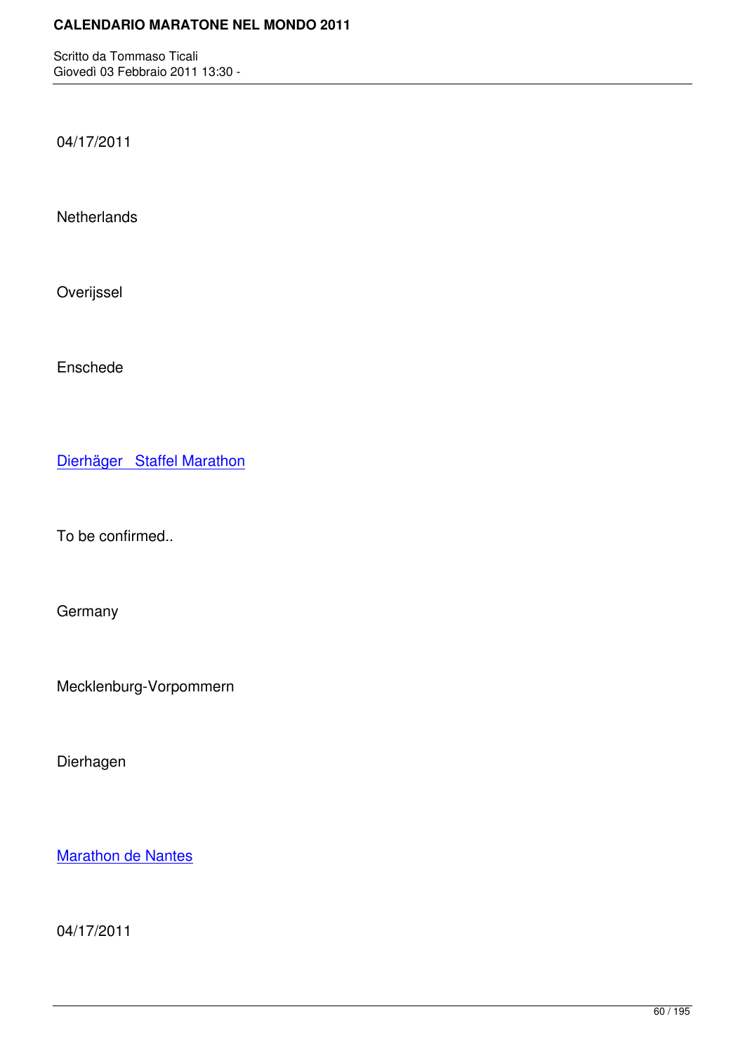04/17/2011

**Netherlands** 

Overijssel

Enschede

Dierhäger Staffel Marathon

[To be confirmed..](http://marathons.ahotu.com/race/dierhager-staffel-marathon)

**Germany** 

Mecklenburg-Vorpommern

Dierhagen

**Marathon de Nantes** 

[04/17/2011](http://marathons.ahotu.com/race/marathon-de-nantes)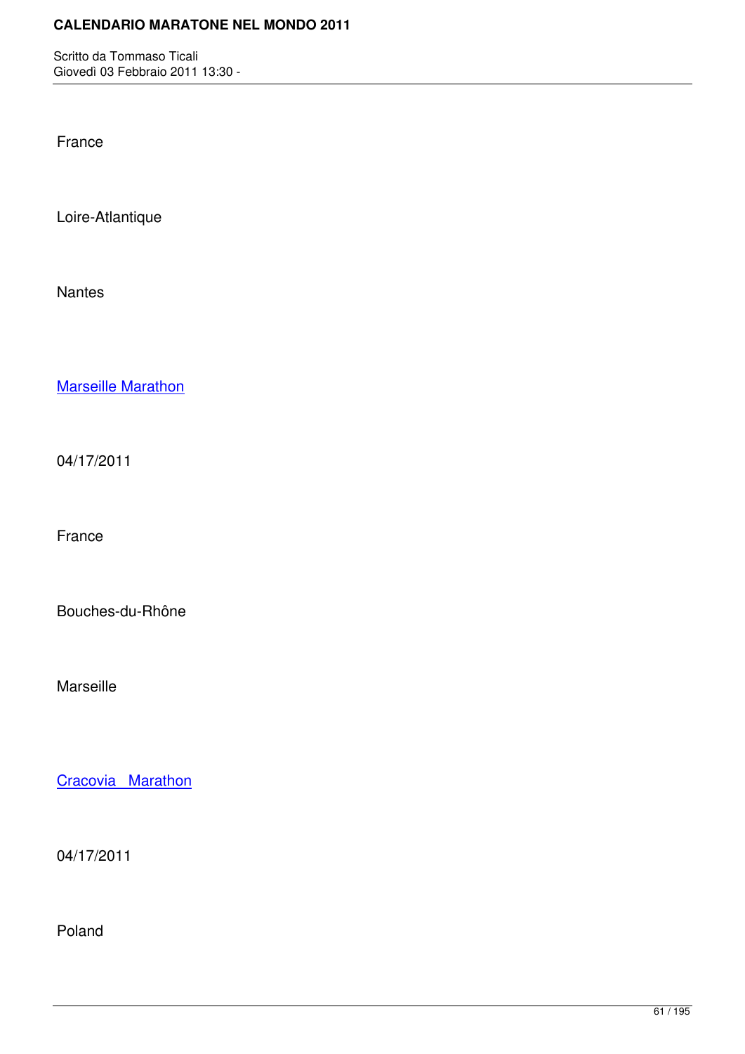France

Loire-Atlantique

Nantes

Marseille Marathon

[04/17/2011](http://marathons.ahotu.com/race/marseille-marathon)

France

Bouches-du-Rhône

Marseille

Cracovia Marathon

[04/17/2011](http://marathons.ahotu.com/race/cracovia-marathon)

Poland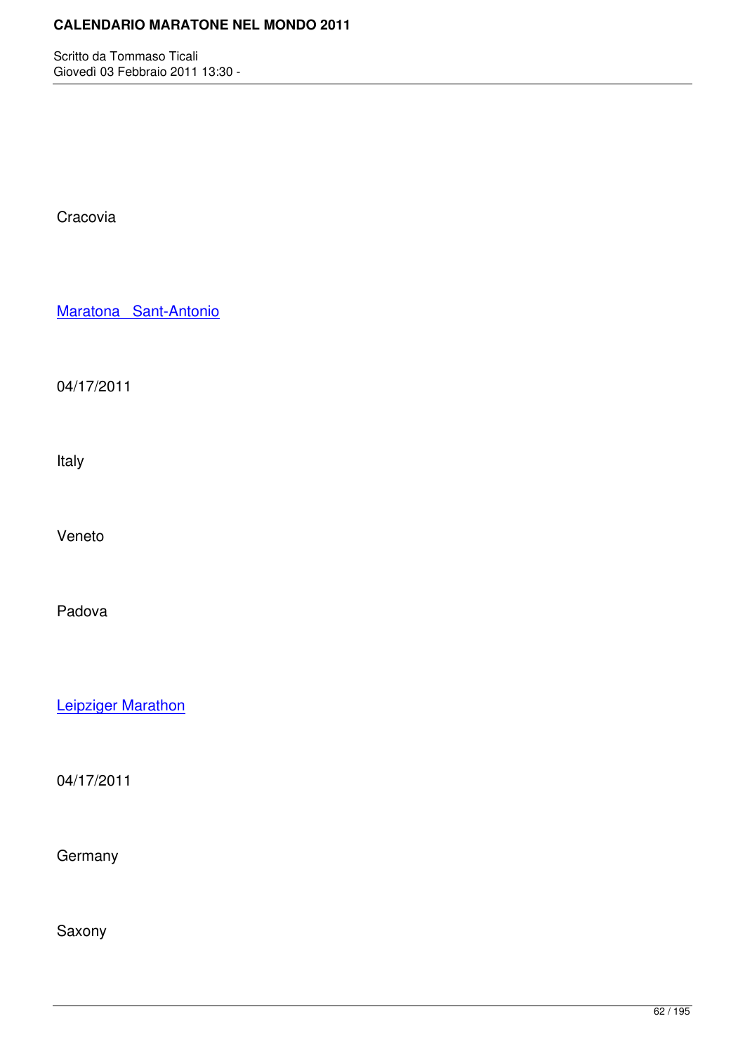**Cracovia** 

Maratona Sant-Antonio

[04/17/2011](http://marathons.ahotu.com/race/maratona-sant-antonio)

Italy

Veneto

Padova

Leipziger Marathon

[04/17/2011](http://marathons.ahotu.com/race/leipziger-marathon)

**Germany** 

Saxony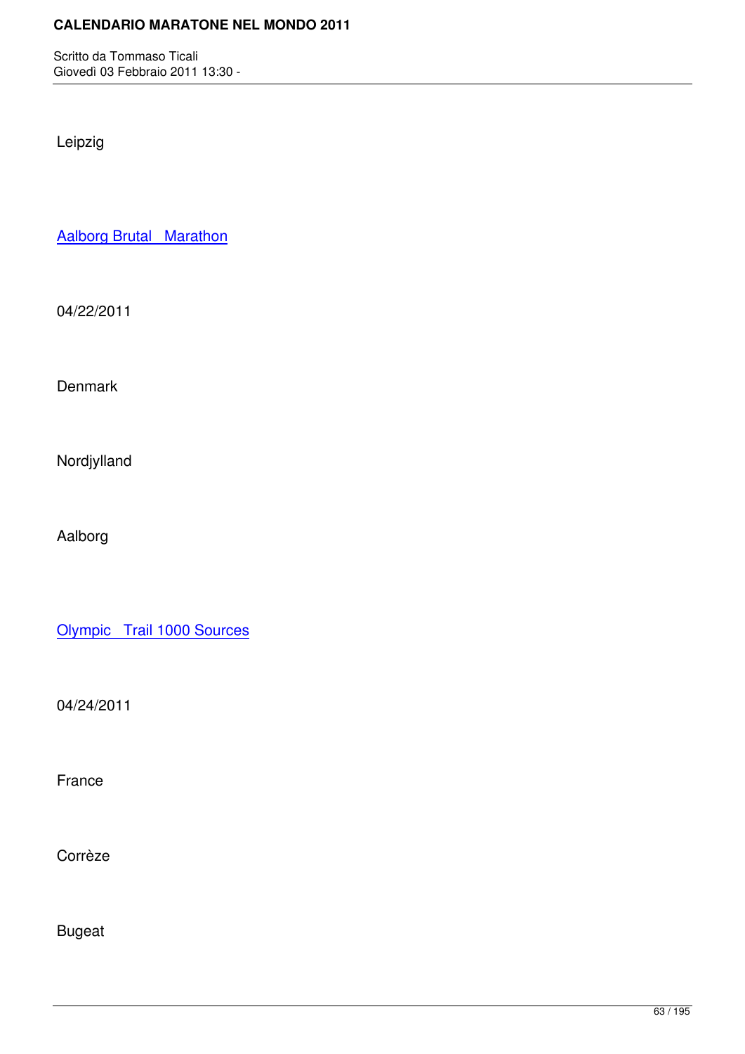Leipzig

Aalborg Brutal Marathon

[04/22/2011](http://marathons.ahotu.com/race/aalborg_brutal_marathon)

**Denmark** 

Nordjylland

Aalborg

Olympic Trail 1000 Sources

[04/24/2011](http://marathons.ahotu.com/race/olympic-trail-1000-sources)

France

Corrèze

Bugeat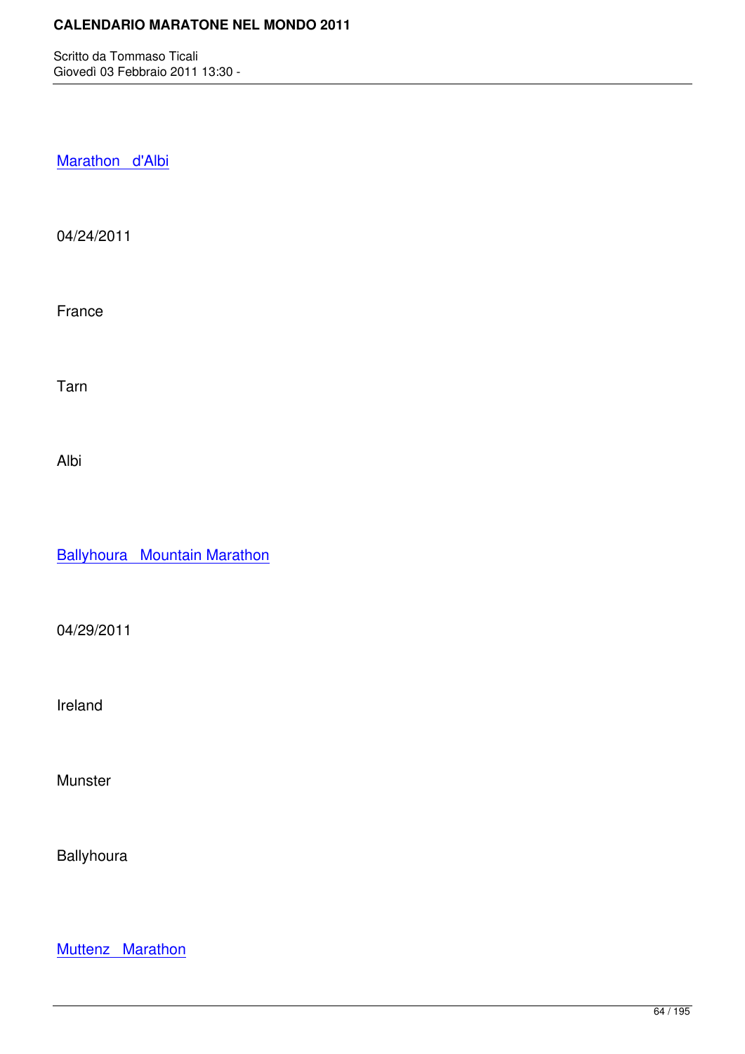Marathon d'Albi

[04/24/2011](http://marathons.ahotu.com/race/marathon-d-albi)

France

Tarn

Albi

Ballyhoura Mountain Marathon

[04/29/2011](http://marathons.ahotu.com/race/ballyhoura-mountain-marathon)

Ireland

Munster

**Ballyhoura** 

Muttenz Marathon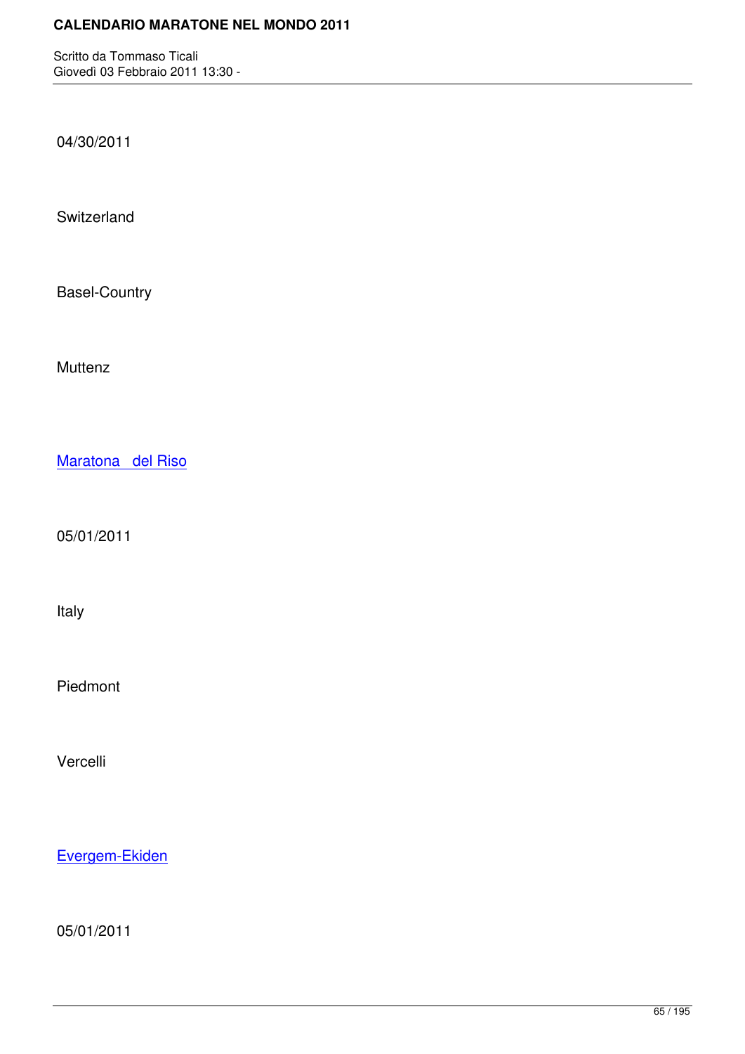04/30/2011

**Switzerland** 

Basel-Country

**Muttenz** 

Maratona del Riso

[05/01/2011](http://marathons.ahotu.com/race/maratona-del-riso)

Italy

Piedmont

Vercelli

Evergem-Ekiden

[05/01/2011](http://marathons.ahotu.com/race/evergem-ekiden)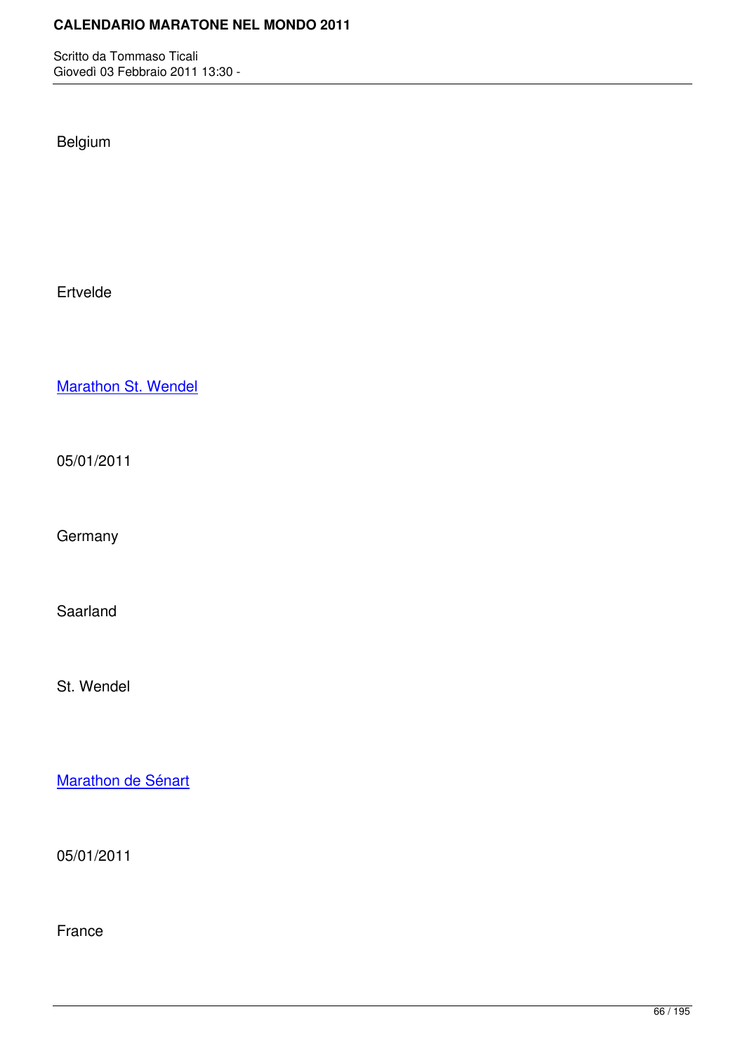Belgium

Ertvelde

Marathon St. Wendel

[05/01/2011](http://marathons.ahotu.com/race/marathon-st-wendel)

**Germany** 

Saarland

St. Wendel

Marathon de Sénart

[05/01/2011](http://marathons.ahotu.com/race/marathon-de-senart)

France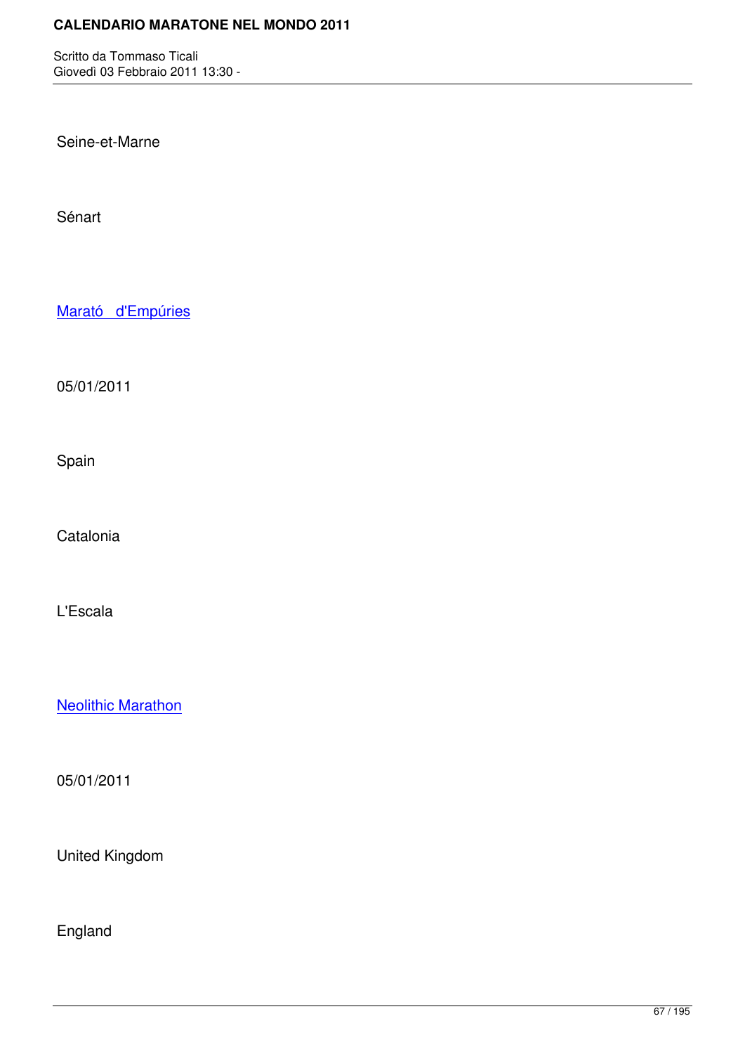Seine-et-Marne

Sénart

Marató d'Empúries

[05/01/2011](http://marathons.ahotu.com/race/marato-d-empuries)

Spain

**Catalonia** 

L'Escala

Neolithic Marathon

[05/01/2011](http://marathons.ahotu.com/race/neolithic-marathon)

United Kingdom

England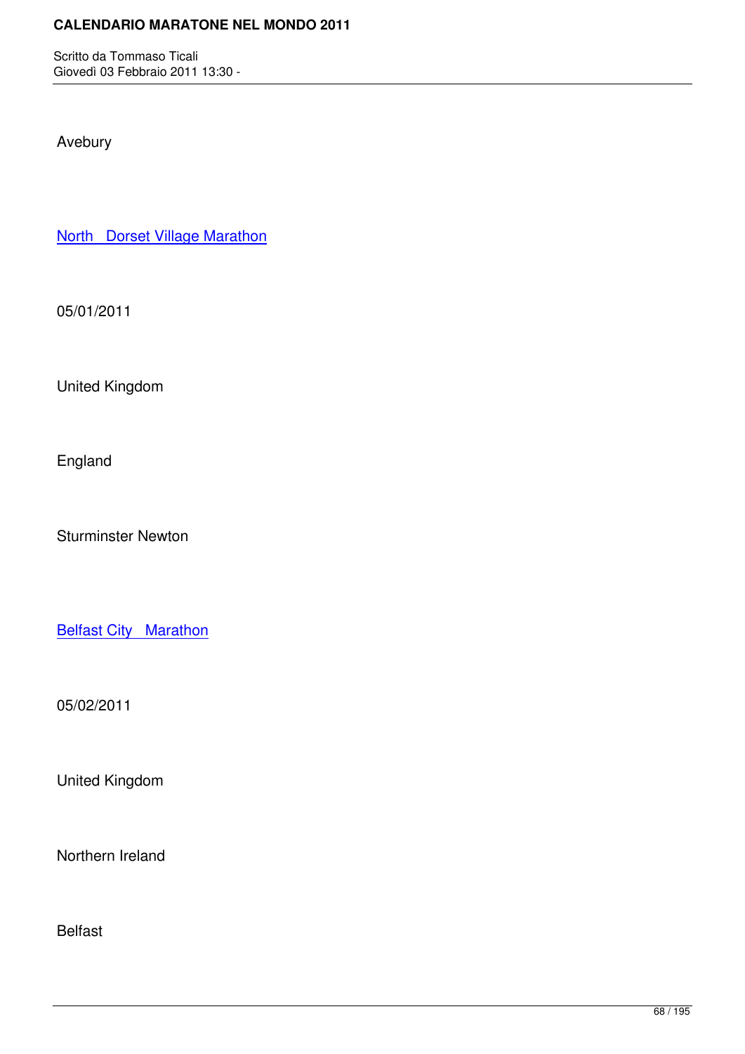Avebury

North Dorset Village Marathon

[05/01/2011](http://marathons.ahotu.com/race/north-dorset-village-marathon)

United Kingdom

England

Sturminster Newton

**Belfast City Marathon** 

[05/02/2011](http://marathons.ahotu.com/race/belfast-city-marathon)

United Kingdom

Northern Ireland

Belfast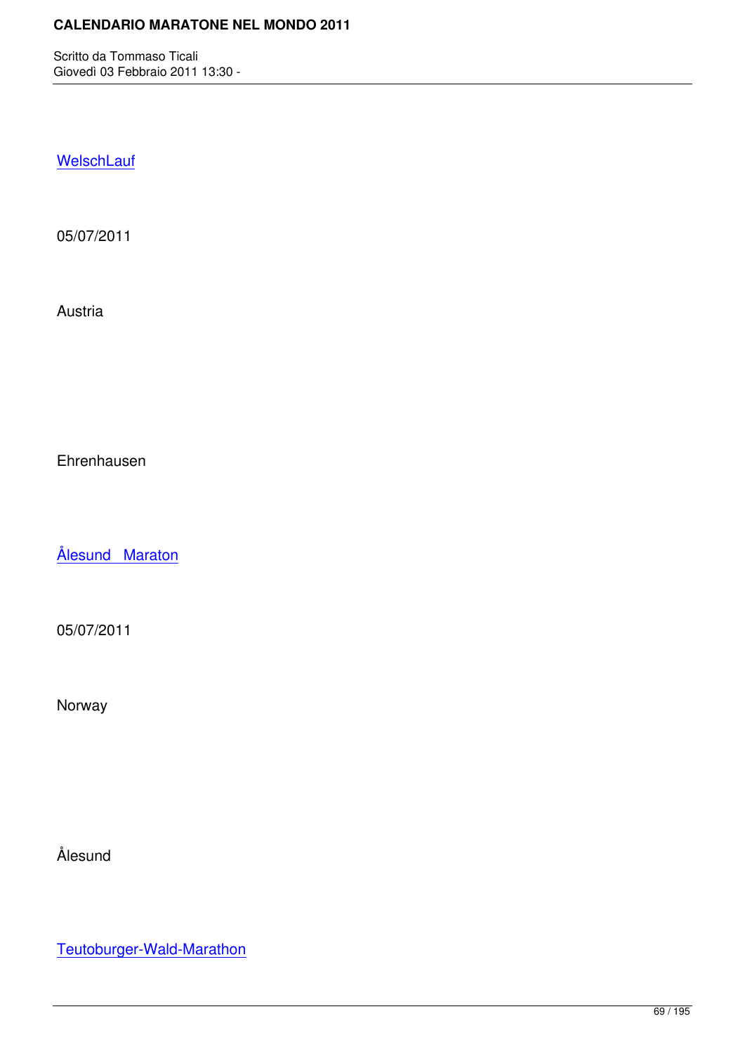**WelschLauf** 

[05/07/2011](http://marathons.ahotu.com/race/welschlauf)

Austria

Ehrenhausen

Ålesund Maraton

[05/07/2011](http://marathons.ahotu.com/race/alesund-maraton)

Norway

Ålesund

Teutoburger-Wald-Marathon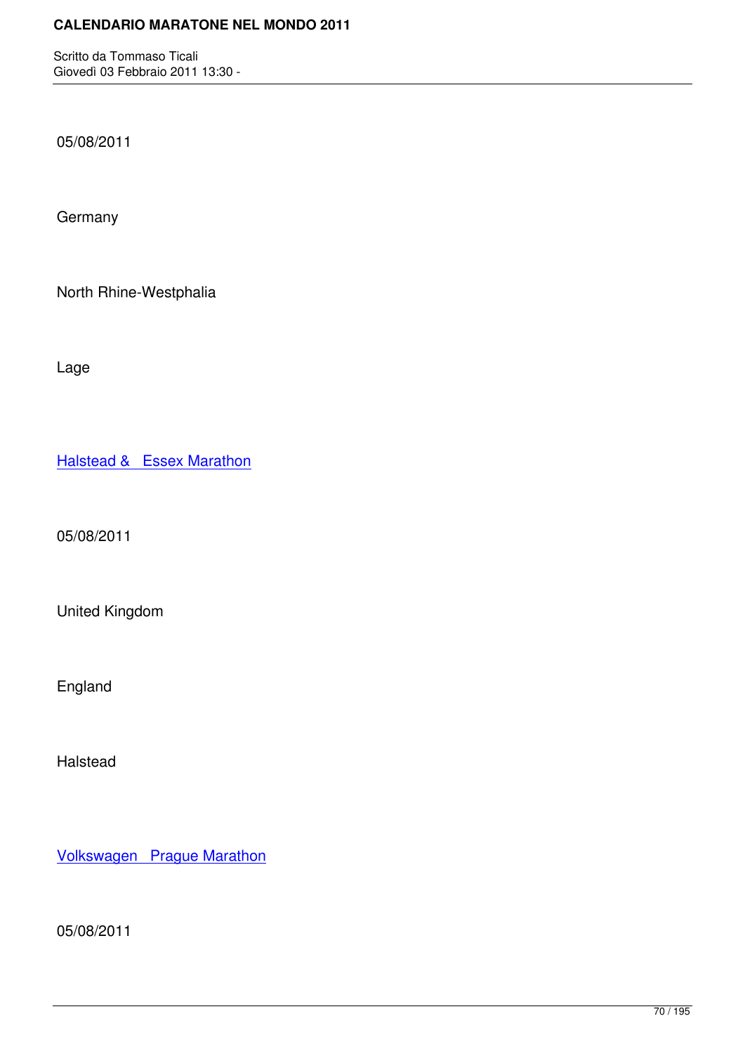05/08/2011

**Germany** 

North Rhine-Westphalia

Lage

**Halstead & Essex Marathon** 

[05/08/2011](http://marathons.ahotu.com/race/halstead-essex-marathon)

United Kingdom

England

Halstead

Volkswagen Prague Marathon

[05/08/2011](http://marathons.ahotu.com/race/volkswagen-prague-marathon)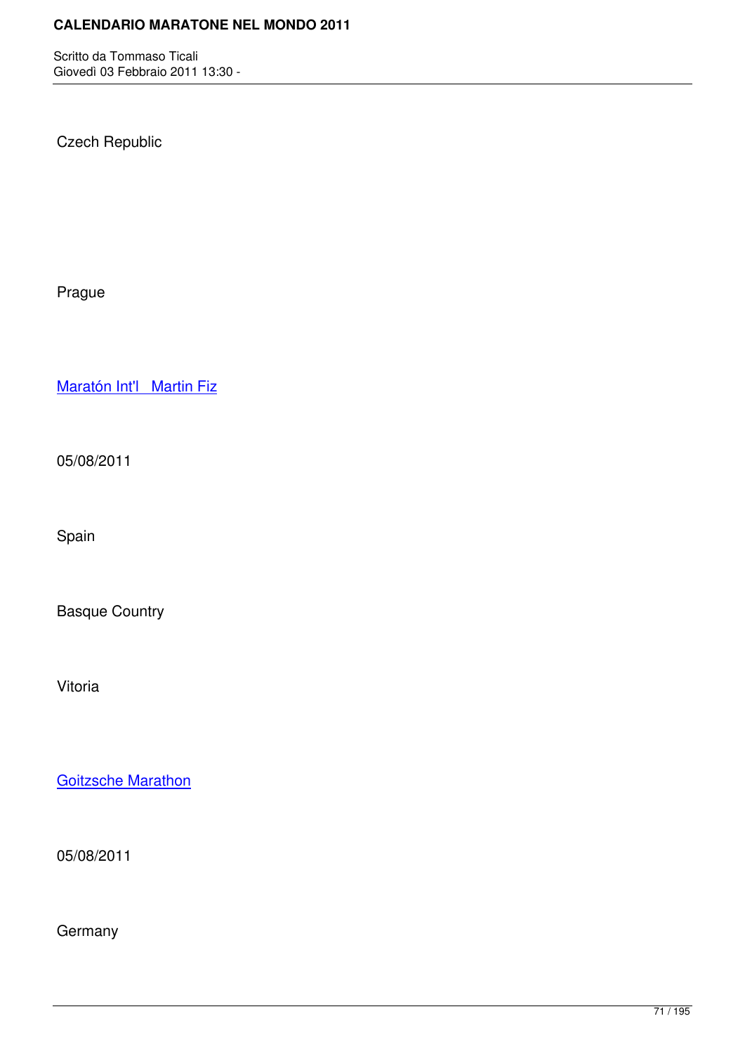Czech Republic

Prague

Maratón Int'l Martin Fiz

[05/08/2011](http://marathons.ahotu.com/race/maraton-int-l-martin-fiz)

Spain

Basque Country

Vitoria

Goitzsche Marathon

[05/08/2011](http://marathons.ahotu.com/race/goitzsche-marathon)

**Germany**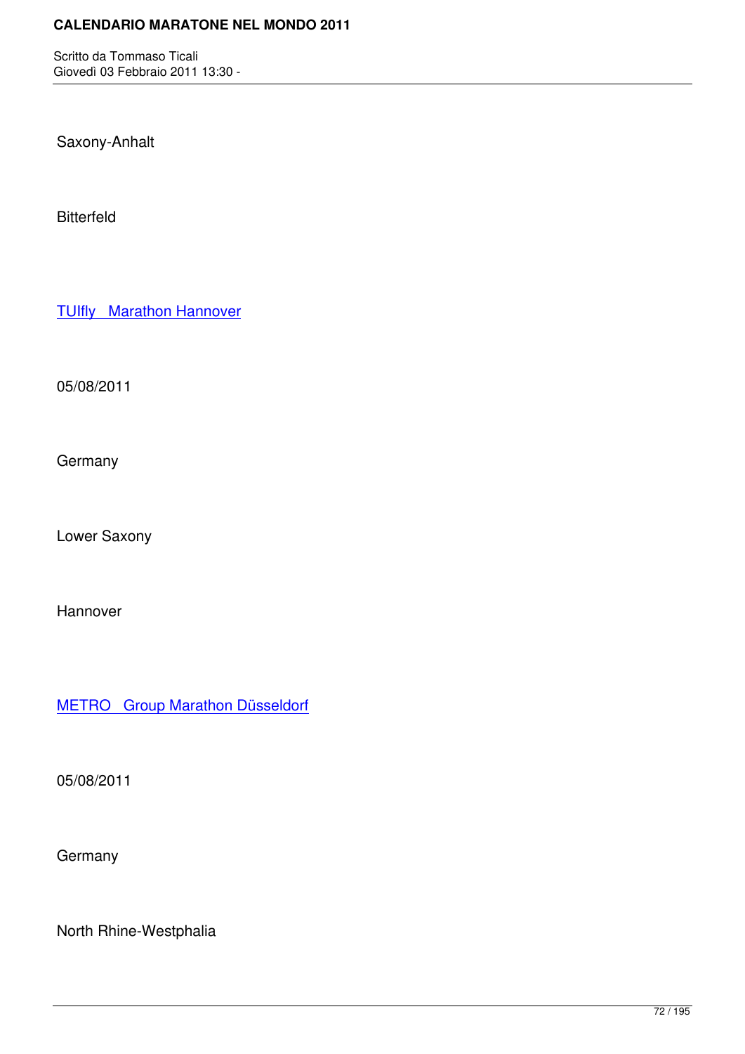Saxony-Anhalt

Bitterfeld

**TUIfly** Marathon Hannover

[05/08/2011](http://marathons.ahotu.com/race/tuifly-marathon-hannover)

**Germany** 

Lower Saxony

Hannover

METRO Group Marathon Düsseldorf

[05/08/2011](http://marathons.ahotu.com/race/metro_group_marathon_dsseldorf)

**Germany** 

North Rhine-Westphalia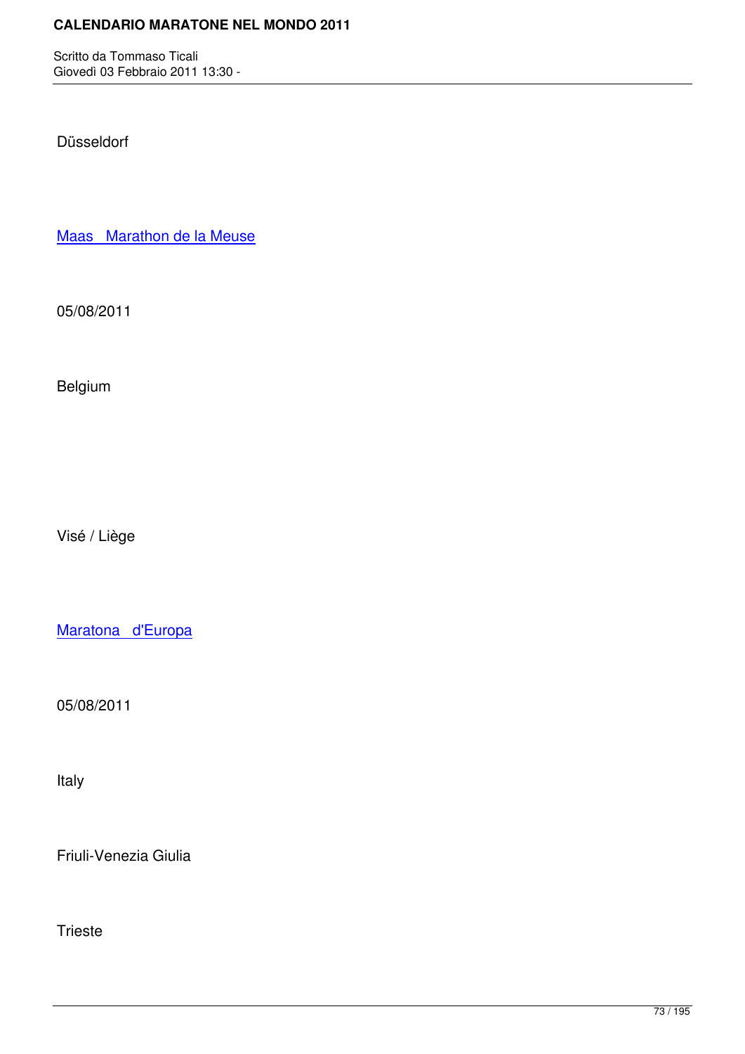Düsseldorf

Maas Marathon de la Meuse

[05/08/2011](http://marathons.ahotu.com/race/maas-marathon-de-la-meuse)

Belgium

Visé / Liège

Maratona d'Europa

[05/08/2011](http://marathons.ahotu.com/race/maratona-d-europa)

Italy

Friuli-Venezia Giulia

Trieste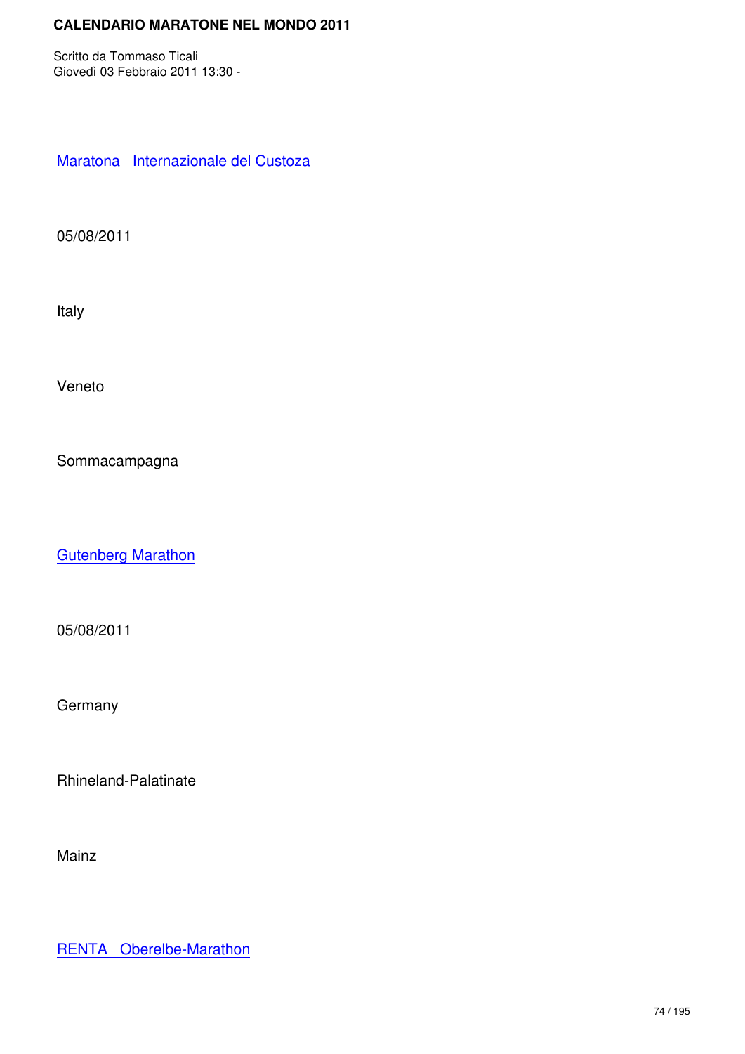Maratona Internazionale del Custoza

[05/08/2011](http://marathons.ahotu.com/race/maratona-internazionale-del-custoza)

Italy

Veneto

Sommacampagna

**Gutenberg Marathon** 

[05/08/2011](http://marathons.ahotu.com/race/gutenberg-marathon)

**Germany** 

Rhineland-Palatinate

Mainz

RENTA Oberelbe-Marathon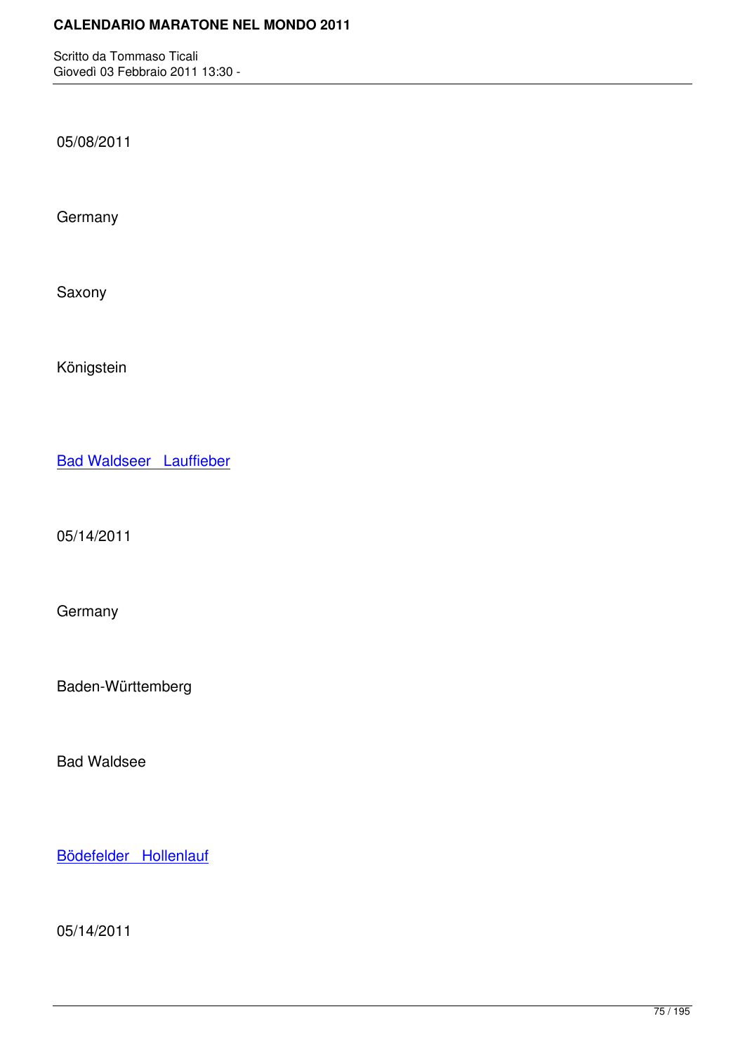05/08/2011

**Germany** 

Saxony

Königstein

Bad Waldseer Lauffieber

[05/14/2011](http://marathons.ahotu.com/race/bad-waldseer-lauffieber)

Germany

Baden-Württemberg

Bad Waldsee

Bödefelder Hollenlauf

[05/14/2011](http://marathons.ahotu.com/race/bodefelder-hollenlauf)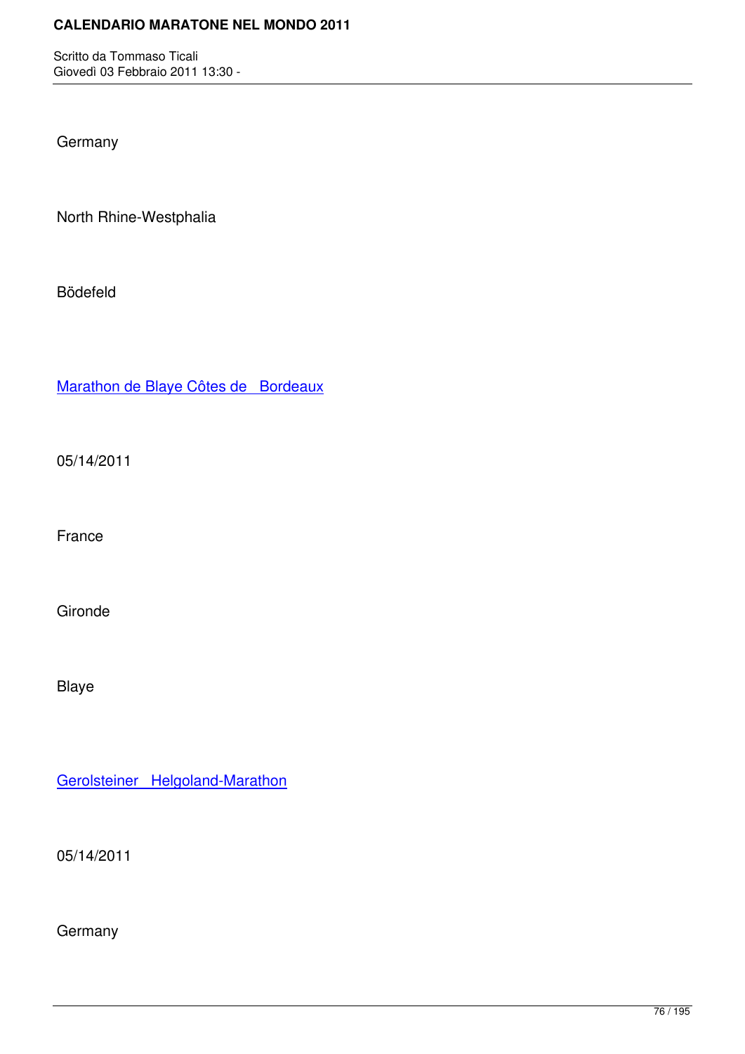**Germany** 

North Rhine-Westphalia

Bödefeld

Marathon de Blaye Côtes de Bordeaux

[05/14/2011](http://marathons.ahotu.com/race/marathon-de-blaye-cotes-de-bordeaux)

France

Gironde

Blaye

Gerolsteiner Helgoland-Marathon

[05/14/2011](http://marathons.ahotu.com/race/gerolsteiner-helgoland-marathon)

**Germany**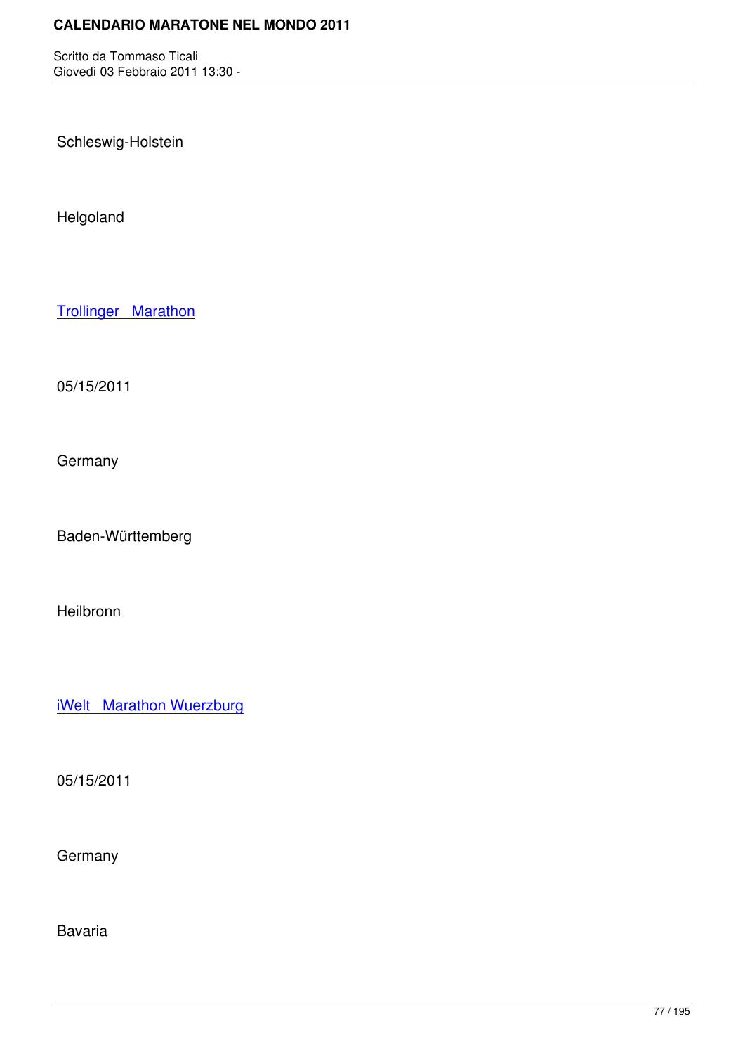Schleswig-Holstein

Helgoland

Trollinger Marathon

[05/15/2011](http://marathons.ahotu.com/race/trollinger-marathon)

**Germany** 

Baden-Württemberg

Heilbronn

iWelt Marathon Wuerzburg

[05/15/2011](http://marathons.ahotu.com/race/iwelt-marathon-wuerzburg)

**Germany** 

Bavaria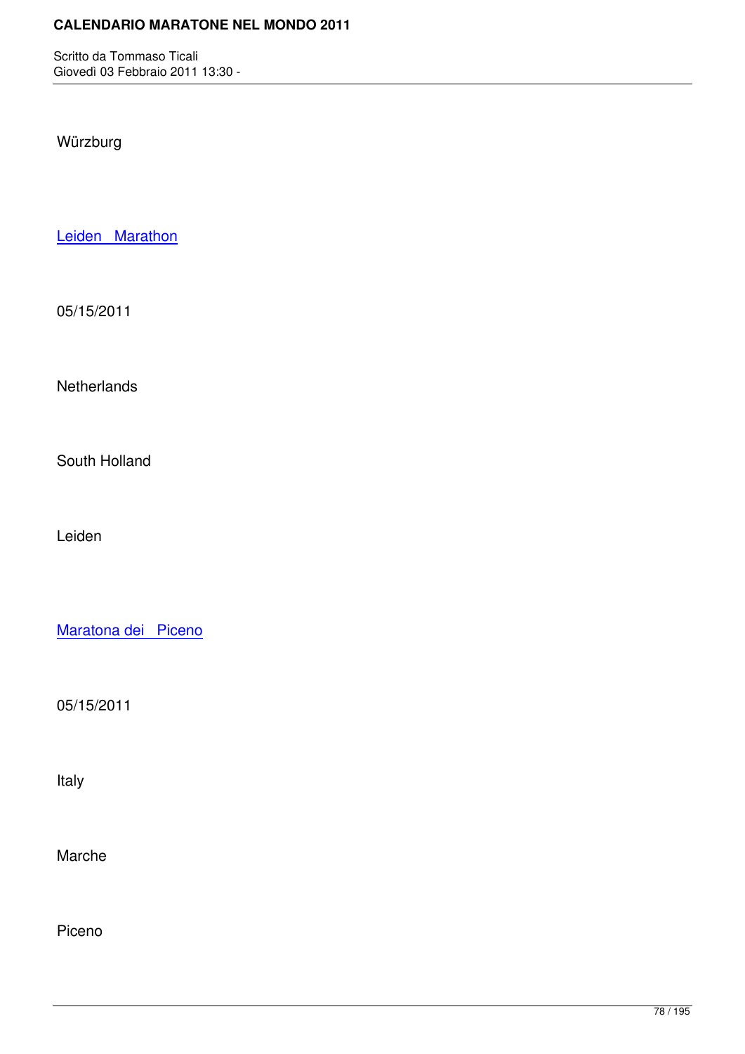Würzburg

Leiden Marathon

[05/15/2011](http://marathons.ahotu.com/race/leiden-marathon)

**Netherlands** 

South Holland

Leiden

Maratona dei Piceno

[05/15/2011](http://marathons.ahotu.com/race/maratona-dei-piceno)

Italy

Marche

Piceno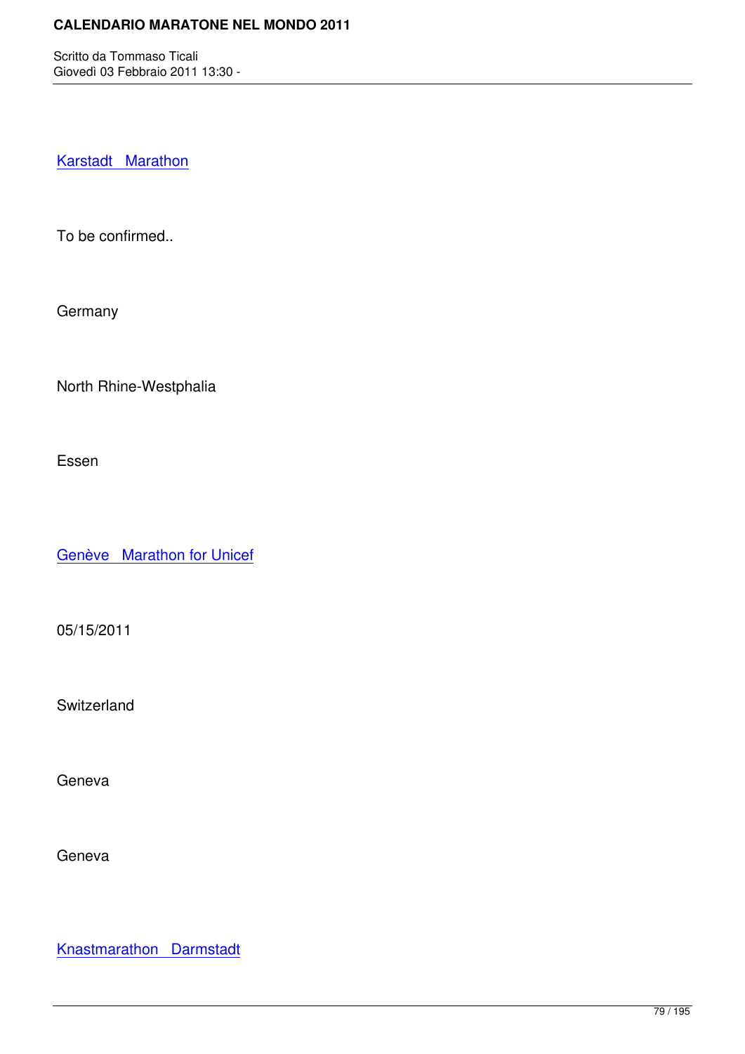Karstadt Marathon

[To be confirmed..](http://marathons.ahotu.com/race/karstadt_marathon)

**Germany** 

North Rhine-Westphalia

Essen

Genève Marathon for Unicef

[05/15/2011](http://marathons.ahotu.com/race/geneve-marathon-for-unicef)

Switzerland

Geneva

Geneva

Knastmarathon Darmstadt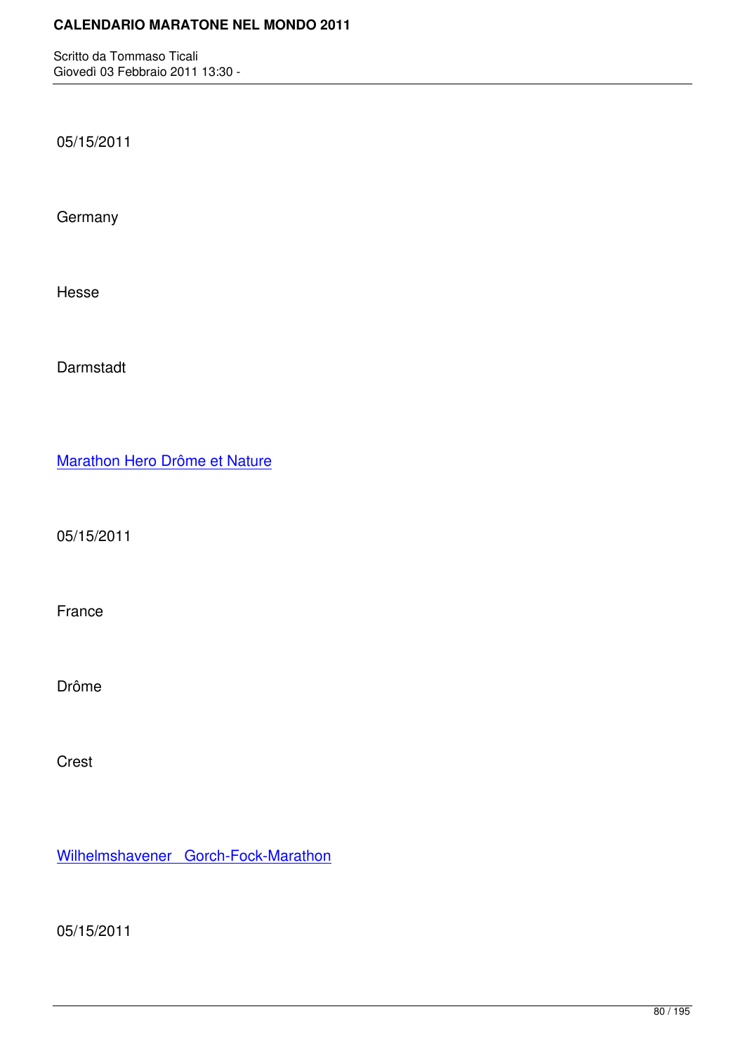05/15/2011

**Germany** 

Hesse

Darmstadt

Marathon Hero Drôme et Nature

[05/15/2011](http://marathons.ahotu.com/race/marathon-hero-drome-et-nature)

France

Drôme

Crest

Wilhelmshavener Gorch-Fock-Marathon

[05/15/2011](http://marathons.ahotu.com/race/wilhelmshavener-gorch-fock-marathon)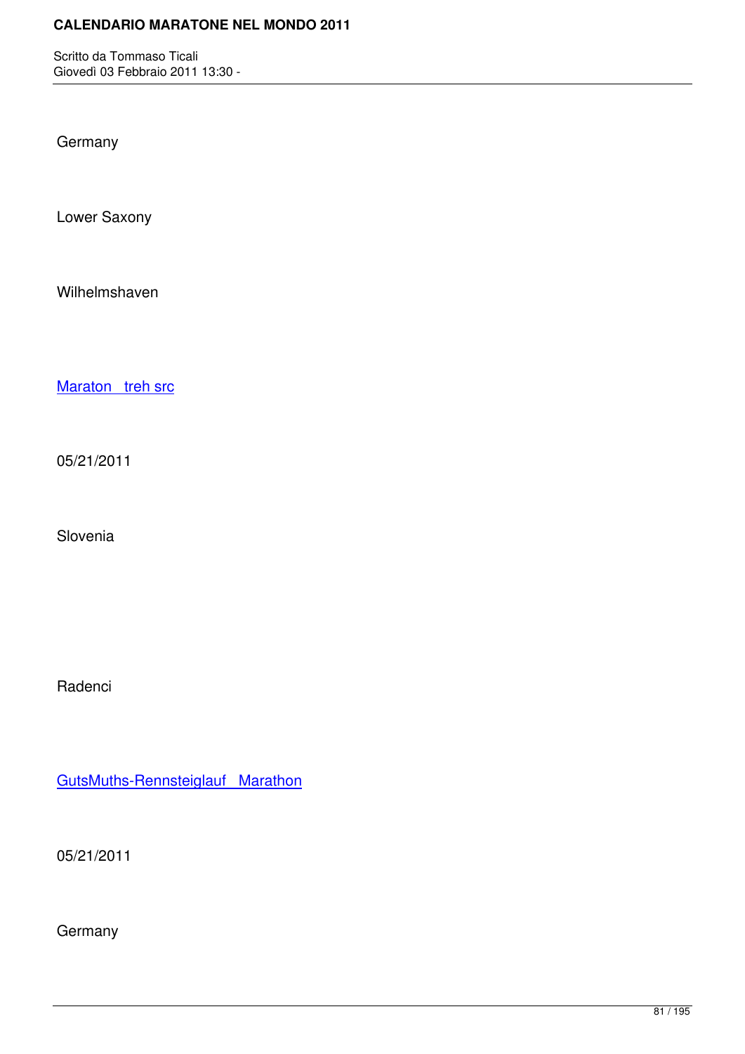**Germany** 

Lower Saxony

Wilhelmshaven

Maraton treh src

[05/21/2011](http://marathons.ahotu.com/race/maraton-treh-src)

Slovenia

Radenci

GutsMuths-Rennsteiglauf Marathon

[05/21/2011](http://marathons.ahotu.com/race/gutsmuths-rennsteiglauf-marathon)

**Germany**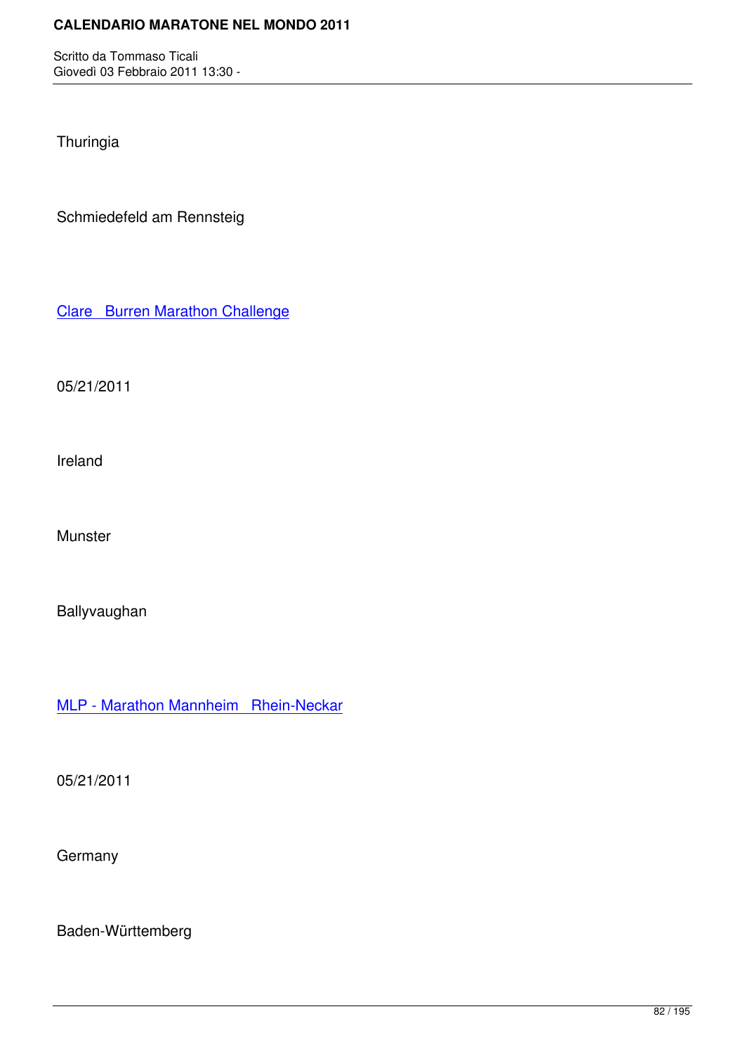Thuringia

Schmiedefeld am Rennsteig

Clare Burren Marathon Challenge

[05/21/2011](http://marathons.ahotu.com/race/clare-burren-marathon-challenge)

Ireland

Munster

Ballyvaughan

MLP - Marathon Mannheim Rhein-Neckar

[05/21/2011](http://marathons.ahotu.com/race/mlp-marathon-mannheim-rhein-neckar)

**Germany** 

Baden-Württemberg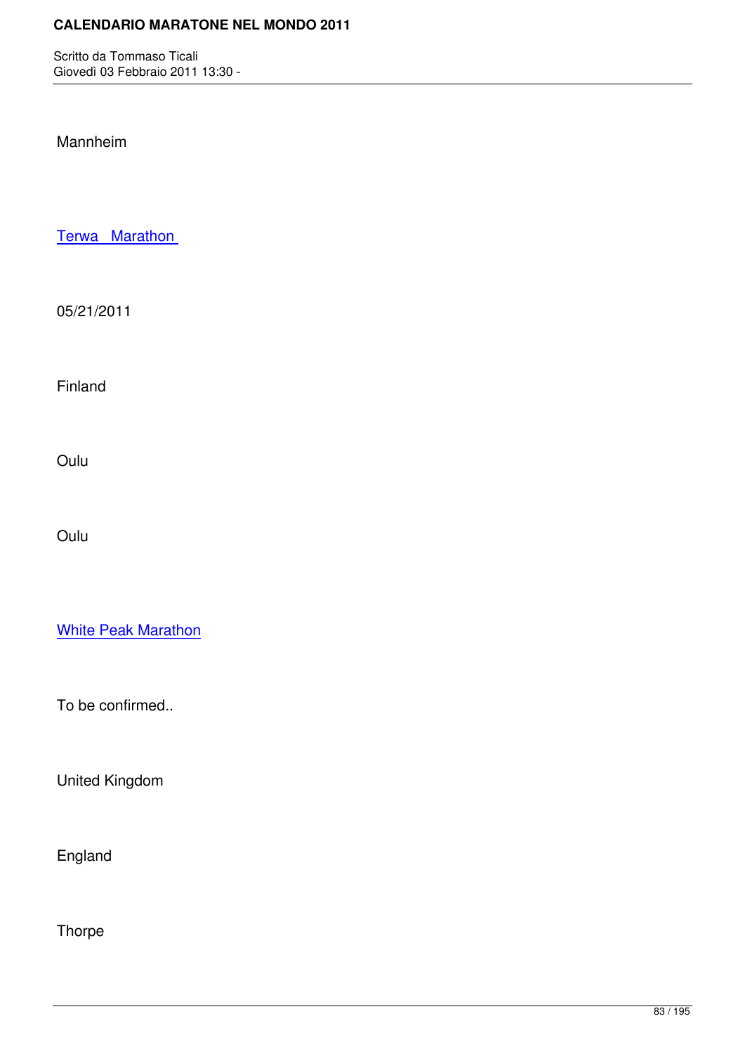## Mannheim

Terwa Marathon

[05/21/2011](http://marathons.ahotu.com/race/terwa-marathon)

Finland

Oulu

Oulu

White Peak Marathon

[To be confirmed..](http://marathons.ahotu.com/race/white-peak-marathon)

United Kingdom

England

**Thorpe**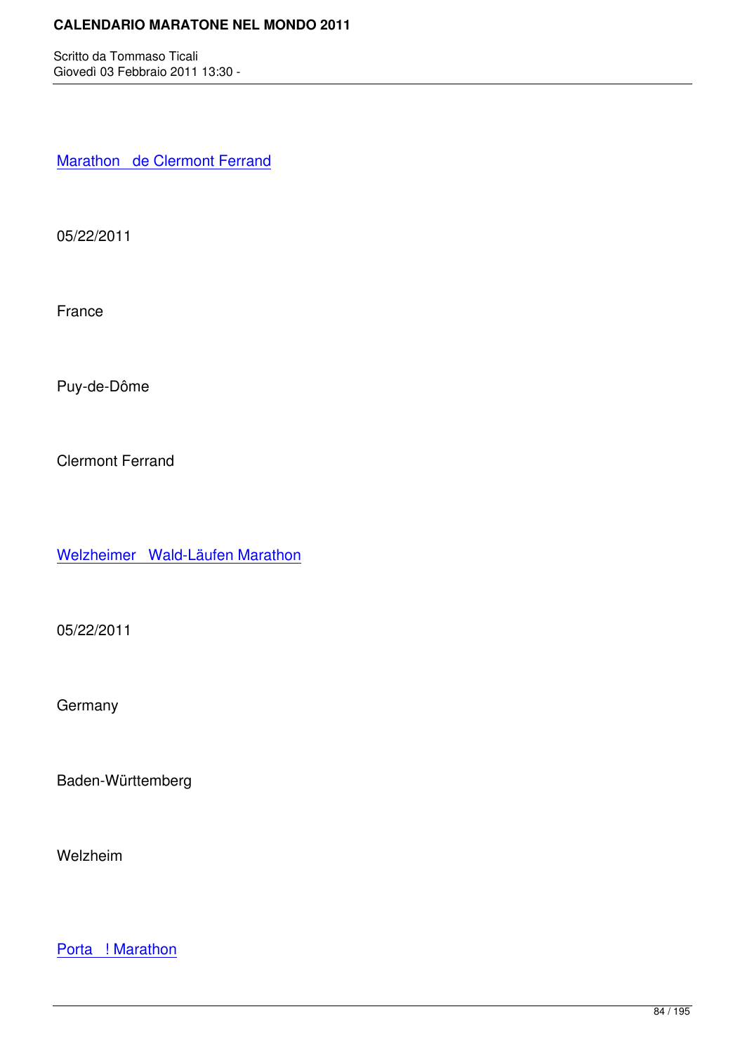Marathon de Clermont Ferrand

[05/22/2011](http://marathons.ahotu.com/race/marathon-de-clermont-ferrand)

France

Puy-de-Dôme

Clermont Ferrand

Welzheimer Wald-Läufen Marathon

[05/22/2011](http://marathons.ahotu.com/race/welzheimer-wald-laufen-marathon)

**Germany** 

Baden-Württemberg

Welzheim

Porta ! Marathon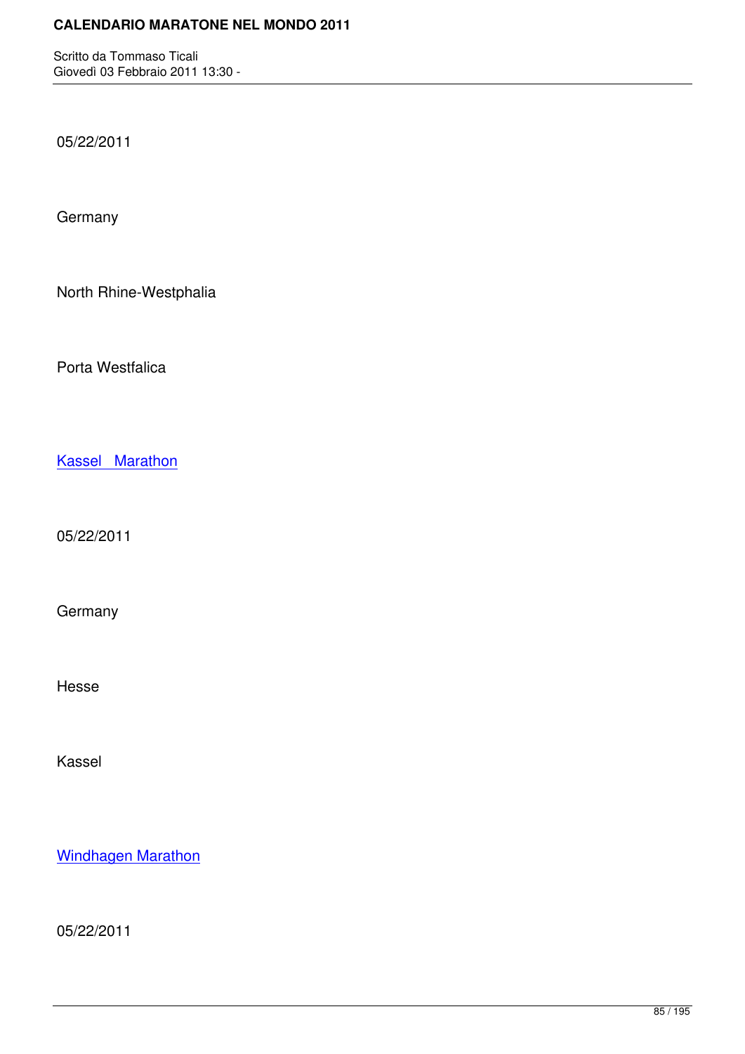05/22/2011

**Germany** 

North Rhine-Westphalia

Porta Westfalica

Kassel Marathon

[05/22/2011](http://marathons.ahotu.com/race/kassel-marathon)

Germany

Hesse

Kassel

Windhagen Marathon

[05/22/2011](http://marathons.ahotu.com/race/windhagen-marathon)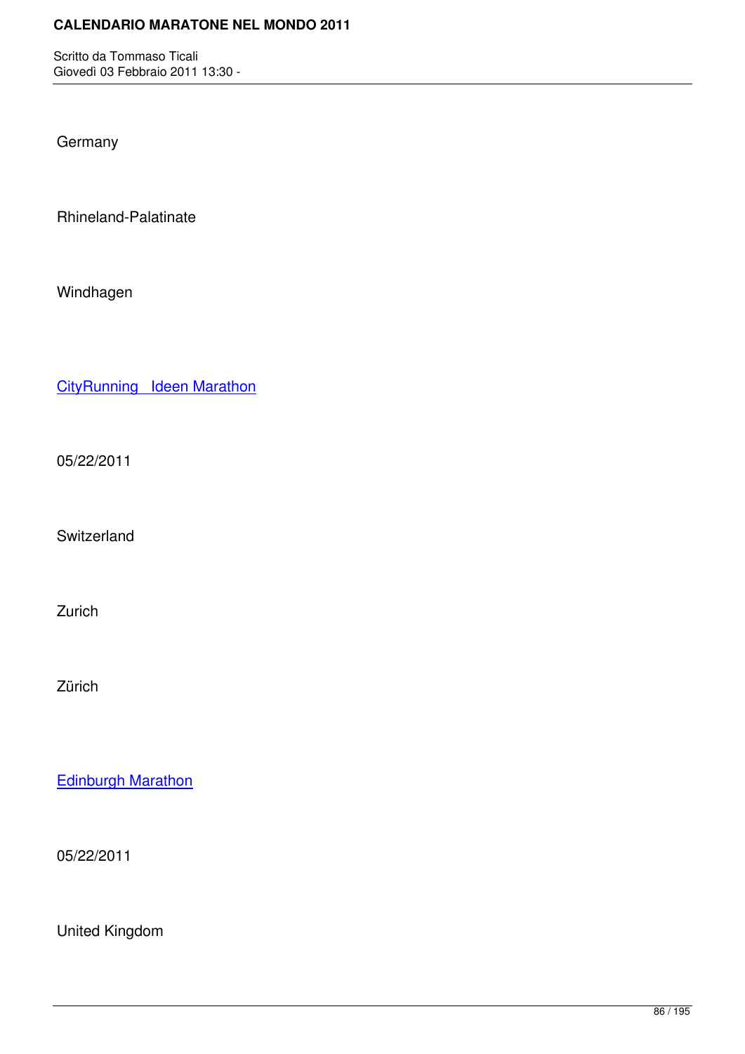**Germany** 

Rhineland-Palatinate

Windhagen

CityRunning Ideen Marathon

[05/22/2011](http://marathons.ahotu.com/race/cityrunning-ideen-marathon)

Switzerland

Zurich

Zürich

Edinburgh Marathon

[05/22/2011](http://marathons.ahotu.com/race/edinburgh-marathon)

United Kingdom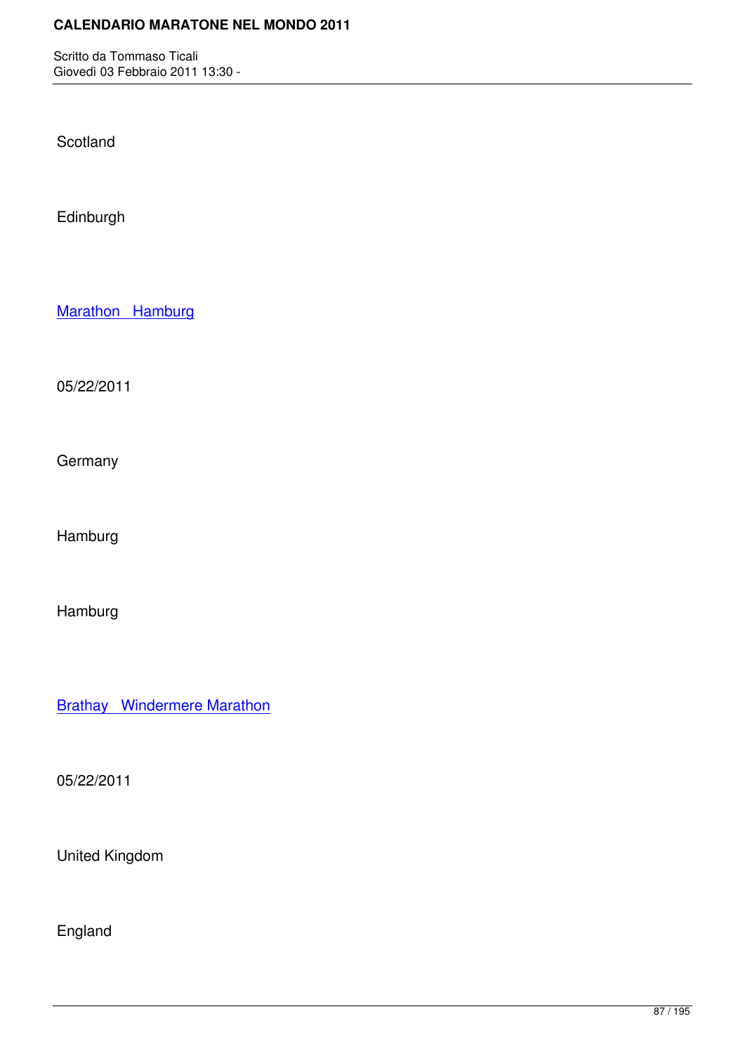**Scotland** 

Edinburgh

Marathon Hamburg

[05/22/2011](http://marathons.ahotu.com/race/marathon-hamburg)

**Germany** 

Hamburg

Hamburg

Brathay Windermere Marathon

[05/22/2011](http://marathons.ahotu.com/race/brathay-windermere-marathon)

United Kingdom

England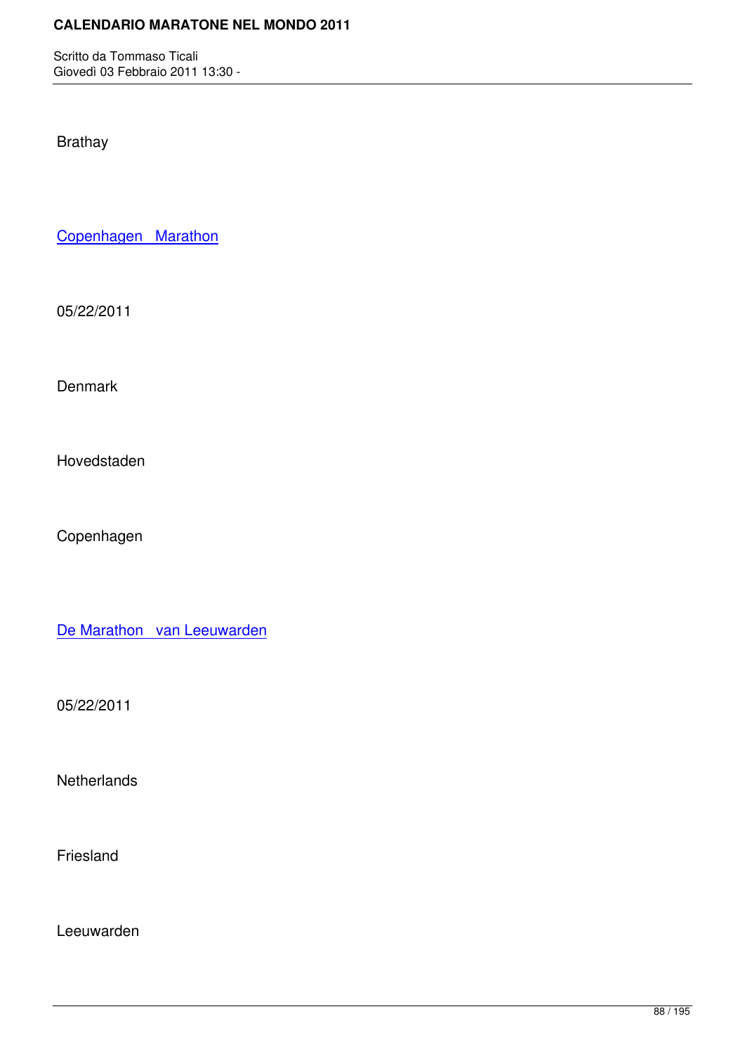Brathay

Copenhagen Marathon

[05/22/2011](http://marathons.ahotu.com/race/copenhagen-marathon)

Denmark

Hovedstaden

Copenhagen

De Marathon van Leeuwarden

[05/22/2011](http://marathons.ahotu.com/race/de-marathon-van-leeuwarden)

**Netherlands** 

Friesland

Leeuwarden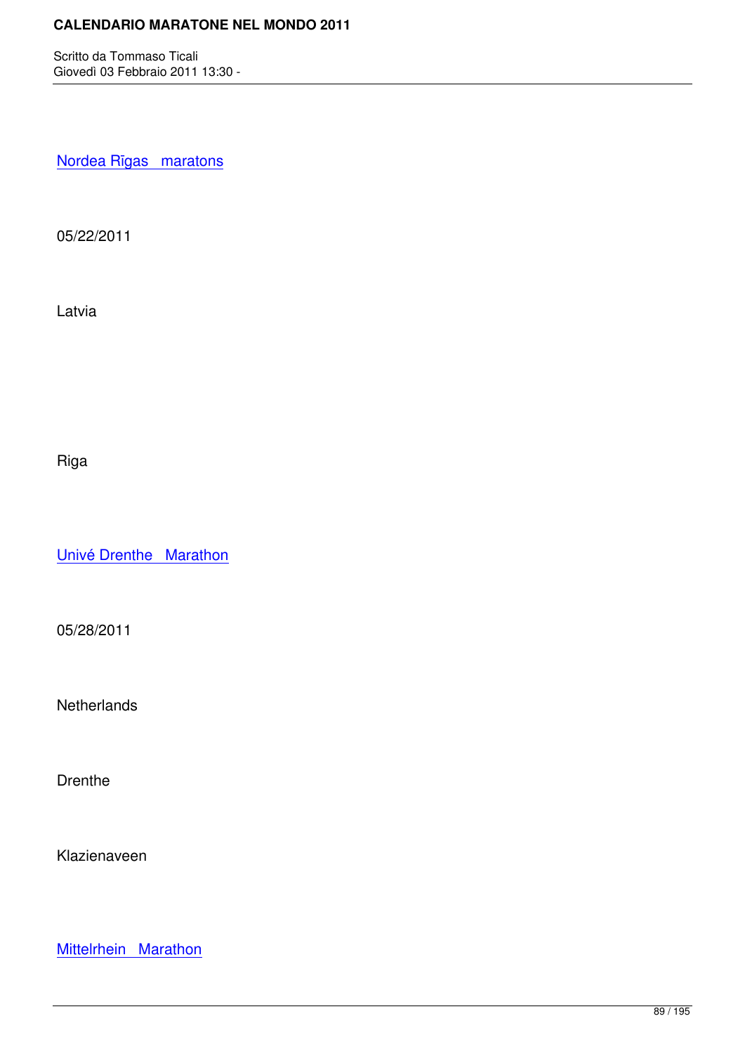Nordea Rīgas maratons

[05/22/2011](http://marathons.ahotu.com/race/nordea-rigas-maratons)

Latvia

Riga

Univé Drenthe Marathon

[05/28/2011](http://marathons.ahotu.com/race/unive-drenthe-marathon)

**Netherlands** 

Drenthe

Klazienaveen

Mittelrhein Marathon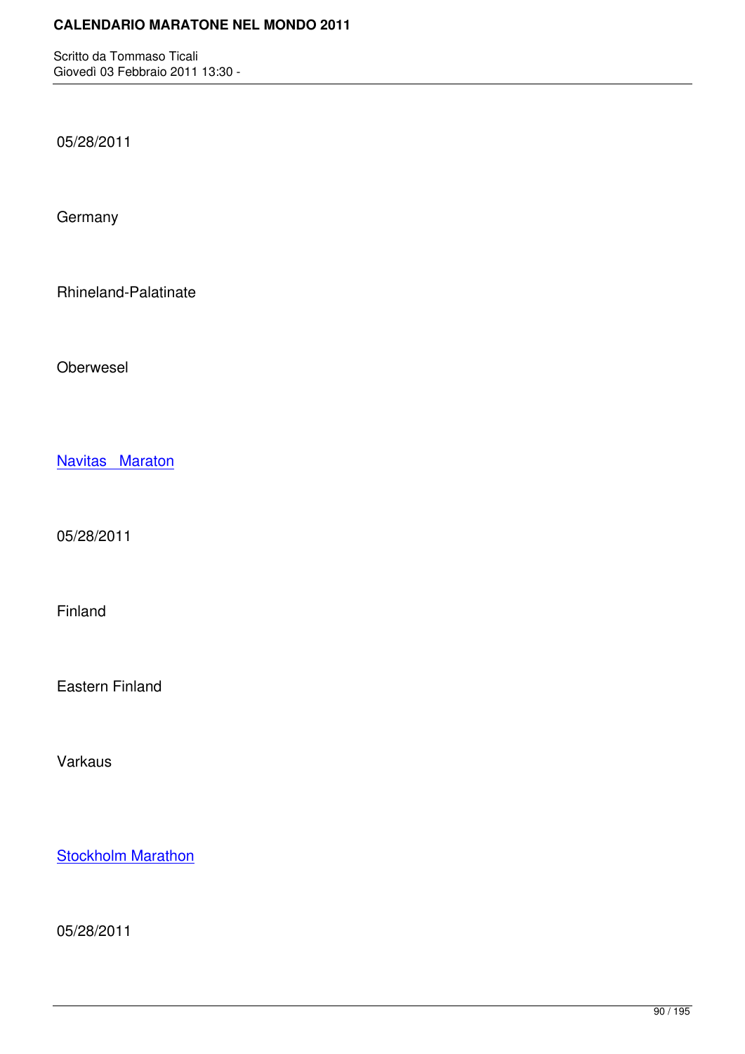05/28/2011

**Germany** 

Rhineland-Palatinate

Oberwesel

Navitas Maraton

[05/28/2011](http://marathons.ahotu.com/race/navitas-maraton)

Finland

Eastern Finland

Varkaus

**Stockholm Marathon** 

[05/28/2011](http://marathons.ahotu.com/race/stockholm-marathon)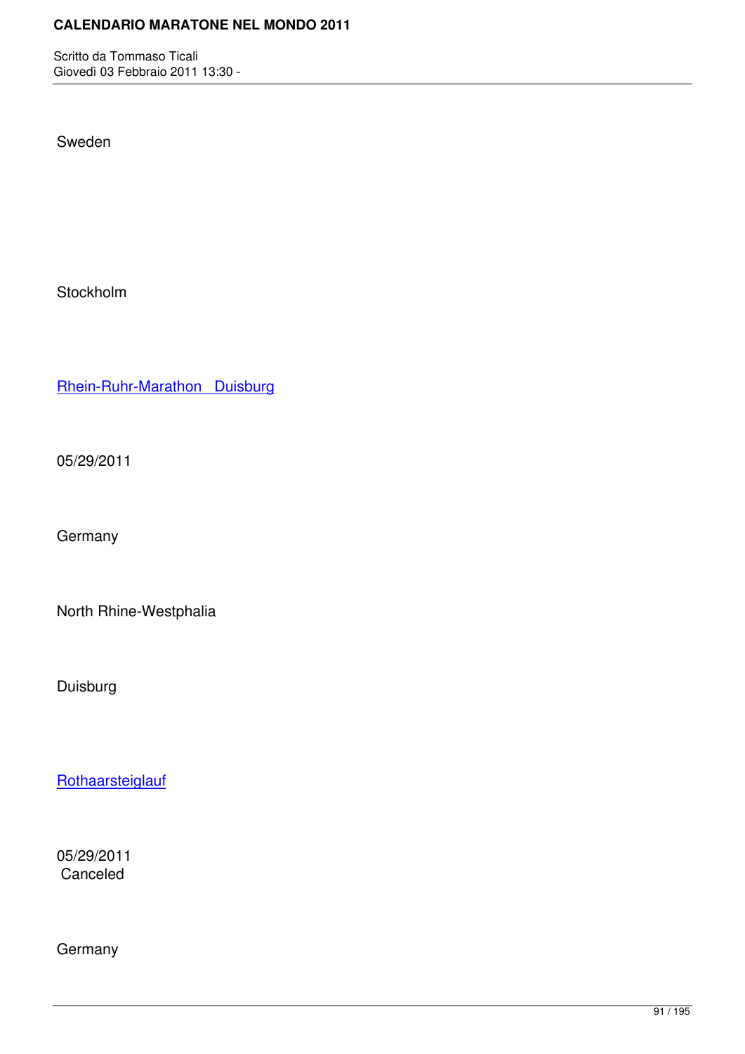Sweden

Stockholm

Rhein-Ruhr-Marathon Duisburg

[05/29/2011](http://marathons.ahotu.com/race/rhein-ruhr-marathon-duisburg)

**Germany** 

North Rhine-Westphalia

Duisburg

**Rothaarsteiglauf** 

[05/29/2011](http://marathons.ahotu.com/race/rothaarsteiglauf) Canceled

Germany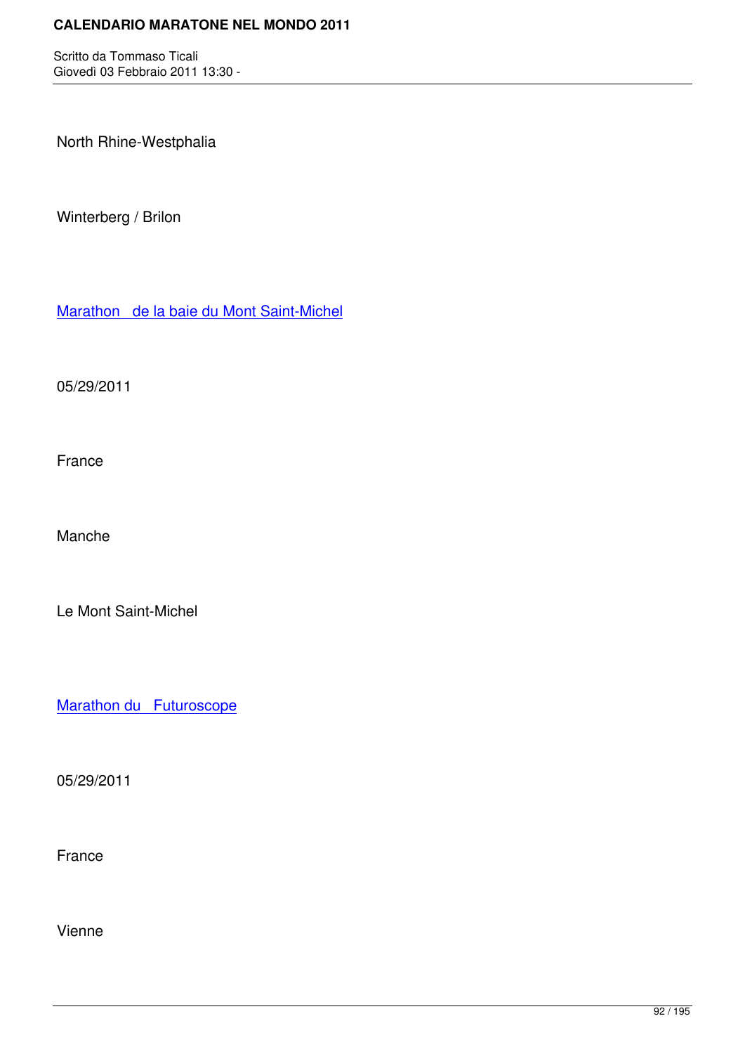North Rhine-Westphalia

Winterberg / Brilon

Marathon de la baie du Mont Saint-Michel

[05/29/2011](http://marathons.ahotu.com/race/marathon-de-la-baie-du-mont-saint-michel)

France

Manche

Le Mont Saint-Michel

Marathon du Futuroscope

[05/29/2011](http://marathons.ahotu.com/race/marathon-du-futuroscope)

France

Vienne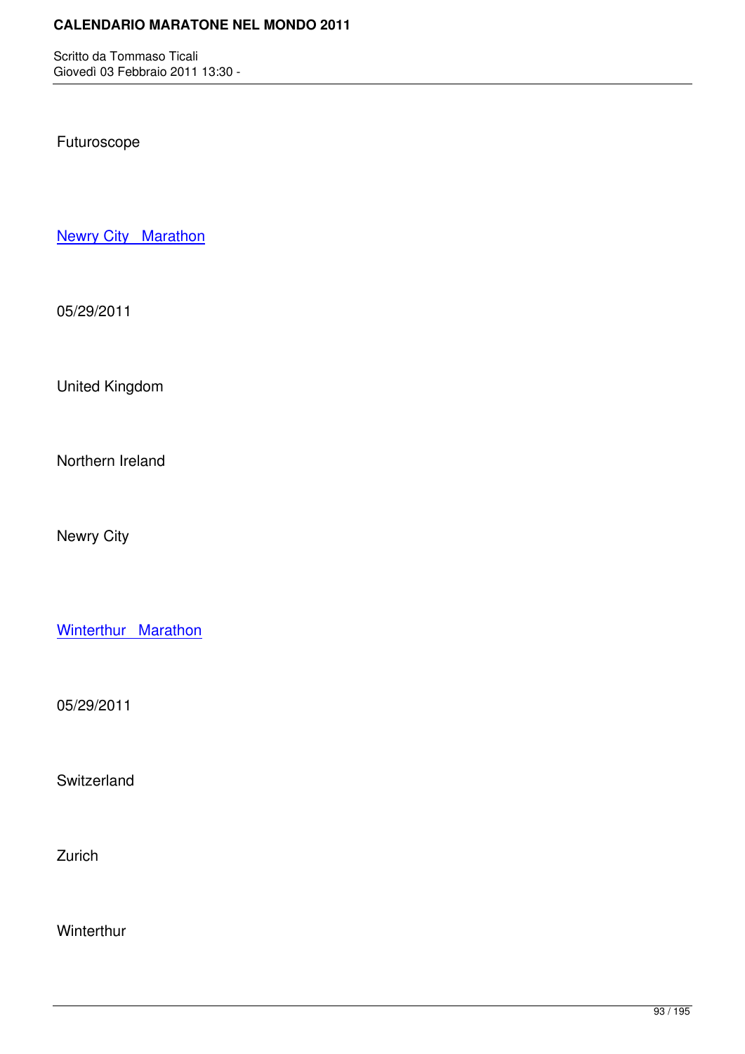Futuroscope

**Newry City Marathon** 

[05/29/2011](http://marathons.ahotu.com/race/newry-city-marathon)

United Kingdom

Northern Ireland

Newry City

Winterthur Marathon

[05/29/2011](http://marathons.ahotu.com/race/winterthur-marathon)

Switzerland

Zurich

**Winterthur**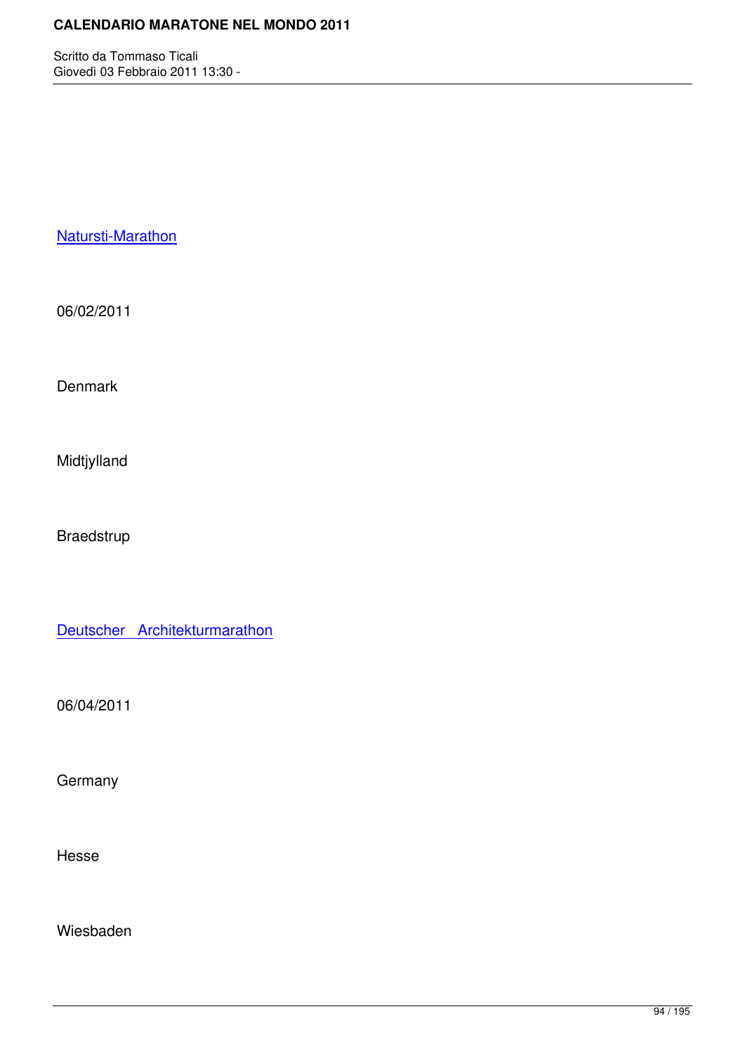## Natursti-Marathon

[06/02/2011](http://marathons.ahotu.com/race/natursti-marathon)

Denmark

Midtjylland

Braedstrup

Deutscher Architekturmarathon

[06/04/2011](http://marathons.ahotu.com/race/deutscher-architekturmarathon)

**Germany** 

Hesse

Wiesbaden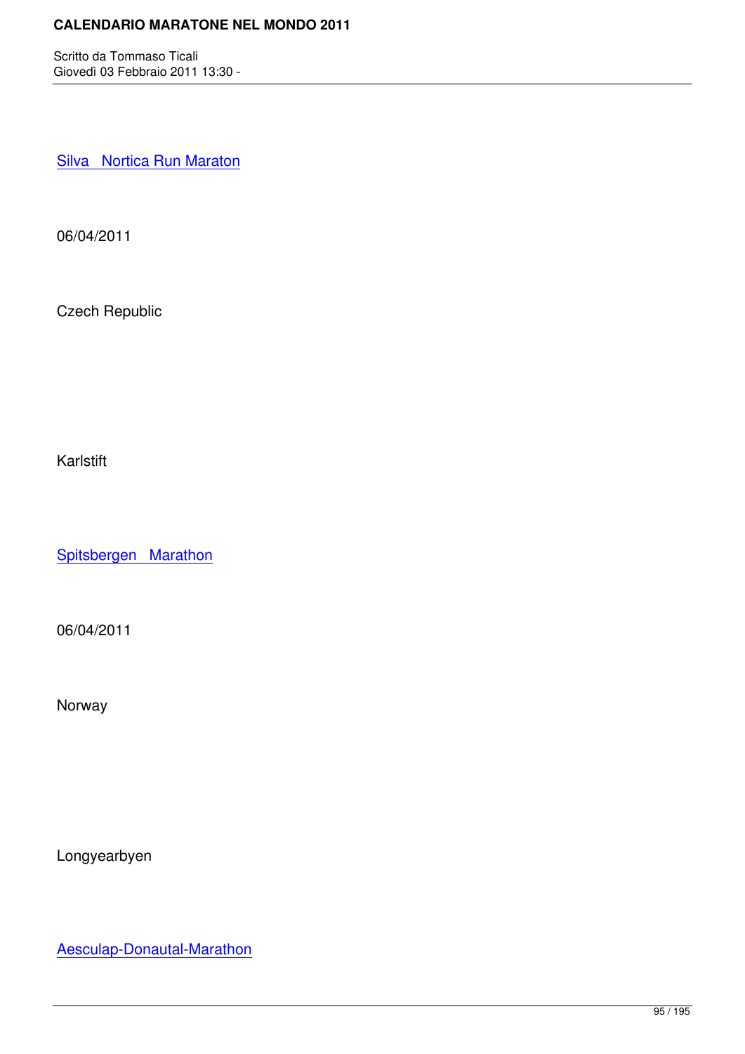Silva Nortica Run Maraton

[06/04/2011](http://marathons.ahotu.com/race/silva-nortica-run-maraton)

Czech Republic

Karlstift

Spitsbergen Marathon

[06/04/2011](http://marathons.ahotu.com/race/spitsbergen-marathon)

Norway

Longyearbyen

Aesculap-Donautal-Marathon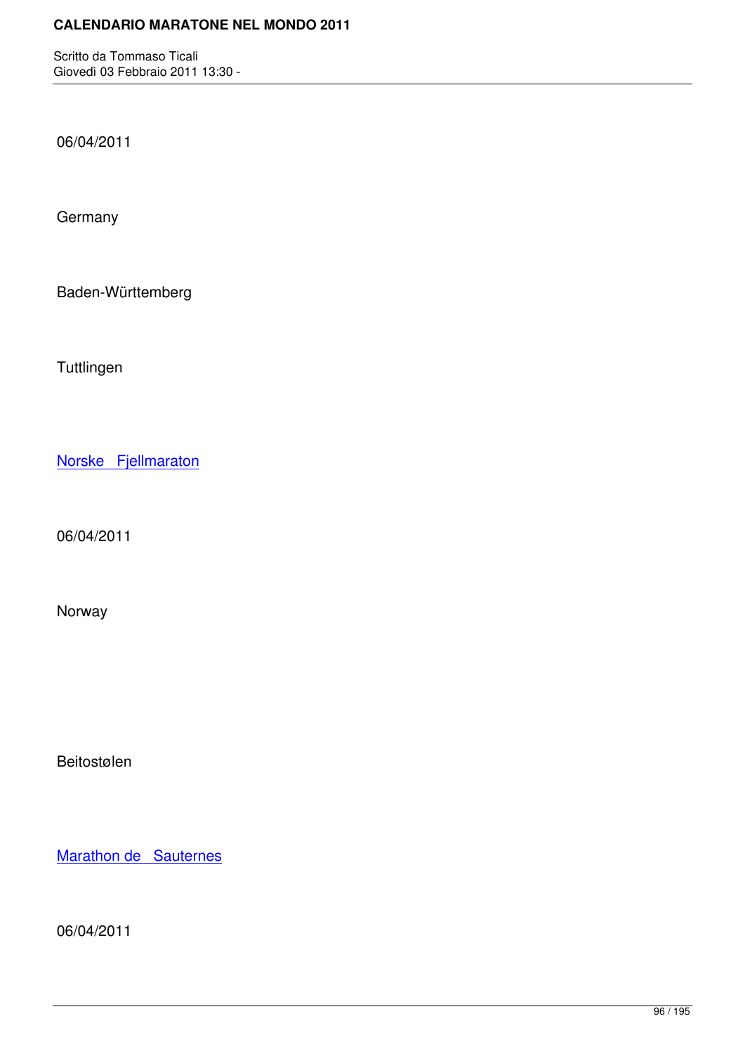06/04/2011

**Germany** 

Baden-Württemberg

**Tuttlingen** 

Norske Fjellmaraton

[06/04/2011](http://marathons.ahotu.com/race/norske-fjellmaraton)

Norway

Beitostølen

Marathon de Sauternes

[06/04/2011](http://marathons.ahotu.com/race/marathon-de-sauternes)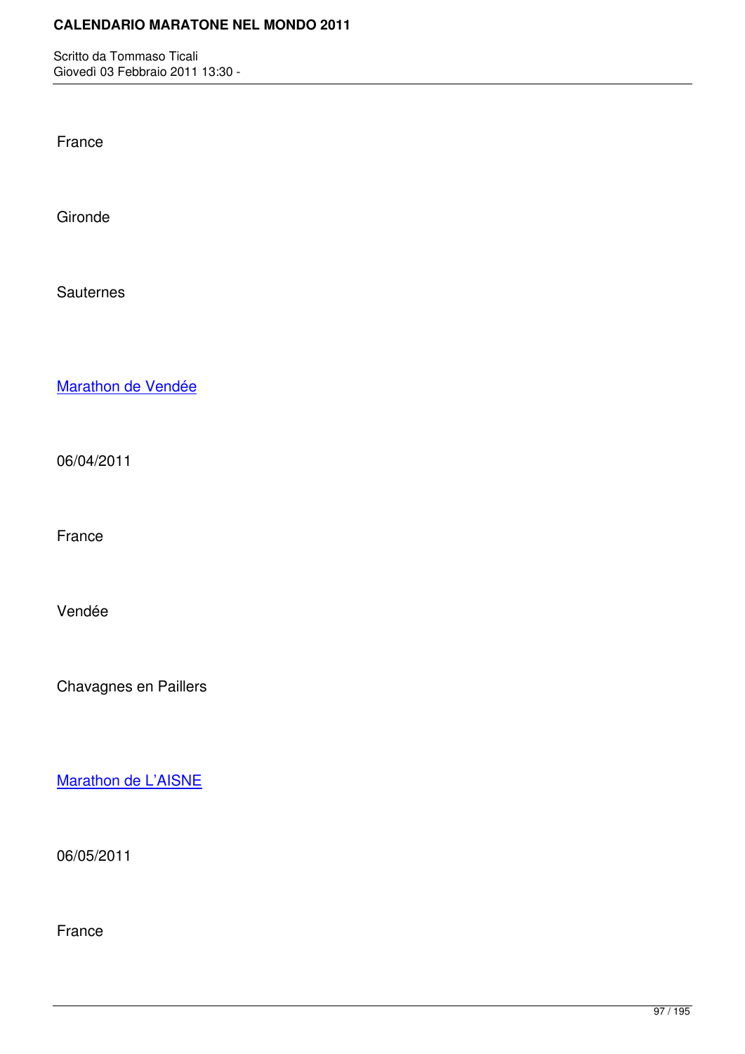France

Gironde

**Sauternes** 

Marathon de Vendée

[06/04/2011](http://marathons.ahotu.com/race/marathon-de-vendee)

France

Vendée

Chavagnes en Paillers

Marathon de L'AISNE

[06/05/2011](http://marathons.ahotu.com/race/marathon-de-laisne)

France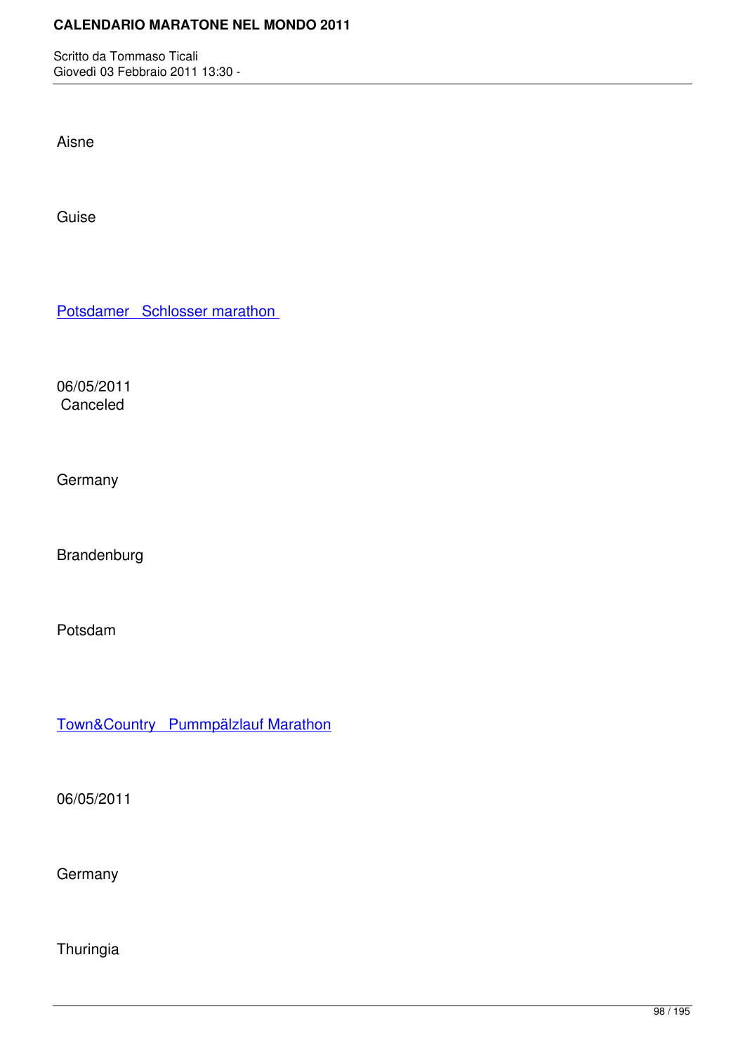Aisne

Guise

Potsdamer Schlosser marathon

[06/05/2011](http://marathons.ahotu.com/race/potsdamer-schlosser-marathon) Canceled

**Germany** 

Brandenburg

Potsdam

Town&Country Pummpälzlauf Marathon

[06/05/2011](http://marathons.ahotu.com/race/town-country-pummpalzlauf-marathon)

Germany

Thuringia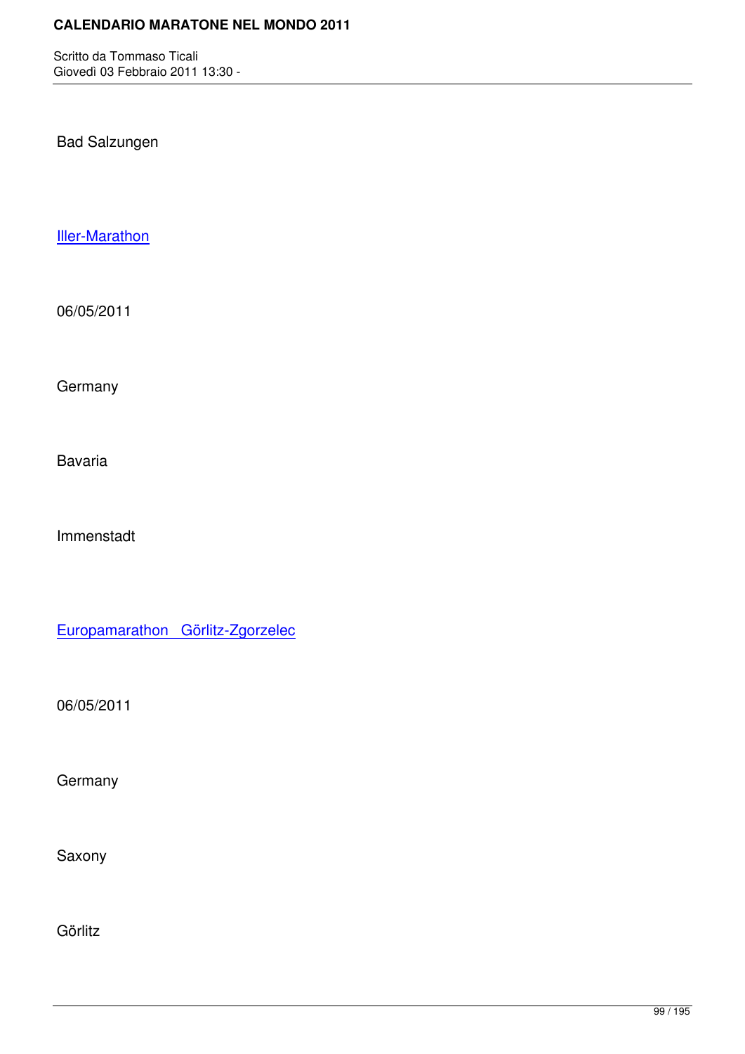Bad Salzungen

Iller-Marathon

[06/05/2011](http://marathons.ahotu.com/race/iller-marathon)

**Germany** 

Bavaria

Immenstadt

Europamarathon Görlitz-Zgorzelec

[06/05/2011](http://marathons.ahotu.com/race/europamarathon-gorlitz-zgorzelec)

**Germany** 

Saxony

Görlitz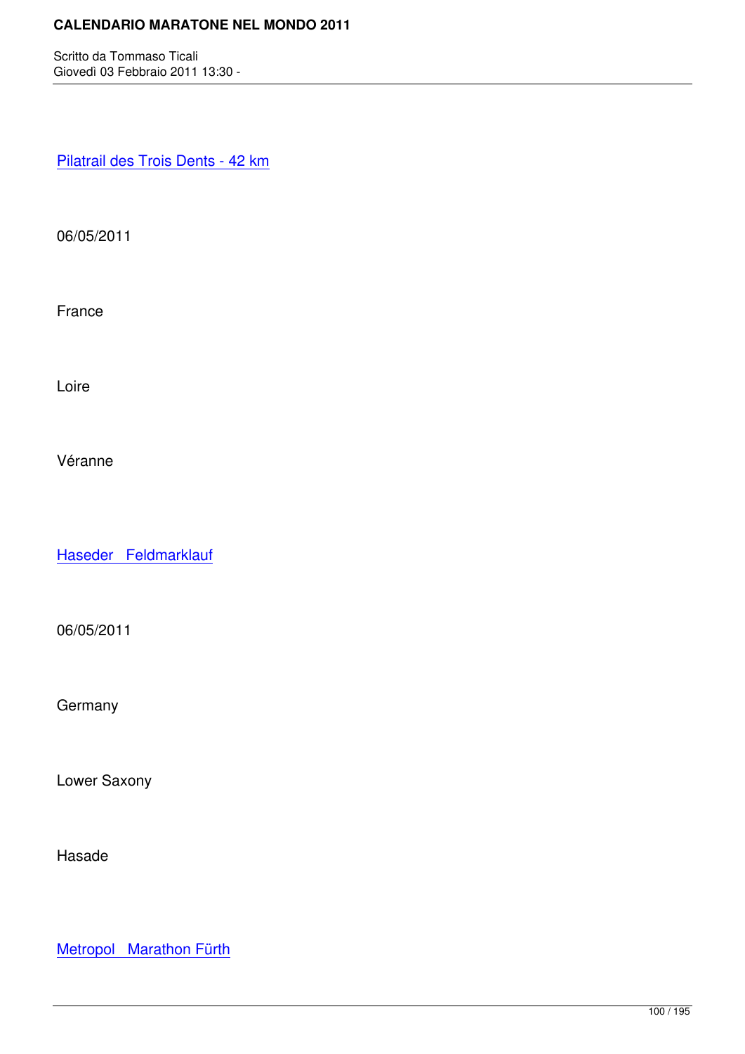Pilatrail des Trois Dents - 42 km

[06/05/2011](http://marathons.ahotu.com/race/pilatrail-des-trois-dents-42-km)

France

Loire

Véranne

Haseder Feldmarklauf

[06/05/2011](http://marathons.ahotu.com/race/haseder-feldmarklauf)

**Germany** 

Lower Saxony

Hasade

Metropol Marathon Fürth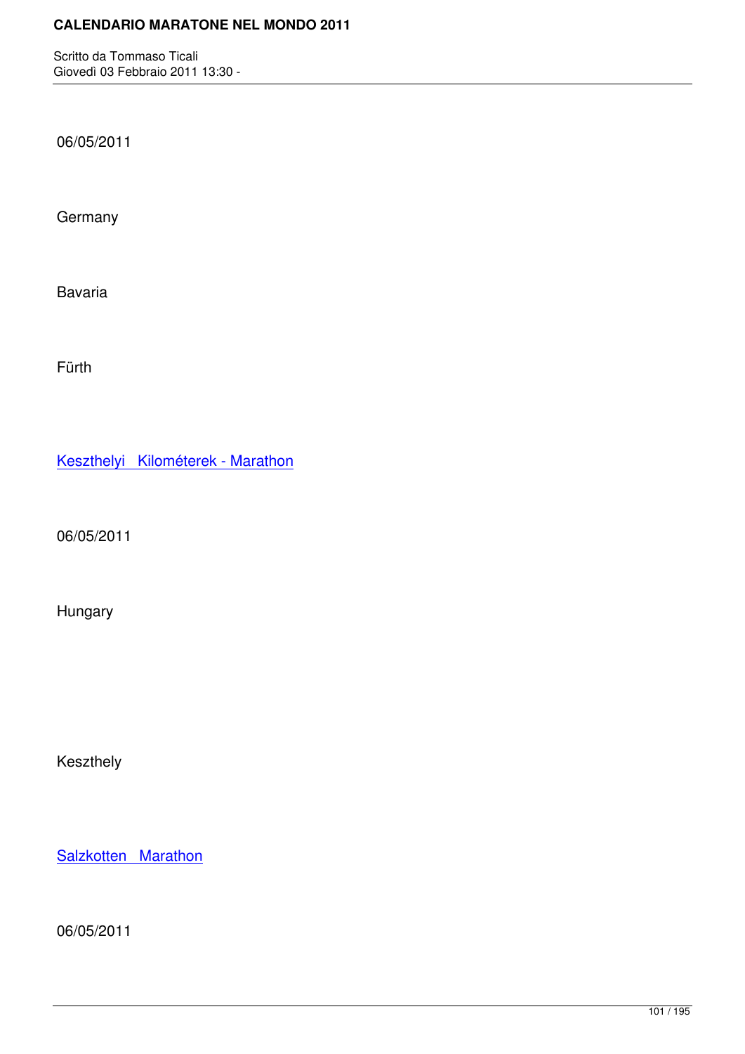06/05/2011

**Germany** 

Bavaria

Fürth

Keszthelyi Kilométerek - Marathon

[06/05/2011](http://marathons.ahotu.com/race/keszthelyi-kilometerek-marathon)

Hungary

Keszthely

Salzkotten Marathon

[06/05/2011](http://marathons.ahotu.com/race/salzkotten-marathon)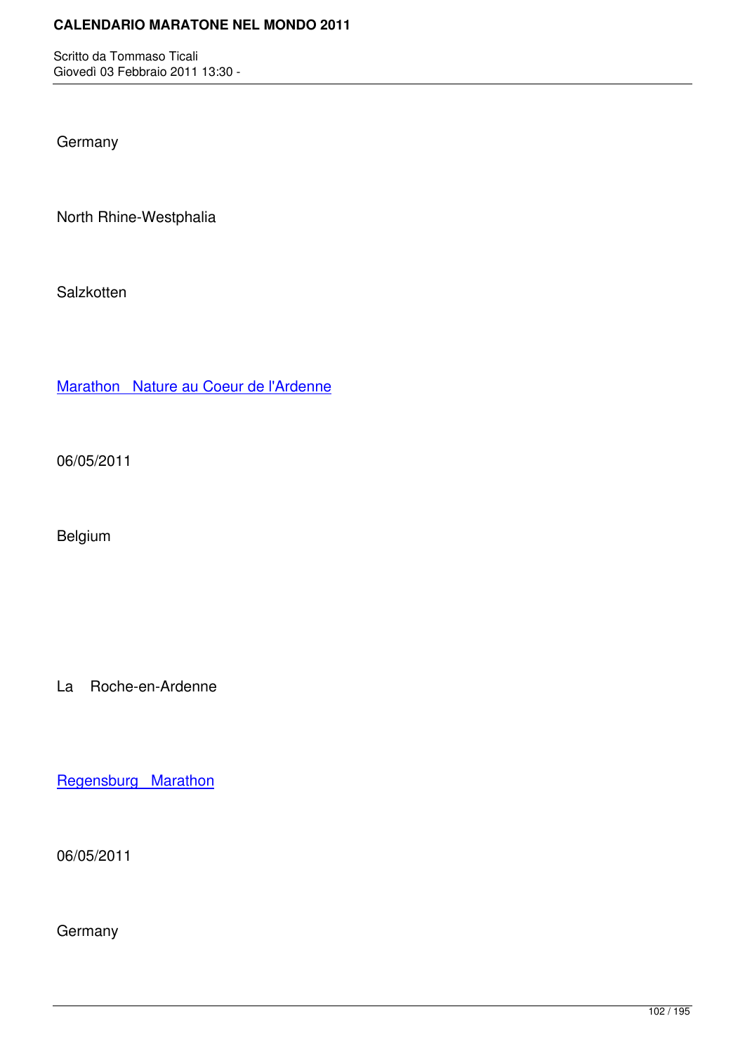**Germany** 

North Rhine-Westphalia

**Salzkotten** 

Marathon Nature au Coeur de l'Ardenne

[06/05/2011](http://marathons.ahotu.com/race/marathon-nature-au-coeur-de-l-ardenne)

Belgium

La Roche-en-Ardenne

Regensburg Marathon

[06/05/2011](http://marathons.ahotu.com/race/regensburg-marathon)

**Germany**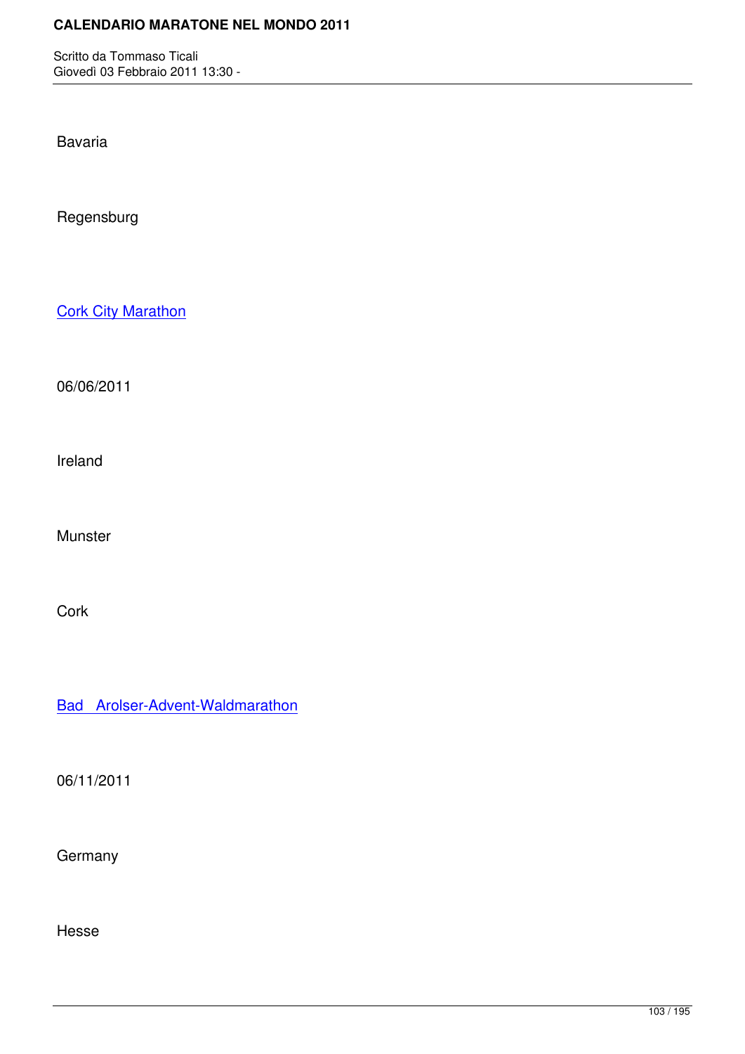Bavaria

Regensburg

**Cork City Marathon** 

[06/06/2011](http://marathons.ahotu.com/race/cork-city-marathon)

Ireland

Munster

**Cork** 

Bad Arolser-Advent-Waldmarathon

[06/11/2011](http://marathons.ahotu.com/race/bad-arolser-advent-waldmarathon)

**Germany** 

Hesse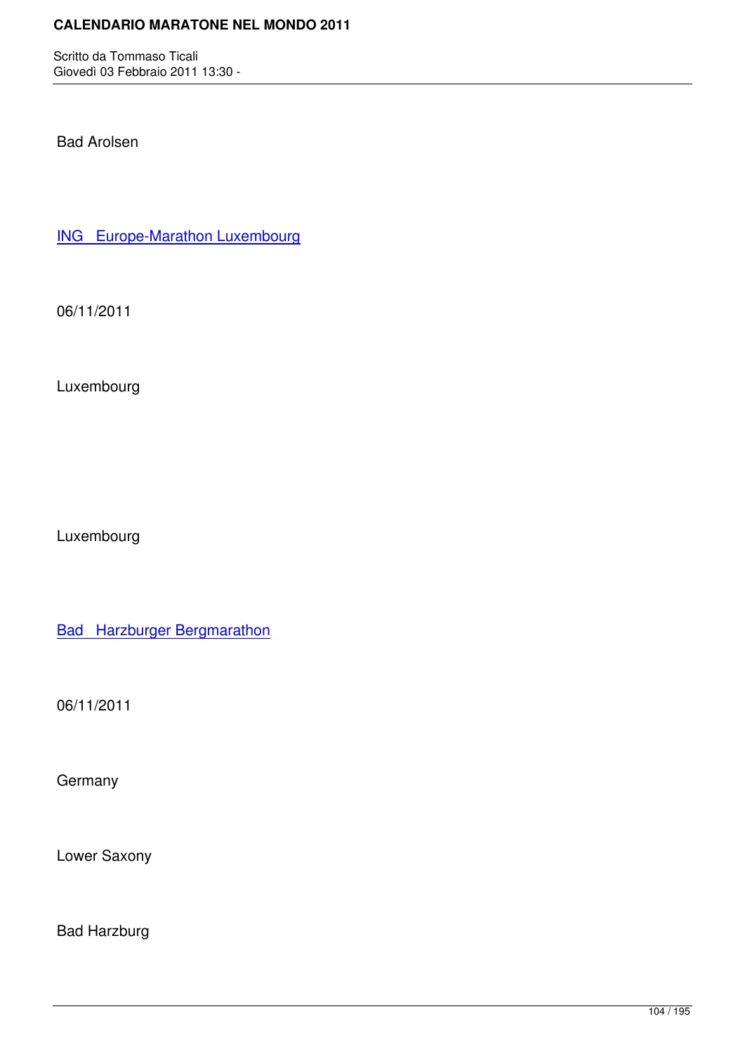Bad Arolsen

ING Europe-Marathon Luxembourg

[06/11/2011](http://marathons.ahotu.com/race/ing-europe-marathon-luxembourg)

Luxembourg

Luxembourg

**Bad Harzburger Bergmarathon** 

[06/11/2011](http://marathons.ahotu.com/race/bad-harzburger-bergmarathon)

**Germany** 

Lower Saxony

Bad Harzburg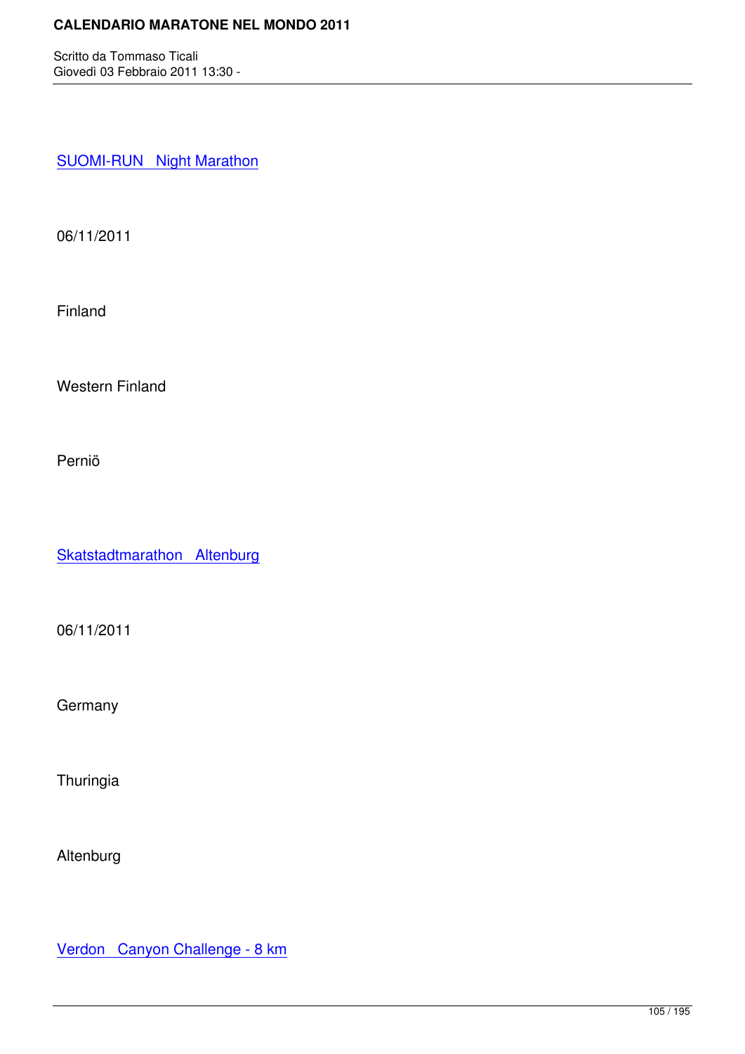**SUOMI-RUN Night Marathon** 

[06/11/2011](http://marathons.ahotu.com/race/suomi-run-night-marathon)

Finland

Western Finland

Perniö

Skatstadtmarathon Altenburg

[06/11/2011](http://marathons.ahotu.com/race/skatstadtmarathon-altenburg)

**Germany** 

**Thuringia** 

Altenburg

Verdon Canyon Challenge - 8 km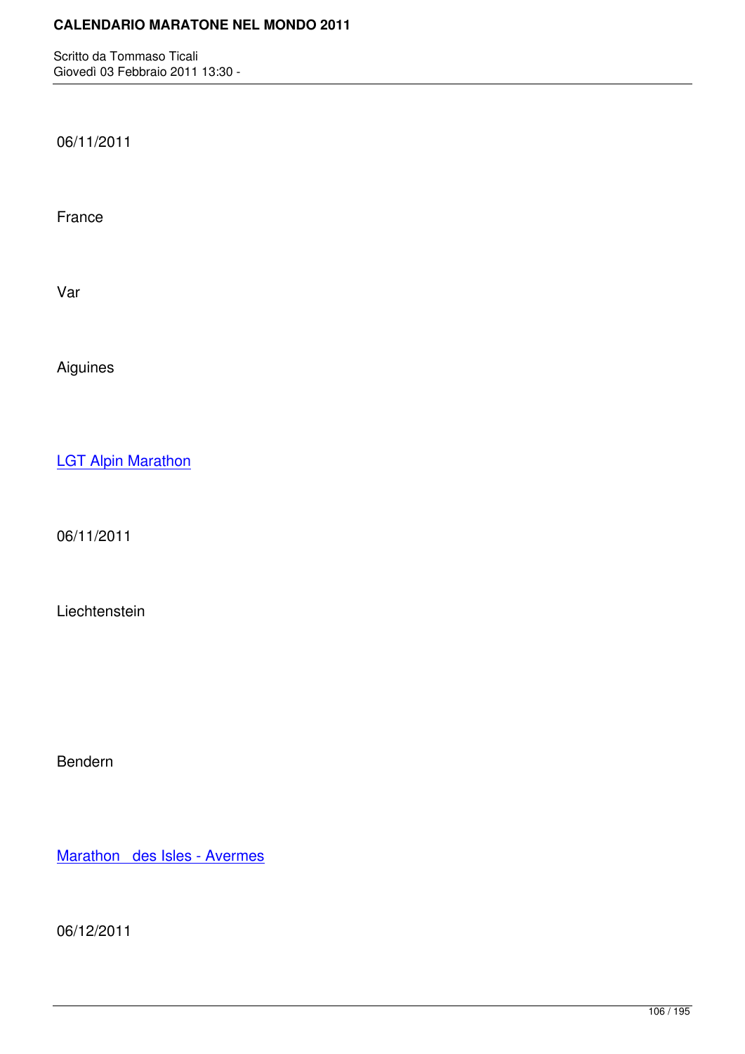06/11/2011

France

Var

Aiguines

**LGT Alpin Marathon** 

[06/11/2011](http://marathons.ahotu.com/race/lgt-alpin-marathon)

Liechtenstein

Bendern

Marathon des Isles - Avermes

[06/12/2011](http://marathons.ahotu.com/race/marathon-des-isles-avermes)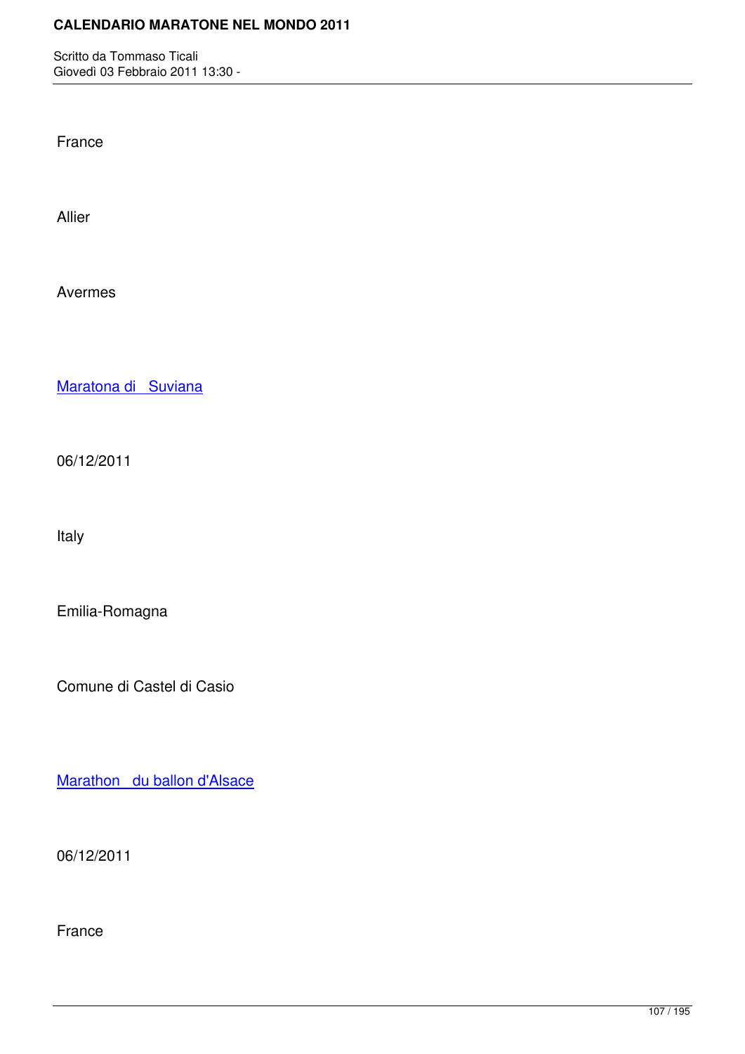France

Allier

Avermes

Maratona di Suviana

[06/12/2011](http://marathons.ahotu.com/race/maratona-di-suviana)

Italy

Emilia-Romagna

Comune di Castel di Casio

Marathon du ballon d'Alsace

[06/12/2011](http://marathons.ahotu.com/race/marathon-du-ballon-d-alsace)

France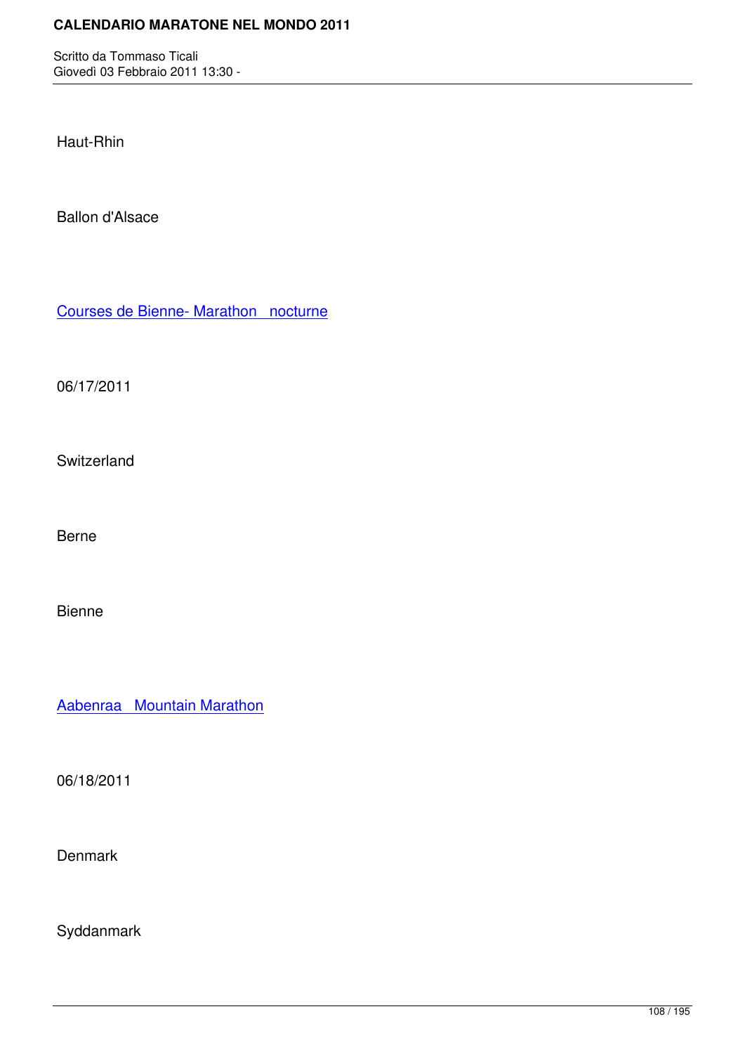Haut-Rhin

Ballon d'Alsace

Courses de Bienne- Marathon nocturne

[06/17/2011](http://marathons.ahotu.com/race/courses-de-bienne-marathon-nocturne)

Switzerland

Berne

Bienne

Aabenraa Mountain Marathon

[06/18/2011](http://marathons.ahotu.com/race/aabenraa-mountain-marathon)

**Denmark** 

Syddanmark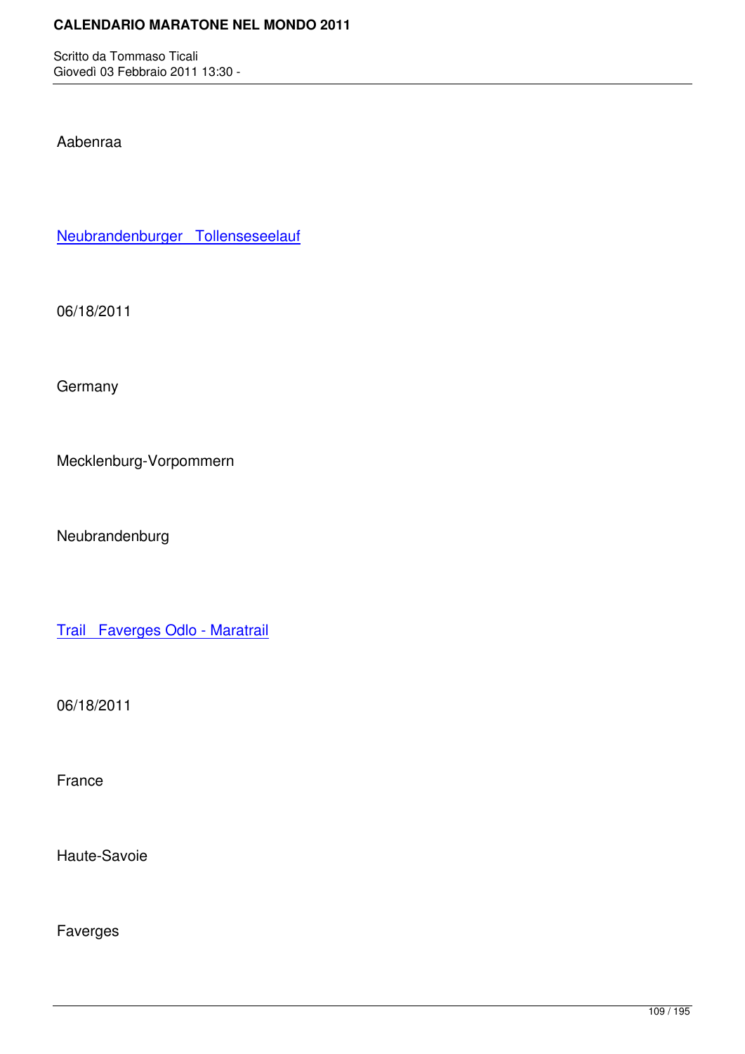Aabenraa

Neubrandenburger Tollenseseelauf

[06/18/2011](http://marathons.ahotu.com/race/neubrandenburger-tollenseseelauf)

**Germany** 

Mecklenburg-Vorpommern

Neubrandenburg

Trail Faverges Odlo - Maratrail

[06/18/2011](http://marathons.ahotu.com/race/trail-faverges-odlo-maratrail)

France

Haute-Savoie

Faverges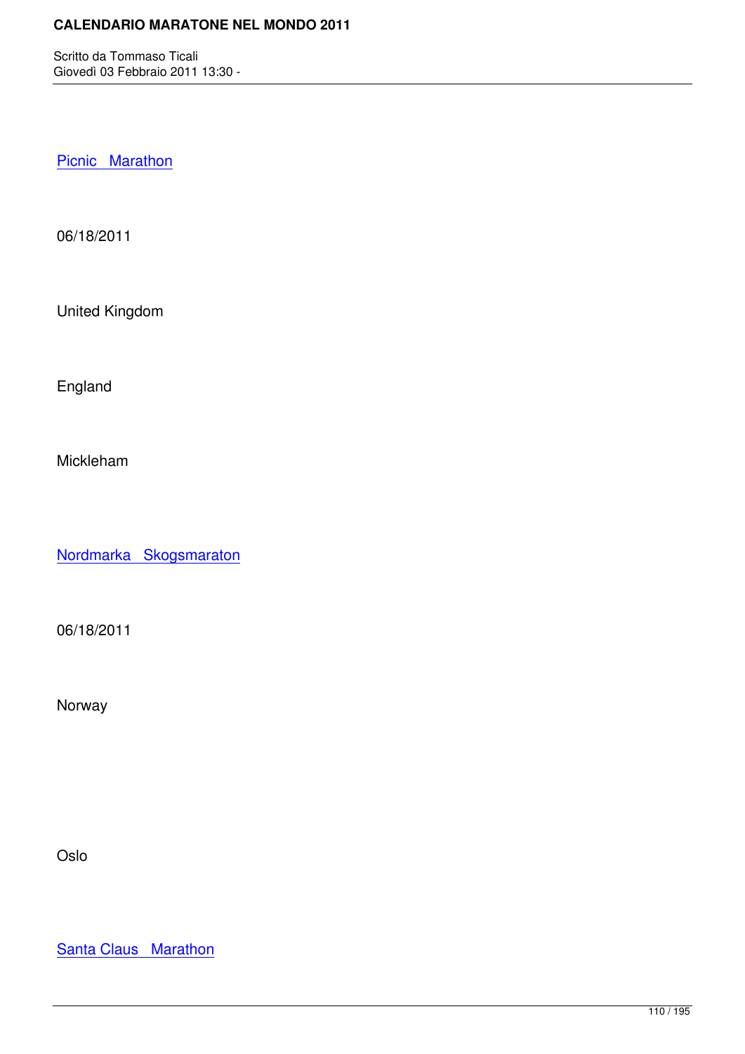Picnic Marathon

[06/18/2011](http://marathons.ahotu.com/race/picnic-marathon)

United Kingdom

England

Mickleham

Nordmarka Skogsmaraton

[06/18/2011](http://marathons.ahotu.com/race/nordmarka-skogsmaraton)

Norway

Oslo

**Santa Claus Marathon**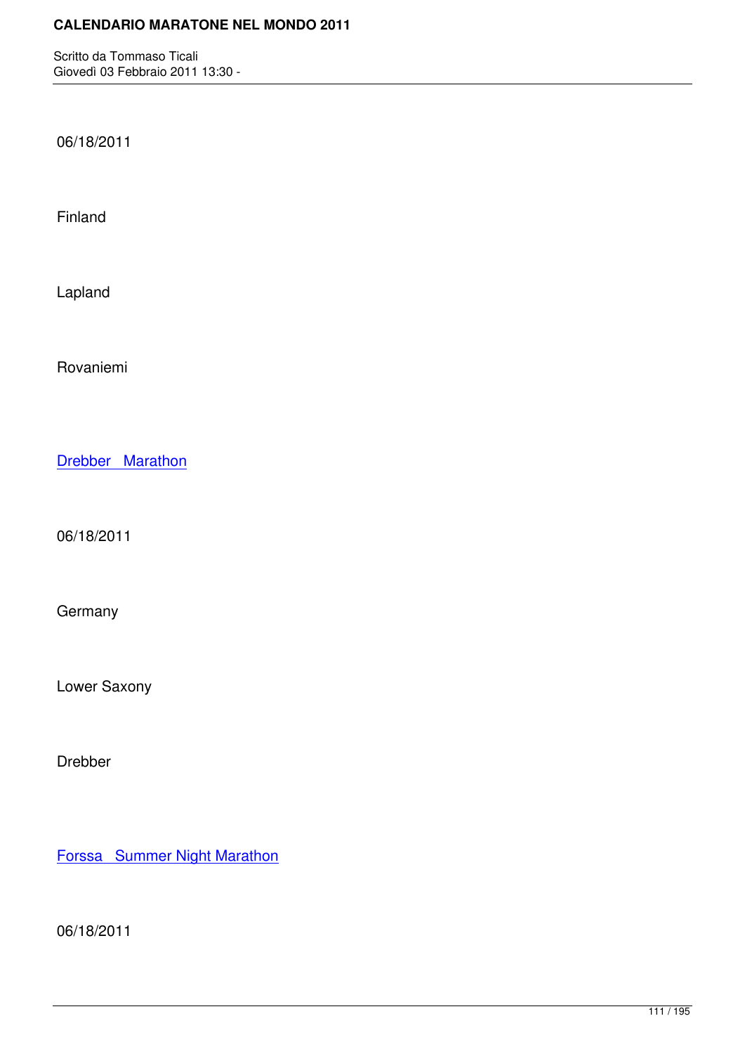06/18/2011

Finland

Lapland

Rovaniemi

Drebber Marathon

[06/18/2011](http://marathons.ahotu.com/race/drebber-marathon)

**Germany** 

Lower Saxony

Drebber

Forssa Summer Night Marathon

[06/18/2011](http://marathons.ahotu.com/race/forssa-summer-night-marathon)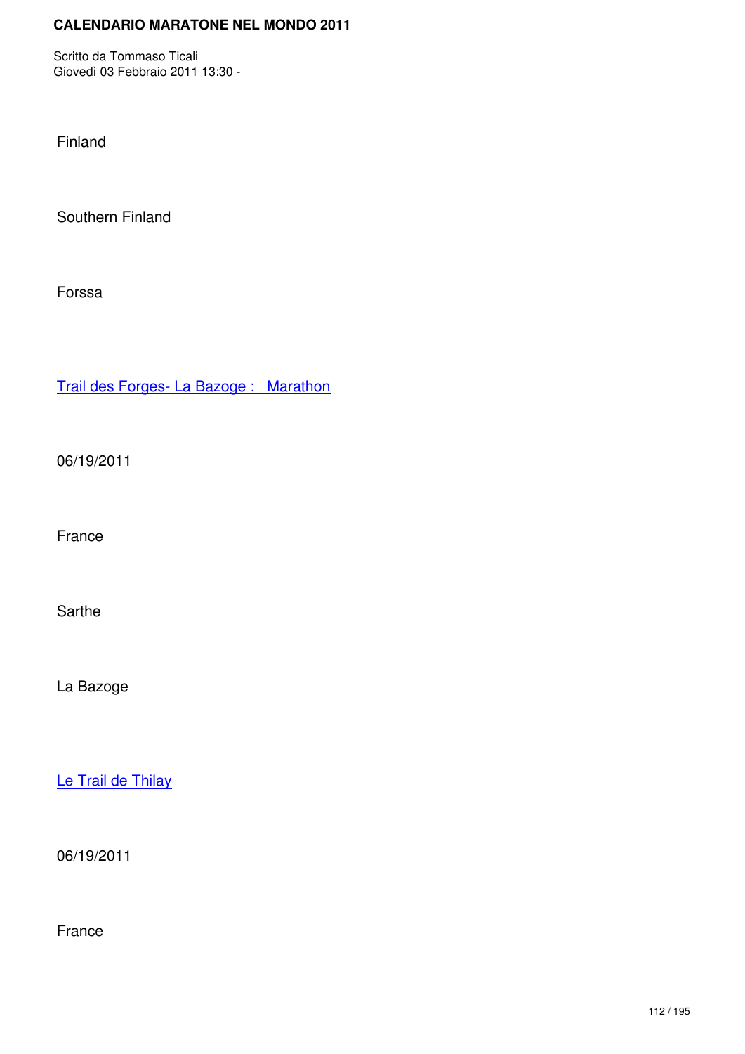Finland

Southern Finland

Forssa

Trail des Forges- La Bazoge : Marathon

[06/19/2011](http://marathons.ahotu.com/race/trail-des-forges-la-bazoge-marathon)

France

Sarthe

La Bazoge

Le Trail de Thilay

[06/19/2011](http://marathons.ahotu.com/race/le-trail-de-thilay)

France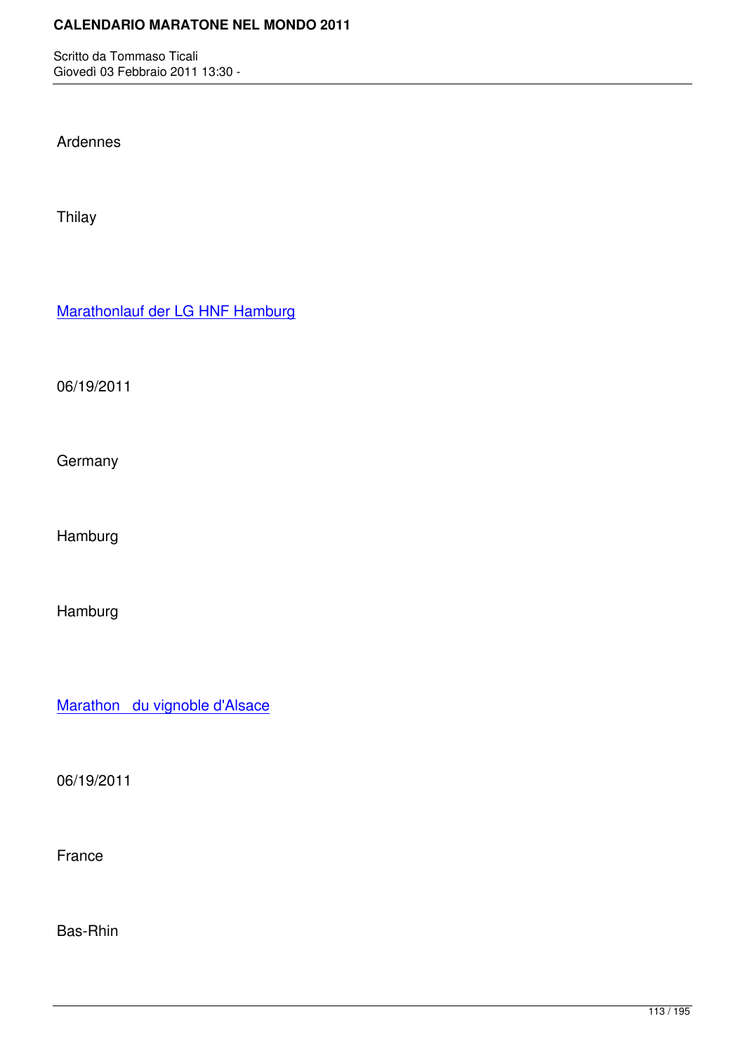Ardennes

Thilay

Marathonlauf der LG HNF Hamburg

[06/19/2011](http://marathons.ahotu.com/race/marathonlauf_der_lg_hnf_hamburg)

**Germany** 

Hamburg

Hamburg

Marathon du vignoble d'Alsace

[06/19/2011](http://marathons.ahotu.com/race/marathon-du-vignoble-d-alsace)

France

Bas-Rhin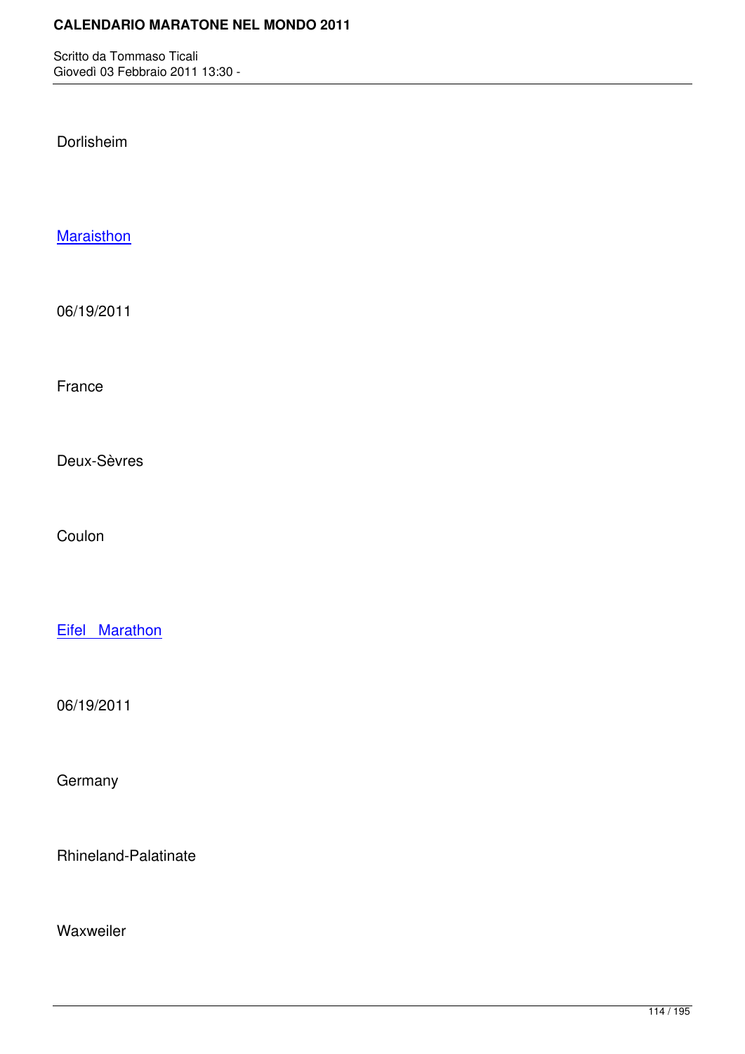Dorlisheim

**Maraisthon** 

[06/19/2011](http://marathons.ahotu.com/race/maraisthon)

France

Deux-Sèvres

Coulon

Eifel Marathon

[06/19/2011](http://marathons.ahotu.com/race/eifel-marathon)

**Germany** 

Rhineland-Palatinate

Waxweiler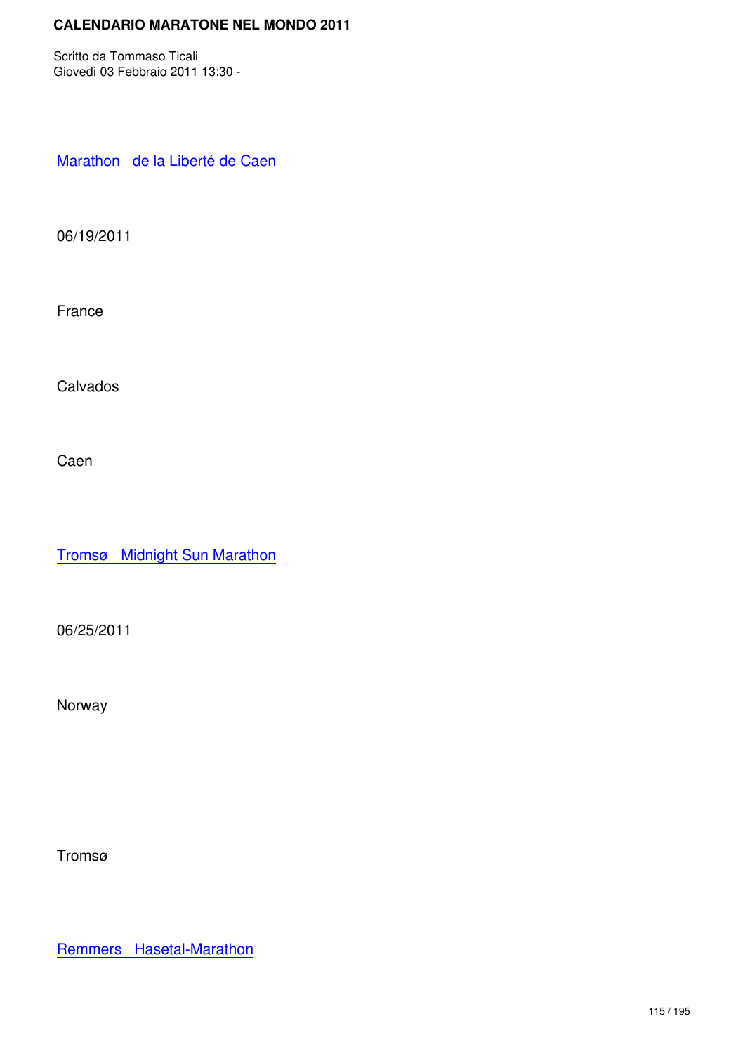Marathon de la Liberté de Caen

[06/19/2011](http://marathons.ahotu.com/race/marathon-de-la-liberte-de-caen)

France

Calvados

Caen

Tromsø Midnight Sun Marathon

[06/25/2011](http://marathons.ahotu.com/race/troms-midnight-sun-marathon)

Norway

Tromsø

Remmers Hasetal-Marathon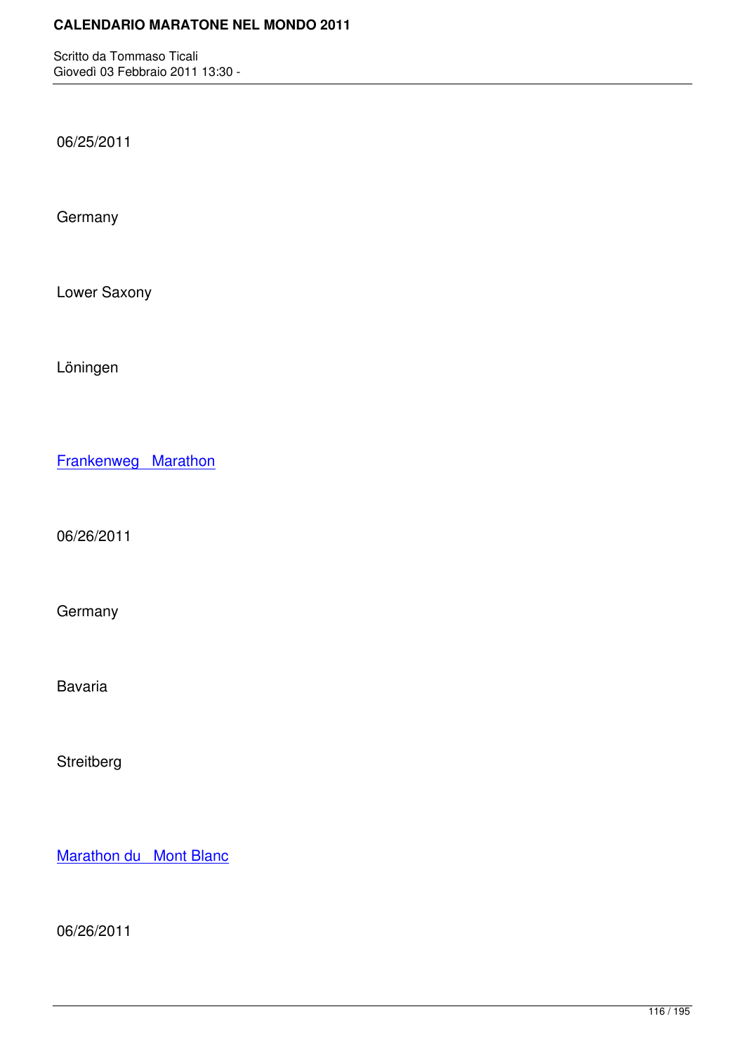06/25/2011

**Germany** 

Lower Saxony

Löningen

Frankenweg Marathon

[06/26/2011](http://marathons.ahotu.com/race/frankenweg-marathon)

Germany

Bavaria

Streitberg

Marathon du Mont Blanc

[06/26/2011](http://marathons.ahotu.com/race/marathon-du-mont-blanc)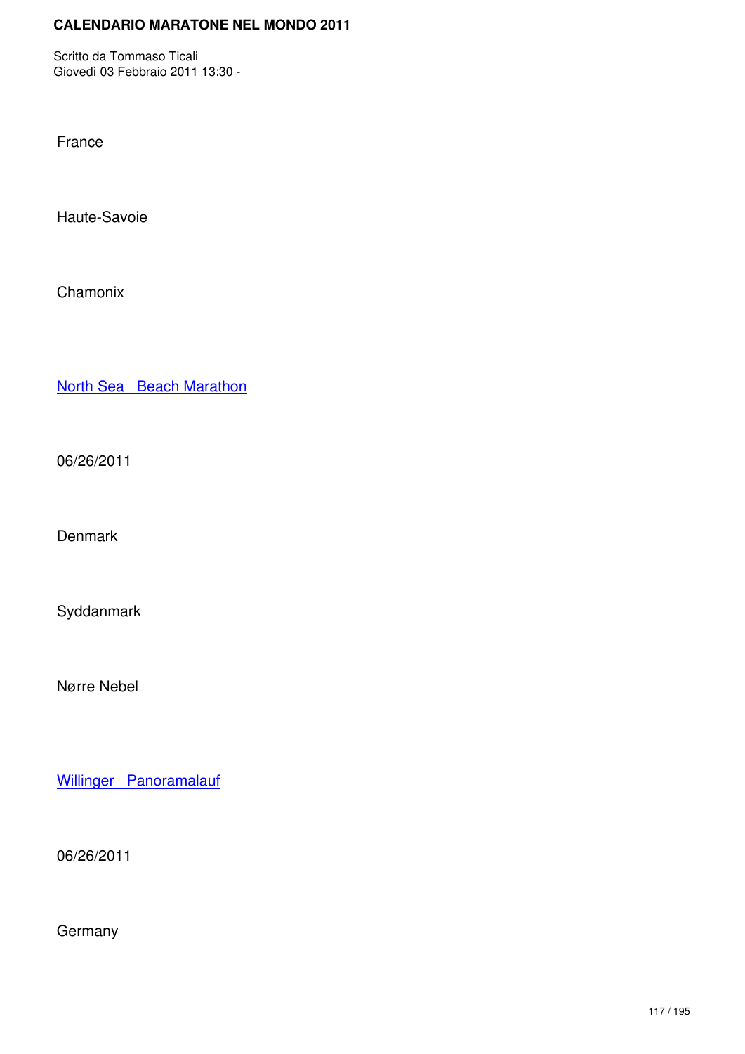France

Haute-Savoie

Chamonix

North Sea Beach Marathon

[06/26/2011](http://marathons.ahotu.com/race/north-sea-beach-marathon)

**Denmark** 

Syddanmark

Nørre Nebel

Willinger Panoramalauf

[06/26/2011](http://marathons.ahotu.com/race/willinger-panoramalauf)

**Germany**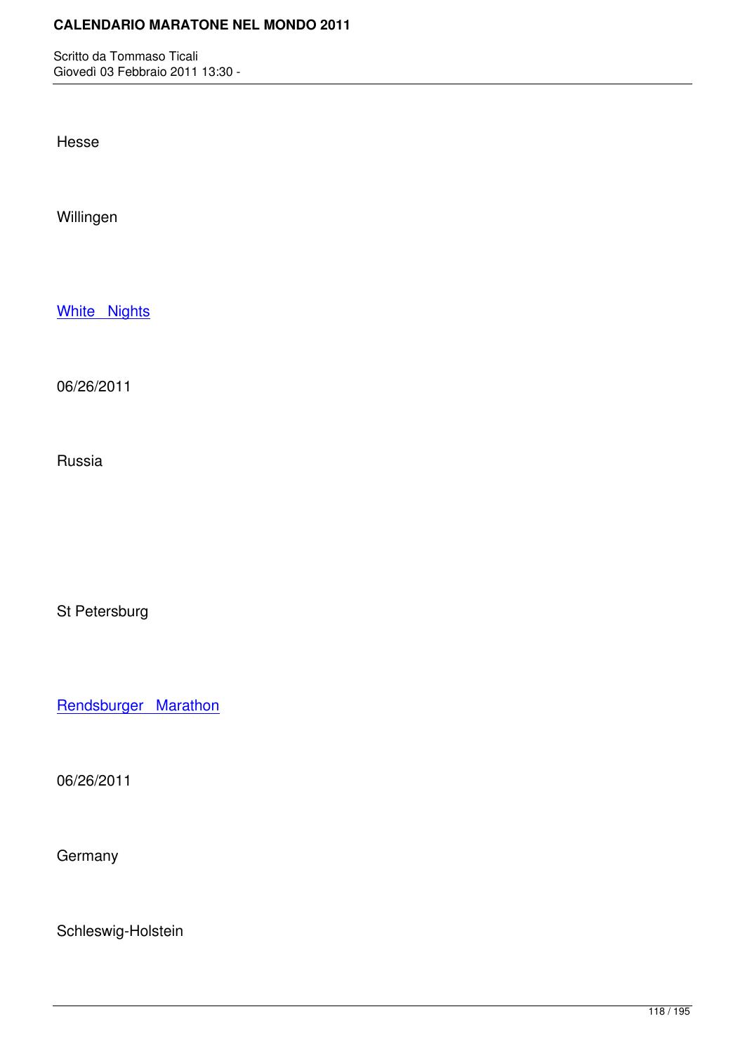Hesse

Willingen

White Nights

[06/26/2011](http://marathons.ahotu.com/race/white-nights)

Russia

St Petersburg

Rendsburger Marathon

[06/26/2011](http://marathons.ahotu.com/race/rendsburger-marathon)

**Germany** 

Schleswig-Holstein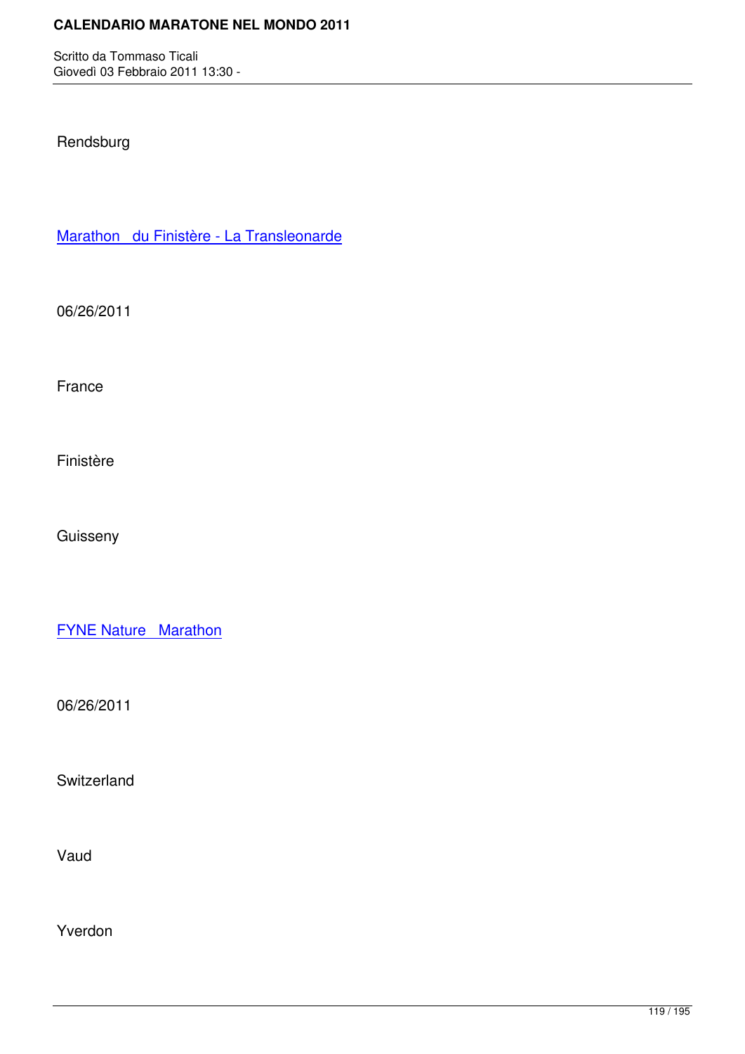## Rendsburg

Marathon du Finistère - La Transleonarde

[06/26/2011](http://marathons.ahotu.com/race/marathon-du-finistere-la-transleonarde)

France

Finistère

Guisseny

**FYNE Nature Marathon** 

[06/26/2011](http://marathons.ahotu.com/race/fyne-nature-marathon)

**Switzerland** 

Vaud

Yverdon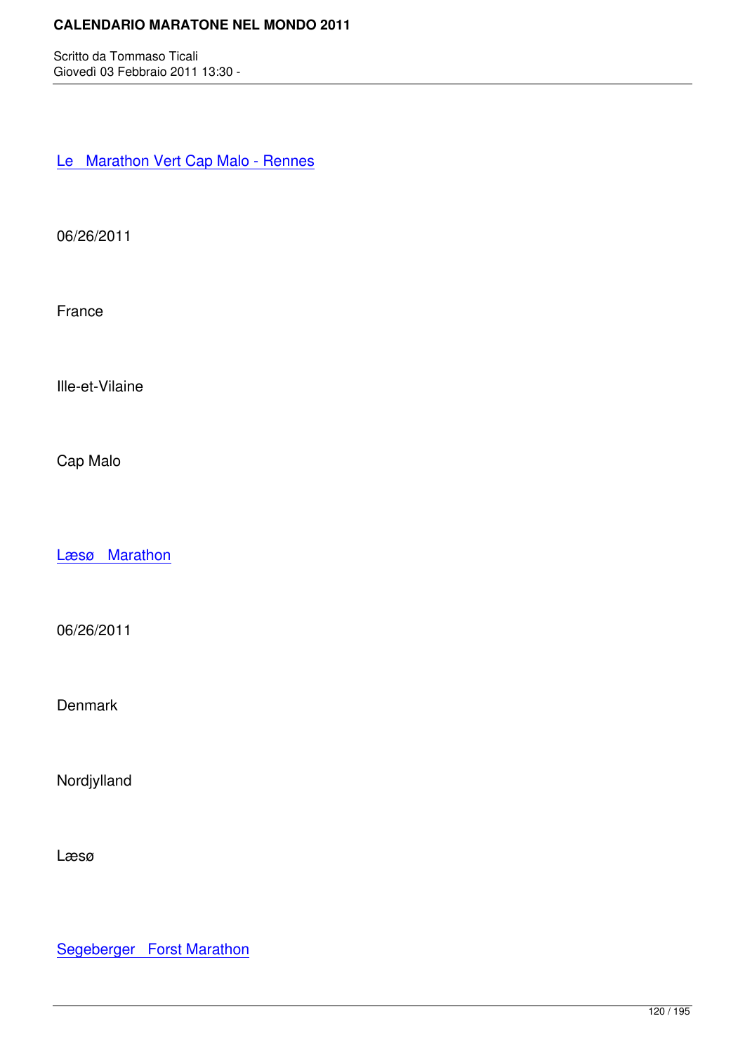Le Marathon Vert Cap Malo - Rennes

[06/26/2011](http://marathons.ahotu.com/race/le-marathon-vert-cap-malo-rennes)

France

Ille-et-Vilaine

Cap Malo

Læsø Marathon

[06/26/2011](http://marathons.ahotu.com/race/ls-marathon)

Denmark

Nordjylland

Læsø

Segeberger Forst Marathon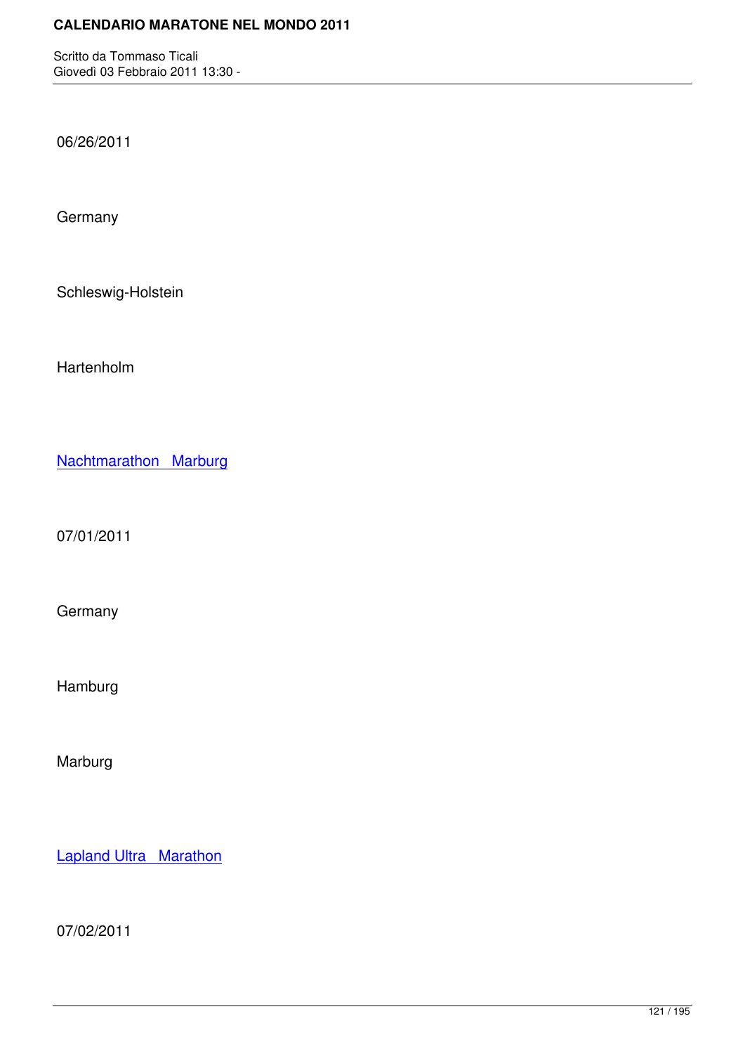06/26/2011

**Germany** 

Schleswig-Holstein

Hartenholm

Nachtmarathon Marburg

[07/01/2011](http://marathons.ahotu.com/race/nachtmarathon-marburg)

**Germany** 

Hamburg

Marburg

Lapland Ultra Marathon

[07/02/2011](http://marathons.ahotu.com/race/lapland-ultra-marathon)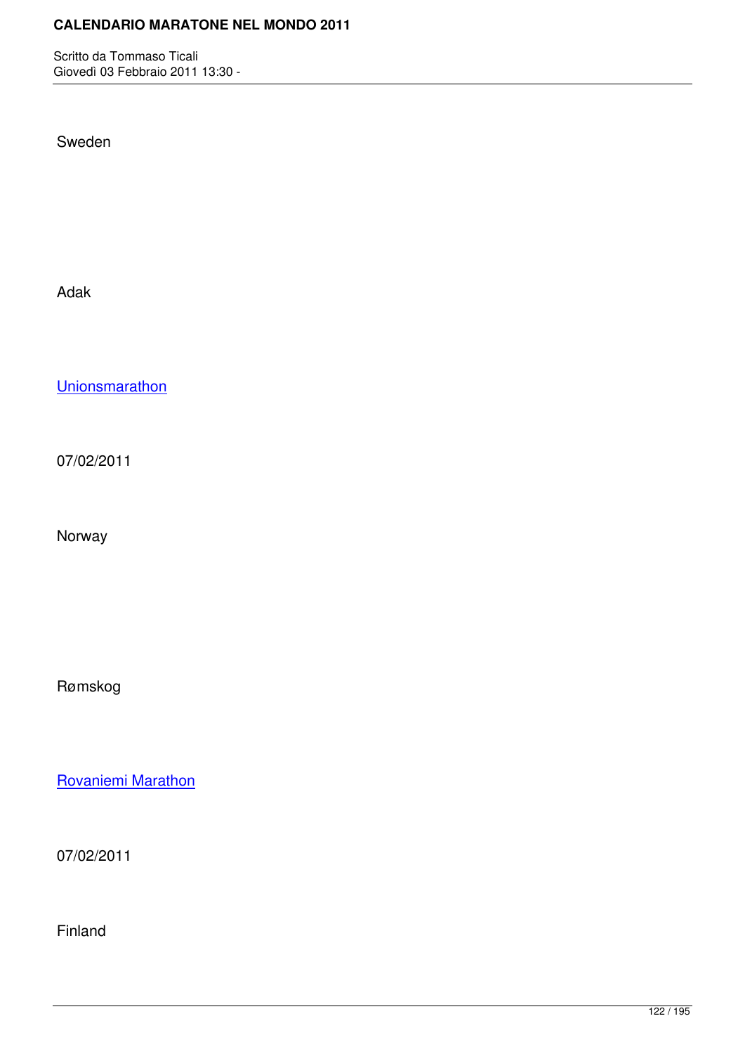Sweden

Adak

**Unionsmarathon** 

[07/02/2011](http://marathons.ahotu.com/race/unionsmarathon)

Norway

Rømskog

Rovaniemi Marathon

[07/02/2011](http://marathons.ahotu.com/race/rovaniemi-marathon)

Finland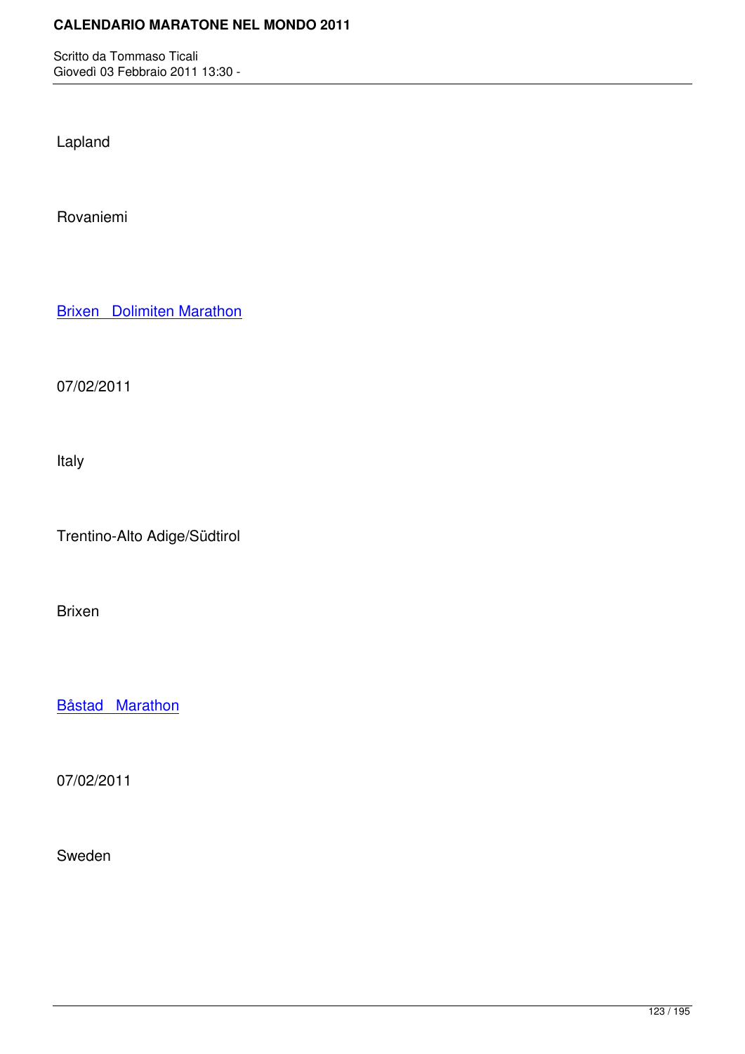Lapland

Rovaniemi

**Brixen** Dolimiten Marathon

[07/02/2011](http://marathons.ahotu.com/race/brixen-dolimiten-marathon)

Italy

Trentino-Alto Adige/Südtirol

Brixen

Båstad Marathon

[07/02/2011](http://marathons.ahotu.com/race/bastad-marathon)

Sweden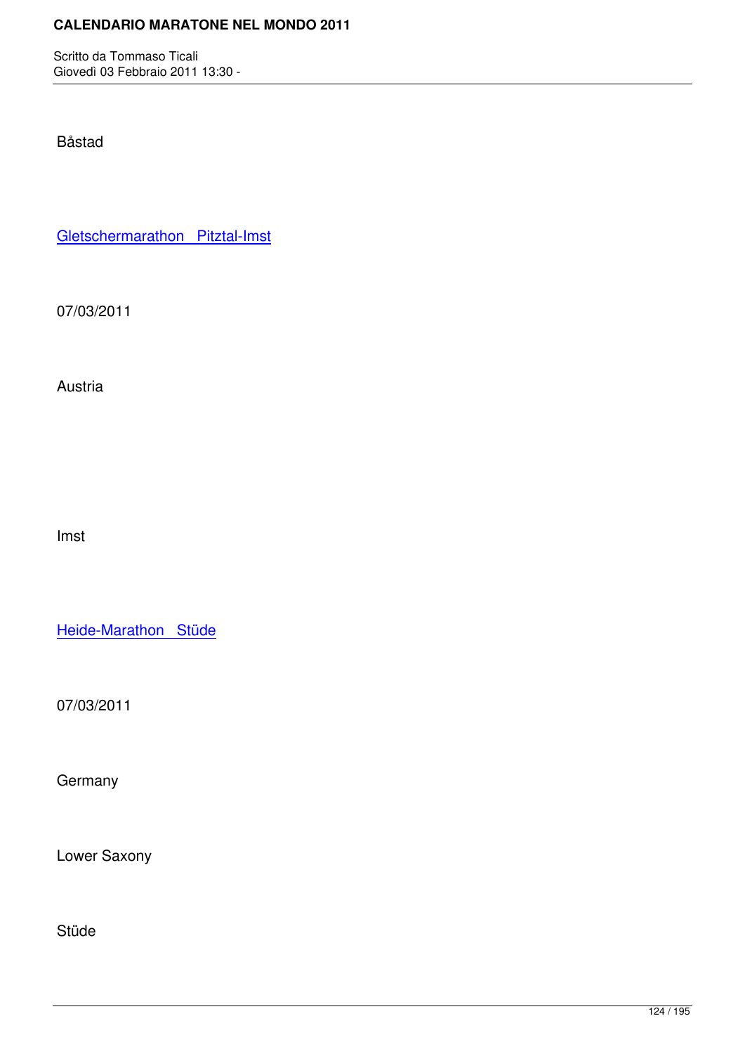Båstad

Gletschermarathon Pitztal-Imst

[07/03/2011](http://marathons.ahotu.com/race/gletschermarathon-pitztal-imst)

Austria

Imst

Heide-Marathon Stüde

[07/03/2011](http://marathons.ahotu.com/race/heide-marathon-stude)

**Germany** 

Lower Saxony

Stüde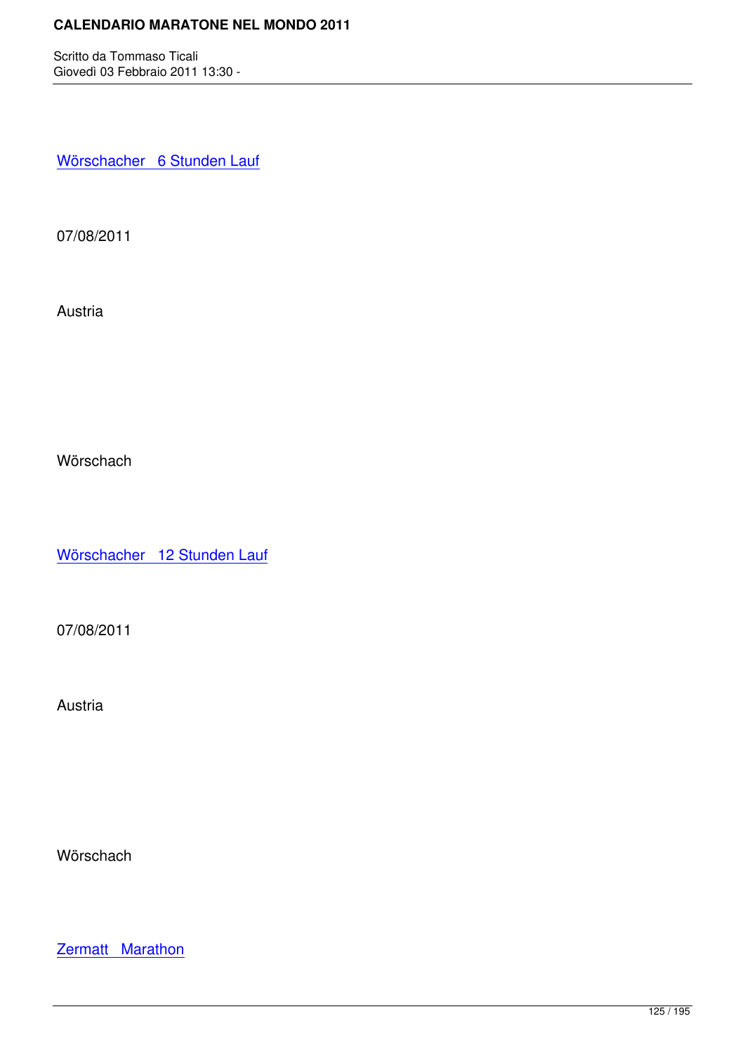Wörschacher 6 Stunden Lauf

[07/08/2011](http://marathons.ahotu.com/race/worschacher-6-stunden-lauf)

Austria

Wörschach

Wörschacher 12 Stunden Lauf

[07/08/2011](http://marathons.ahotu.com/race/worschacher-12-stunden-lauf)

Austria

**Wörschach** 

**Zermatt Marathon**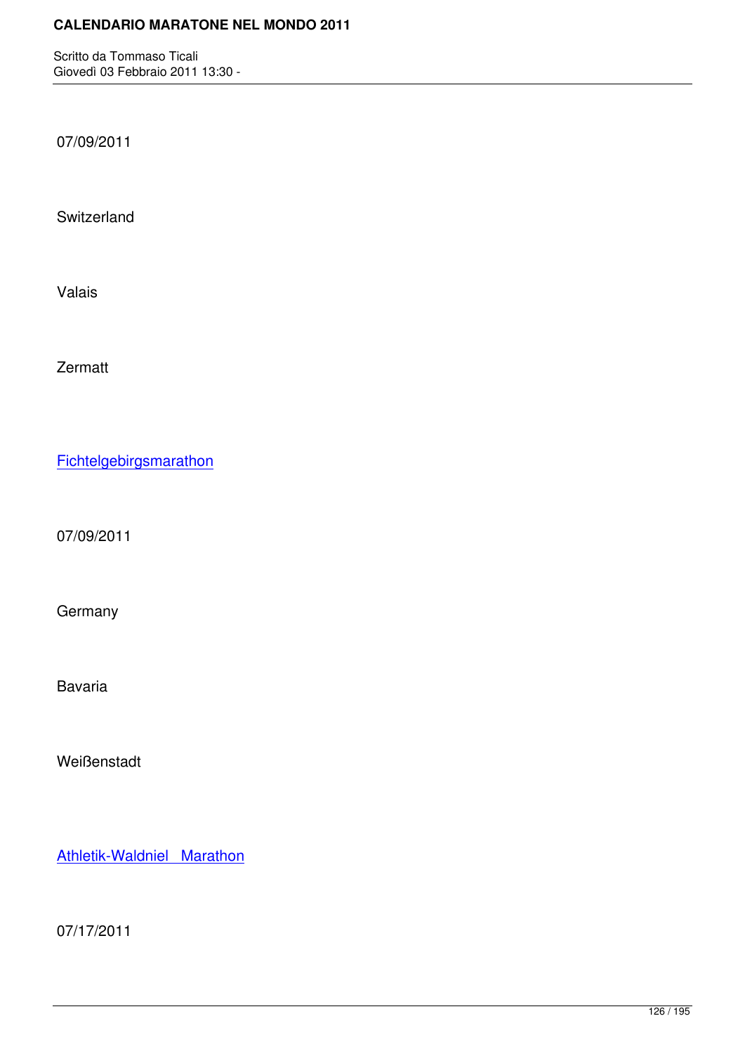07/09/2011

**Switzerland** 

Valais

Zermatt

**Fichtelgebirgsmarathon** 

[07/09/2011](http://marathons.ahotu.com/race/fichtelgebirgsmarathon)

**Germany** 

Bavaria

**Weißenstadt** 

Athletik-Waldniel Marathon

[07/17/2011](http://marathons.ahotu.com/race/athletik-waldniel-marathon)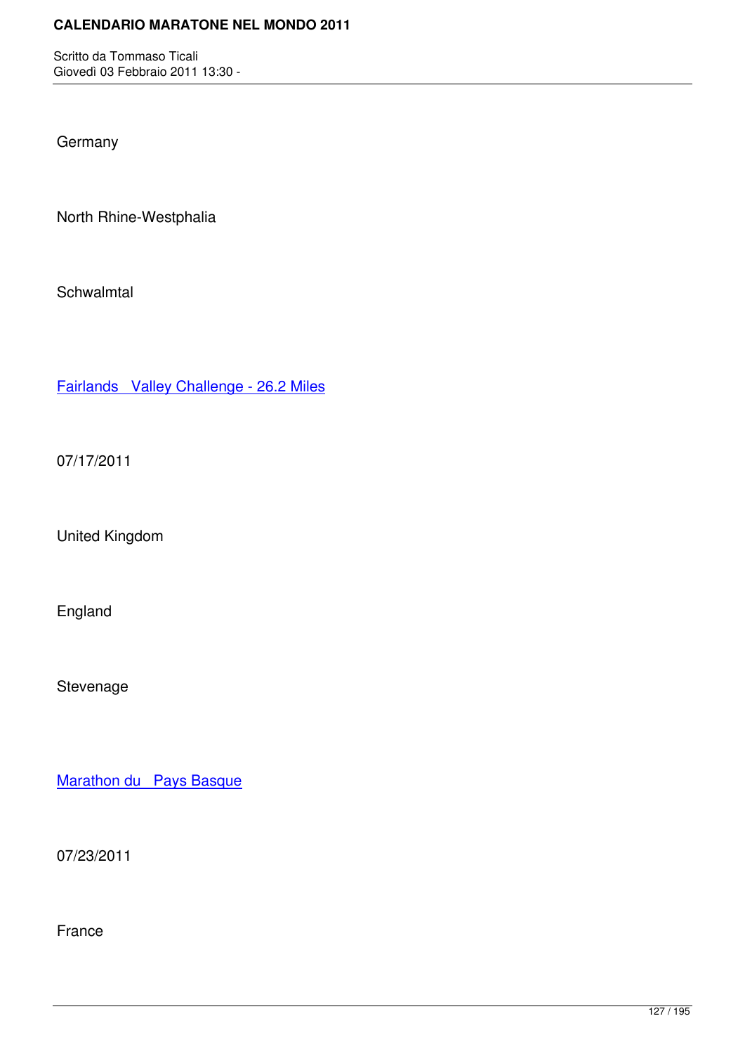**Germany** 

North Rhine-Westphalia

**Schwalmtal** 

Fairlands Valley Challenge - 26.2 Miles

[07/17/2011](http://marathons.ahotu.com/race/fairlands-valley-challenge-26-2-miles)

United Kingdom

England

Stevenage

Marathon du Pays Basque

[07/23/2011](http://marathons.ahotu.com/race/marathon-du-pays-basque)

France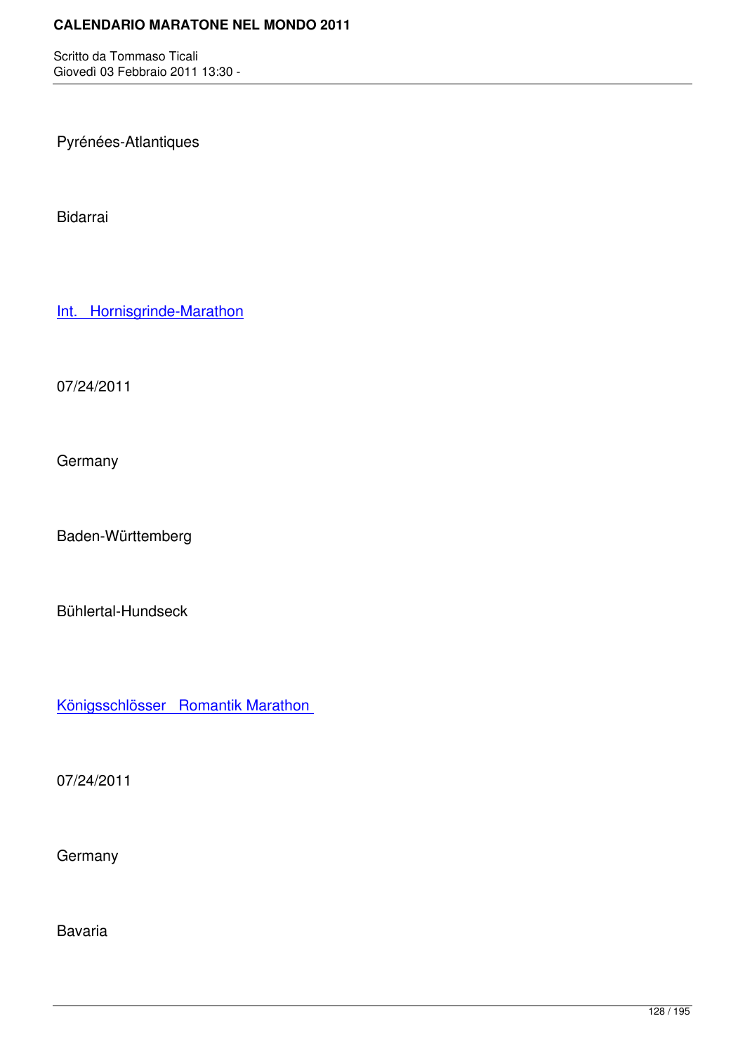Pyrénées-Atlantiques

Bidarrai

Int. Hornisgrinde-Marathon

[07/24/2011](http://marathons.ahotu.com/race/int-hornisgrinde-marathon)

**Germany** 

Baden-Württemberg

Bühlertal-Hundseck

Königsschlösser Romantik Marathon

[07/24/2011](http://marathons.ahotu.com/race/konigsschlosser-romantik-marathon)

**Germany** 

Bavaria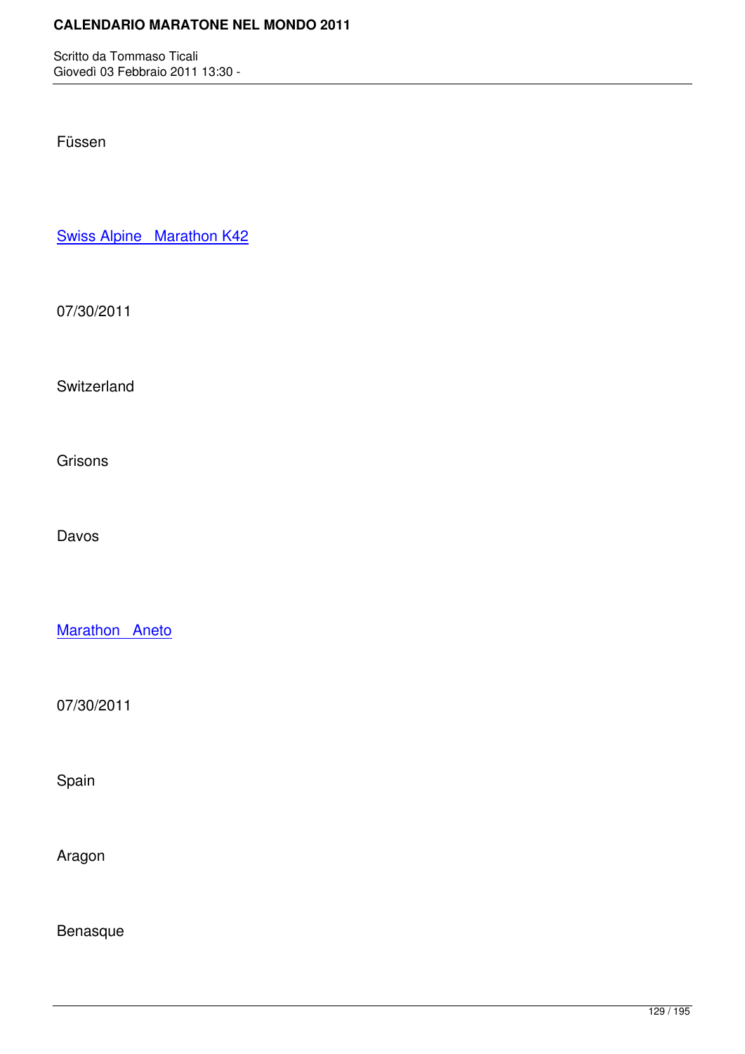Füssen

Swiss Alpine Marathon K42

[07/30/2011](http://marathons.ahotu.com/race/swiss-alpine-marathon-k42)

Switzerland

**Grisons** 

Davos

Marathon Aneto

[07/30/2011](http://marathons.ahotu.com/race/marathon-aneto)

Spain

Aragon

Benasque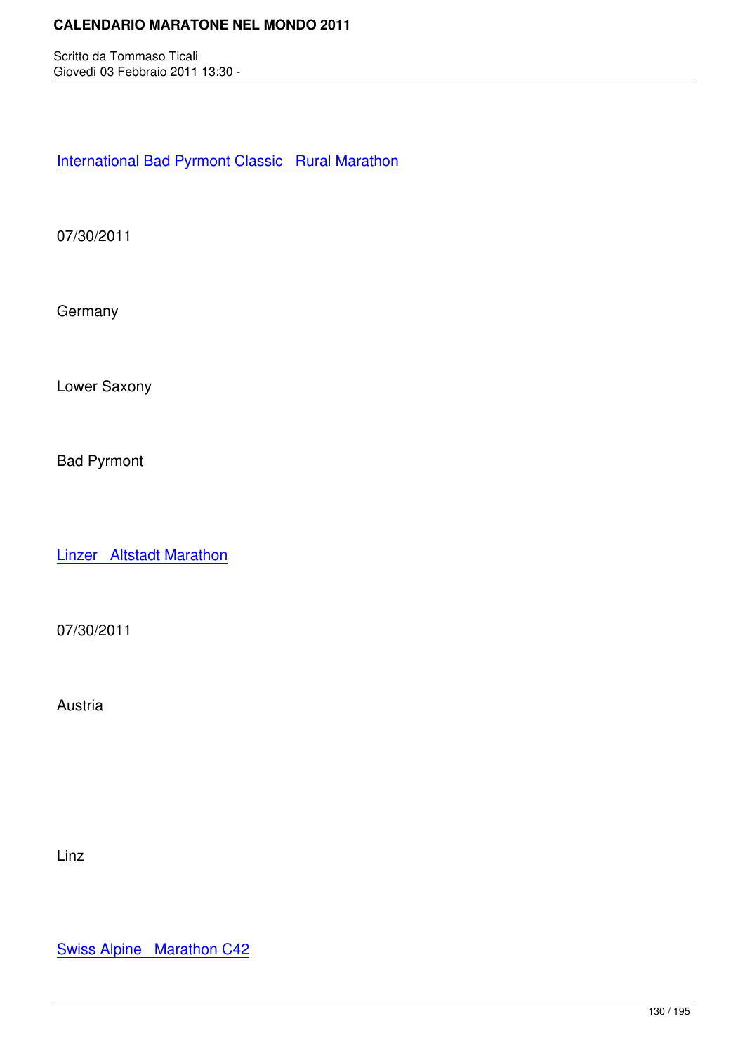International Bad Pyrmont Classic Rural Marathon

[07/30/2011](http://marathons.ahotu.com/race/international-bad-pyrmont-classic-rural-marathon)

**Germany** 

Lower Saxony

Bad Pyrmont

Linzer Altstadt Marathon

[07/30/2011](http://marathons.ahotu.com/race/linzer-altstadt-marathon)

Austria

Linz

Swiss Alpine Marathon C42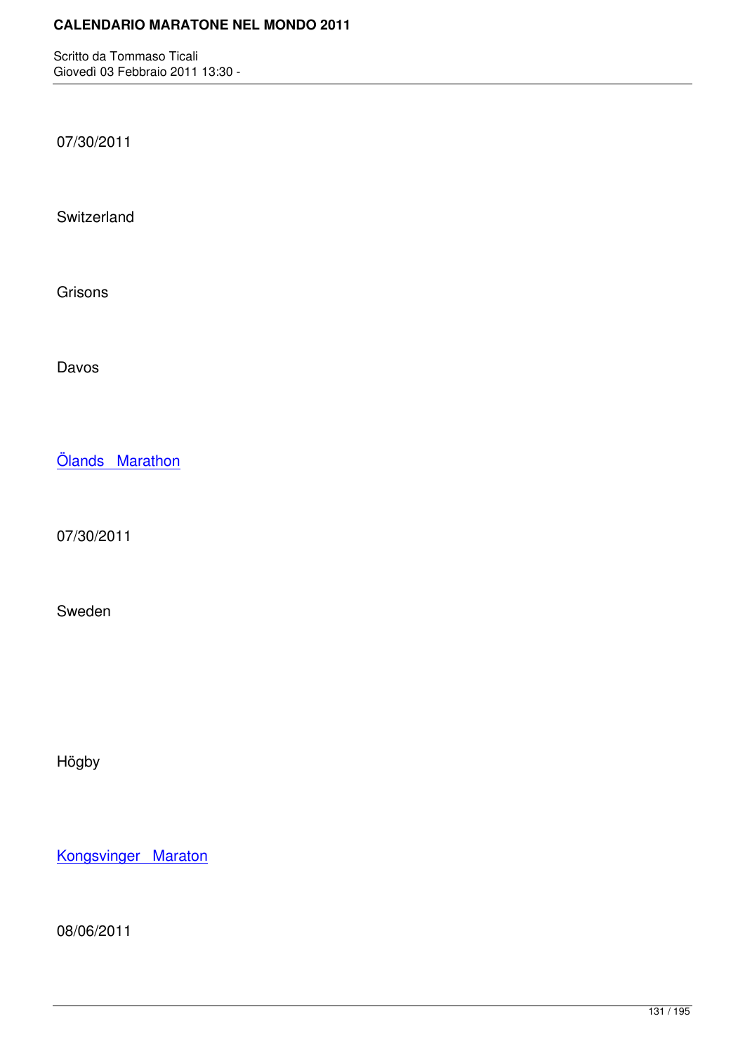07/30/2011

**Switzerland** 

Grisons

Davos

Ölands Marathon

[07/30/2011](http://marathons.ahotu.com/race/olands-marathon)

Sweden

Högby

Kongsvinger Maraton

[08/06/2011](http://marathons.ahotu.com/race/kongsvinger-maraton)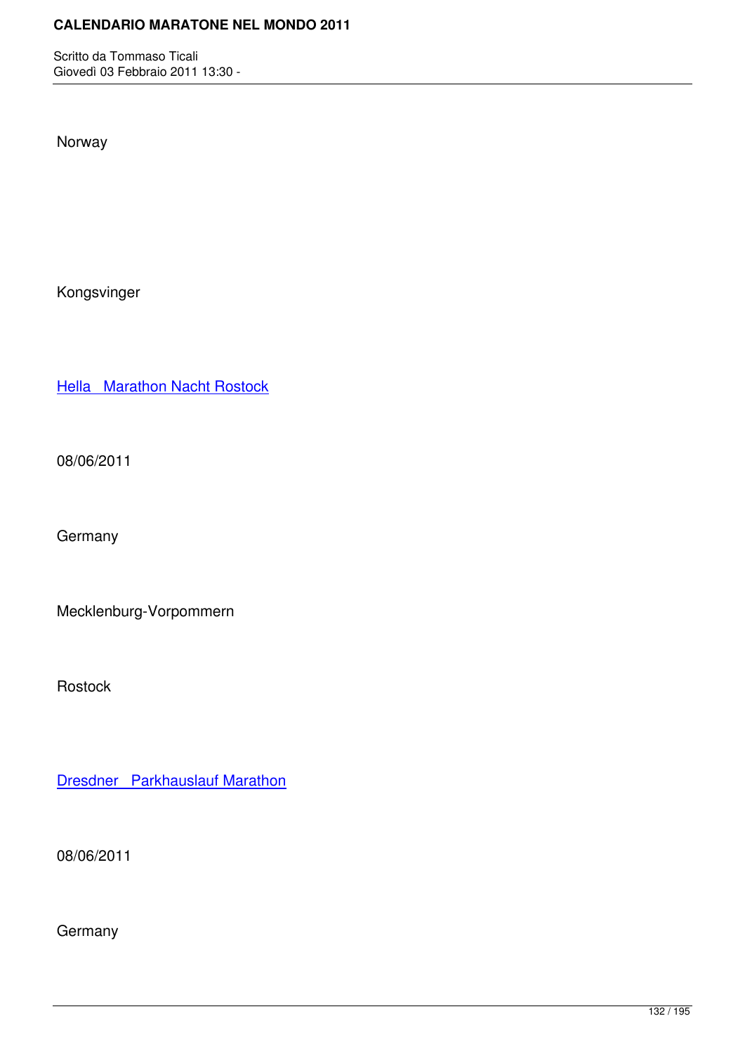Norway

Kongsvinger

Hella Marathon Nacht Rostock

[08/06/2011](http://marathons.ahotu.com/race/hella-marathon-nacht-rostock)

**Germany** 

Mecklenburg-Vorpommern

Rostock

Dresdner Parkhauslauf Marathon

[08/06/2011](http://marathons.ahotu.com/race/dresdner-parkhauslauf-marathon)

**Germany**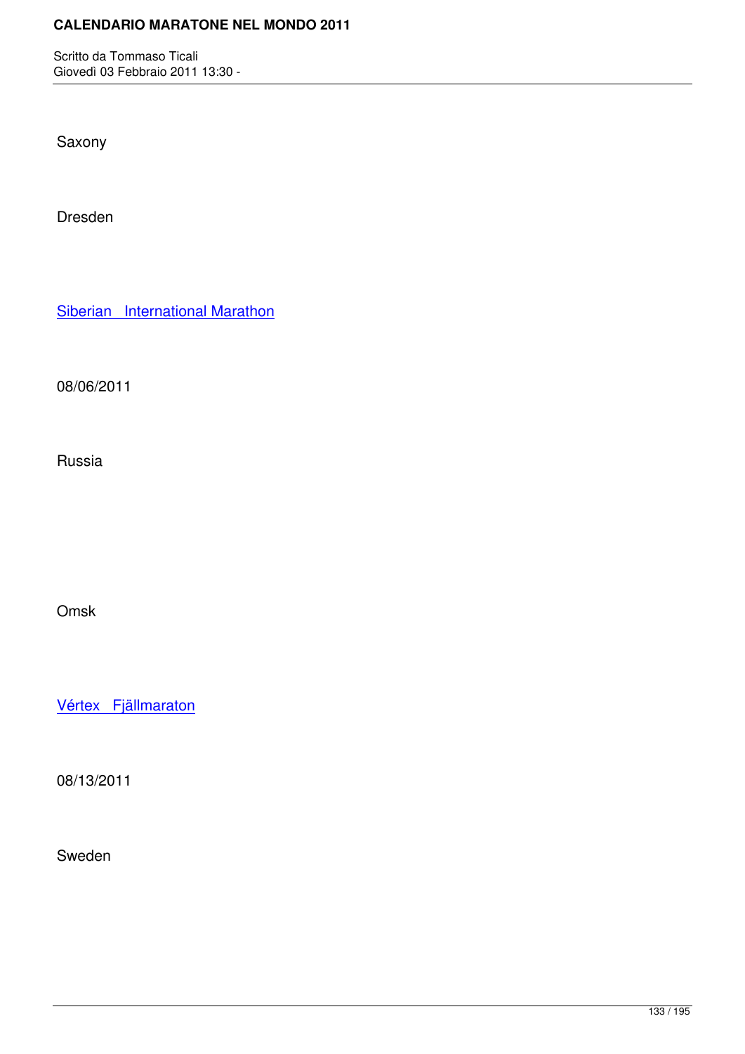Saxony

Dresden

Siberian International Marathon

[08/06/2011](http://marathons.ahotu.com/race/siberian-international-marathon)

Russia

Omsk

Vértex Fjällmaraton

[08/13/2011](http://marathons.ahotu.com/race/vertex-fjallmaraton)

Sweden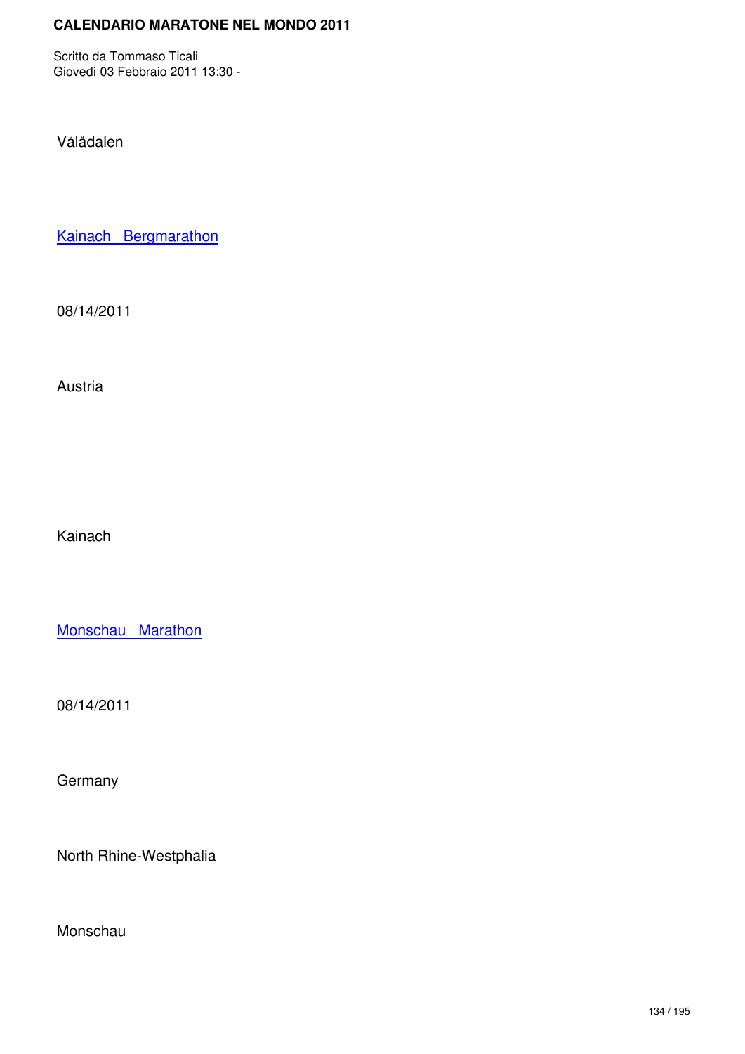Vålådalen

Kainach Bergmarathon

[08/14/2011](http://marathons.ahotu.com/race/kainach-bergmarathon)

Austria

Kainach

Monschau Marathon

[08/14/2011](http://marathons.ahotu.com/race/monschau-marathon)

**Germany** 

North Rhine-Westphalia

Monschau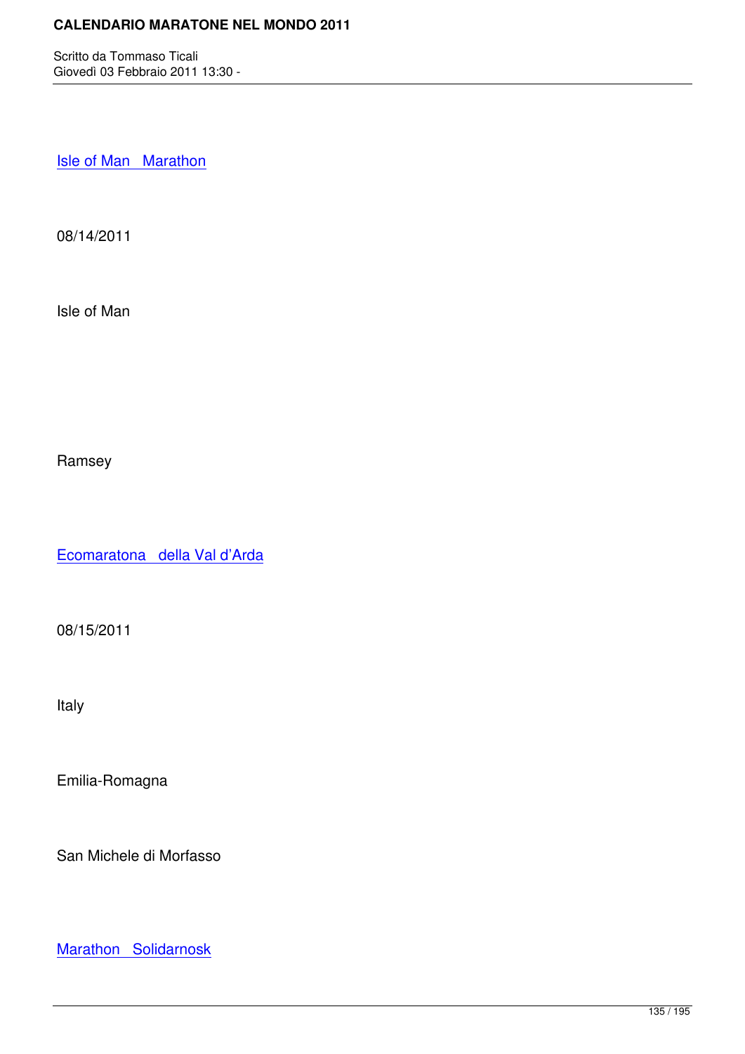Isle of Man Marathon

[08/14/2011](http://marathons.ahotu.com/race/isle-of-man-marathon)

Isle of Man

Ramsey

Ecomaratona della Val d'Arda

[08/15/2011](http://marathons.ahotu.com/race/ecomaratona-della-val-darda)

Italy

Emilia-Romagna

San Michele di Morfasso

Marathon Solidarnosk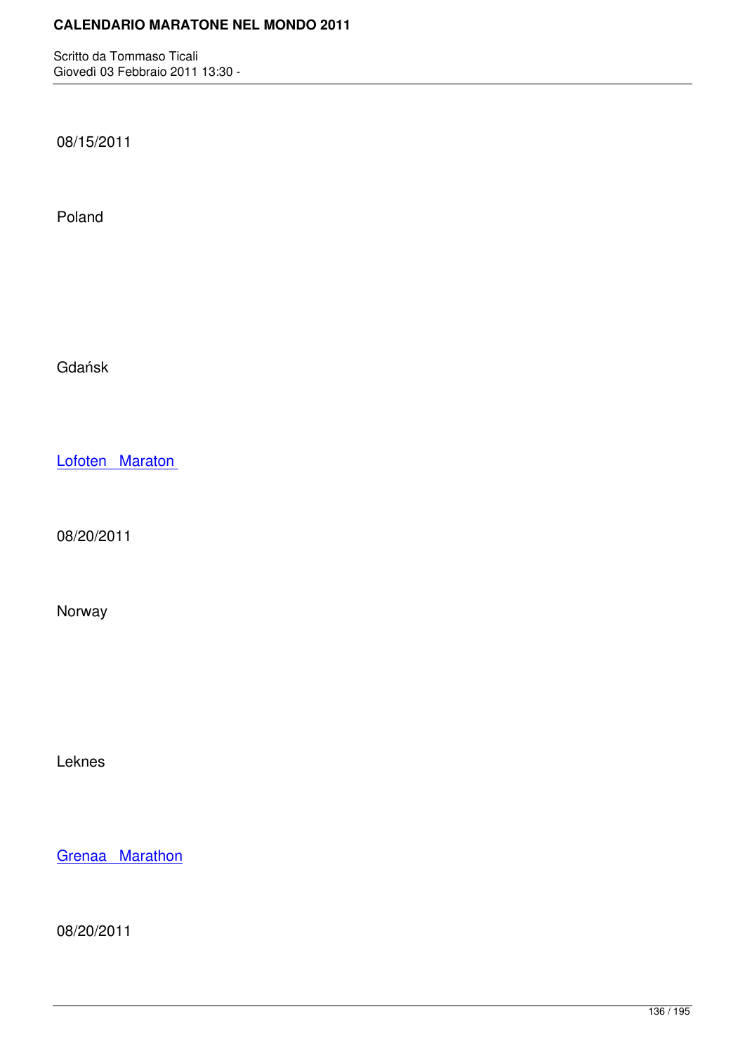08/15/2011

Poland

Gdańsk

Lofoten Maraton

[08/20/2011](http://marathons.ahotu.com/race/lofoten-maraton)

Norway

Leknes

Grenaa Marathon

[08/20/2011](http://marathons.ahotu.com/race/grenaa-marathon)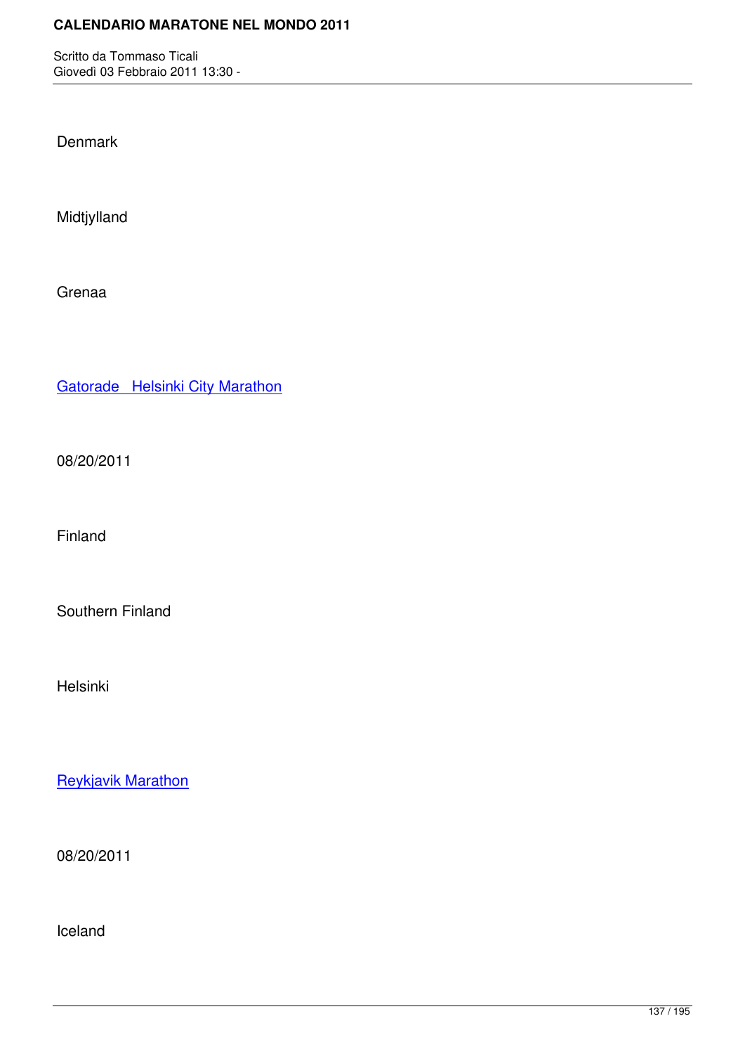**Denmark** 

Midtjylland

Grenaa

Gatorade Helsinki City Marathon

[08/20/2011](http://marathons.ahotu.com/race/gatorade-helsinki-city-marathon)

Finland

Southern Finland

Helsinki

Reykjavik Marathon

[08/20/2011](http://marathons.ahotu.com/race/reykjavik-marathon)

Iceland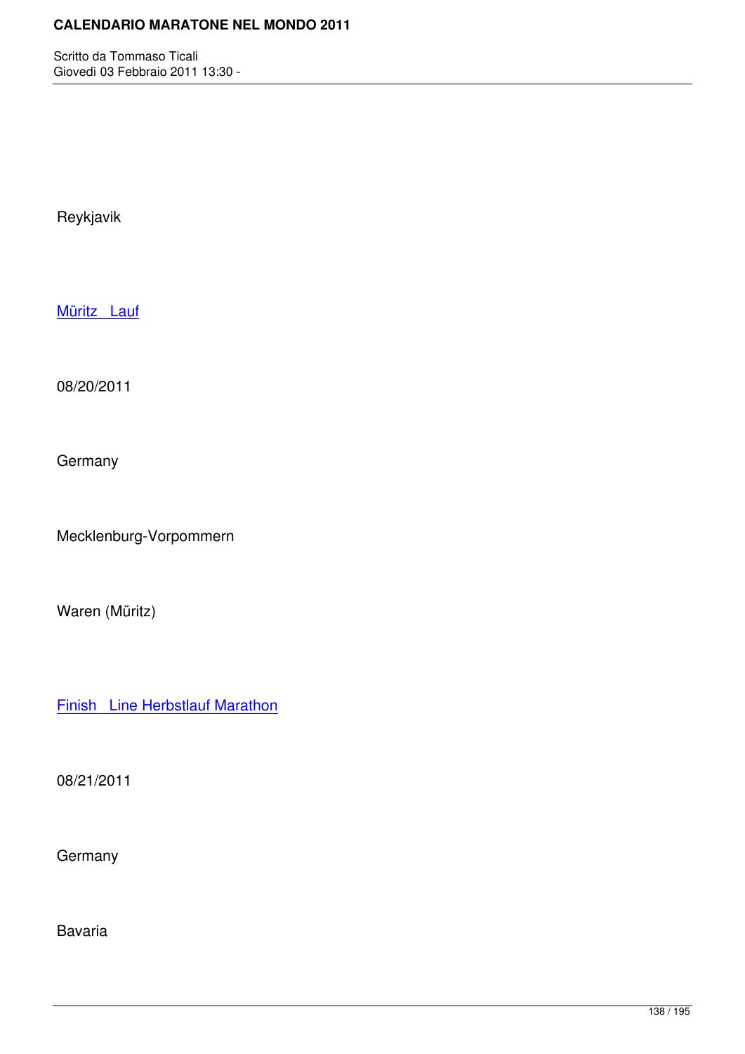Reykjavik

Müritz Lauf

[08/20/2011](http://marathons.ahotu.com/race/muritz-lauf)

**Germany** 

Mecklenburg-Vorpommern

Waren (Müritz)

Finish Line Herbstlauf Marathon

[08/21/2011](http://marathons.ahotu.com/race/finish-line-herbstlauf-marathon)

**Germany** 

Bavaria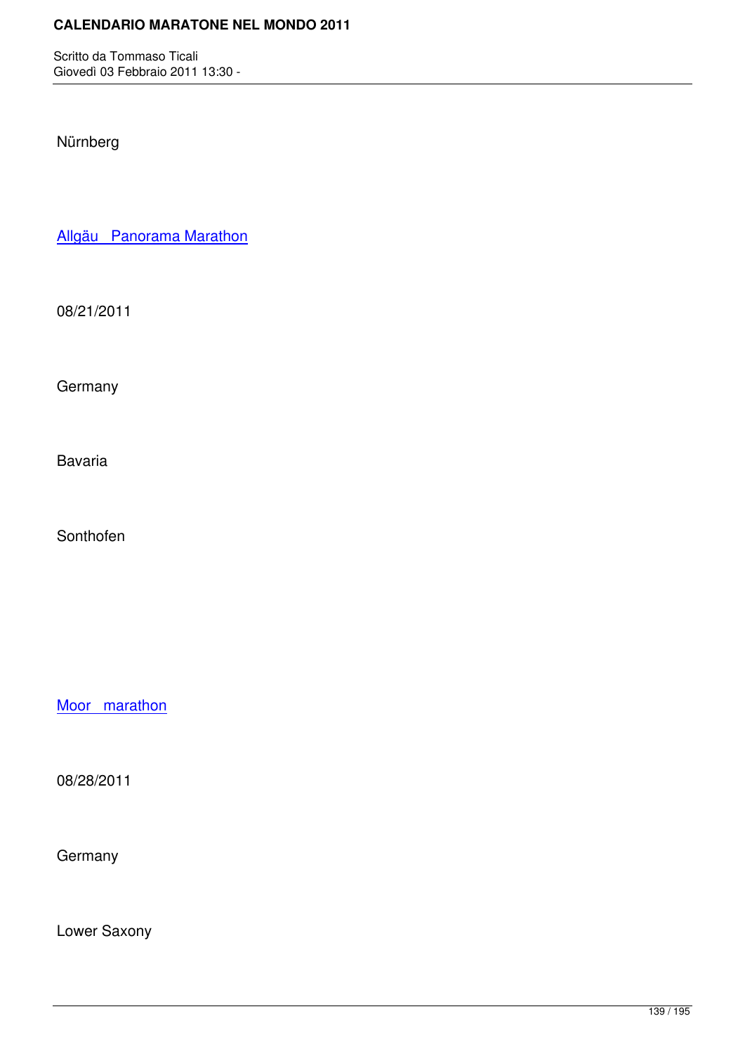Nürnberg

Allgäu Panorama Marathon

[08/21/2011](http://marathons.ahotu.com/race/allgau-panorama-marathon)

**Germany** 

Bavaria

Sonthofen

Moor marathon

[08/28/2011](http://marathons.ahotu.com/race/moor-marathon)

**Germany** 

Lower Saxony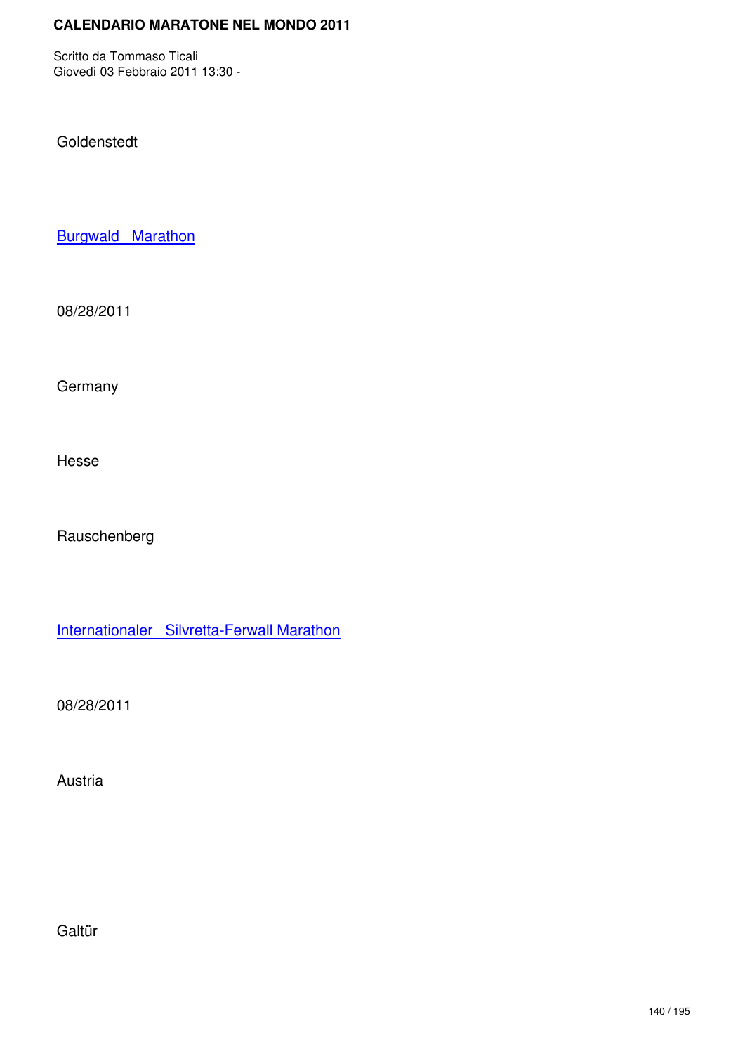Goldenstedt

**Burgwald Marathon** 

[08/28/2011](http://marathons.ahotu.com/race/burgwald-marathon)

**Germany** 

Hesse

Rauschenberg

Internationaler Silvretta-Ferwall Marathon

[08/28/2011](http://marathons.ahotu.com/race/internationaler-silvretta-ferwall-marathon)

Austria

Galtür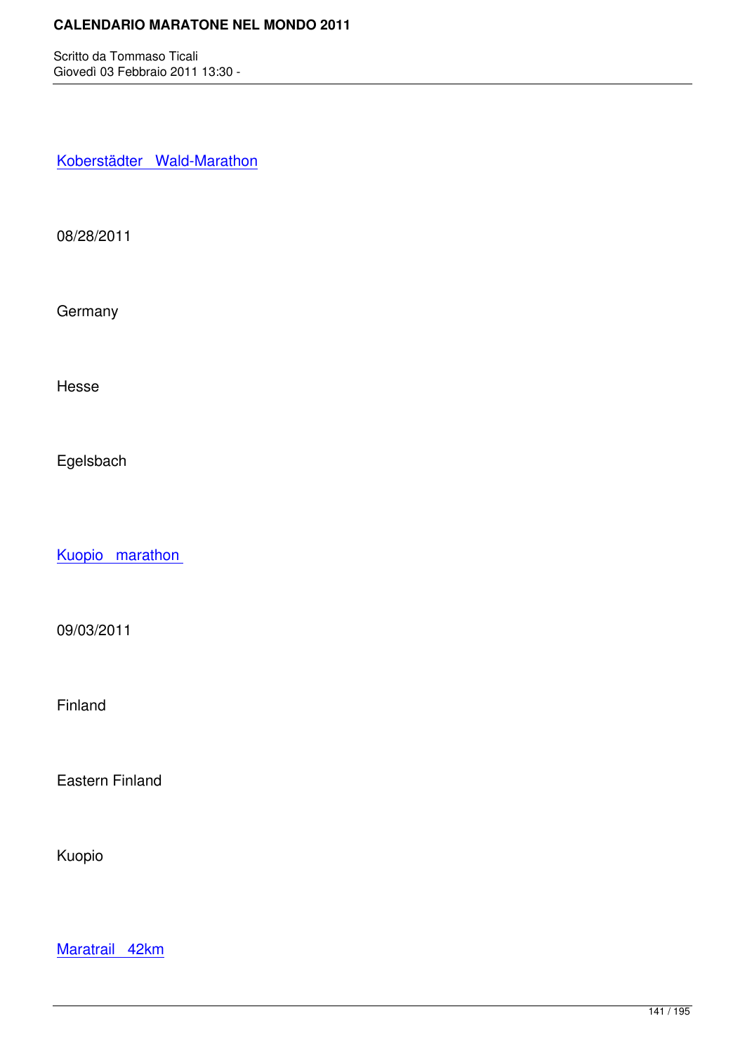Koberstädter Wald-Marathon

[08/28/2011](http://marathons.ahotu.com/race/koberstadter-wald-marathon)

**Germany** 

Hesse

Egelsbach

Kuopio marathon

[09/03/2011](http://marathons.ahotu.com/race/kuopio-marathon)

Finland

Eastern Finland

Kuopio

Maratrail 42km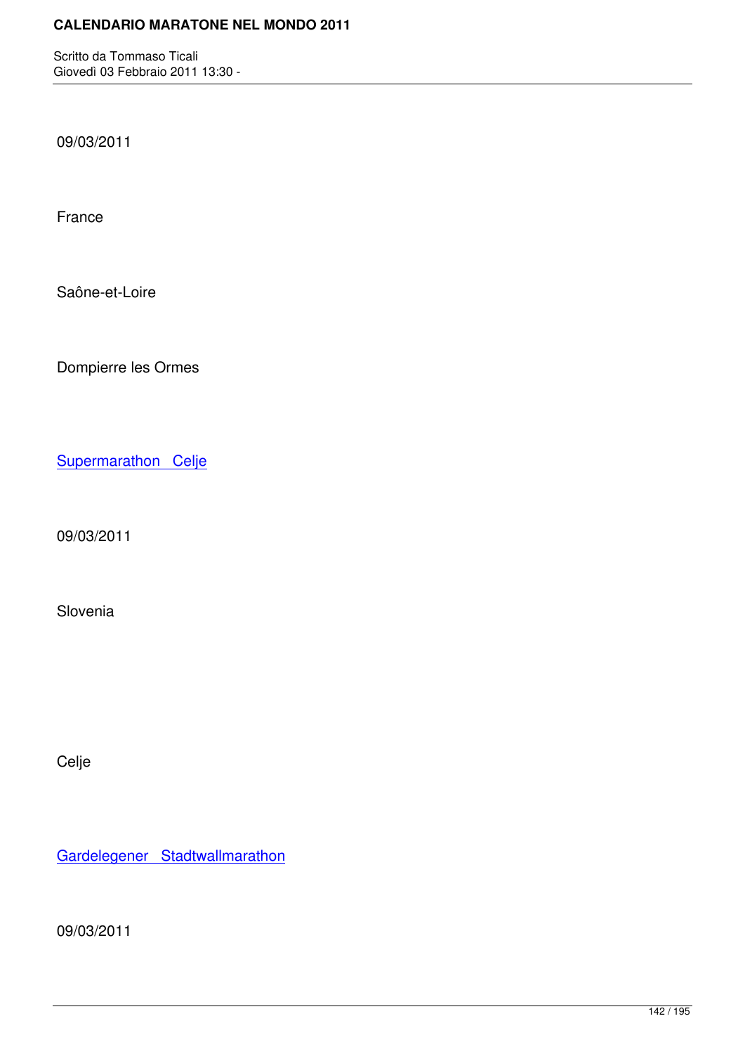09/03/2011

France

Saône-et-Loire

Dompierre les Ormes

Supermarathon Celje

[09/03/2011](http://marathons.ahotu.com/race/supermarathon-celje)

Slovenia

Celje

Gardelegener Stadtwallmarathon

[09/03/2011](http://marathons.ahotu.com/race/gardelegener-stadtwallmarathon)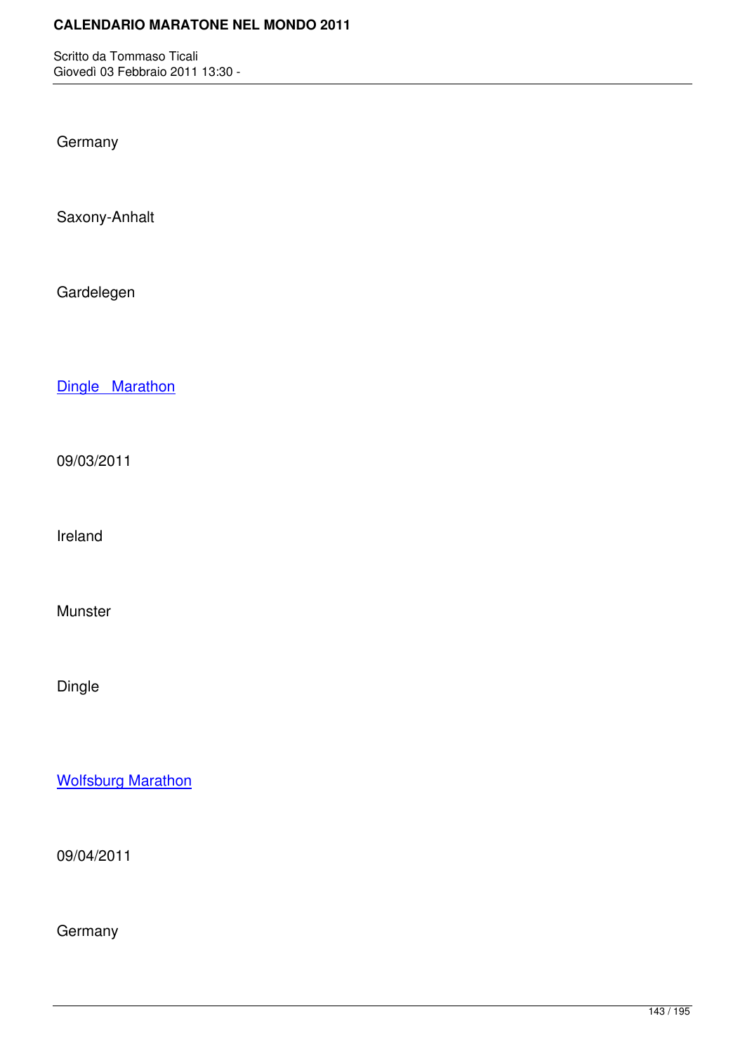**Germany** 

Saxony-Anhalt

Gardelegen

Dingle Marathon

[09/03/2011](http://marathons.ahotu.com/race/dingle-marathon)

Ireland

Munster

Dingle

Wolfsburg Marathon

[09/04/2011](http://marathons.ahotu.com/race/wolfsburg-marathon)

**Germany**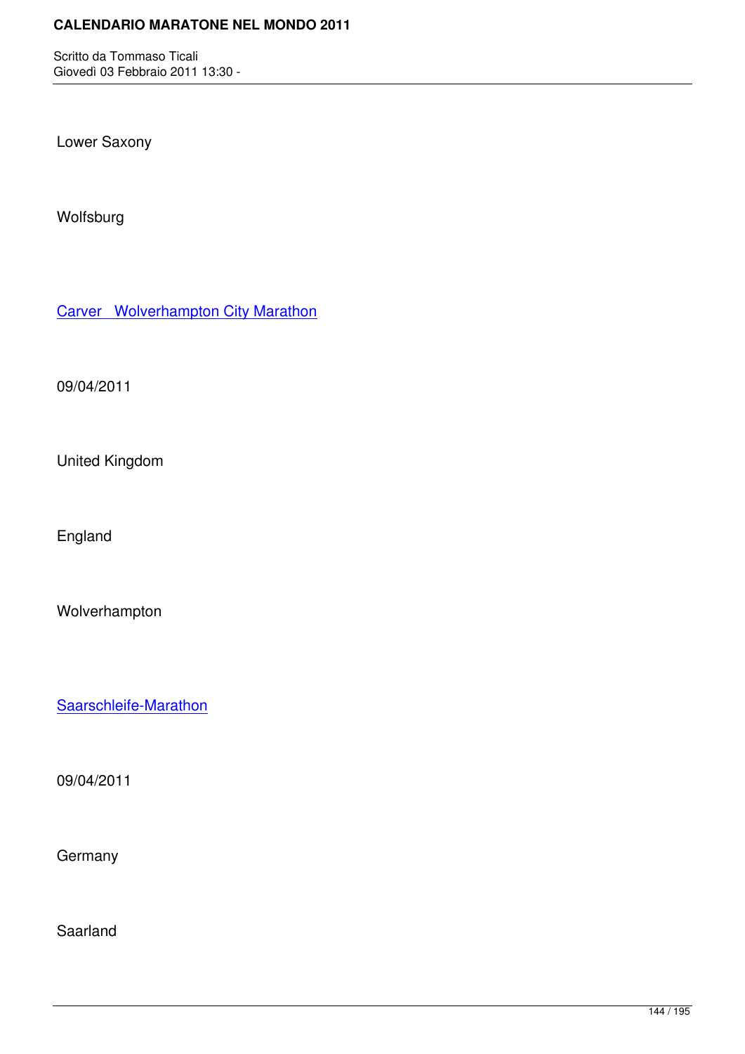Lower Saxony

Wolfsburg

Carver Wolverhampton City Marathon

[09/04/2011](http://marathons.ahotu.com/race/carver-wolverhampton-city-marathon)

United Kingdom

England

Wolverhampton

Saarschleife-Marathon

[09/04/2011](http://marathons.ahotu.com/race/saarschleife-marathon)

**Germany** 

Saarland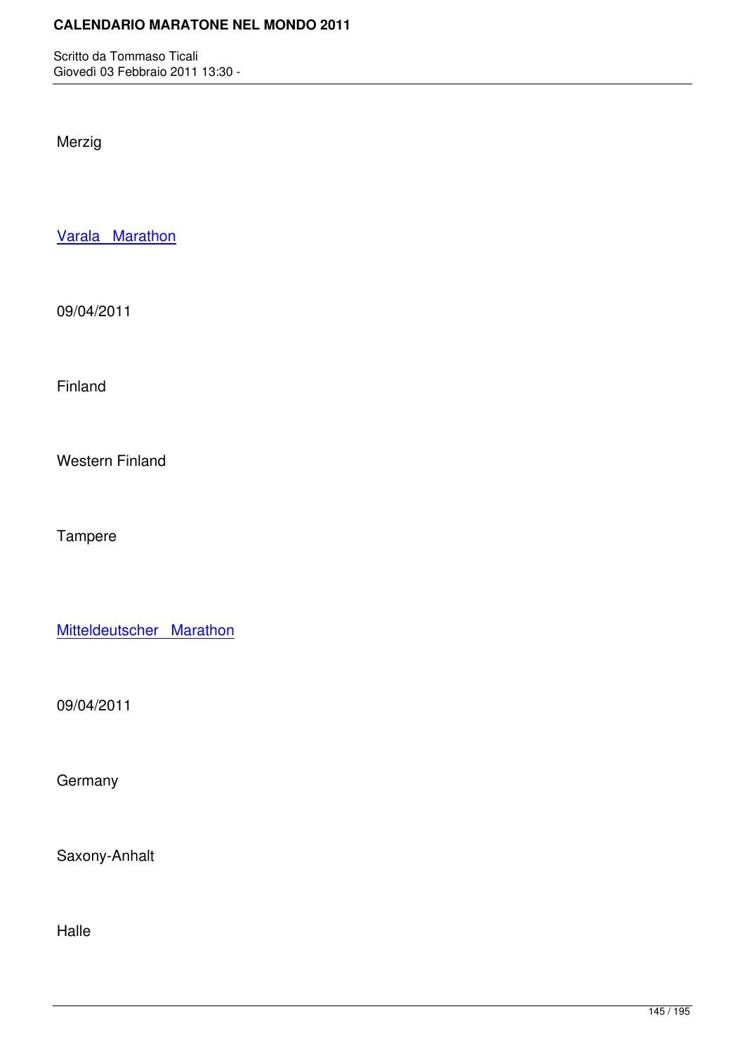Merzig

Varala Marathon

[09/04/2011](http://marathons.ahotu.com/race/varala-marathon)

Finland

Western Finland

Tampere

Mitteldeutscher Marathon

[09/04/2011](http://marathons.ahotu.com/race/mitteldeutscher-marathon)

**Germany** 

Saxony-Anhalt

Halle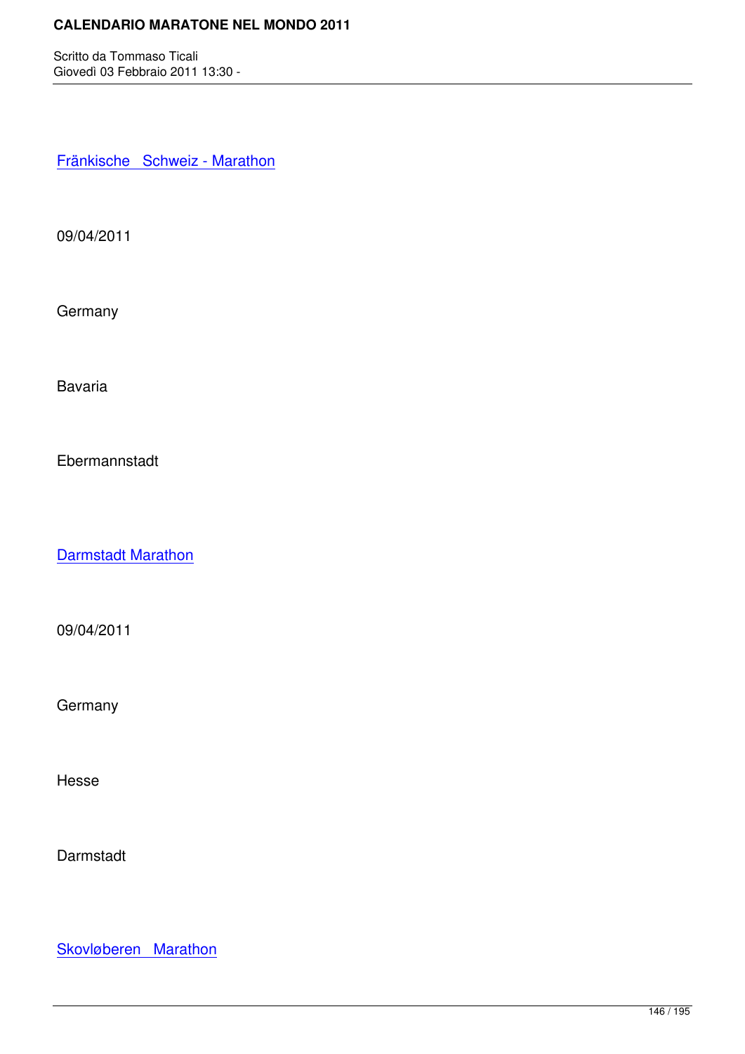Fränkische Schweiz - Marathon

[09/04/2011](http://marathons.ahotu.com/race/frankische-schweiz-marathon)

**Germany** 

Bavaria

Ebermannstadt

Darmstadt Marathon

[09/04/2011](http://marathons.ahotu.com/race/darmstadt-marathon)

**Germany** 

Hesse

**Darmstadt** 

Skovløberen Marathon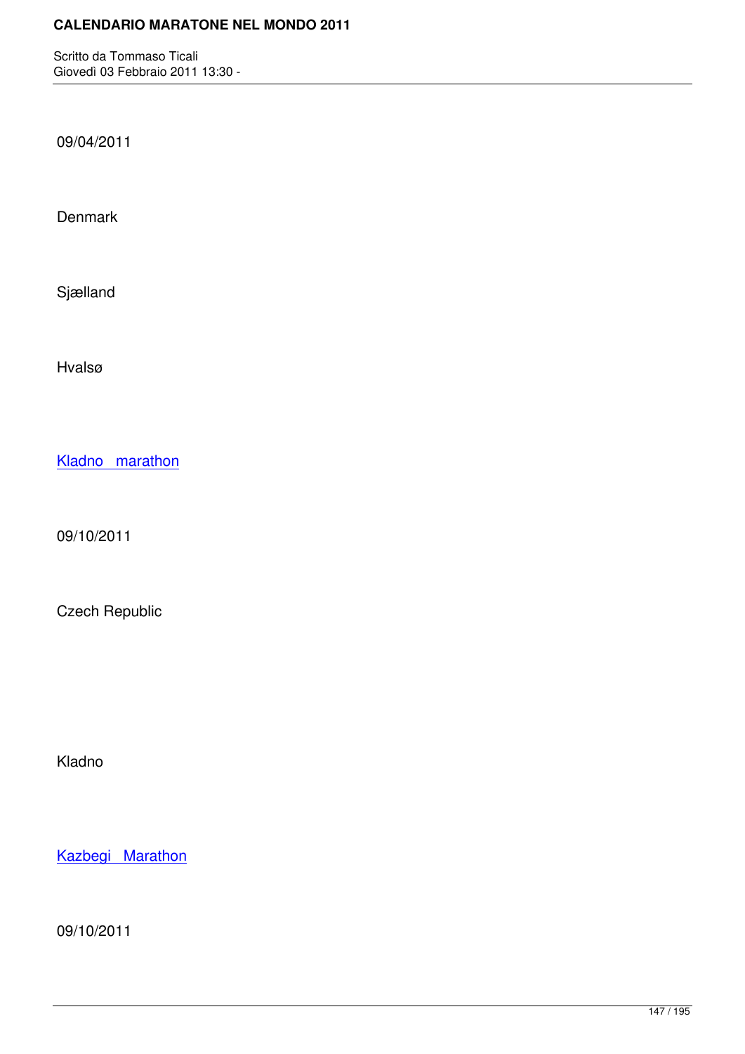09/04/2011

**Denmark** 

Sjælland

Hvalsø

Kladno marathon

[09/10/2011](http://marathons.ahotu.com/race/kladno-marathon)

Czech Republic

Kladno

Kazbegi Marathon

[09/10/2011](http://marathons.ahotu.com/race/kazbegi-marathon)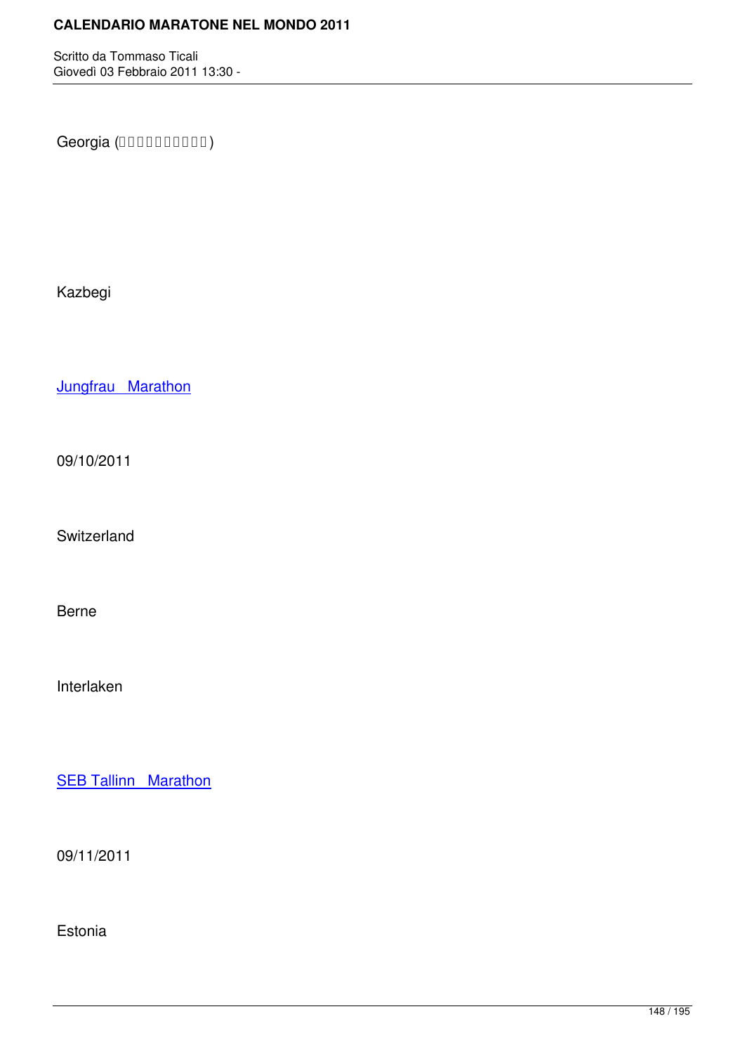Georgia (DODDDDDDD)

Kazbegi

Jungfrau Marathon

[09/10/2011](http://marathons.ahotu.com/race/jungfrau-marathon)

Switzerland

Berne

Interlaken

**SEB Tallinn Marathon** 

[09/11/2011](http://marathons.ahotu.com/race/seb-tallinn-marathon)

Estonia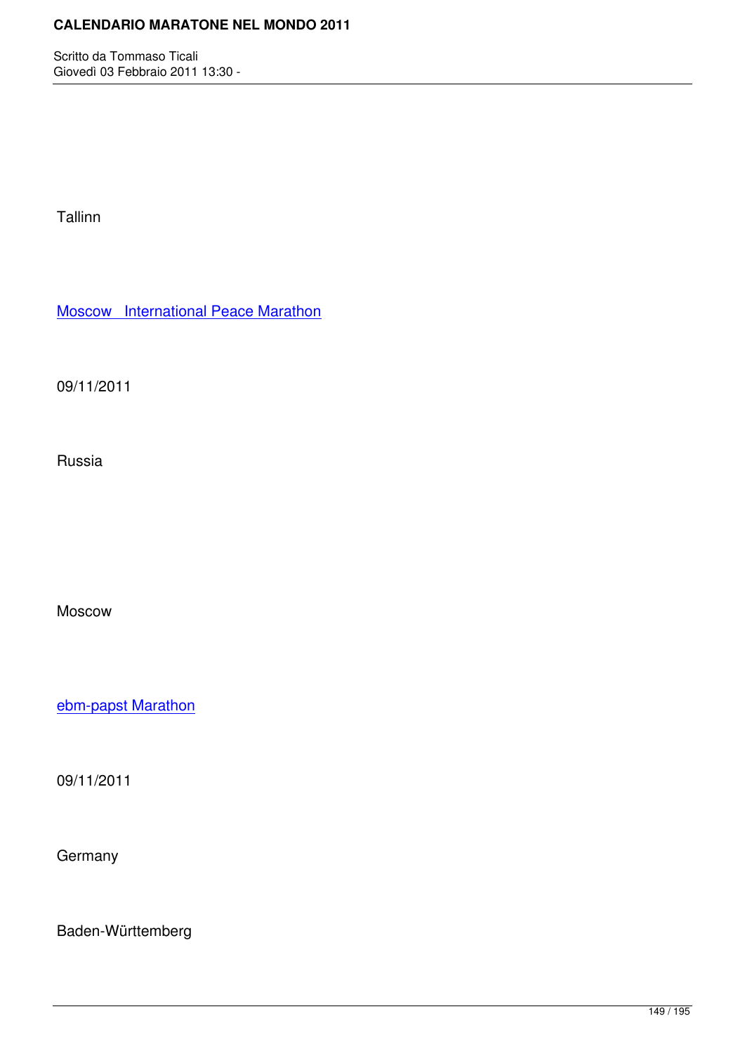Tallinn

Moscow International Peace Marathon

[09/11/2011](http://marathons.ahotu.com/race/moscow-international-peace-marathon)

Russia

Moscow

ebm-papst Marathon

[09/11/2011](http://marathons.ahotu.com/race/ebm-papst-marathon)

**Germany** 

Baden-Württemberg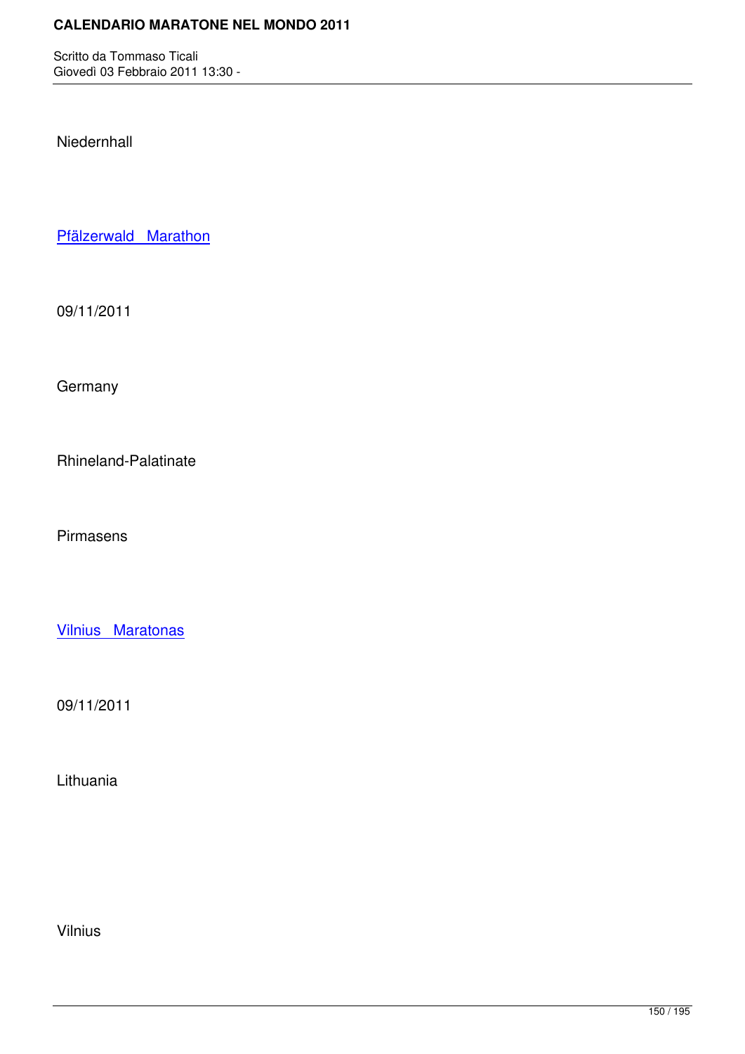Niedernhall

Pfälzerwald Marathon

[09/11/2011](http://marathons.ahotu.com/race/pfalzerwald-marathon)

**Germany** 

Rhineland-Palatinate

Pirmasens

Vilnius Maratonas

[09/11/2011](http://marathons.ahotu.com/race/vilnius-maratonas)

Lithuania

Vilnius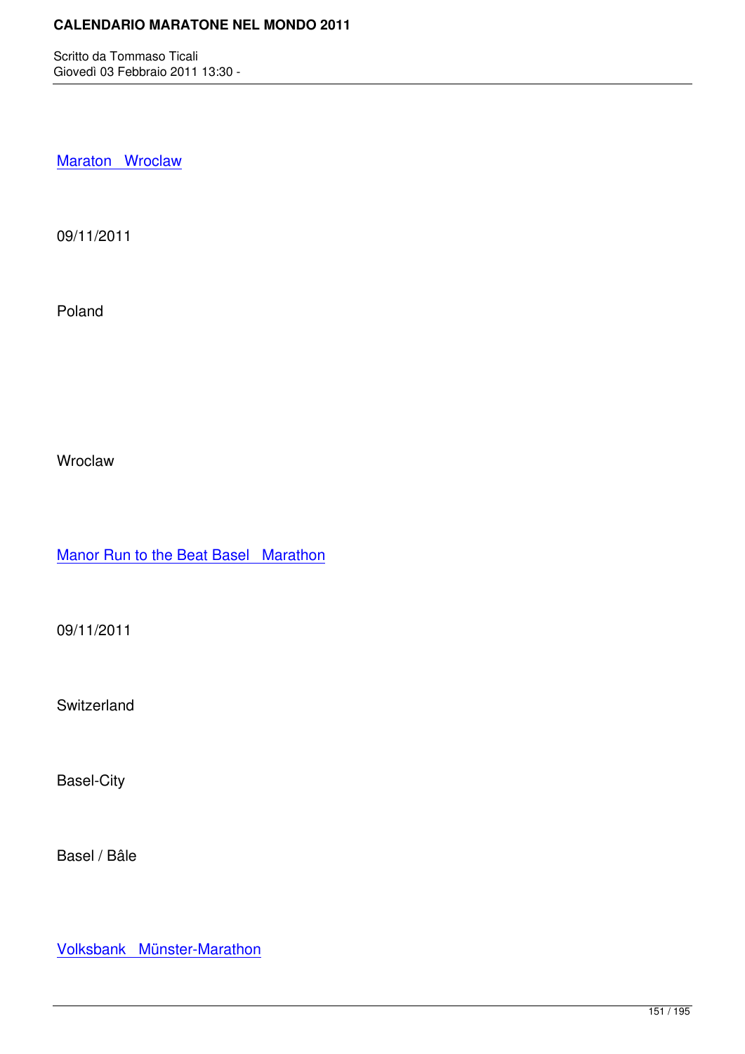Maraton Wroclaw

[09/11/2011](http://marathons.ahotu.com/race/maraton-wroclaw)

Poland

Wroclaw

Manor Run to the Beat Basel Marathon

[09/11/2011](http://marathons.ahotu.com/race/manor-run-to-the-beat-basel-marathon)

Switzerland

Basel-City

Basel / Bâle

Volksbank Münster-Marathon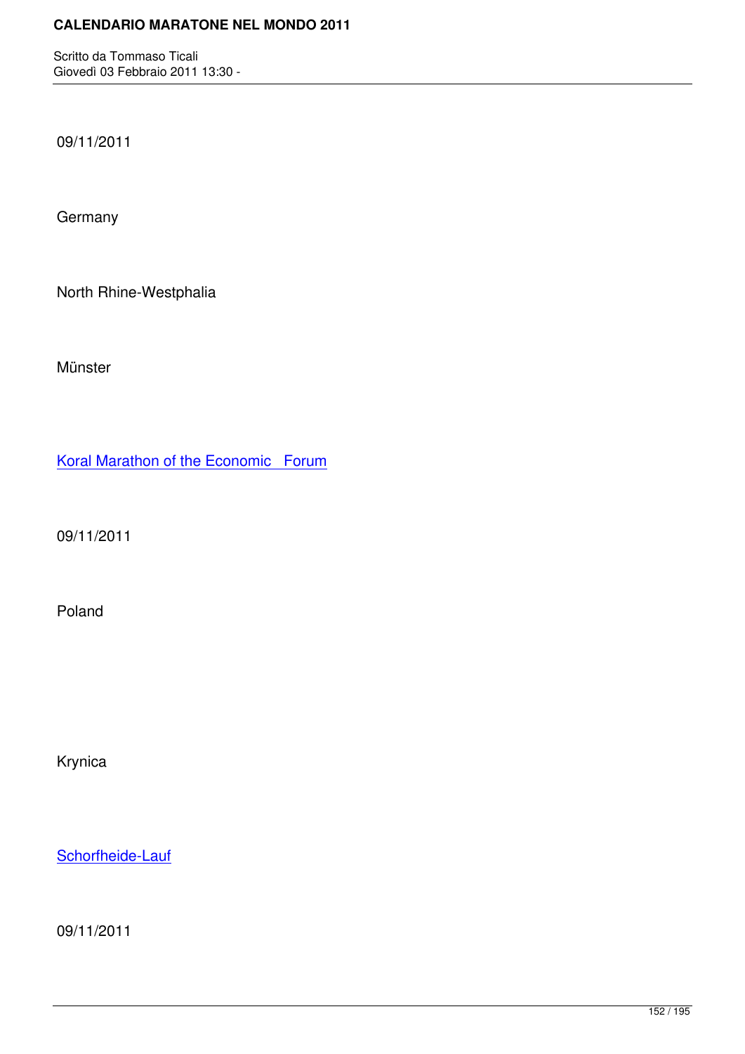09/11/2011

**Germany** 

North Rhine-Westphalia

Münster

Koral Marathon of the Economic Forum

[09/11/2011](http://marathons.ahotu.com/race/koral-marathon-of-the-economic-forum)

Poland

Krynica

Schorfheide-Lauf

[09/11/2011](http://marathons.ahotu.com/race/schorfheide-lauf)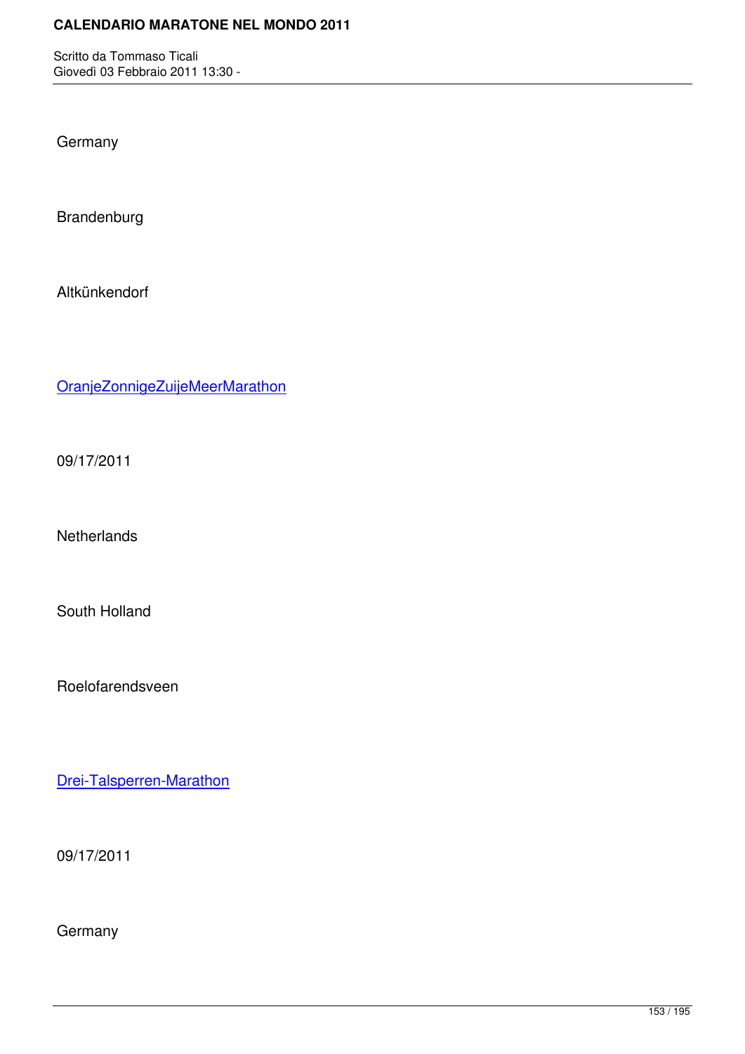**Germany** 

Brandenburg

Altkünkendorf

OranjeZonnigeZuijeMeerMarathon

[09/17/2011](http://marathons.ahotu.com/race/oranjezonnigezuijemeermarathon)

**Netherlands** 

South Holland

Roelofarendsveen

Drei-Talsperren-Marathon

[09/17/2011](http://marathons.ahotu.com/race/drei-talsperren-marathon)

**Germany**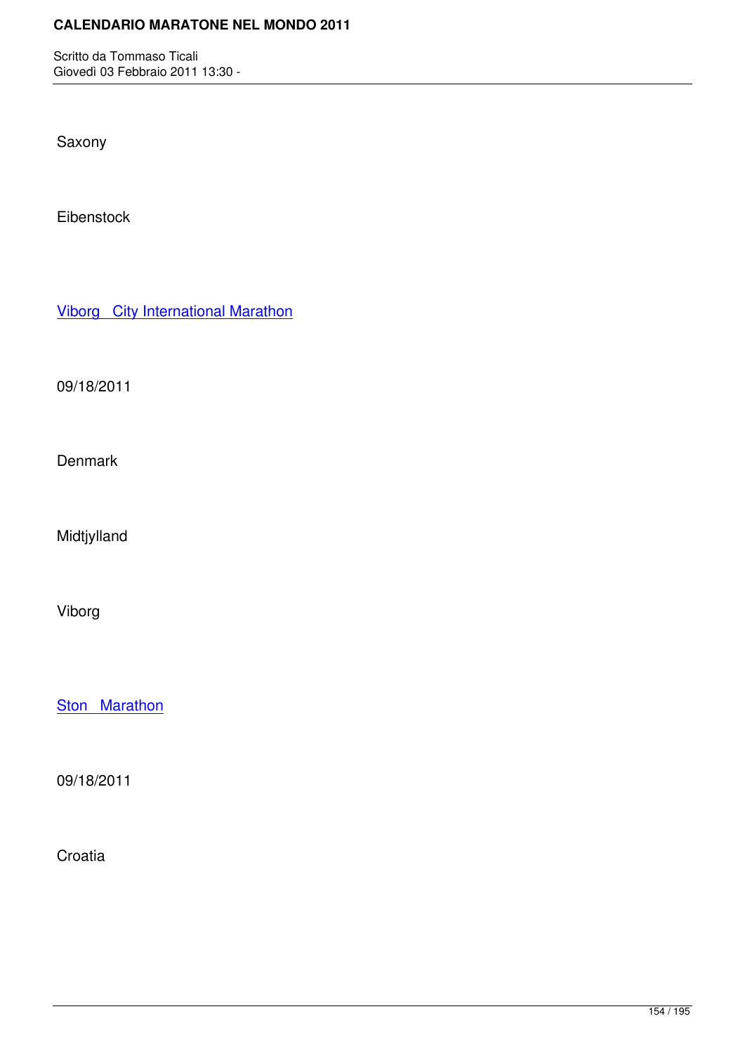Saxony

Eibenstock

Viborg City International Marathon

[09/18/2011](http://marathons.ahotu.com/race/viborg-city-international-marathon)

**Denmark** 

Midtjylland

Viborg

**Ston Marathon** 

[09/18/2011](http://marathons.ahotu.com/race/ston-marathon)

**Croatia**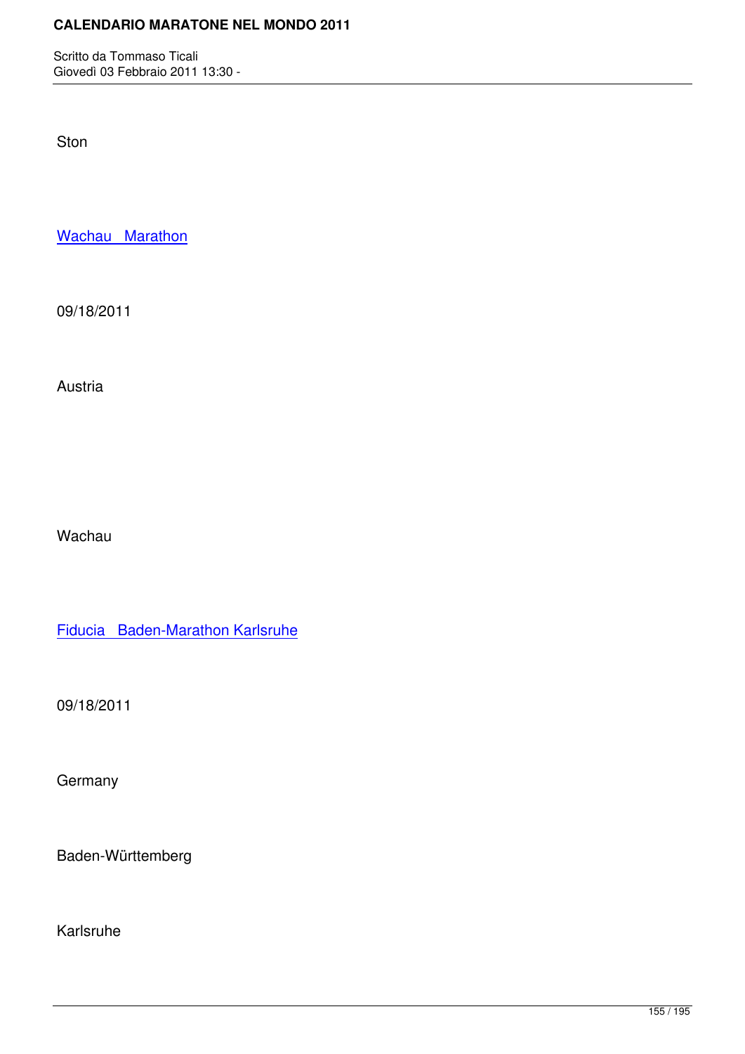Ston

Wachau Marathon

[09/18/2011](http://marathons.ahotu.com/race/wachau-marathon)

Austria

Wachau

Fiducia Baden-Marathon Karlsruhe

[09/18/2011](http://marathons.ahotu.com/race/fiducia-baden-marathon-karlsruhe)

**Germany** 

Baden-Württemberg

Karlsruhe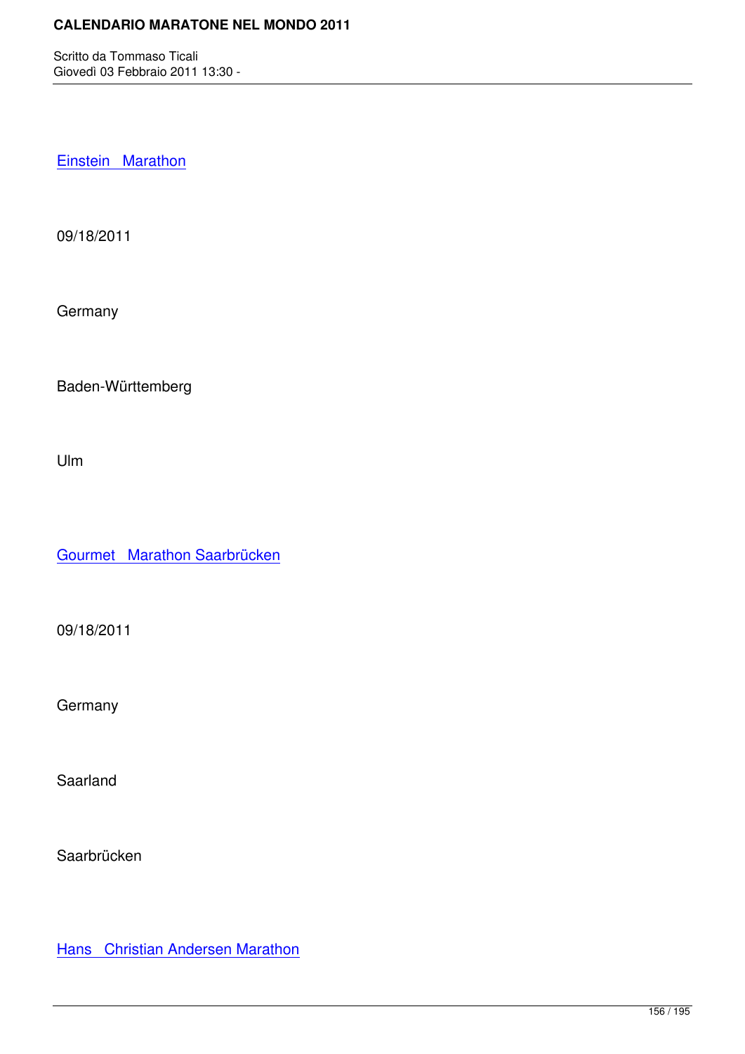Einstein Marathon

[09/18/2011](http://marathons.ahotu.com/race/einstein-marathon)

**Germany** 

Baden-Württemberg

Ulm

Gourmet Marathon Saarbrücken

[09/18/2011](http://marathons.ahotu.com/race/gourmet-marathon-saarbrucken)

**Germany** 

Saarland

Saarbrücken

**Hans** Christian Andersen Marathon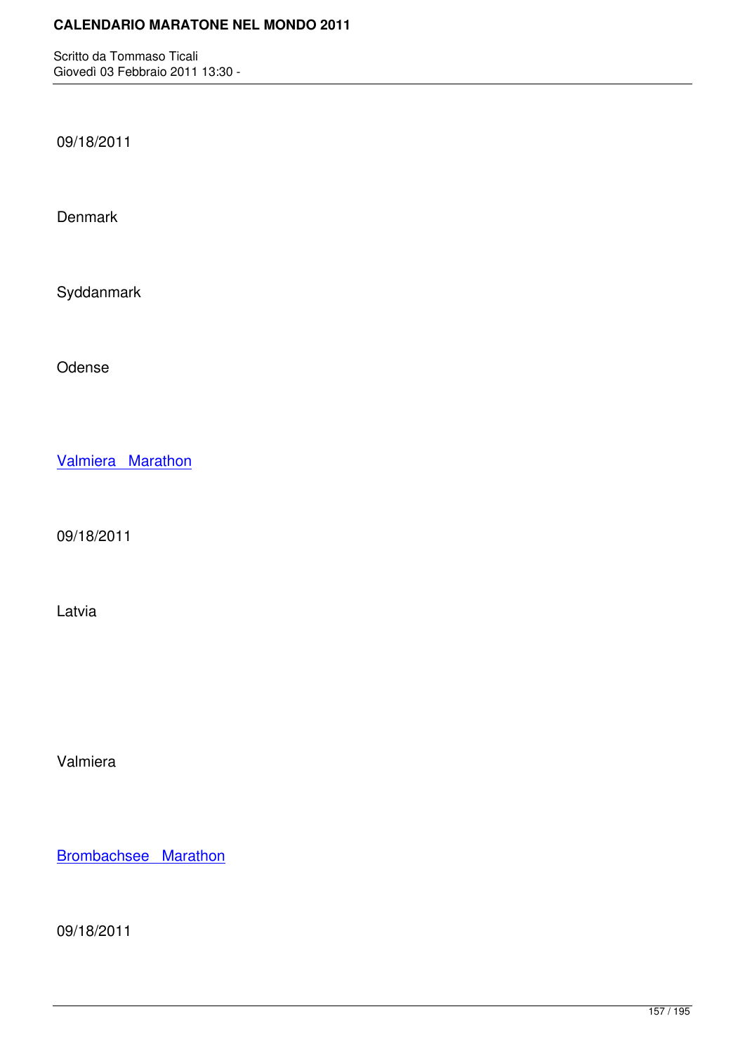09/18/2011

Denmark

Syddanmark

Odense

Valmiera Marathon

[09/18/2011](http://marathons.ahotu.com/race/valmiera-marathon)

Latvia

Valmiera

Brombachsee Marathon

[09/18/2011](http://marathons.ahotu.com/race/brombachsee_marathon)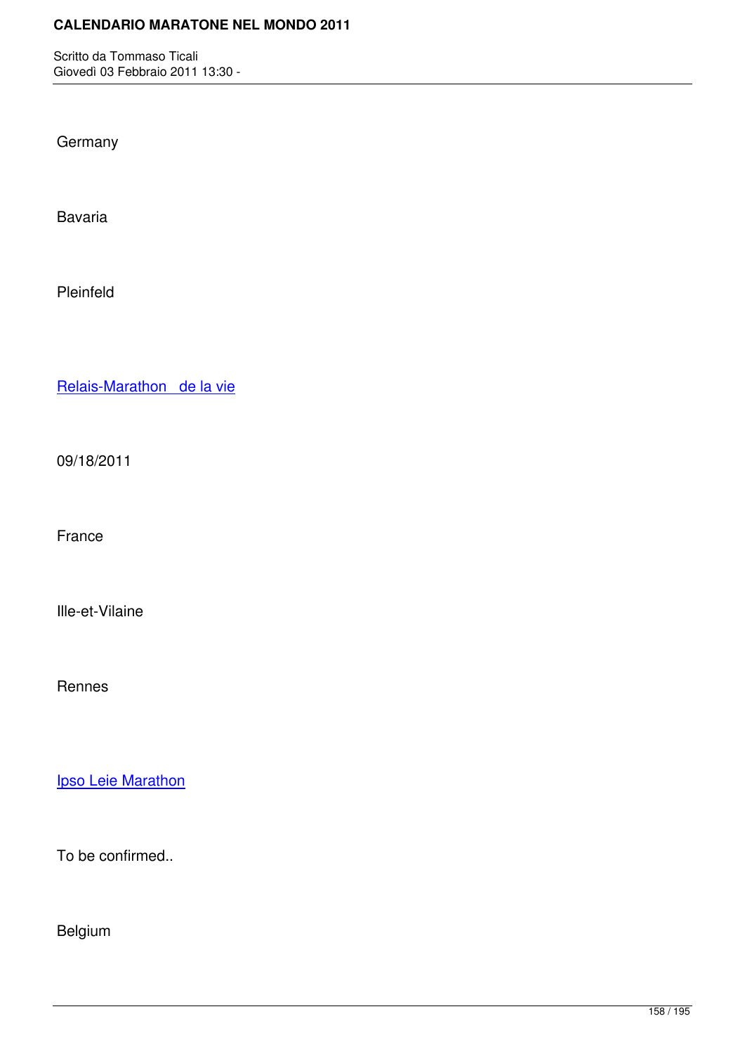**Germany** 

Bavaria

Pleinfeld

Relais-Marathon de la vie

[09/18/2011](http://marathons.ahotu.com/race/relais-marathon-de-la-vie)

France

Ille-et-Vilaine

Rennes

**Ipso Leie Marathon** 

[To be confirmed..](http://marathons.ahotu.com/race/ipso_leie_marathon)

Belgium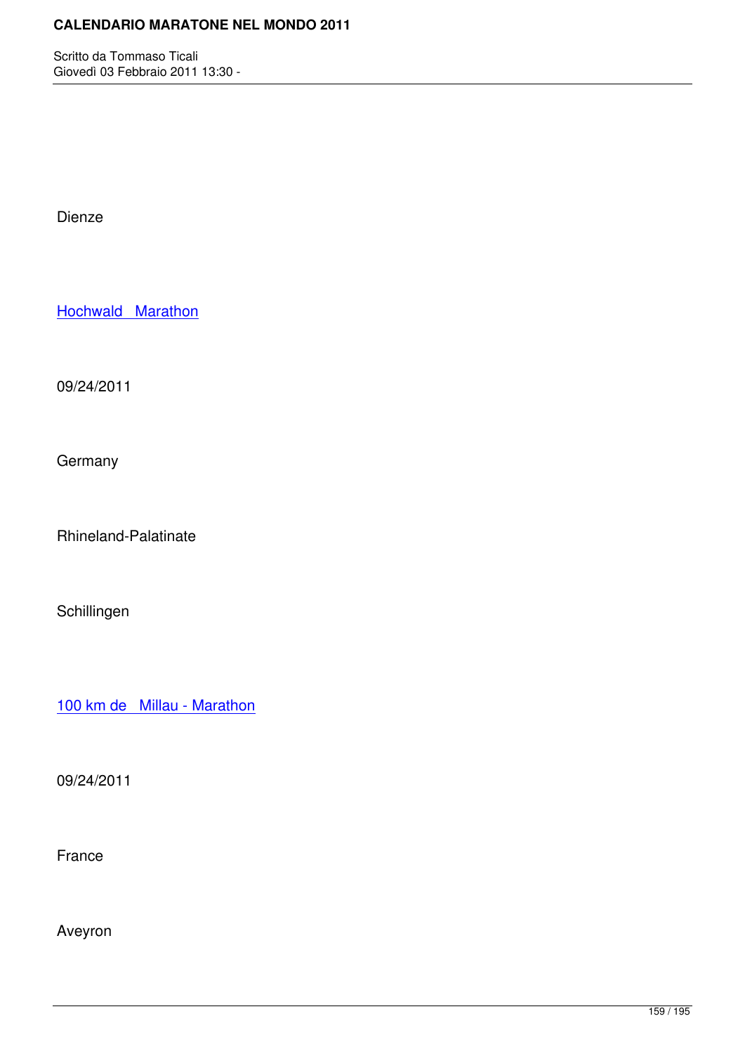Dienze

Hochwald Marathon

[09/24/2011](http://marathons.ahotu.com/race/hochwald-marathon)

**Germany** 

Rhineland-Palatinate

Schillingen

100 km de Millau - Marathon

[09/24/2011](http://marathons.ahotu.com/race/100-km-de-millau-marathon)

France

Aveyron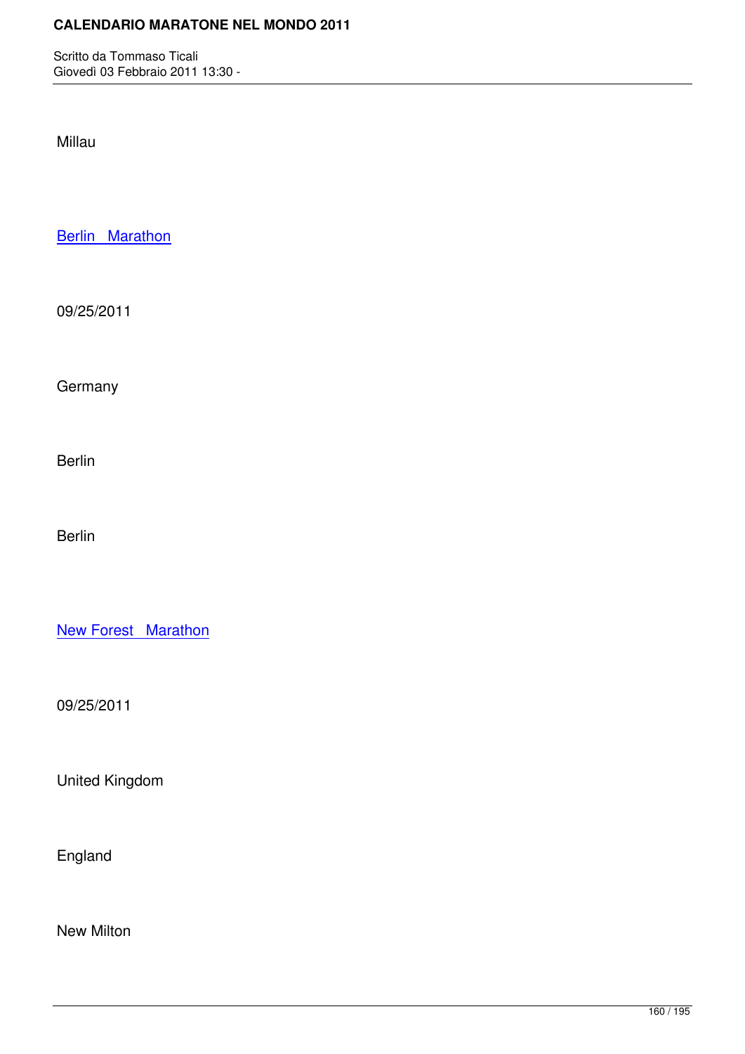Millau

**Berlin Marathon** 

[09/25/2011](http://marathons.ahotu.com/race/berlin-marathon)

**Germany** 

Berlin

Berlin

**New Forest Marathon** 

[09/25/2011](http://marathons.ahotu.com/race/new-forest-marathon)

United Kingdom

England

New Milton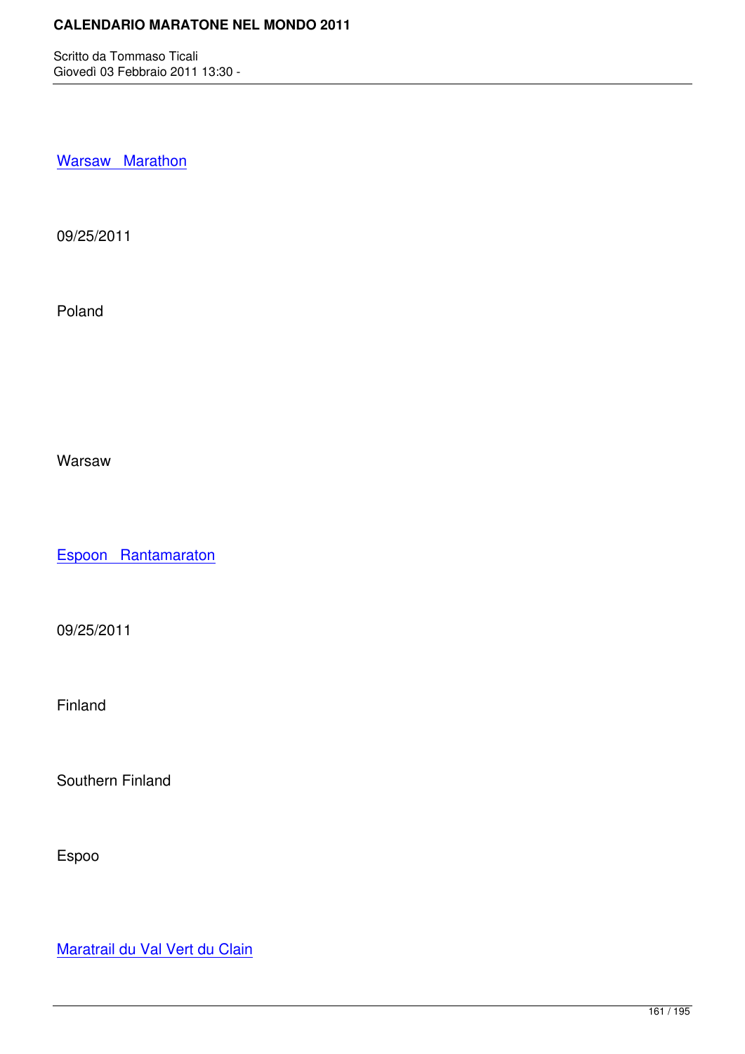Warsaw Marathon

[09/25/2011](http://marathons.ahotu.com/race/warsaw-marathon)

Poland

Warsaw

Espoon Rantamaraton

[09/25/2011](http://marathons.ahotu.com/race/espoon-rantamaraton)

Finland

Southern Finland

Espoo

Maratrail du Val Vert du Clain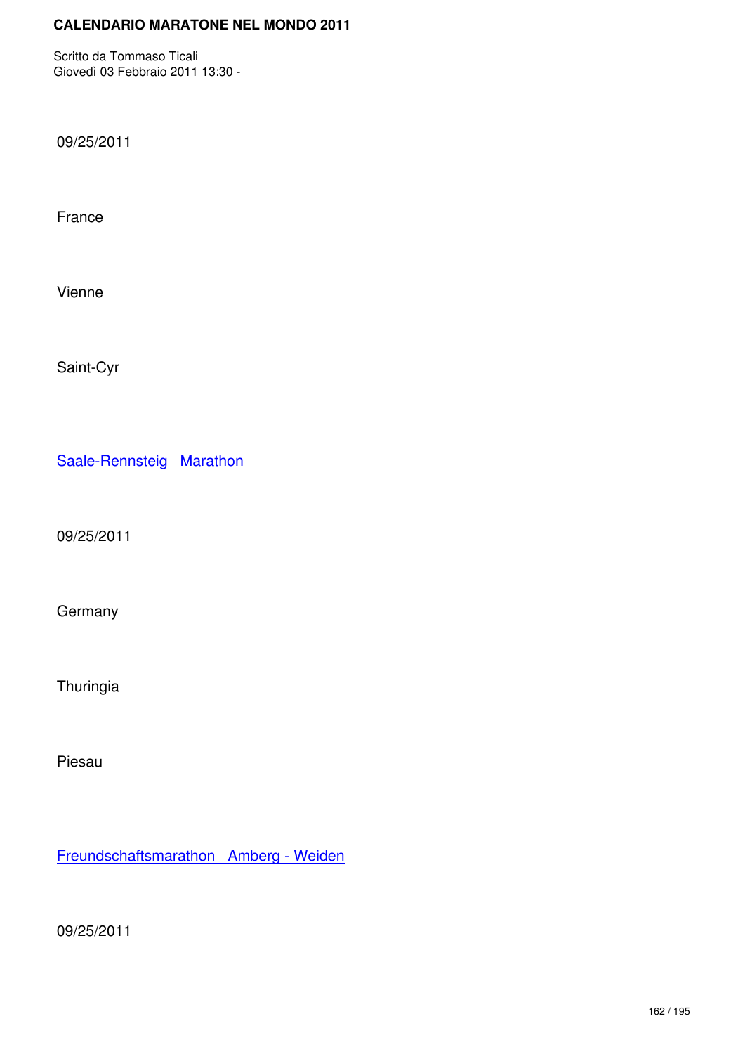09/25/2011

France

Vienne

Saint-Cyr

Saale-Rennsteig Marathon

[09/25/2011](http://marathons.ahotu.com/race/saale-rennsteig-marathon)

**Germany** 

Thuringia

Piesau

Freundschaftsmarathon Amberg - Weiden

[09/25/2011](http://marathons.ahotu.com/race/freundschaftsmarathon_amberg_-_weiden)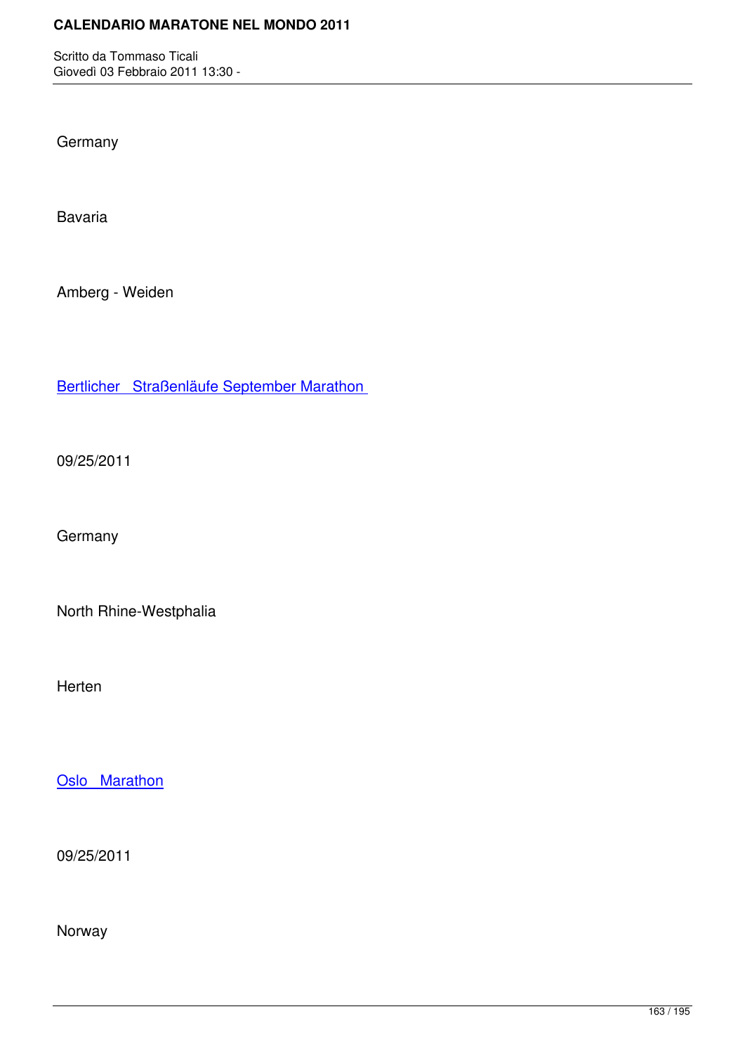**Germany** 

Bavaria

Amberg - Weiden

Bertlicher Straßenläufe September Marathon

[09/25/2011](http://marathons.ahotu.com/race/bertlicher-straenlaufe-september-marathon)

**Germany** 

North Rhine-Westphalia

Herten

Oslo Marathon

[09/25/2011](http://marathons.ahotu.com/race/oslo-marathon)

Norway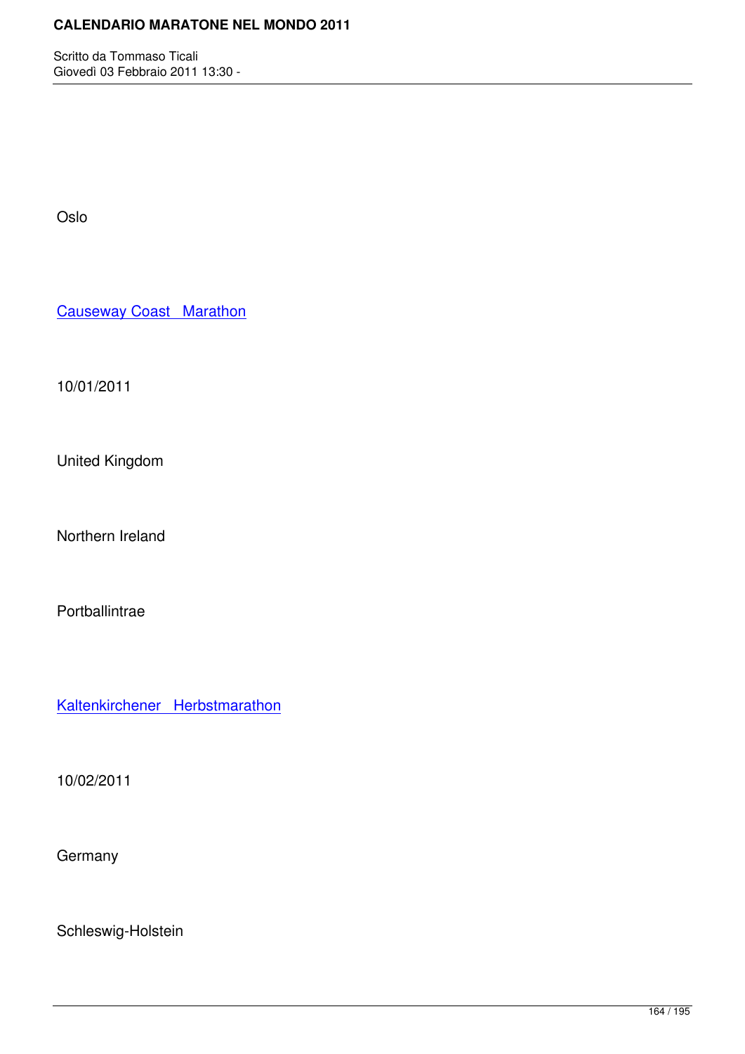Oslo

Causeway Coast Marathon

[10/01/2011](http://marathons.ahotu.com/race/causeway-coast-marathon)

United Kingdom

Northern Ireland

Portballintrae

Kaltenkirchener Herbstmarathon

[10/02/2011](http://marathons.ahotu.com/race/kaltenkirchener-herbstmarathon)

**Germany** 

Schleswig-Holstein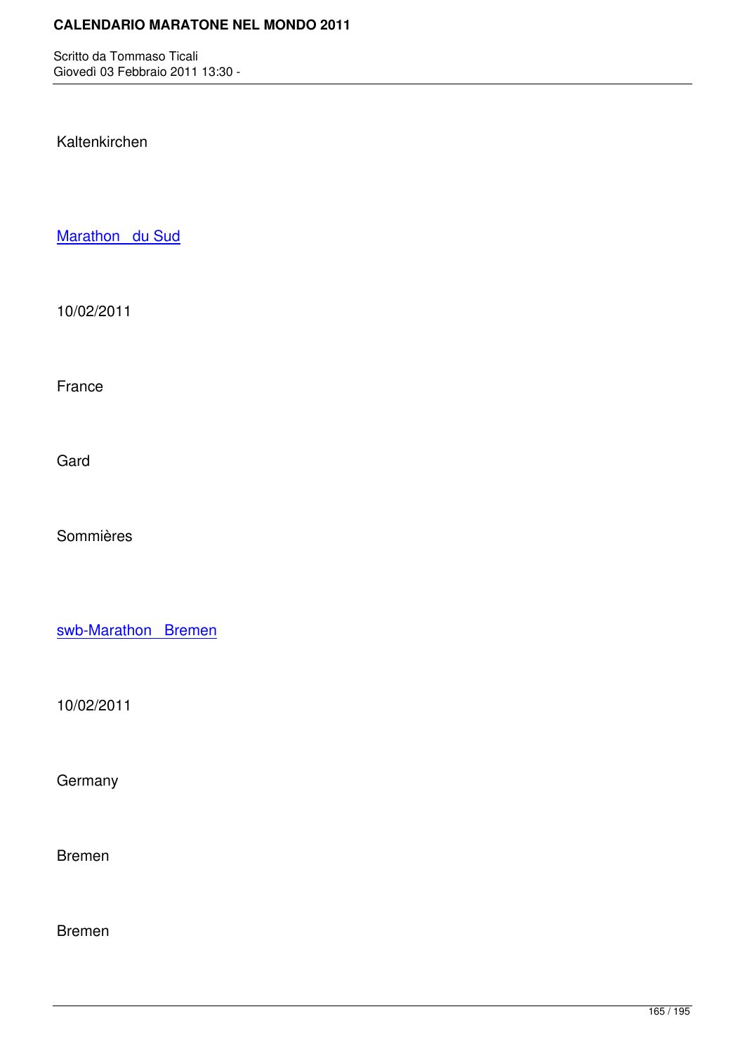Kaltenkirchen

Marathon du Sud

[10/02/2011](http://marathons.ahotu.com/race/marathon-du-sud)

France

Gard

Sommières

swb-Marathon Bremen

[10/02/2011](http://marathons.ahotu.com/race/swb-marathon-bremen)

**Germany** 

Bremen

Bremen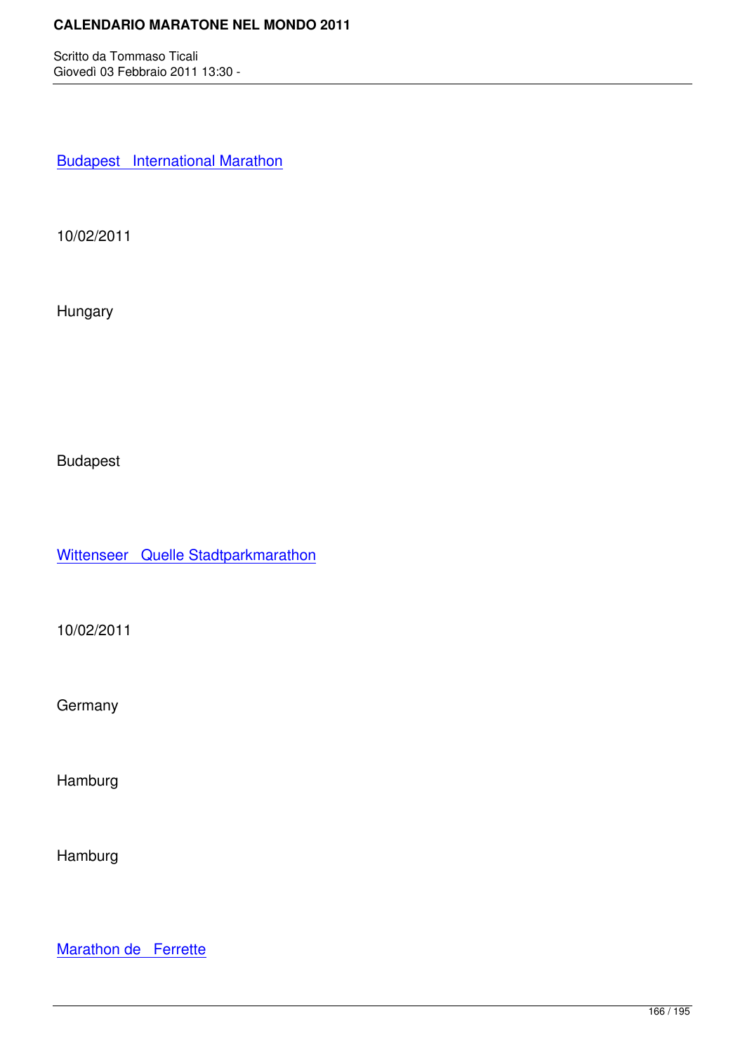**Budapest** International Marathon

[10/02/2011](http://marathons.ahotu.com/race/budapest-international-marathon)

Hungary

Budapest

Wittenseer Quelle Stadtparkmarathon

[10/02/2011](http://marathons.ahotu.com/race/wittenseer-quelle-stadtparkmarathon)

**Germany** 

Hamburg

Hamburg

Marathon de Ferrette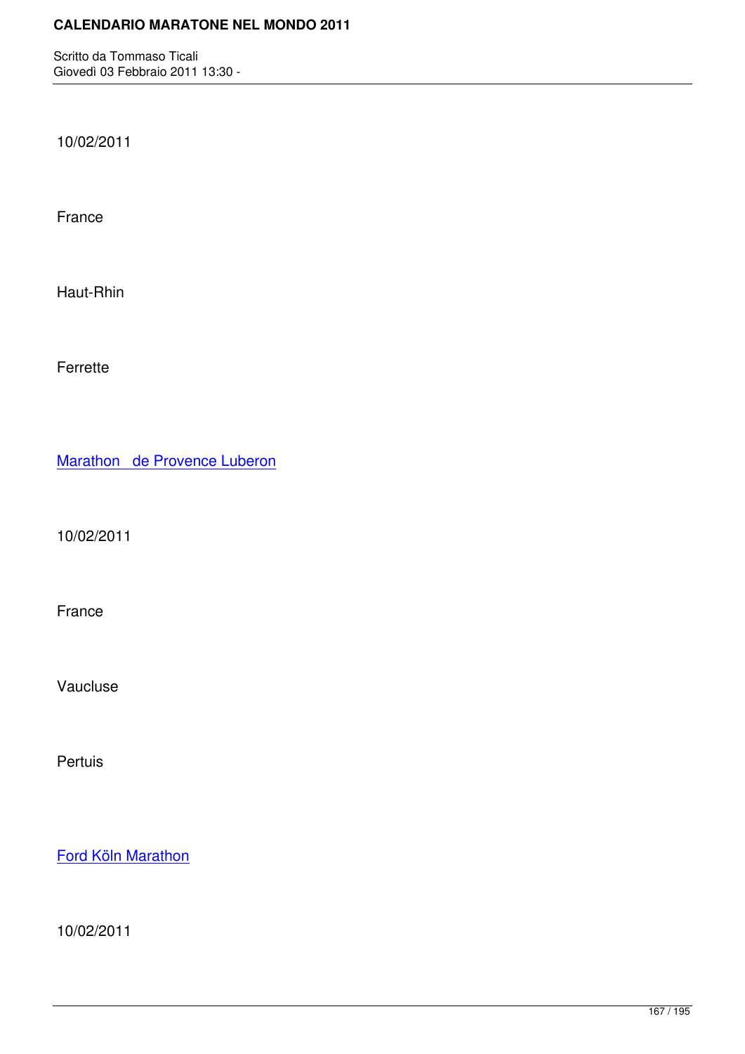10/02/2011

France

Haut-Rhin

Ferrette

Marathon de Provence Luberon

[10/02/2011](http://marathons.ahotu.com/race/marathon-de-provence-luberon)

France

Vaucluse

Pertuis

Ford Köln Marathon

[10/02/2011](http://marathons.ahotu.com/race/ford-koln-marathon)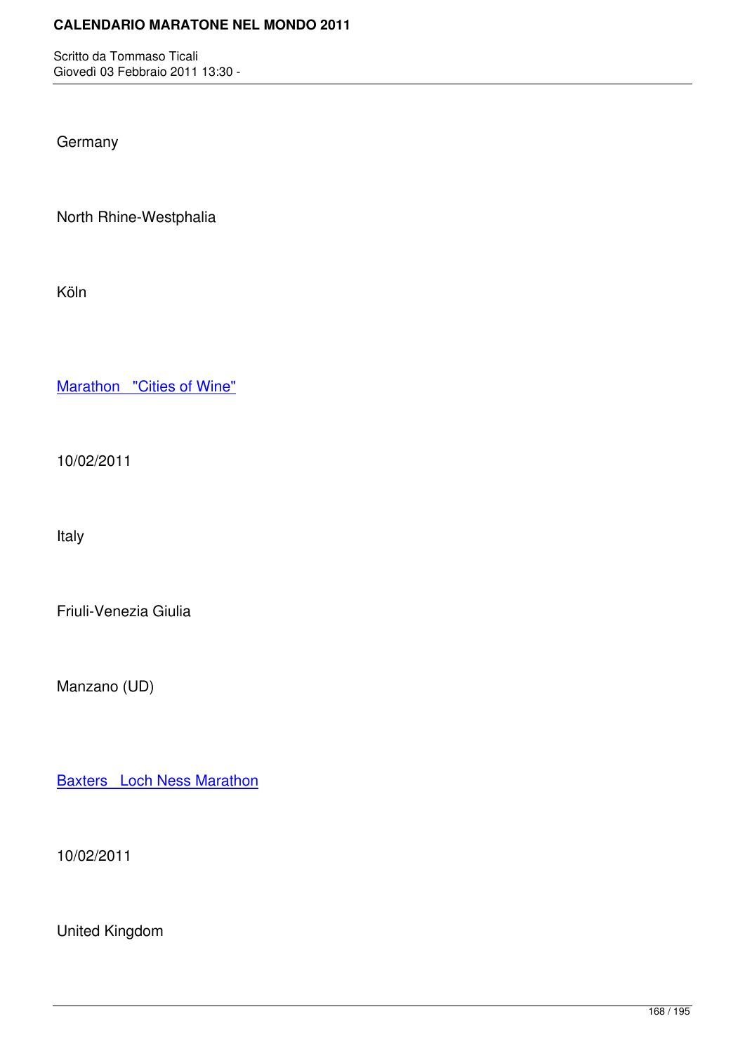**Germany** 

North Rhine-Westphalia

Köln

Marathon "Cities of Wine"

[10/02/2011](http://marathons.ahotu.com/race/marathon-cities-of-wine)

Italy

Friuli-Venezia Giulia

Manzano (UD)

**Baxters** Loch Ness Marathon

[10/02/2011](http://marathons.ahotu.com/race/baxters-loch-ness-marathon)

United Kingdom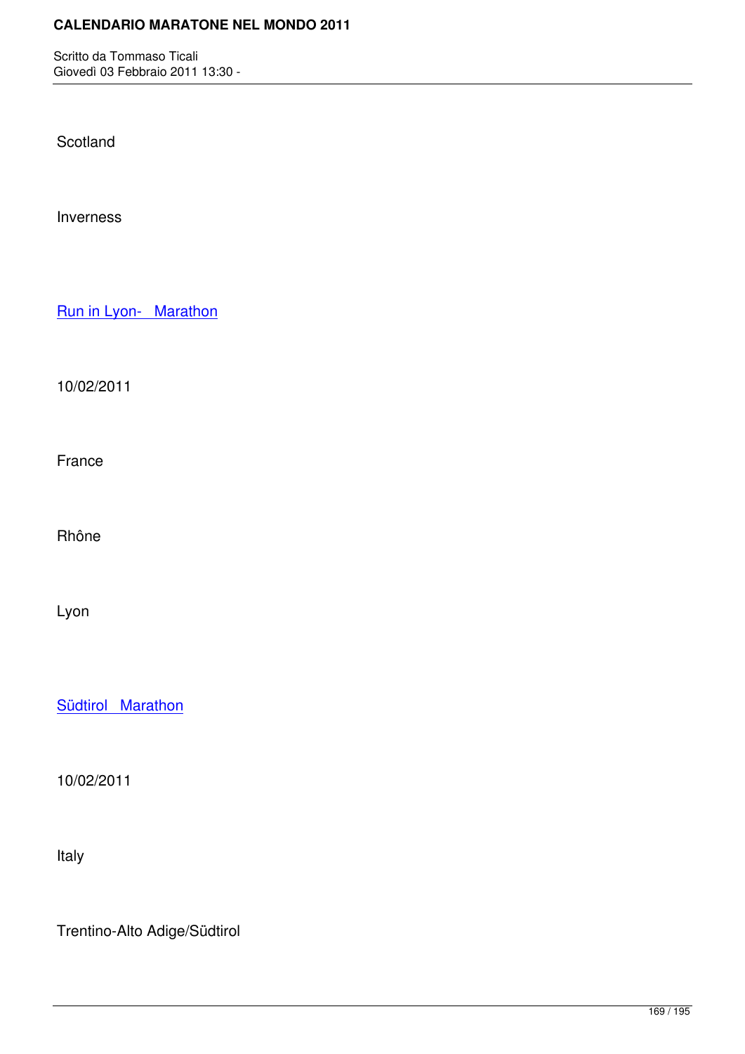Scotland

Inverness

Run in Lyon- Marathon

[10/02/2011](http://marathons.ahotu.com/race/run-in-lyon-marathon)

France

Rhône

Lyon

**Südtirol Marathon** 

[10/02/2011](http://marathons.ahotu.com/race/sudtirol-marathon)

Italy

Trentino-Alto Adige/Südtirol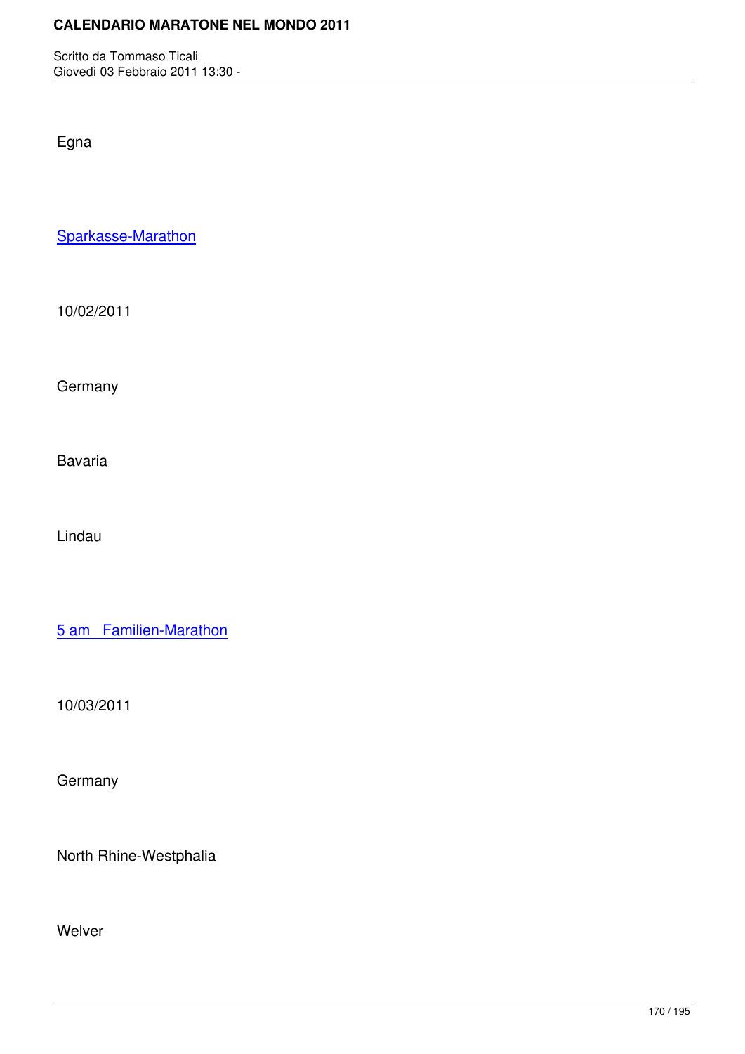Egna

Sparkasse-Marathon

[10/02/2011](http://marathons.ahotu.com/race/sparkasse-marathon)

**Germany** 

Bavaria

Lindau

5 am Familien-Marathon

[10/03/2011](http://marathons.ahotu.com/race/5-am-familien-marathon)

**Germany** 

North Rhine-Westphalia

Welver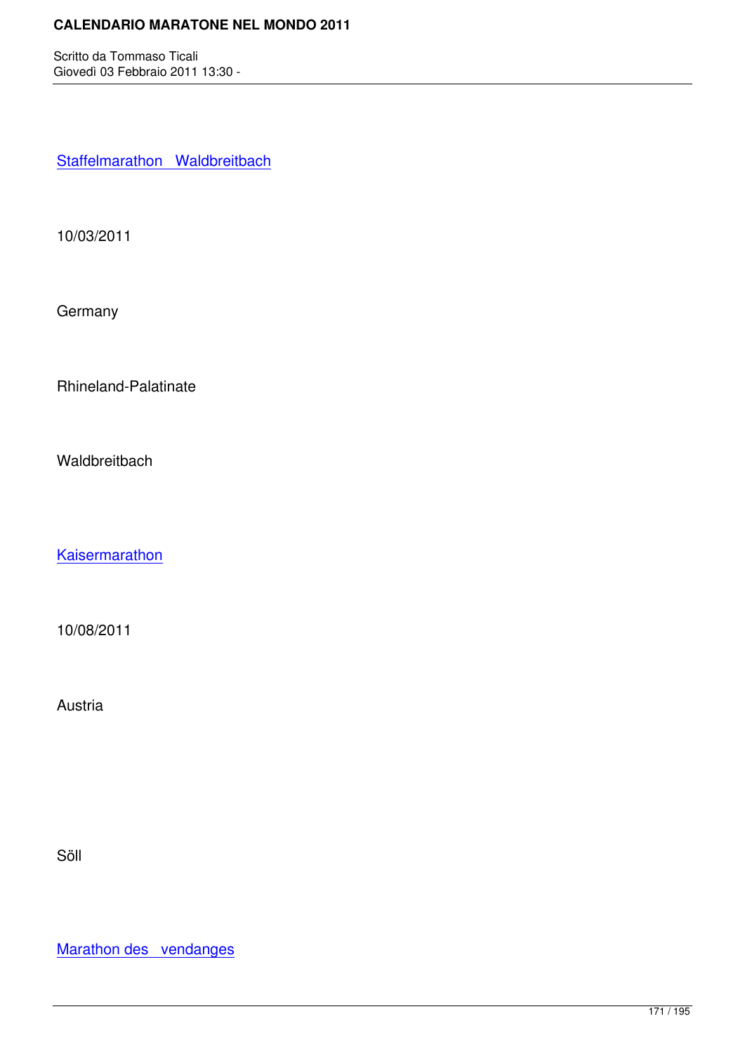Staffelmarathon Waldbreitbach

[10/03/2011](http://marathons.ahotu.com/race/staffelmarathon_waldbreitbach)

**Germany** 

Rhineland-Palatinate

**Waldbreitbach** 

**Kaisermarathon** 

[10/08/2011](http://marathons.ahotu.com/race/kaisermarathon)

Austria

Söll

Marathon des vendanges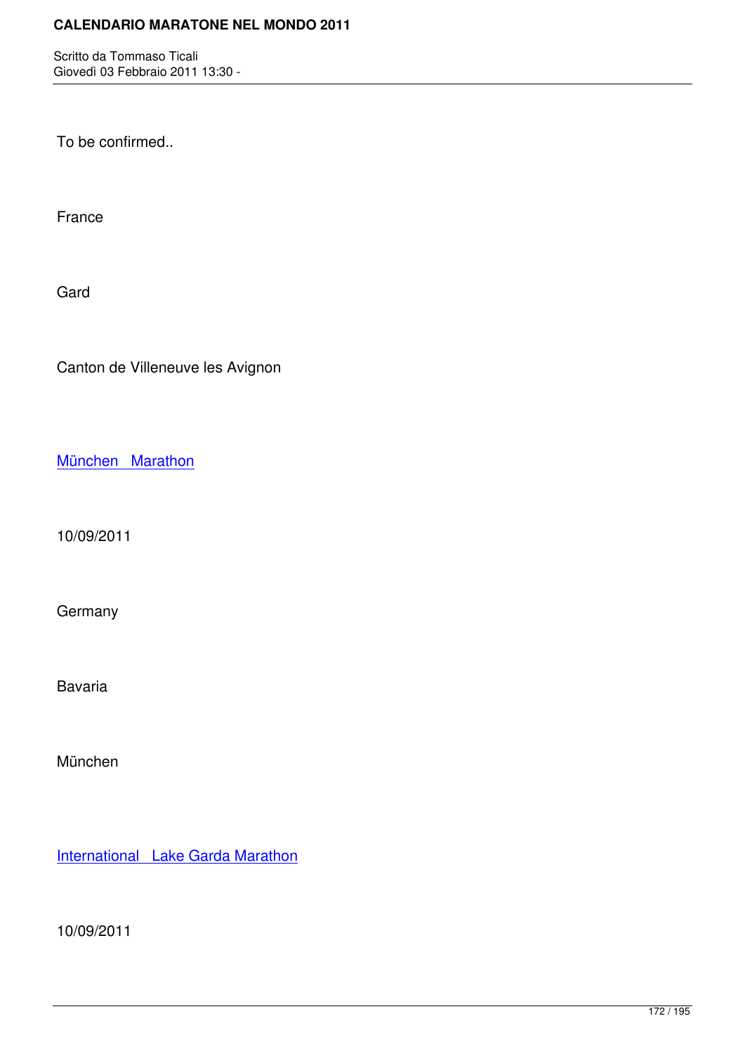To be confirmed..

France

Gard

Canton de Villeneuve les Avignon

München Marathon

[10/09/2011](http://marathons.ahotu.com/race/munchen-marathon)

**Germany** 

Bavaria

München

International Lake Garda Marathon

[10/09/2011](http://marathons.ahotu.com/race/international-lake-garda-marathon)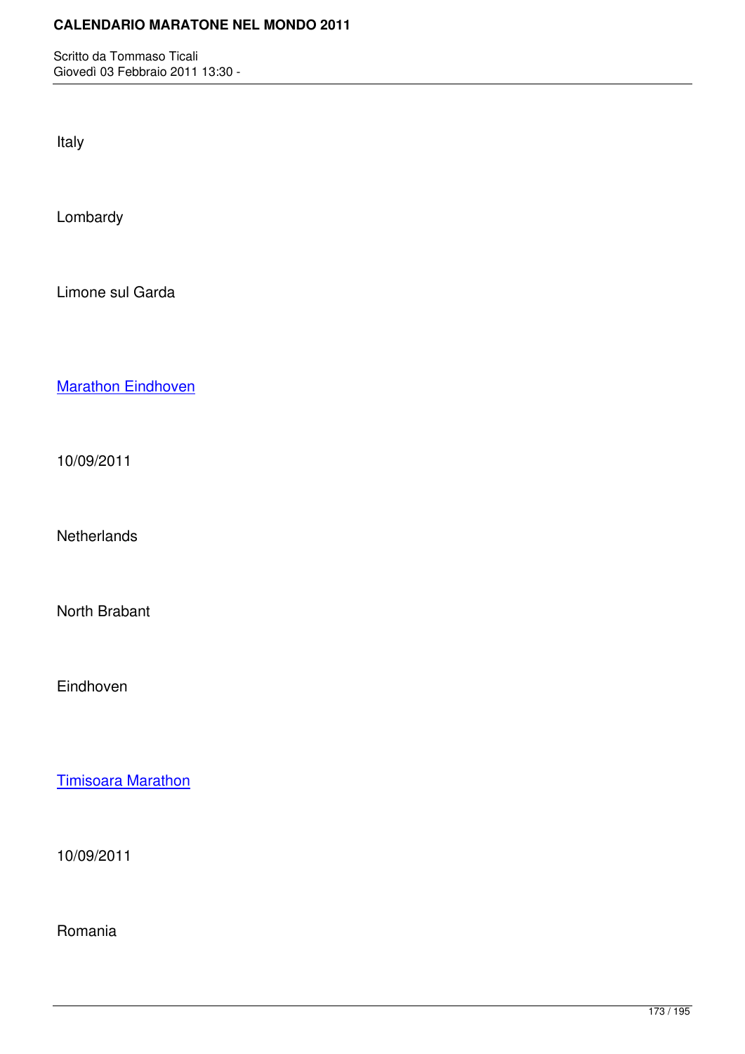Italy

Lombardy

Limone sul Garda

**Marathon Eindhoven** 

[10/09/2011](http://marathons.ahotu.com/race/marathon-eindhoven)

**Netherlands** 

North Brabant

Eindhoven

Timisoara Marathon

[10/09/2011](http://marathons.ahotu.com/race/timisoara-marathon)

Romania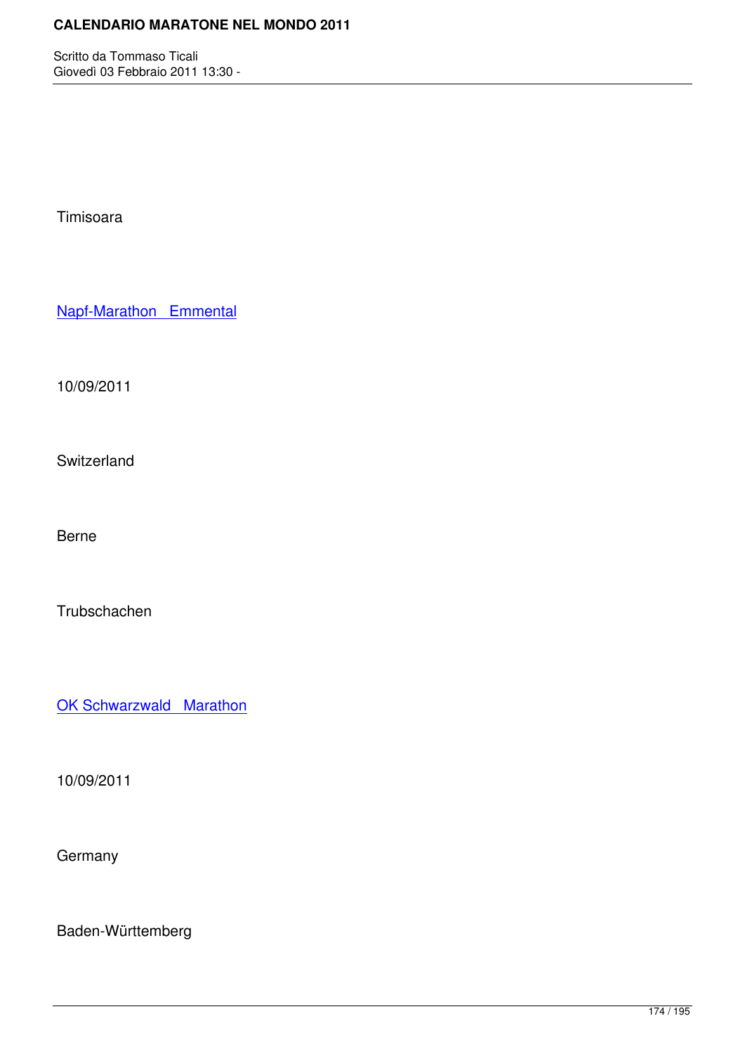Timisoara

Napf-Marathon Emmental

[10/09/2011](http://marathons.ahotu.com/race/napf-marathon-emmental)

Switzerland

Berne

**Trubschachen** 

OK Schwarzwald Marathon

[10/09/2011](http://marathons.ahotu.com/race/ok-schwarzwald-marathon)

**Germany** 

Baden-Württemberg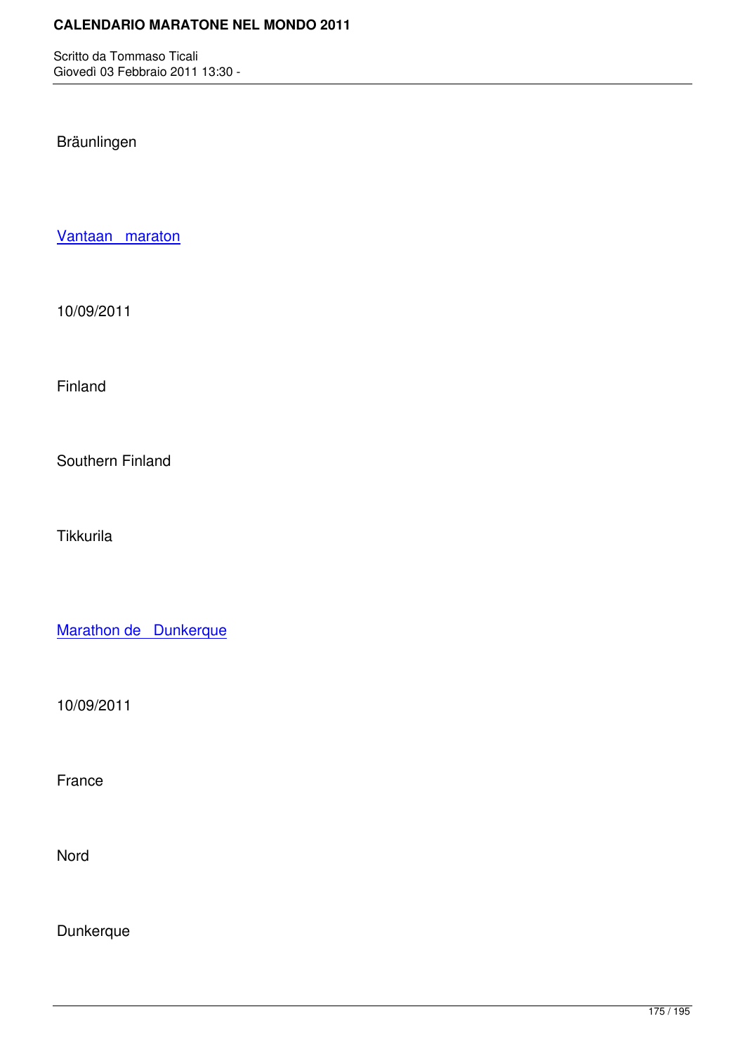Bräunlingen

Vantaan maraton

[10/09/2011](http://marathons.ahotu.com/race/vantaan-maraton)

Finland

Southern Finland

**Tikkurila** 

Marathon de Dunkerque

[10/09/2011](http://marathons.ahotu.com/race/marathon-de-dunkerque)

France

Nord

**Dunkerque**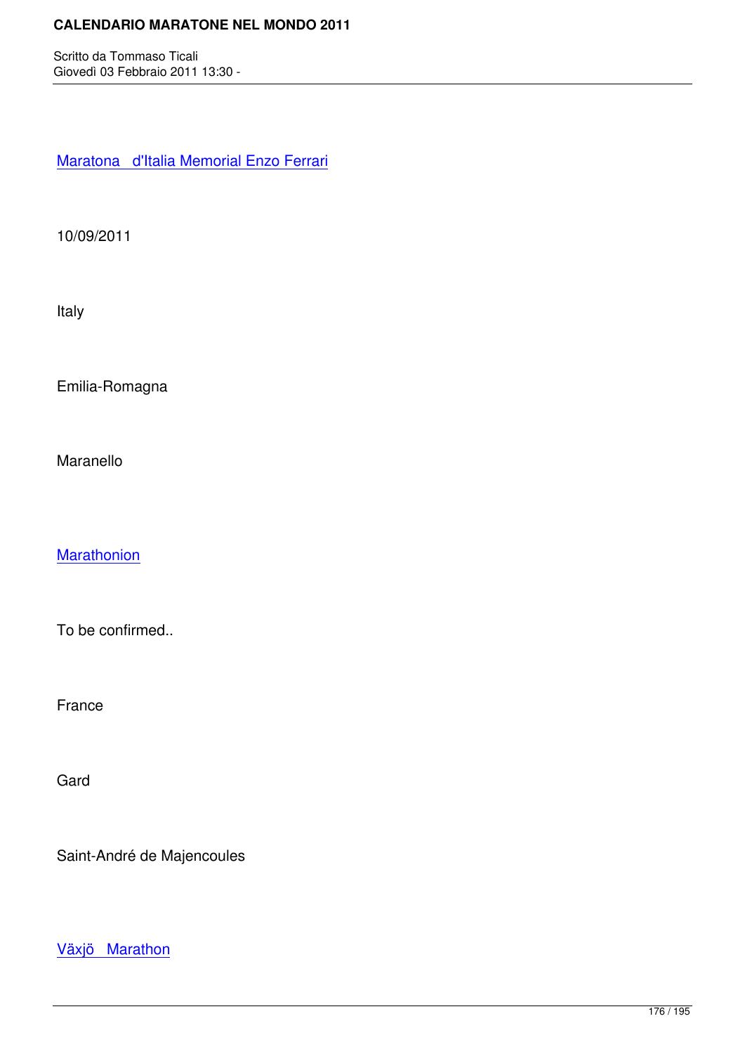Maratona d'Italia Memorial Enzo Ferrari

[10/09/2011](http://marathons.ahotu.com/race/maratona-d-italia-memorial-enzo-ferrari)

Italy

Emilia-Romagna

Maranello

**Marathonion** 

[To be confirm](http://marathons.ahotu.com/race/marathonion)ed..

France

Gard

Saint-André de Majencoules

Växjö Marathon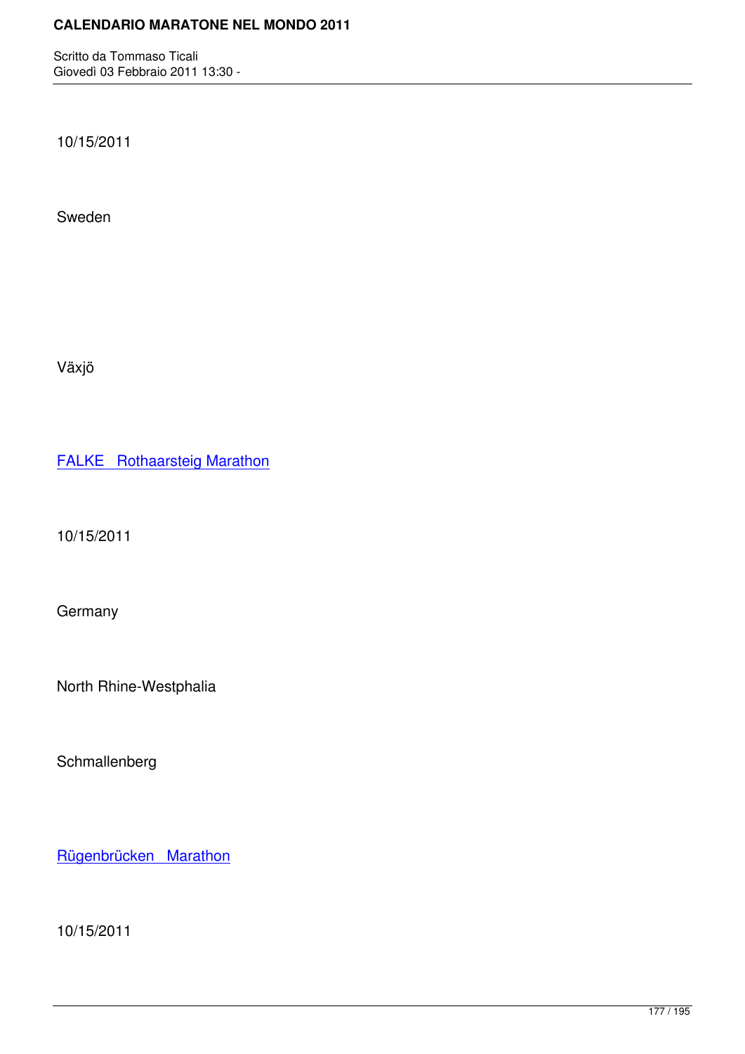10/15/2011

Sweden

Växjö

FALKE Rothaarsteig Marathon

[10/15/2011](http://marathons.ahotu.com/race/falke-rothaarsteig-marathon)

Germany

North Rhine-Westphalia

Schmallenberg

Rügenbrücken Marathon

[10/15/2011](http://marathons.ahotu.com/race/rugenbrucken-marathon)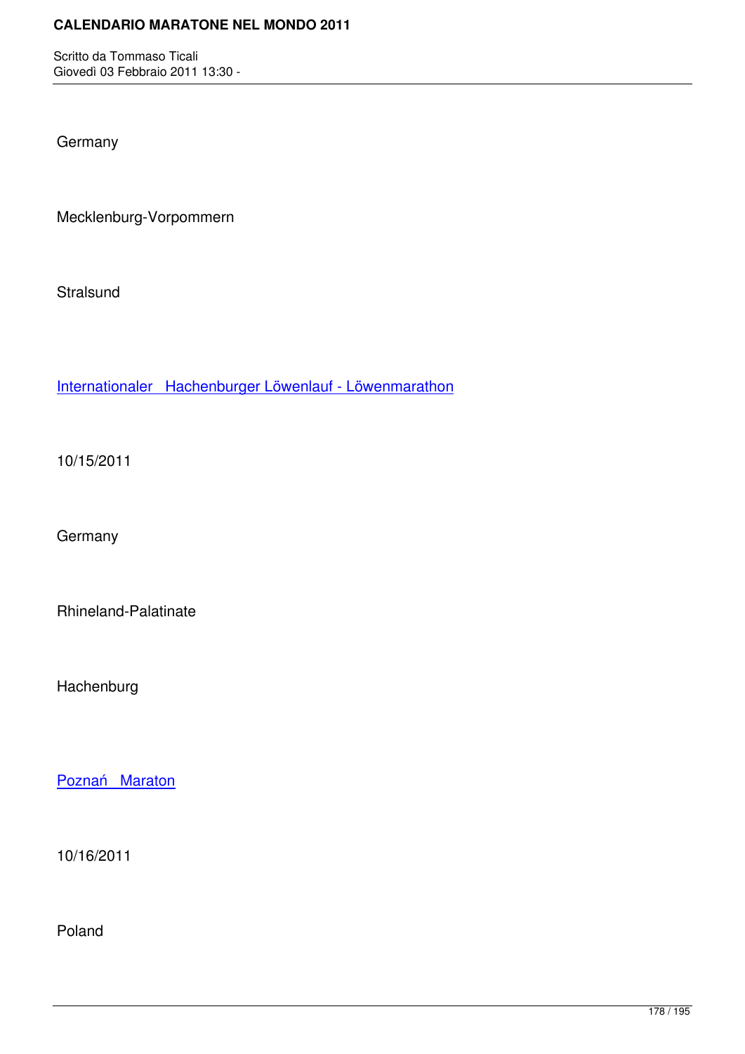**Germany** 

Mecklenburg-Vorpommern

**Stralsund** 

Internationaler Hachenburger Löwenlauf - Löwenmarathon

[10/15/2011](http://marathons.ahotu.com/race/internationaler-hachenburger-lowenlauf-lowenmarathon)

Germany

Rhineland-Palatinate

Hachenburg

Poznań Maraton

[10/16/2011](http://marathons.ahotu.com/race/poznan-maraton)

Poland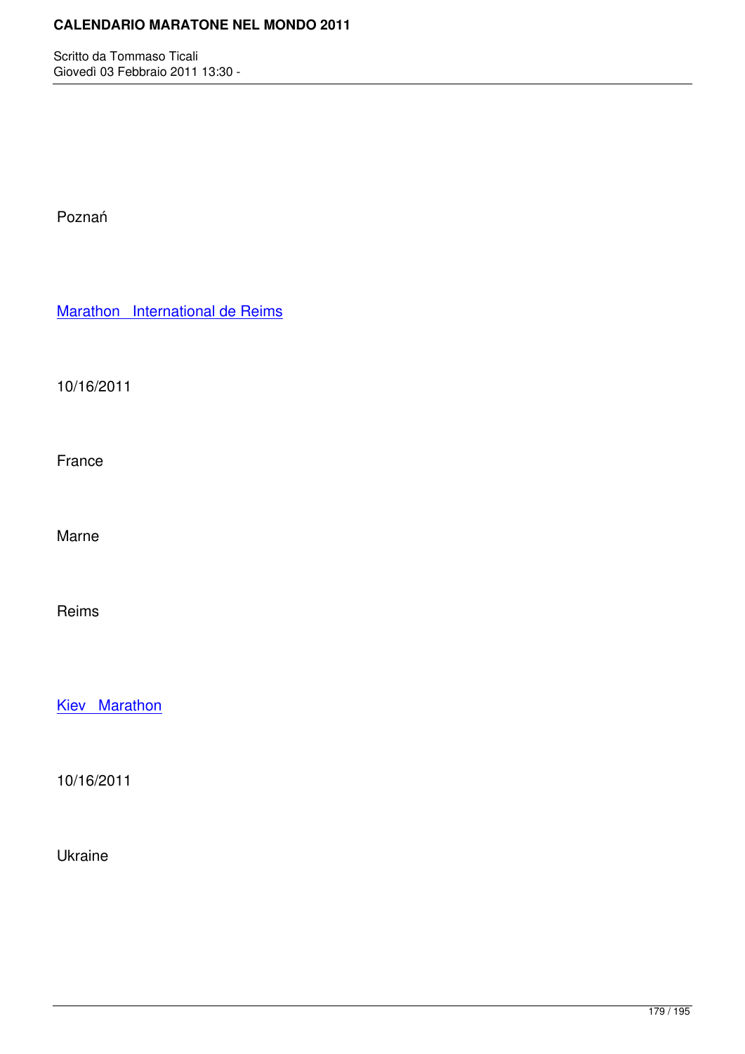Poznań

Marathon International de Reims

[10/16/2011](http://marathons.ahotu.com/race/marathon-international-de-reims)

France

Marne

Reims

Kiev Marathon

[10/16/2011](http://marathons.ahotu.com/race/kiev-marathon)

Ukraine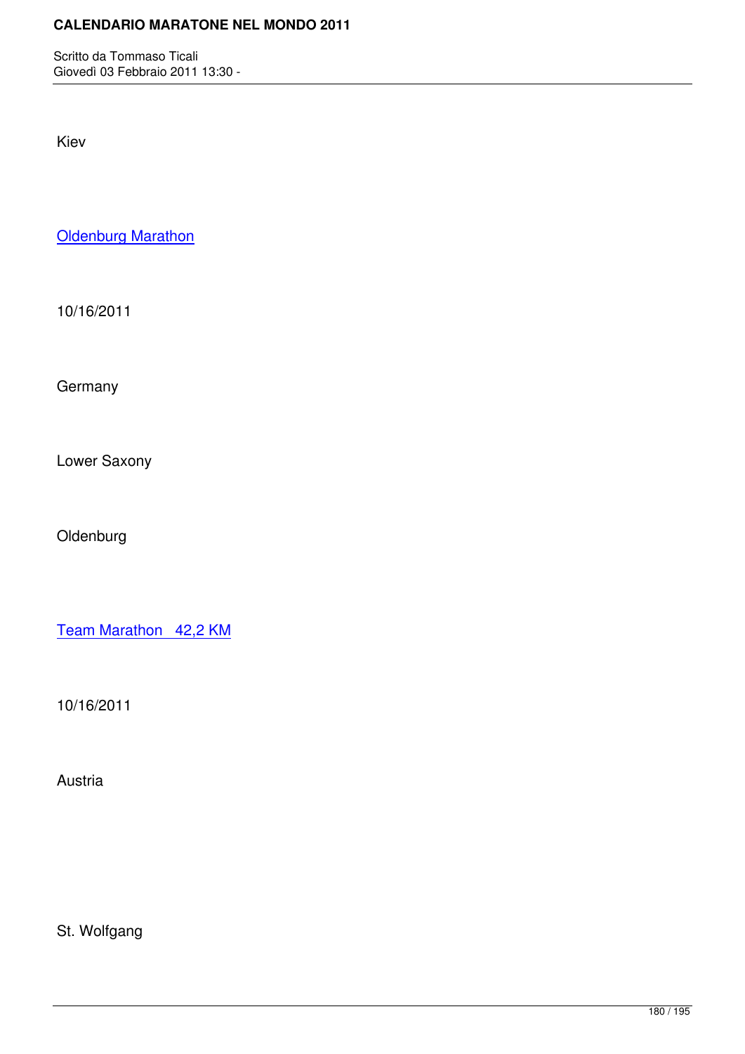Kiev

**Oldenburg Marathon** 

[10/16/2011](http://marathons.ahotu.com/race/oldenburg-marathon)

**Germany** 

Lower Saxony

Oldenburg

Team Marathon 42,2 KM

[10/16/2011](http://marathons.ahotu.com/race/team-marathon-42-2-km)

Austria

St. Wolfgang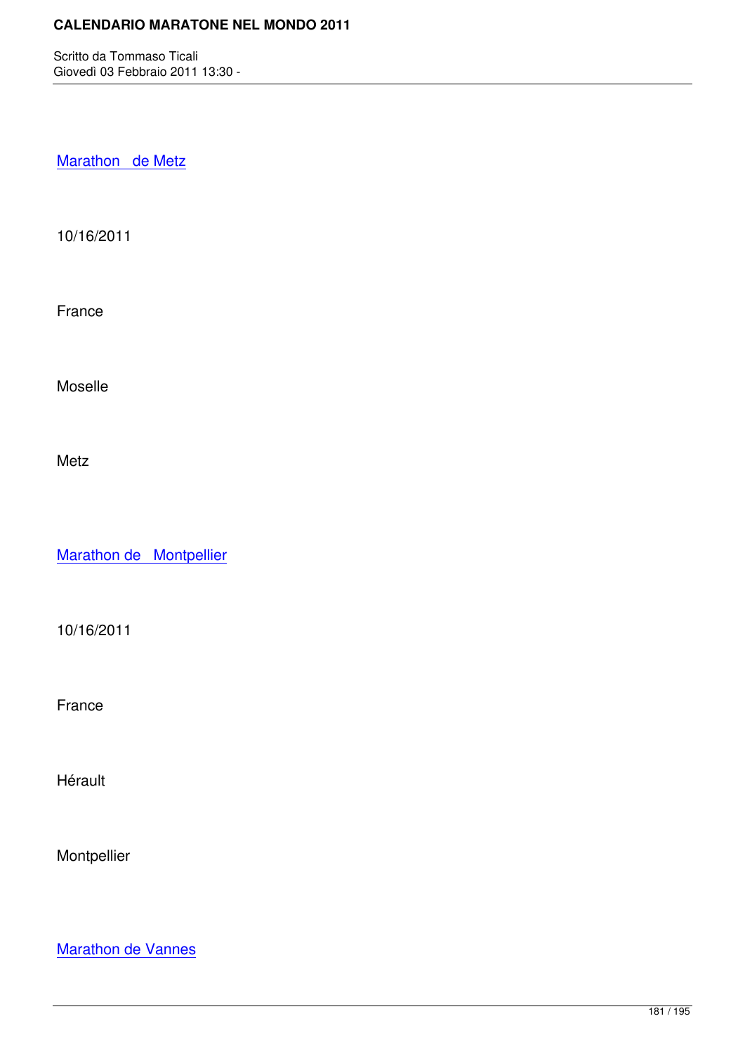Marathon de Metz

[10/16/2011](http://marathons.ahotu.com/race/marathon-de-metz)

France

Moselle

Metz

Marathon de Montpellier

[10/16/2011](http://marathons.ahotu.com/race/marathon-de-montpellier)

France

Hérault

Montpellier

Marathon de Vannes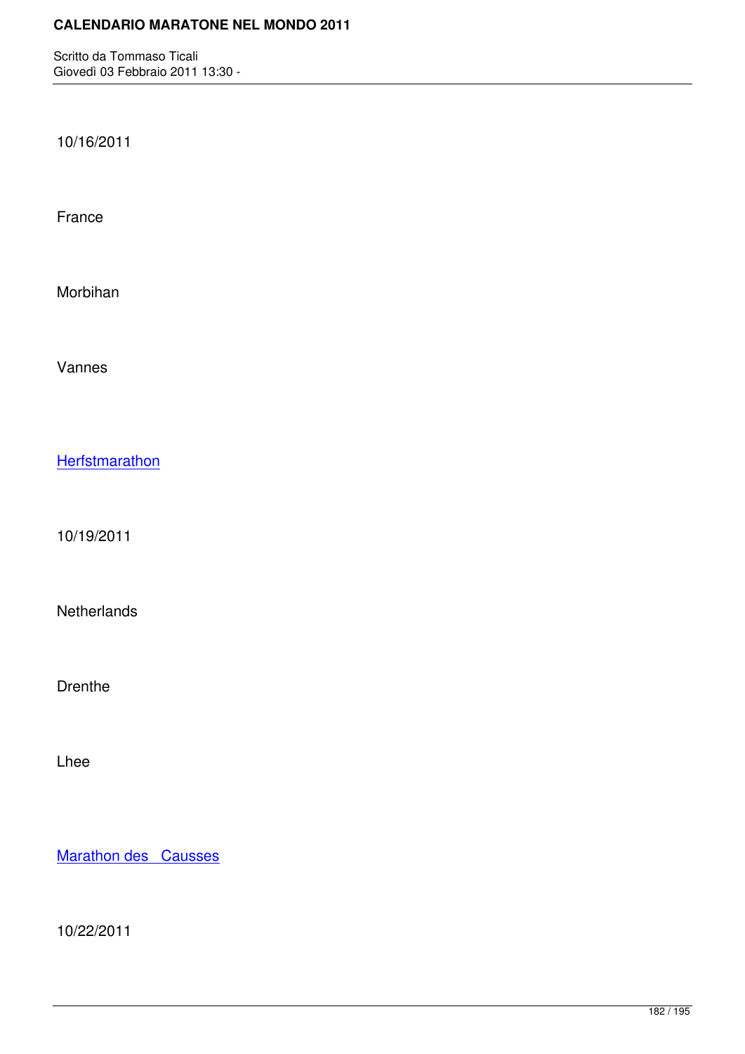10/16/2011

France

Morbihan

Vannes

**Herfstmarathon** 

[10/19/2011](http://marathons.ahotu.com/race/herfstmarathon)

**Netherlands** 

Drenthe

Lhee

Marathon des Causses

[10/22/2011](http://marathons.ahotu.com/race/marathon-des-causses)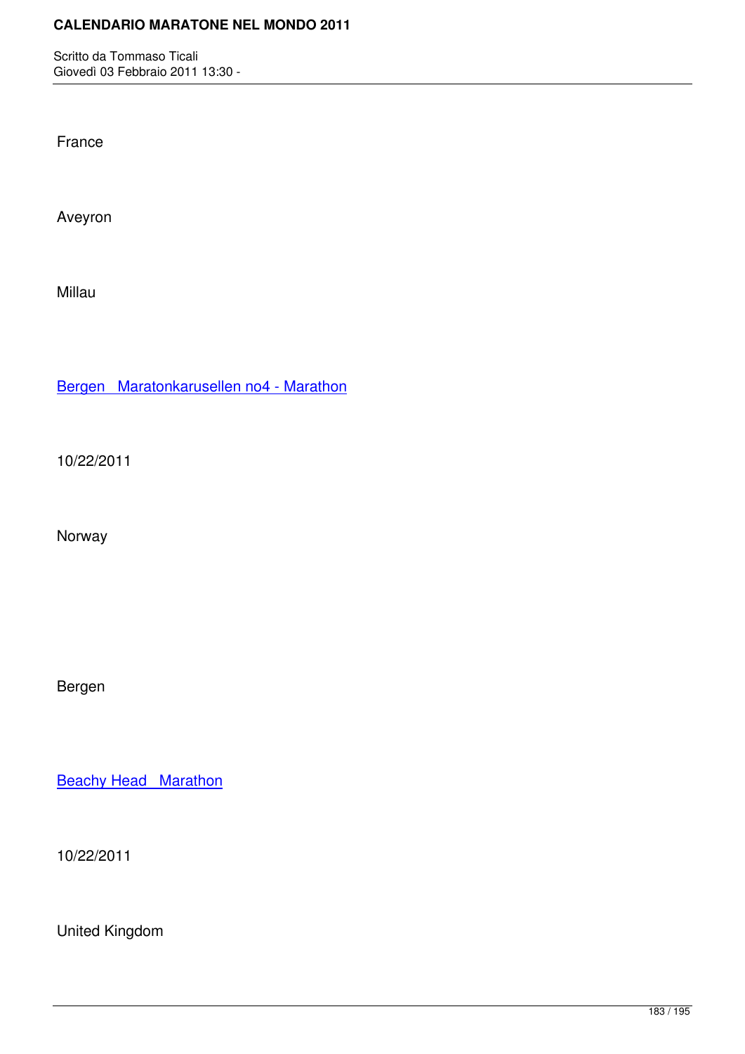Giovedì 03 Febbraio 2011 13:30 -

France

Aveyron

Millau

Bergen Maratonkarusellen no4 - Marathon

[10/22/2011](http://marathons.ahotu.com/race/bergen-maratonkarusellen-no4-marathon)

Norway

Bergen

**Beachy Head Marathon** 

[10/22/2011](http://marathons.ahotu.com/race/beachy-head-marathon)

United Kingdom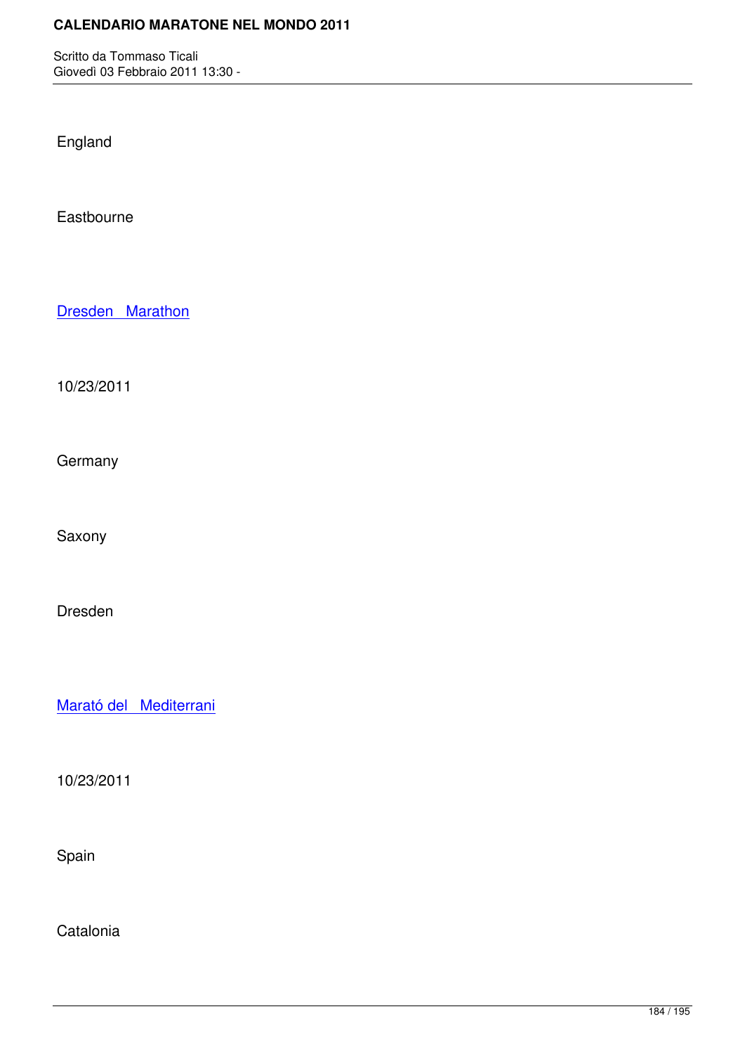Giovedì 03 Febbraio 2011 13:30 -

England

Eastbourne

Dresden Marathon

[10/23/2011](http://marathons.ahotu.com/race/dresden-marathon)

**Germany** 

Saxony

Dresden

Marató del Mediterrani

[10/23/2011](http://marathons.ahotu.com/race/marato-del-mediterrani)

Spain

**Catalonia**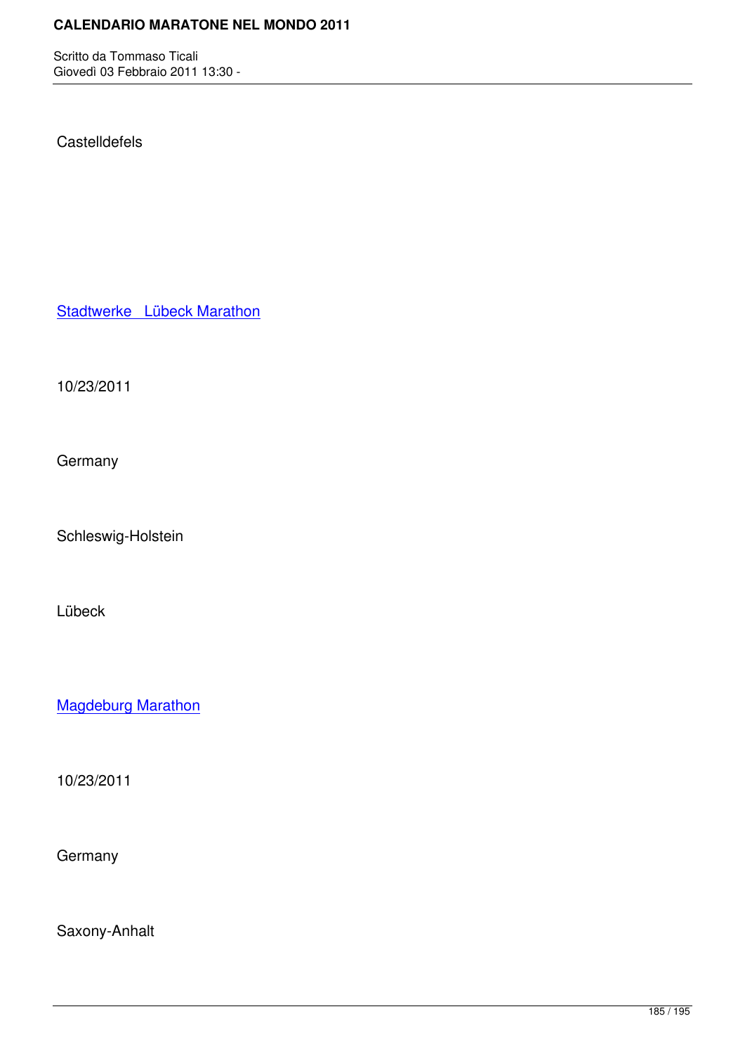#### **Castelldefels**

Stadtwerke Lübeck Marathon

[10/23/2011](http://marathons.ahotu.com/race/stadtwerke-lubeck-marathon)

**Germany** 

Schleswig-Holstein

Lübeck

Magdeburg Marathon

[10/23/2011](http://marathons.ahotu.com/race/magdeburg-marathon)

**Germany** 

Saxony-Anhalt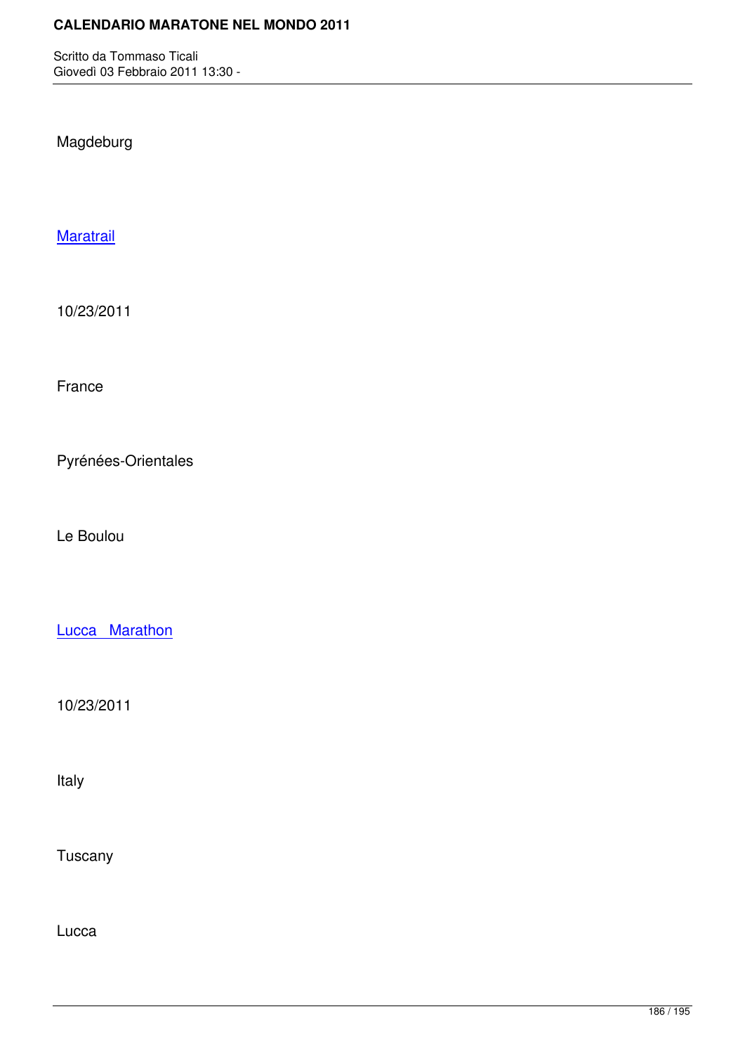# Magdeburg

## **Maratrail**

[10/23/20](http://marathons.ahotu.com/race/maratrail)11

France

Pyrénées-Orientales

Le Boulou

Lucca Marathon

[10/23/2011](http://marathons.ahotu.com/race/lucca-marathon)

Italy

Tuscany

Lucca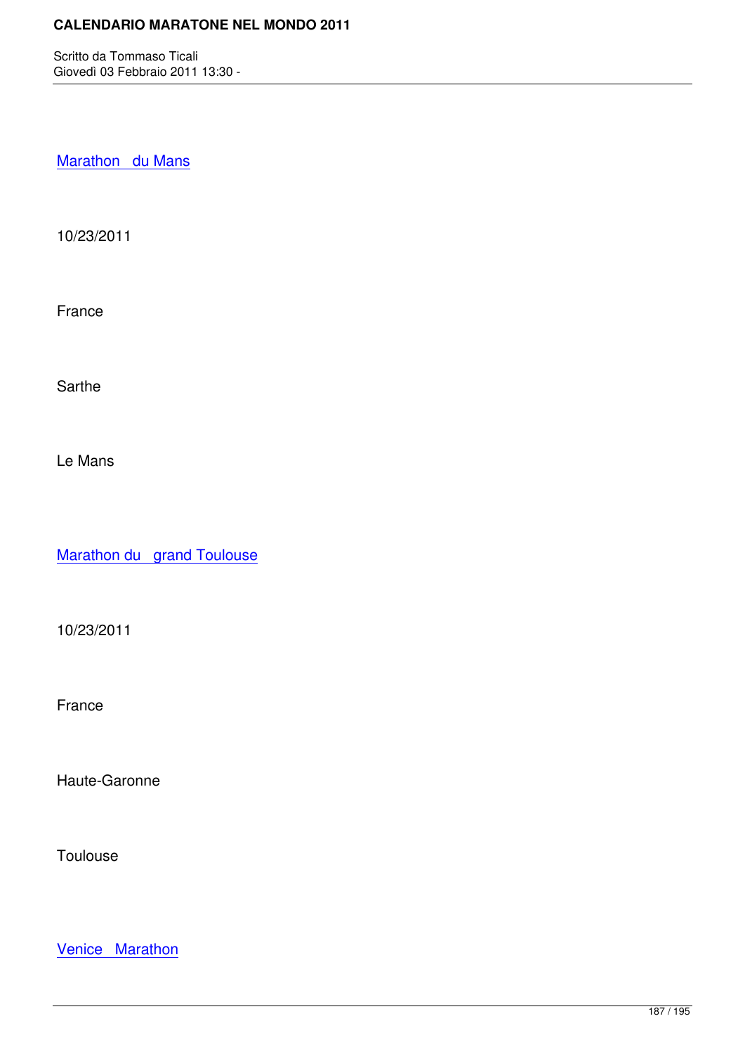Marathon du Mans

[10/23/2011](http://marathons.ahotu.com/race/marathon-du-mans)

France

Sarthe

Le Mans

Marathon du grand Toulouse

[10/23/2011](http://marathons.ahotu.com/race/marathon-du-grand-toulouse)

France

Haute-Garonne

Toulouse

Venice Marathon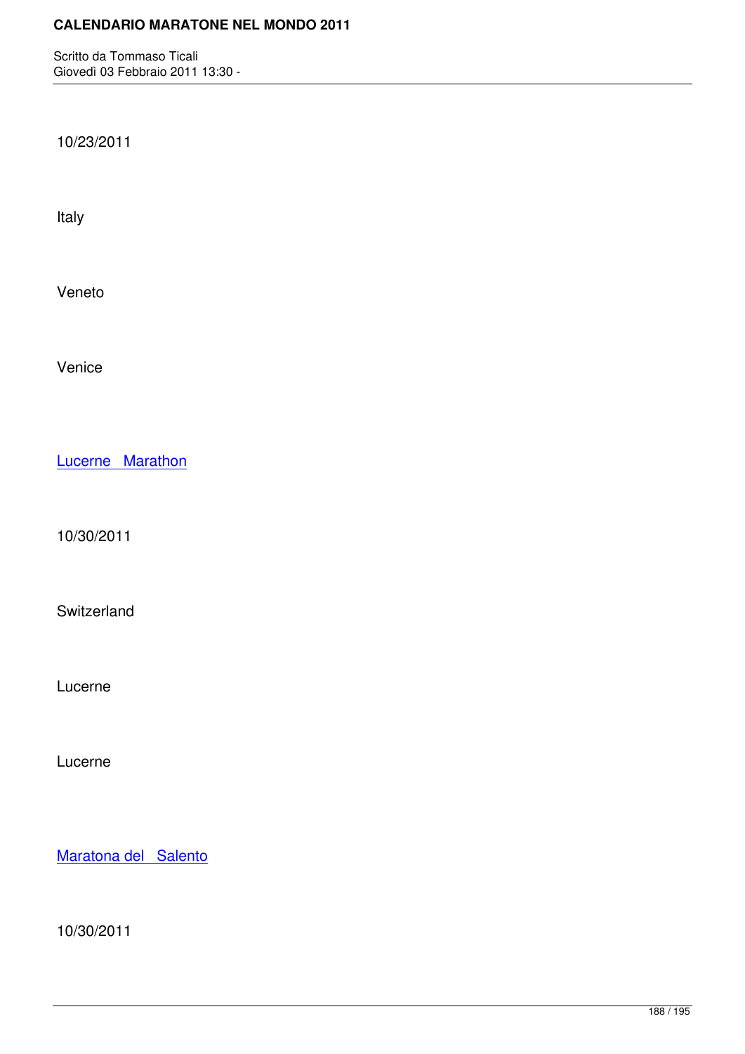10/23/2011

Italy

Veneto

Venice

Lucerne Marathon

[10/30/2011](http://marathons.ahotu.com/race/lucerne-marathon)

**Switzerland** 

Lucerne

Lucerne

Maratona del Salento

[10/30/2011](http://marathons.ahotu.com/race/maratona-del-salento)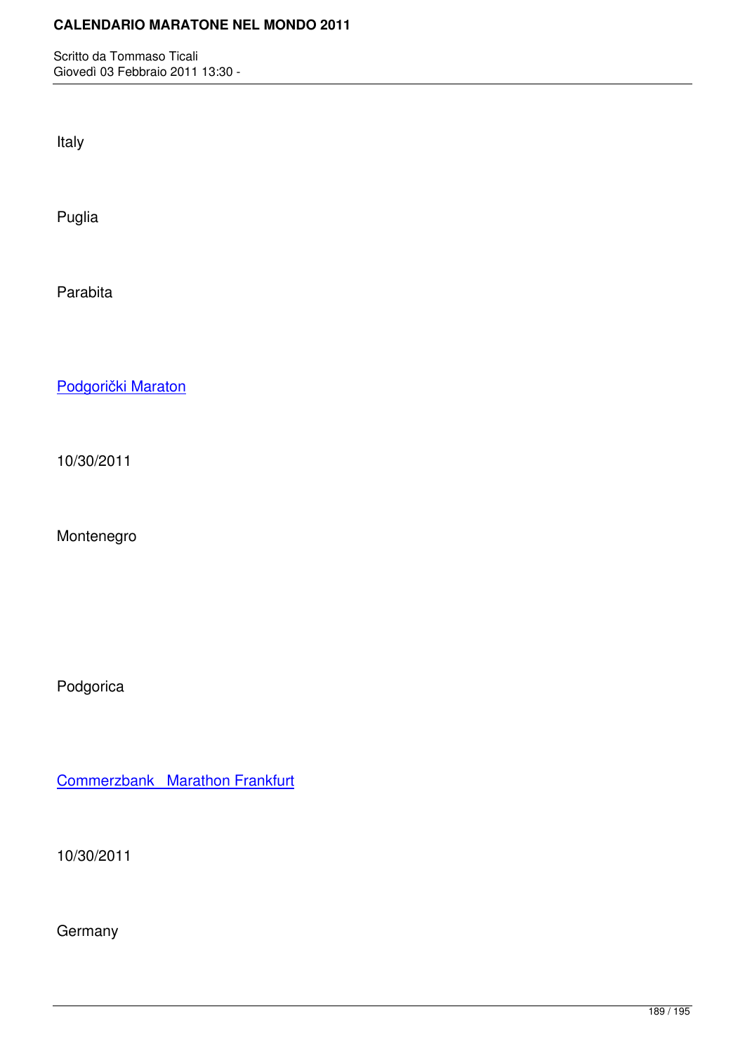Italy

Puglia

Parabita

Podgorički Maraton

[10/30/2011](http://marathons.ahotu.com/race/podgoricki-maraton)

Montenegro

Podgorica

Commerzbank Marathon Frankfurt

[10/30/2011](http://marathons.ahotu.com/race/commerzbank-marathon-frankfurt)

**Germany**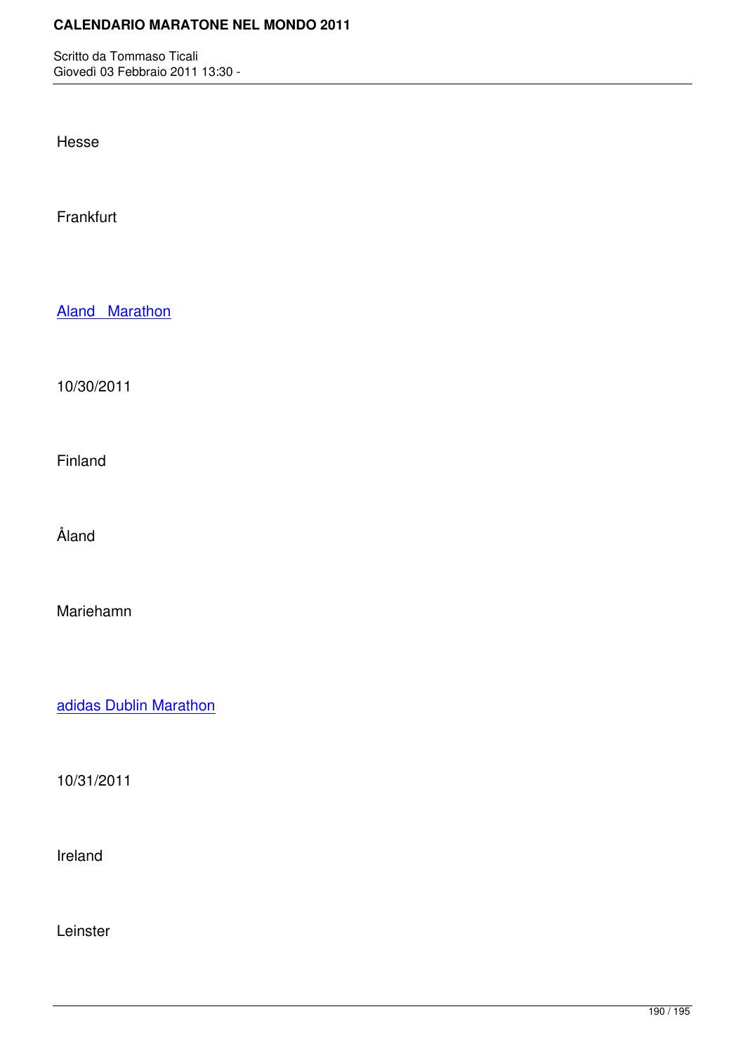Hesse

Frankfurt

Aland Marathon

[10/30/2011](http://marathons.ahotu.com/race/aland-marathon)

Finland

Åland

Mariehamn

adidas Dublin Marathon

[10/31/2011](http://marathons.ahotu.com/race/adidas-dublin-marathon)

Ireland

Leinster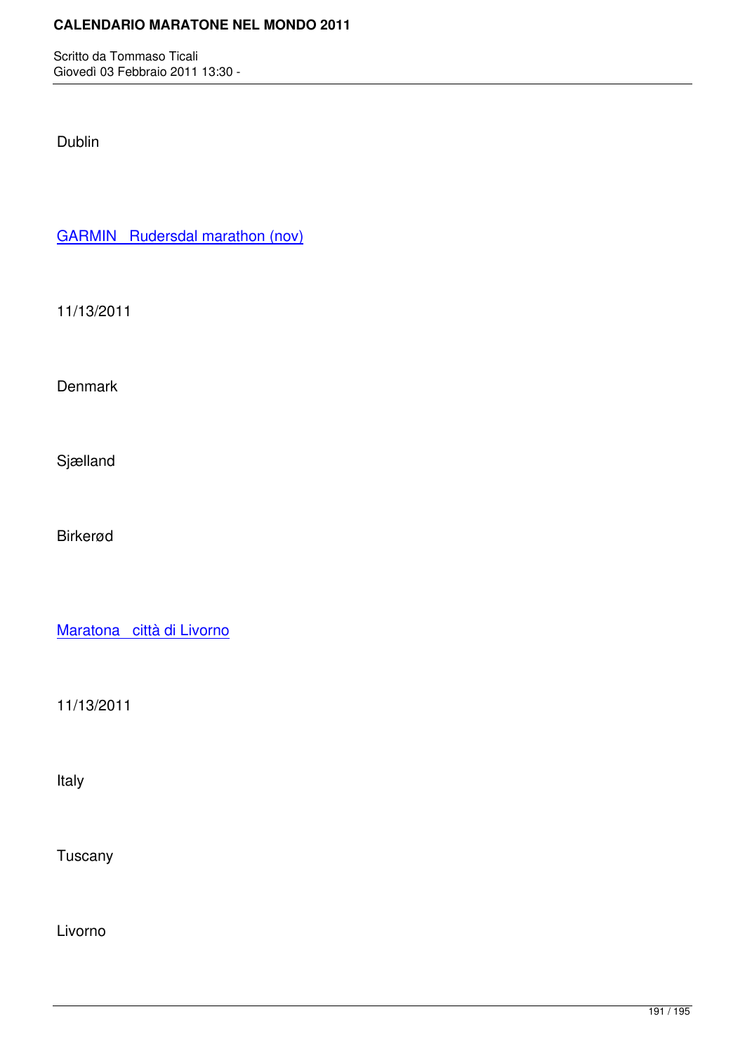Dublin

GARMIN Rudersdal marathon (nov)

[11/13/2011](http://marathons.ahotu.com/race/garmin-rudersdal-marathon-nov)

**Denmark** 

Sjælland

Birkerød

Maratona città di Livorno

[11/13/2011](http://marathons.ahotu.com/race/maratona-citta-di-livorno)

Italy

Tuscany

Livorno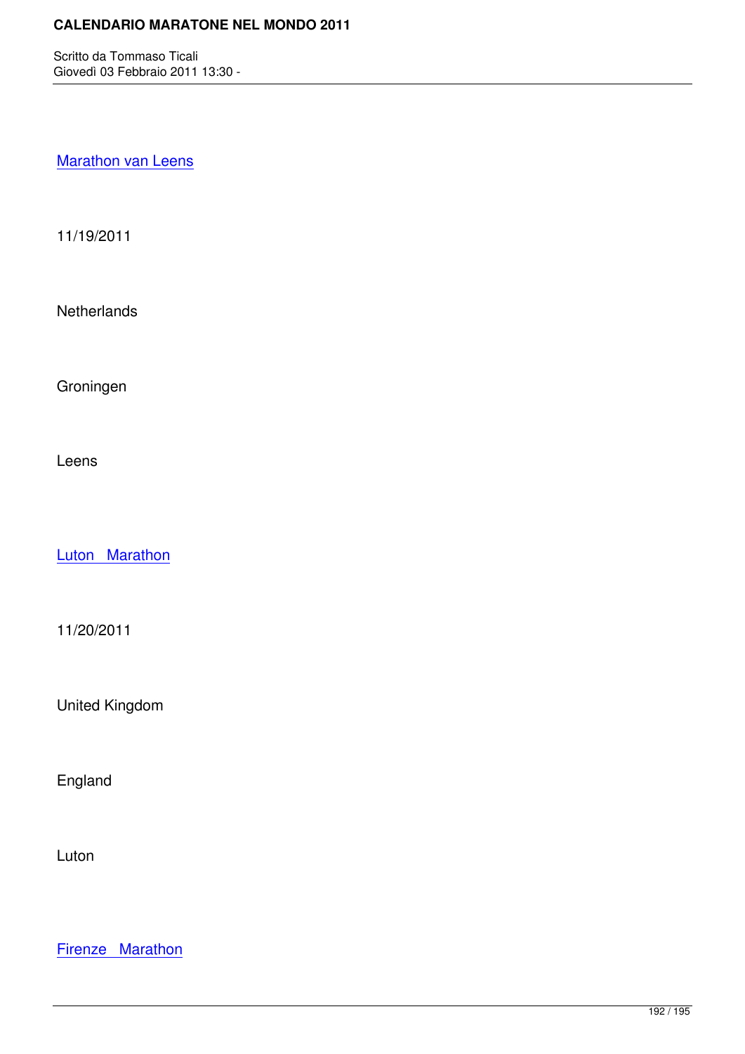### **Marathon van Leens**

[11/19/2011](http://marathons.ahotu.com/race/marathon-van-leens)

**Netherlands** 

Groningen

Leens

Luton Marathon

[11/20/2011](http://marathons.ahotu.com/race/luton-marathon)

United Kingdom

England

Luton

Firenze Marathon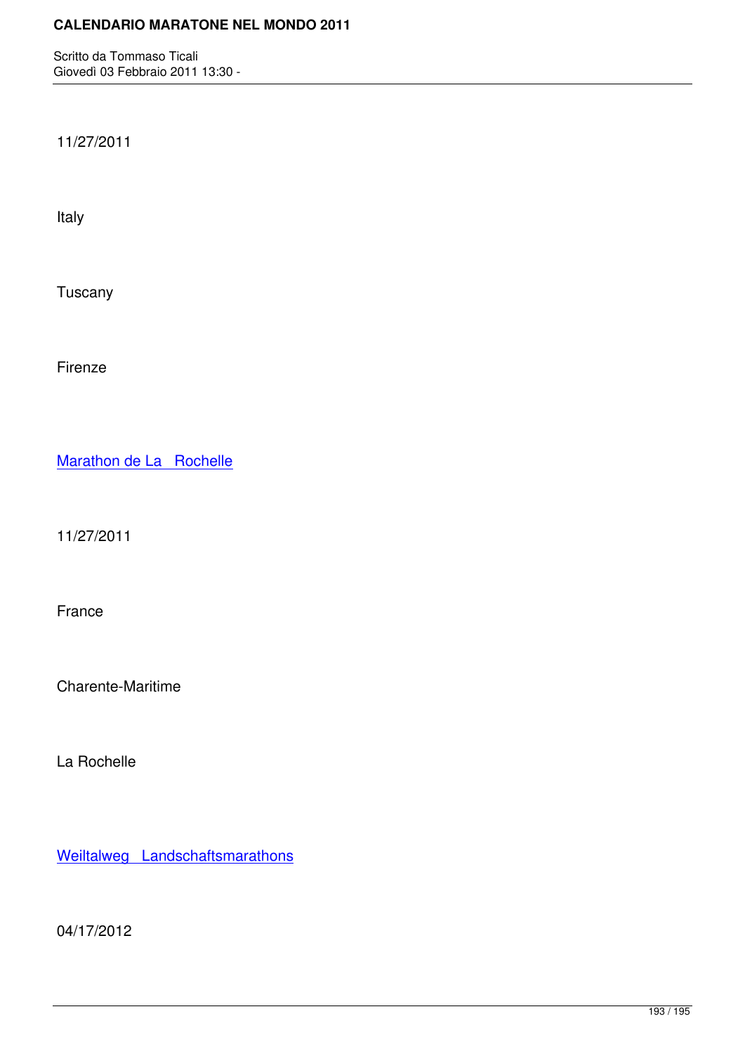11/27/2011

Italy

Tuscany

Firenze

Marathon de La Rochelle

[11/27/2011](http://marathons.ahotu.com/race/marathon-de-la-rochelle)

France

Charente-Maritime

La Rochelle

Weiltalweg Landschaftsmarathons

[04/17/2012](http://marathons.ahotu.com/race/weiltalweg-landschaftsmarathons)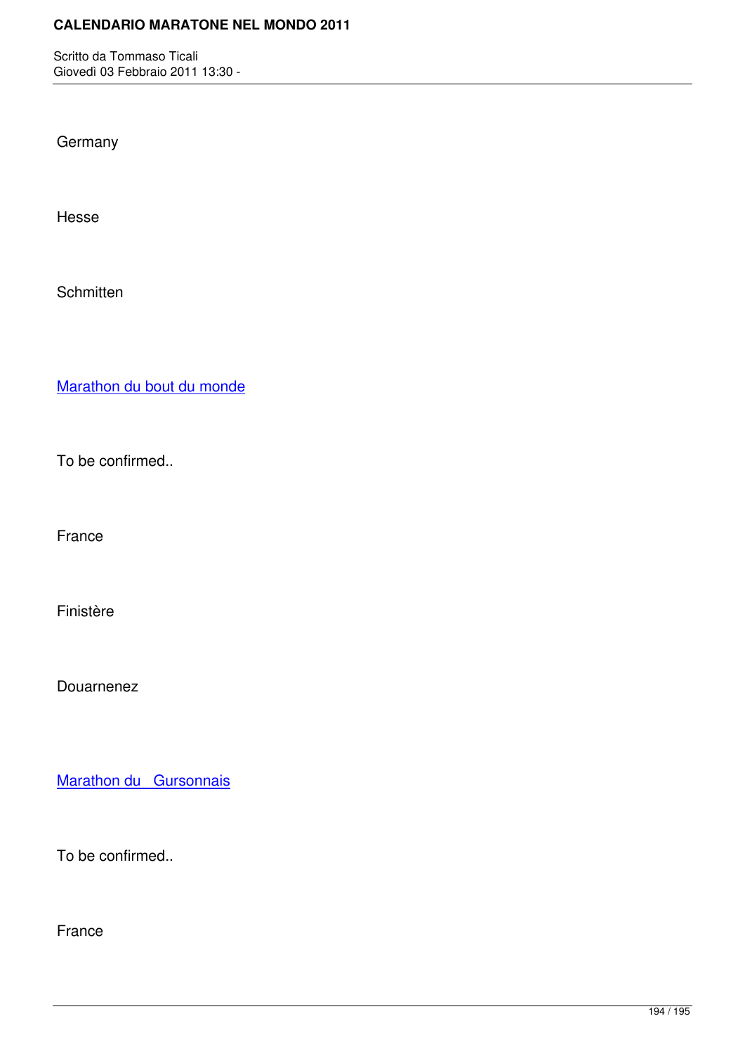Giovedì 03 Febbraio 2011 13:30 -

**Germany** 

Hesse

**Schmitten** 

Marathon du bout du monde

[To be confirmed..](http://marathons.ahotu.com/race/marathon-du-bout-du-monde)

France

Finistère

Douarnenez

Marathon du Gursonnais

[To be confirmed..](http://marathons.ahotu.com/race/marathon-du-gursonnais)

France